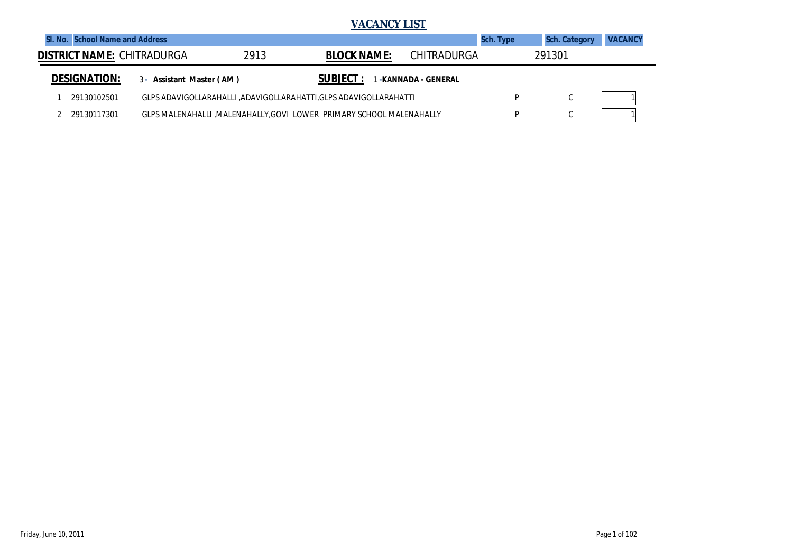|                                   |             |                          |      | <b>VACANCY LIST</b>                                                   |                    |                  |                      |                |
|-----------------------------------|-------------|--------------------------|------|-----------------------------------------------------------------------|--------------------|------------------|----------------------|----------------|
| SI, No. School Name and Address   |             |                          |      |                                                                       |                    | <b>Sch. Type</b> | <b>Sch. Category</b> | <b>VACANCY</b> |
| <b>DISTRICT NAME: CHITRADURGA</b> |             |                          | 2913 | <b>BLOCK NAME:</b>                                                    | CHITRADURGA        |                  | 291301               |                |
| <b>DESIGNATION:</b>               |             | 3- Assistant Master (AM) |      | <b>SUBJECT:</b>                                                       | -KANNADA - GENERAL |                  |                      |                |
|                                   | 29130102501 |                          |      | GLPS ADAVIGOLLARAHALLI ,ADAVIGOLLARAHATTI,GLPS ADAVIGOLLARAHATTI      |                    | D                | U                    |                |
|                                   | 29130117301 |                          |      | GLPS MALENAHALLI , MALENAHALLY, GOVI LOWER PRIMARY SCHOOL MALENAHALLY |                    | D                | $\sim$<br>U          |                |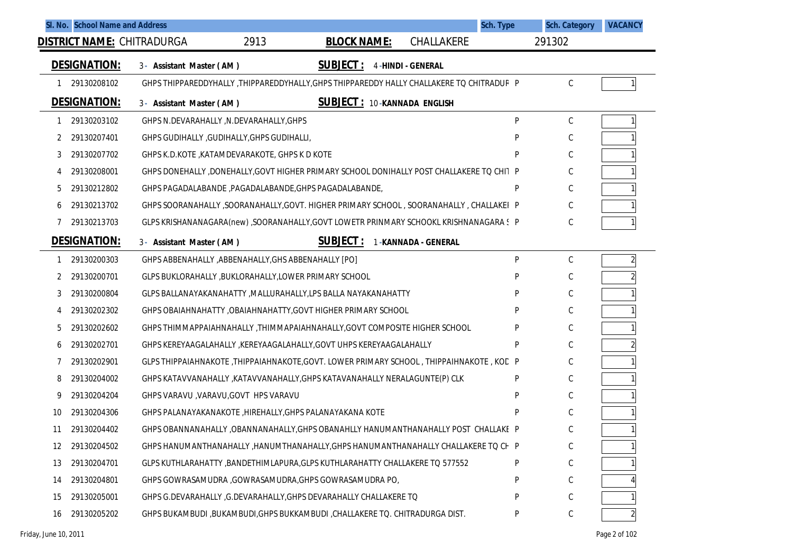| SI. No. School Name and Address   |                                                                                             |                                    | Sch. Type                |   | <b>Sch. Category</b> | <b>VACANCY</b> |
|-----------------------------------|---------------------------------------------------------------------------------------------|------------------------------------|--------------------------|---|----------------------|----------------|
| <b>DISTRICT NAME: CHITRADURGA</b> | 2913                                                                                        | <b>BLOCK NAME:</b>                 | CHALLAKERE               |   | 291302               |                |
| <b>DESIGNATION:</b>               | 3- Assistant Master (AM)                                                                    | <b>SUBJECT:</b>                    | <b>4-HINDI - GENERAL</b> |   |                      |                |
| 29130208102<br>1                  | GHPS THIPPAREDDYHALLY , THIPPAREDDYHALLY, GHPS THIPPAREDDY HALLY CHALLAKERE TO CHITRADUR P  |                                    |                          |   | C                    |                |
| <b>DESIGNATION:</b>               | 3- Assistant Master (AM)                                                                    | <b>SUBJECT: 10-KANNADA ENGLISH</b> |                          |   |                      |                |
| 29130203102<br>1                  | GHPS N.DEVARAHALLY, N.DEVARAHALLY, GHPS                                                     |                                    |                          | P | $\mathsf C$          |                |
| 29130207401                       | GHPS GUDIHALLY, GUDIHALLY, GHPS GUDIHALLI,                                                  |                                    |                          |   | С                    |                |
| 29130207702<br>3                  | GHPS K.D.KOTE, KATAMDEVARAKOTE, GHPS K D KOTE                                               |                                    |                          | Þ | С                    |                |
| 29130208001<br>4                  | GHPS DONEHALLY ,DONEHALLY,GOVT HIGHER PRIMARY SCHOOL DONIHALLY POST CHALLAKERE TO CHIT P    |                                    |                          |   | C                    |                |
| 29130212802<br>5                  | GHPS PAGADALABANDE, PAGADALABANDE, GHPS PAGADALABANDE,                                      |                                    |                          | P | С                    |                |
| 29130213702<br>6                  | GHPS SOORANAHALLY ,SOORANAHALLY,GOVT. HIGHER PRIMARY SCHOOL , SOORANAHALLY , CHALLAKEI P    |                                    |                          |   | C                    |                |
| 29130213703                       | GLPS KRISHANANAGARA(new), SOORANAHALLY, GOVT LOWETR PRINMARY SCHOOKL KRISHNANAGARA S        |                                    |                          |   | C                    |                |
| <b>DESIGNATION:</b>               | 3- Assistant Master (AM)                                                                    | <b>SUBJECT:</b>                    | 1-KANNADA - GENERAL      |   |                      |                |
| 29130200303                       | GHPS ABBENAHALLY , ABBENAHALLY, GHS ABBENAHALLY [PO]                                        |                                    |                          | P | С                    | $\overline{a}$ |
| 29130200701                       | GLPS BUKLORAHALLY , BUKLORAHALLY, LOWER PRIMARY SCHOOL                                      |                                    |                          | P | С                    | $\overline{2}$ |
| 29130200804<br>3                  | GLPS BALLANAYAKANAHATTY , MALLURAHALLY, LPS BALLA NAYAKANAHATTY                             |                                    |                          | P | С                    |                |
| 29130202302<br>4                  | GHPS OBAIAHNAHATTY, OBAIAHNAHATTY, GOVT HIGHER PRIMARY SCHOOL                               |                                    |                          | P | С                    |                |
| 29130202602<br>5                  | GHPS THIMMAPPAIAHNAHALLY, THIMMAPAIAHNAHALLY, GOVT COMPOSITE HIGHER SCHOOL                  |                                    |                          | P | С                    |                |
| 29130202701<br>6                  | GHPS KEREYAAGALAHALLY , KEREYAAGALAHALLY, GOVT UHPS KEREYAAGALAHALLY                        |                                    |                          | P | С                    |                |
| 29130202901                       | GLPS THIPPAIAHNAKOTE , THIPPAIAHNAKOTE, GOVT. LOWER PRIMARY SCHOOL , THIPPAIHNAKOTE , KOD P |                                    |                          |   | С                    |                |
| 29130204002<br>8                  | GHPS KATAVVANAHALLY , KATAVVANAHALLY, GHPS KATAVANAHALLY NERALAGUNTE(P) CLK                 |                                    |                          | P | С                    |                |
| 29130204204<br>9                  | GHPS VARAVU, VARAVU, GOVT HPS VARAVU                                                        |                                    |                          | P | С                    |                |
| 29130204306<br>10                 | GHPS PALANAYAKANAKOTE, HIREHALLY, GHPS PALANAYAKANA KOTE                                    |                                    |                          | P | C                    |                |
| 29130204402<br>11                 | GHPS OBANNANAHALLY, OBANNANAHALLY, GHPS OBANAHLLY HANUMANTHANAHALLY POST CHALLAKE P         |                                    |                          |   | C                    |                |
| 29130204502<br>12                 | GHPS HANUMANTHANAHALLY , HANUMTHANAHALLY, GHPS HANUMANTHANAHALLY CHALLAKERE TO CF P         |                                    |                          |   | С                    |                |
| 29130204701<br>13                 | GLPS KUTHLARAHATTY , BANDETHIMLAPURA, GLPS KUTHLARAHATTY CHALLAKERE TO 577552               |                                    |                          | P | С                    |                |
| 29130204801<br>14                 | GHPS GOWRASAMUDRA, GOWRASAMUDRA, GHPS GOWRASAMUDRA PO,                                      |                                    |                          |   | С                    |                |
| 29130205001<br>15                 | GHPS G.DEVARAHALLY , G.DEVARAHALLY, GHPS DEVARAHALLY CHALLAKERE TO                          |                                    |                          | P | С                    |                |
| 16 29130205202                    | GHPS BUKAMBUDI, BUKAMBUDI, GHPS BUKKAMBUDI, CHALLAKERE TO. CHITRADURGA DIST.                |                                    |                          | P | C                    |                |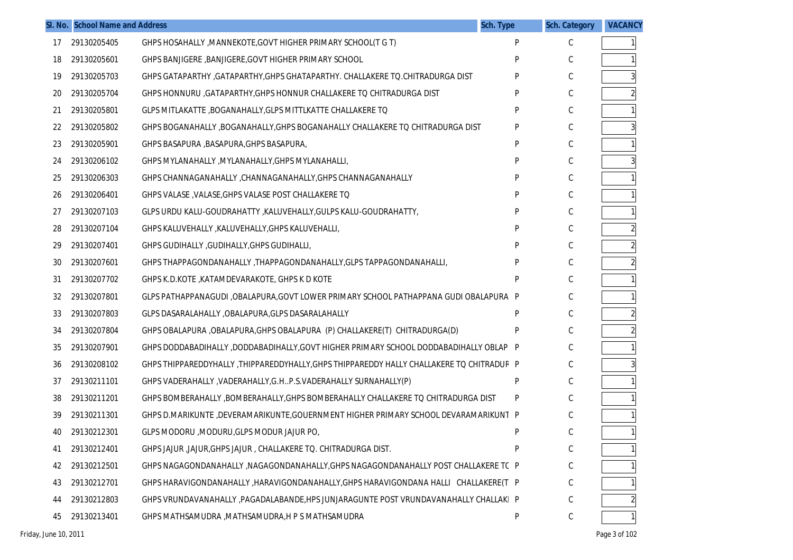|    | SI. No. School Name and Address |                                                                                           | Sch. Type | <b>Sch. Category</b> | <b>VACANCY</b> |
|----|---------------------------------|-------------------------------------------------------------------------------------------|-----------|----------------------|----------------|
| 17 | 29130205405                     | GHPS HOSAHALLY , MANNEKOTE, GOVT HIGHER PRIMARY SCHOOL(T G T)                             | P         | C                    |                |
| 18 | 29130205601                     | GHPS BANJIGERE , BANJIGERE, GOVT HIGHER PRIMARY SCHOOL                                    | P         | C                    |                |
| 19 | 29130205703                     | GHPS GATAPARTHY, GATAPARTHY, GHPS GHATAPARTHY. CHALLAKERE TO. CHITRADURGA DIST            | P         | С                    |                |
| 20 | 29130205704                     | GHPS HONNURU , GATAPARTHY, GHPS HONNUR CHALLAKERE TO CHITRADURGA DIST                     | P         | С                    |                |
| 21 | 29130205801                     | GLPS MITLAKATTE, BOGANAHALLY, GLPS MITTLKATTE CHALLAKERE TO                               | P         | С                    |                |
| 22 | 29130205802                     | GHPS BOGANAHALLY , BOGANAHALLY, GHPS BOGANAHALLY CHALLAKERE TO CHITRADURGA DIST           | P         | С                    |                |
| 23 | 29130205901                     | GHPS BASAPURA , BASAPURA, GHPS BASAPURA,                                                  | P         | С                    |                |
| 24 | 29130206102                     | GHPS MYLANAHALLY , MYLANAHALLY, GHPS MYLANAHALLI,                                         | P         | С                    |                |
| 25 | 29130206303                     | GHPS CHANNAGANAHALLY, CHANNAGANAHALLY, GHPS CHANNAGANAHALLY                               | P         | С                    |                |
| 26 | 29130206401                     | GHPS VALASE, VALASE, GHPS VALASE POST CHALLAKERE TO                                       | P         | С                    |                |
| 27 | 29130207103                     | GLPS URDU KALU-GOUDRAHATTY , KALUVEHALLY, GULPS KALU-GOUDRAHATTY,                         | P         | С                    |                |
| 28 | 29130207104                     | GHPS KALUVEHALLY, KALUVEHALLY, GHPS KALUVEHALLI,                                          | P         | С                    |                |
| 29 | 29130207401                     | GHPS GUDIHALLY, GUDIHALLY, GHPS GUDIHALLI,                                                | P         | С                    |                |
| 30 | 29130207601                     | GHPS THAPPAGONDANAHALLY, THAPPAGONDANAHALLY, GLPS TAPPAGONDANAHALLI,                      | P         | С                    |                |
| 31 | 29130207702                     | GHPS K.D.KOTE, KATAMDEVARAKOTE, GHPS K D KOTE                                             | P         | С                    |                |
| 32 | 29130207801                     | GLPS PATHAPPANAGUDI ,OBALAPURA,GOVT LOWER PRIMARY SCHOOL PATHAPPANA GUDI OBALAPURA P      |           | С                    |                |
| 33 | 29130207803                     | GLPS DASARALAHALLY, OBALAPURA, GLPS DASARALAHALLY                                         | P         | С                    |                |
| 34 | 29130207804                     | GHPS OBALAPURA , OBALAPURA, GHPS OBALAPURA (P) CHALLAKERE(T) CHITRADURGA(D)               | P         | С                    |                |
| 35 | 29130207901                     | GHPS DODDABADIHALLY ,DODDABADIHALLY,GOVT HIGHER PRIMARY SCHOOL DODDABADIHALLY OBLAP P     |           | С                    |                |
| 36 | 29130208102                     | GHPS THIPPAREDDYHALLY, THIPPAREDDYHALLY, GHPS THIPPAREDDY HALLY CHALLAKERE TO CHITRADUR P |           | С                    |                |
| 37 | 29130211101                     | GHPS VADERAHALLY, VADERAHALLY, G.HP.S.VADERAHALLY SURNAHALLY (P)                          | P         | С                    |                |
| 38 | 29130211201                     | GHPS BOMBERAHALLY, BOMBERAHALLY, GHPS BOMBERAHALLY CHALLAKERE TO CHITRADURGA DIST         | P         | C                    |                |
| 39 | 29130211301                     | GHPS D.MARIKUNTE ,DEVERAMARIKUNTE, GOUERNMENT HIGHER PRIMARY SCHOOL DEVARAMARIKUNT P      |           | С                    |                |
| 40 | 29130212301                     | GLPS MODORU , MODURU, GLPS MODUR JAJUR PO,                                                | P         | С                    |                |
| 41 | 29130212401                     | GHPS JAJUR, JAJUR, GHPS JAJUR, CHALLAKERE TO. CHITRADURGA DIST.                           | P         | С                    |                |
| 42 | 29130212501                     | GHPS NAGAGONDANAHALLY, NAGAGONDANAHALLY, GHPS NAGAGONDANAHALLY POST CHALLAKERE TC P       |           | С                    |                |
| 43 | 29130212701                     | GHPS HARAVIGONDANAHALLY , HARAVIGONDANAHALLY, GHPS HARAVIGONDANA HALLI CHALLAKERE(T P     |           | С                    |                |
| 44 | 29130212803                     | GHPS VRUNDAVANAHALLY , PAGADALABANDE, HPS JUNJARAGUNTE POST VRUNDAVANAHALLY CHALLAKI P    |           | С                    |                |
| 45 | 29130213401                     | GHPS MATHSAMUDRA, MATHSAMUDRA, H P S MATHSAMUDRA                                          | P         | С                    |                |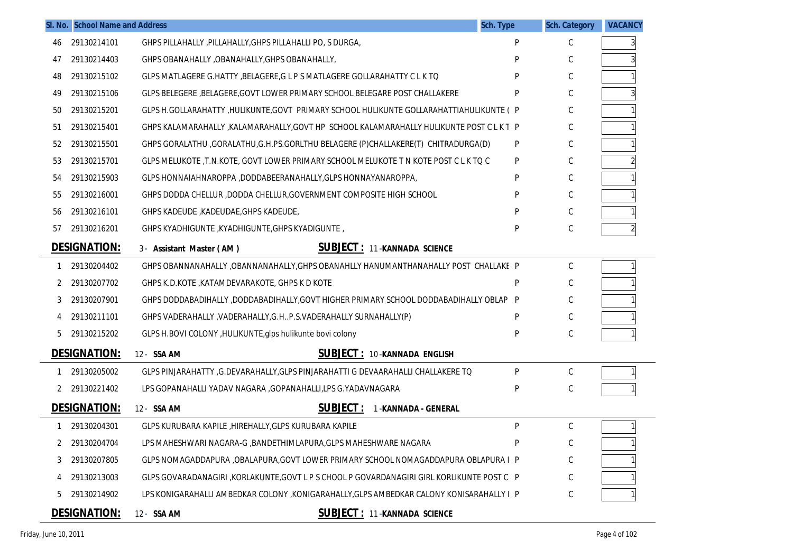|    | SI. No. School Name and Address |                                                                                           | <b>Sch. Type</b> | <b>Sch. Category</b> | <b>VACANCY</b> |
|----|---------------------------------|-------------------------------------------------------------------------------------------|------------------|----------------------|----------------|
| 46 | 29130214101                     | GHPS PILLAHALLY, PILLAHALLY, GHPS PILLAHALLI PO, S DURGA,                                 | P                | C                    |                |
| 47 | 29130214403                     | GHPS OBANAHALLY, OBANAHALLY, GHPS OBANAHALLY,                                             | D                | C                    |                |
| 48 | 29130215102                     | GLPS MATLAGERE G.HATTY , BELAGERE, G L P S MATLAGERE GOLLARAHATTY C L K TO                | Þ                | C                    |                |
| 49 | 29130215106                     | GLPS BELEGERE , BELAGERE, GOVT LOWER PRIMARY SCHOOL BELEGARE POST CHALLAKERE              | P                | C                    |                |
| 50 | 29130215201                     | GLPS H.GOLLARAHATTY ,HULIKUNTE,GOVT PRIMARY SCHOOL HULIKUNTE GOLLARAHATTIAHULIKUNTE (P    |                  | C                    |                |
| 51 | 29130215401                     | GHPS KALAMARAHALLY, KALAMARAHALLY, GOVT HP SCHOOL KALAMARAHALLY HULIKUNTE POST C L K T P  |                  | C                    |                |
| 52 | 29130215501                     | GHPS GORALATHU ,GORALATHU,G.H.PS.GORLTHU BELAGERE (P)CHALLAKERE(T) CHITRADURGA(D)         | P                | C                    |                |
| 53 | 29130215701                     | GLPS MELUKOTE ,T.N.KOTE, GOVT LOWER PRIMARY SCHOOL MELUKOTE T N KOTE POST C L K TO C      | P                | C                    |                |
| 54 | 29130215903                     | GLPS HONNAIAHNAROPPA, DODDABEERANAHALLY, GLPS HONNAYANAROPPA,                             | P                | C                    |                |
| 55 | 29130216001                     | GHPS DODDA CHELLUR, DODDA CHELLUR, GOVERNMENT COMPOSITE HIGH SCHOOL                       | P                | C                    |                |
| 56 | 29130216101                     | GHPS KADEUDE, KADEUDAE, GHPS KADEUDE,                                                     | Þ                | C                    |                |
| 57 | 29130216201                     | GHPS KYADHIGUNTE, KYADHIGUNTE, GHPS KYADIGUNTE,                                           | P                | C                    |                |
|    | <b>DESIGNATION:</b>             | <b>SUBJECT: 11-KANNADA SCIENCE</b><br>3- Assistant Master (AM)                            |                  |                      |                |
| 1  | 29130204402                     | GHPS OBANNANAHALLY, OBANNANAHALLY, GHPS OBANAHLLY HANUMANTHANAHALLY POST CHALLAKE P       |                  | C                    |                |
| 2  | 29130207702                     | GHPS K.D.KOTE, KATAMDEVARAKOTE, GHPS K D KOTE                                             | P                | C                    |                |
| 3  | 29130207901                     | GHPS DODDABADIHALLY ,DODDABADIHALLY,GOVT HIGHER PRIMARY SCHOOL DODDABADIHALLY OBLAP P     |                  | C                    |                |
| 4  | 29130211101                     | GHPS VADERAHALLY, VADERAHALLY, G.HP.S.VADERAHALLY SURNAHALLY (P)                          | P                | C                    |                |
| 5  | 29130215202                     | GLPS H.BOVI COLONY, HULIKUNTE, glps hulikunte bovi colony                                 | P                | C                    |                |
|    | <b>DESIGNATION:</b>             | <b>SUBJECT: 10-KANNADA ENGLISH</b><br>12- SSA AM                                          |                  |                      |                |
| 1  | 29130205002                     | GLPS PINJARAHATTY ,G.DEVARAHALLY, GLPS PINJARAHATTI G DEVAARAHALLI CHALLAKERE TO          | P                | $\mathsf{C}$         |                |
| 2  | 29130221402                     | LPS GOPANAHALLI YADAV NAGARA , GOPANAHALLI, LPS G. YADAVNAGARA                            | P                | C                    |                |
|    | <b>DESIGNATION:</b>             | <b>SUBJECT:</b><br>12- SSA AM<br>1-KANNADA - GENERAL                                      |                  |                      |                |
| 1  | 29130204301                     | GLPS KURUBARA KAPILE, HIREHALLY, GLPS KURUBARA KAPILE                                     | P                | $\mathsf{C}$         |                |
| 2  | 29130204704                     | LPS MAHESHWARI NAGARA-G , BANDETHIMLAPURA, GLPS MAHESHWARE NAGARA                         | P                | C                    |                |
|    | 29130207805                     | GLPS NOMAGADDAPURA ,OBALAPURA,GOVT LOWER PRIMARY SCHOOL NOMAGADDAPURA OBLAPURA I P        |                  | C                    |                |
|    | 29130213003                     | GLPS GOVARADANAGIRI ,KORLAKUNTE,GOVT L P S CHOOL P GOVARDANAGIRI GIRL KORLIKUNTE POST C P |                  | C                    |                |
| 5  | 29130214902                     | LPS KONIGARAHALLI AMBEDKAR COLONY ,KONIGARAHALLY,GLPS AMBEDKAR CALONY KONISARAHALLY I P   |                  | C                    |                |
|    | <b>DESIGNATION:</b>             | <b>SUBJECT: 11-KANNADA SCIENCE</b><br>12- SSA AM                                          |                  |                      |                |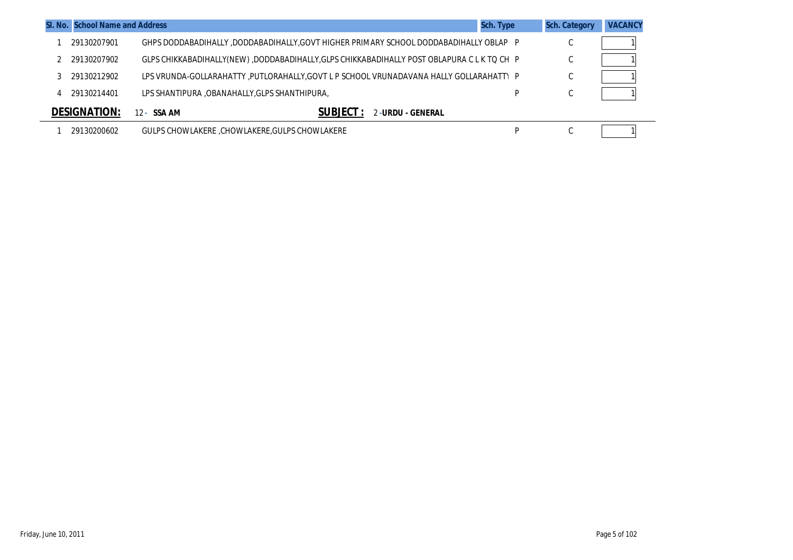| <b>SI. No. School Name and Address</b> | Sch. Type                                                                                  |   | <b>Sch. Category</b> | <b>VACANCY</b> |
|----------------------------------------|--------------------------------------------------------------------------------------------|---|----------------------|----------------|
| 29130207901                            | GHPS DODDABADIHALLY ,DODDABADIHALLY,GOVT HIGHER PRIMARY SCHOOL DODDABADIHALLY OBLAP P      |   | $\sim$<br>◡          |                |
| 29130207902                            | GLPS CHIKKABADIHALLY(NEW) ,DODDABADIHALLY,GLPS CHIKKABADIHALLY POST OBLAPURA C L K TO CH P |   | C                    |                |
| 29130212902                            | LPS VRUNDA-GOLLARAHATTY ,PUTLORAHALLY,GOVT L P SCHOOL VRUNADAVANA HALLY GOLLARAHATTY P     |   | C                    |                |
| 29130214401                            | LPS SHANTIPURA ,OBANAHALLY, GLPS SHANTHIPURA,                                              | D | C                    |                |
| <b>DESIGNATION:</b>                    | 2-URDU - GENERAL<br>$12 - SSAAM$                                                           |   |                      |                |
| 29130200602                            | GULPS CHOWLAKERE, CHOWLAKERE, GULPS CHOWLAKERE                                             | D | $\sim$<br>U          |                |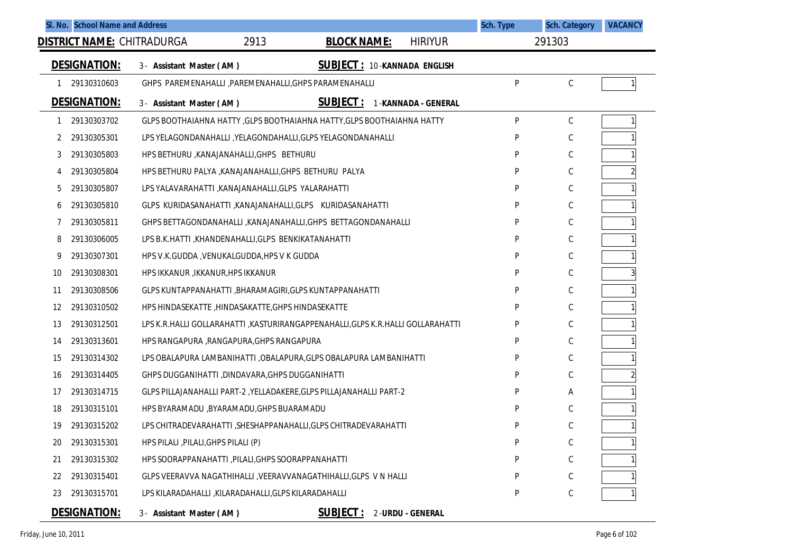| SI. No. School Name and Address   |                                                                                |                                    | Sch. Type           | <b>Sch. Category</b> | <b>VACANCY</b> |
|-----------------------------------|--------------------------------------------------------------------------------|------------------------------------|---------------------|----------------------|----------------|
| <b>DISTRICT NAME:</b> CHITRADURGA | 2913                                                                           | <b>BLOCK NAME:</b>                 | <b>HIRIYUR</b>      | 291303               |                |
| <b>DESIGNATION:</b>               | 3- Assistant Master (AM)                                                       | <b>SUBJECT: 10-KANNADA ENGLISH</b> |                     |                      |                |
| 29130310603                       | GHPS PAREMENAHALLI , PAREMENAHALLI, GHPS PARAMENAHALLI                         |                                    | P                   | C                    |                |
| <b>DESIGNATION:</b>               | 3- Assistant Master (AM)                                                       | <u>SUBJECT :</u>                   | 1-KANNADA - GENERAL |                      |                |
| 29130303702                       | GLPS BOOTHAIAHNA HATTY, GLPS BOOTHAIAHNA HATTY, GLPS BOOTHAIAHNA HATTY         |                                    | P                   | $\mathsf C$          |                |
| 29130305301<br>2                  | LPS YELAGONDANAHALLI , YELAGONDAHALLI, GLPS YELAGONDANAHALLI                   |                                    | P                   | C                    |                |
| 29130305803<br>3                  | HPS BETHURU, KANAJANAHALLI, GHPS BETHURU                                       |                                    | P                   | $\mathsf C$          |                |
| 29130305804<br>4                  | HPS BETHURU PALYA , KANAJANAHALLI, GHPS BETHURU PALYA                          |                                    | Þ                   | C                    |                |
| 29130305807<br>5                  | LPS YALAVARAHATTI , KANAJANAHALLI, GLPS YALARAHATTI                            |                                    | P                   | $\mathsf C$          |                |
| 29130305810<br>6                  | GLPS KURIDASANAHATTI ,KANAJANAHALLI,GLPS KURIDASANAHATTI                       |                                    | P                   | C                    |                |
| 29130305811                       | GHPS BETTAGONDANAHALLI, KANAJANAHALLI, GHPS BETTAGONDANAHALLI                  |                                    | P                   | $\mathsf C$          |                |
| 29130306005<br>8                  | LPS B.K.HATTI, KHANDENAHALLI, GLPS BENKIKATANAHATTI                            |                                    | P                   | C                    |                |
| 29130307301<br>9                  | HPS V.K.GUDDA, VENUKALGUDDA, HPS V K GUDDA                                     |                                    | P                   | C                    |                |
| 29130308301<br>10                 | HPS IKKANUR , IKKANUR, HPS IKKANUR                                             |                                    | P                   | C                    |                |
| 29130308506<br>11                 | GLPS KUNTAPPANAHATTI , BHARAMAGIRI, GLPS KUNTAPPANAHATTI                       |                                    | P                   | C                    |                |
| 29130310502<br>12                 | HPS HINDASEKATTE, HINDASAKATTE, GHPS HINDASEKATTE                              |                                    | p                   | C                    |                |
| 29130312501<br>13                 | LPS K.R.HALLI GOLLARAHATTI ,KASTURIRANGAPPENAHALLI,GLPS K.R.HALLI GOLLARAHATTI |                                    | P                   | $\mathsf C$          |                |
| 29130313601<br>14                 | HPS RANGAPURA , RANGAPURA, GHPS RANGAPURA                                      |                                    | Þ                   | C                    |                |
| 29130314302<br>15                 | LPS OBALAPURA LAMBANIHATTI , OBALAPURA, GLPS OBALAPURA LAMBANIHATTI            |                                    | P                   | $\mathsf C$          |                |
| 29130314405<br>16                 | GHPS DUGGANIHATTI , DINDAVARA, GHPS DUGGANIHATTI                               |                                    | Þ                   | C                    |                |
| 29130314715<br>17                 | GLPS PILLAJANAHALLI PART-2, YELLADAKERE, GLPS PILLAJANAHALLI PART-2            |                                    | P                   | Α                    |                |
| 29130315101<br>18                 | HPS BYARAMADU , BYARAMADU, GHPS BUARAMADU                                      |                                    | D                   | C                    |                |
| 29130315202<br>19                 | LPS CHITRADEVARAHATTI, SHESHAPPANAHALLI, GLPS CHITRADEVARAHATTI                |                                    | P                   | C                    |                |
| 29130315301<br>20                 | HPS PILALI , PILALI, GHPS PILALI (P)                                           |                                    | P                   | $\mathsf C$          |                |
| 29130315302<br>21                 | HPS SOORAPPANAHATTI, PILALI, GHPS SOORAPPANAHATTI                              |                                    | P                   | $\mathsf C$          |                |
| 29130315401<br>22                 | GLPS VEERAVVA NAGATHIHALLI , VEERAVVANAGATHIHALLI, GLPS V N HALLI              |                                    | P                   | $\mathsf C$          |                |
| 29130315701<br>23                 | LPS KILARADAHALLI KILARADAHALLI GLPS KILARADAHALLI                             |                                    | P                   | $\mathsf C$          |                |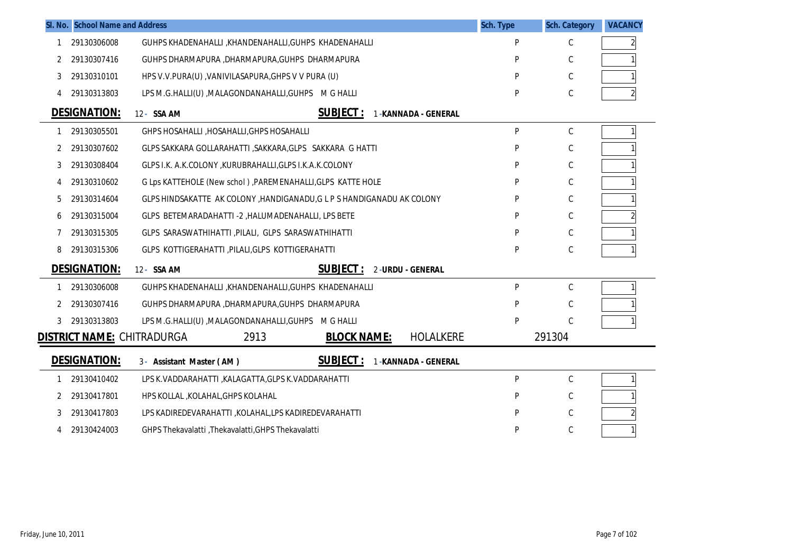|    | SI. No. School Name and Address   |                                                                        | Sch. Type | <b>Sch. Category</b> | <b>VACANCY</b> |
|----|-----------------------------------|------------------------------------------------------------------------|-----------|----------------------|----------------|
| -1 | 29130306008                       | GUHPS KHADENAHALLI , KHANDENAHALLI , GUHPS KHADENAHALLI                | P         | С                    |                |
| 2  | 29130307416                       | GUHPS DHARMAPURA ,DHARMAPURA,GUHPS DHARMAPURA                          | P         | С                    |                |
| 3  | 29130310101                       | HPS V.V.PURA(U), VANIVILASAPURA, GHPS V V PURA (U)                     | P         | С                    |                |
| 4  | 29130313803                       | LPS M.G.HALLI(U), MALAGONDANAHALLI, GUHPS M G HALLI                    | P         | С                    |                |
|    | <b>DESIGNATION:</b>               | <b>SUBJECT:</b><br>12- SSA AM<br>1-KANNADA - GENERAL                   |           |                      |                |
| 1  | 29130305501                       | GHPS HOSAHALLI, HOSAHALLI, GHPS HOSAHALLI                              | P         | С                    | 1              |
| 2  | 29130307602                       | GLPS SAKKARA GOLLARAHATTI , SAKKARA, GLPS SAKKARA G HATTI              | P         | С                    |                |
| 3  | 29130308404                       | GLPS I.K. A.K.COLONY, KURUBRAHALLI, GLPS I.K.A.K.COLONY                | P         | С                    |                |
| 4  | 29130310602                       | G Lps KATTEHOLE (New schol) , PAREMENAHALLI, GLPS KATTE HOLE           | P         | C                    |                |
| 5  | 29130314604                       | GLPS HINDSAKATTE AK COLONY, HANDIGANADU, G L P S HANDIGANADU AK COLONY | P         | C                    |                |
| 6  | 29130315004                       | GLPS BETEMARADAHATTI -2 , HALUMADENAHALLI, LPS BETE                    | P         | C                    |                |
|    | 29130315305                       | GLPS SARASWATHIHATTI , PILALI, GLPS SARASWATHIHATTI                    | P         | С                    |                |
| 8  | 29130315306                       | GLPS KOTTIGERAHATTI , PILALI, GLPS KOTTIGERAHATTI                      | P         | С                    |                |
|    | <b>DESIGNATION:</b>               | <b>SUBJECT:</b><br>12- SSA AM<br>2-URDU - GENERAL                      |           |                      |                |
|    | 29130306008                       | GUHPS KHADENAHALLI , KHANDENAHALLI, GUHPS KHADENAHALLI                 | P         | С                    |                |
| 2  | 29130307416                       | GUHPS DHARMAPURA , DHARMAPURA, GUHPS DHARMAPURA                        | P         | C                    |                |
| 3  | 29130313803                       | LPS M.G.HALLI(U), MALAGONDANAHALLI, GUHPS M G HALLI                    | P         | C                    |                |
|    | <u>DISTRICT NAME:</u> CHITRADURGA | 2913<br><b>BLOCK NAME:</b><br><b>HOLALKERE</b>                         |           | 291304               |                |
|    | <b>DESIGNATION:</b>               | <b>SUBJECT:</b><br>3- Assistant Master (AM)<br>1-KANNADA - GENERAL     |           |                      |                |
|    | 29130410402                       | LPS K. VADDARAHATTI, KALAGATTA, GLPS K. VADDARAHATTI                   | P         | С                    |                |
| 2  | 29130417801                       | HPS KOLLAL , KOLAHAL, GHPS KOLAHAL                                     | P         | С                    |                |
| 3  | 29130417803                       | LPS KADIREDEVARAHATTI , KOLAHAL, LPS KADIREDEVARAHATTI                 | P         | С                    |                |
| 4  | 29130424003                       | GHPS Thekavalatti , Thekavalatti, GHPS Thekavalatti                    | P         | С                    |                |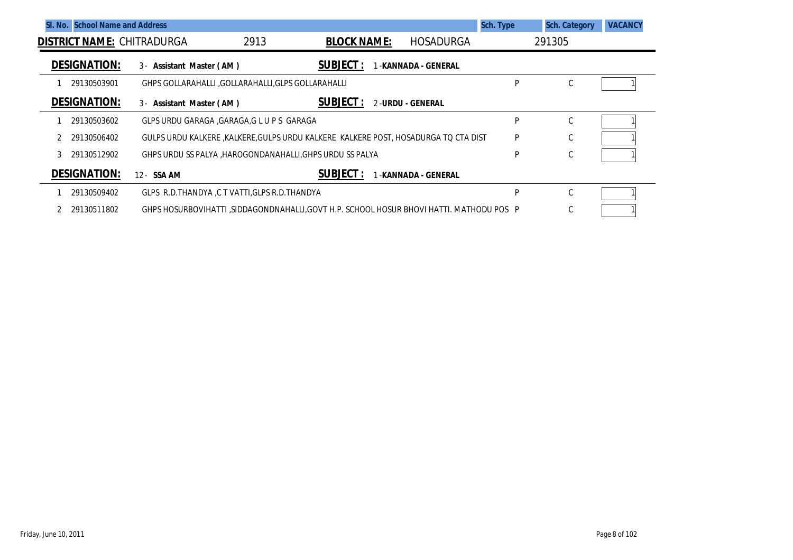|   | <b>SI. No. School Name and Address</b> |                                                                                         |      |                    |                    | Sch. Type | <b>Sch. Category</b> | <b>VACANCY</b> |
|---|----------------------------------------|-----------------------------------------------------------------------------------------|------|--------------------|--------------------|-----------|----------------------|----------------|
|   |                                        | <b>DISTRICT NAME: CHITRADURGA</b>                                                       | 2913 | <b>BLOCK NAME:</b> | <b>HOSADURGA</b>   |           | 291305               |                |
|   | <b>DESIGNATION:</b>                    | 3- Assistant Master (AM)                                                                |      | <b>SUBJECT:</b>    | -KANNADA - GENERAL |           |                      |                |
|   | 29130503901                            | GHPS GOLLARAHALLI, GOLLARAHALLI, GLPS GOLLARAHALLI                                      |      |                    |                    | P         | C                    |                |
|   | <b>DESIGNATION:</b>                    | 3- Assistant Master (AM)                                                                |      | <b>SUBJECT:</b>    | 2-URDU - GENERAL   |           |                      |                |
|   | 29130503602                            | GLPS URDU GARAGA , GARAGA, G L U P S GARAGA                                             |      |                    |                    | P         | C                    |                |
|   | 29130506402                            | GULPS URDU KALKERE , KALKERE, GULPS URDU KALKERE KALKERE POST, HOSADURGA TO CTA DIST    |      |                    |                    | P         | C                    |                |
| 3 | 29130512902                            | GHPS URDU SS PALYA ,HAROGONDANAHALLI,GHPS URDU SS PALYA                                 |      |                    |                    | P         | C                    |                |
|   | <b>DESIGNATION:</b>                    | 12 - SSA AM                                                                             |      | <b>SUBJECT:</b>    | -KANNADA - GENERAL |           |                      |                |
|   | 29130509402                            | GLPS R.D.THANDYA, C T VATTI, GLPS R.D.THANDYA                                           |      |                    |                    | P         | C                    |                |
|   | 29130511802                            | GHPS HOSURBOVIHATTI .SIDDAGONDNAHALLI.GOVT H.P. SCHOOL HOSUR BHOVI HATTI. MATHODU POS P |      |                    |                    |           | C                    |                |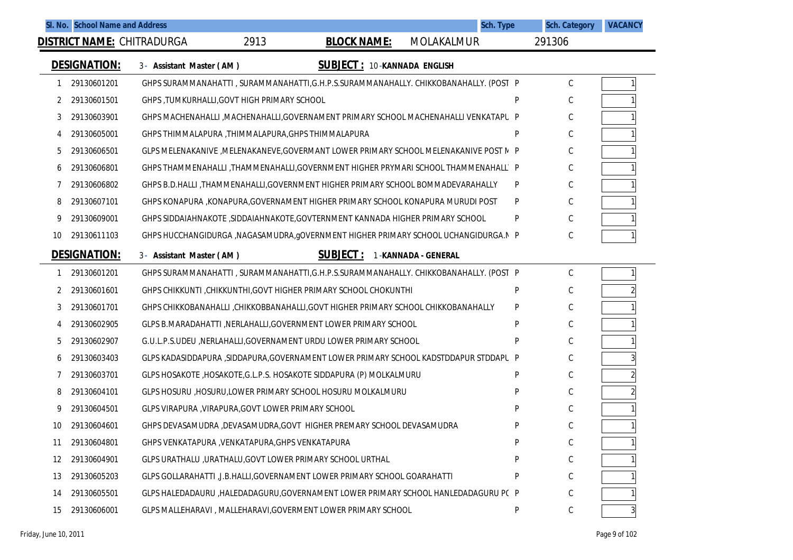|    |                     | SI. No. School Name and Address                    |      |                                                                                        |                                    | Sch. Type | <b>Sch. Category</b> | <b>VACANCY</b> |
|----|---------------------|----------------------------------------------------|------|----------------------------------------------------------------------------------------|------------------------------------|-----------|----------------------|----------------|
|    |                     | <b>DISTRICT NAME: CHITRADURGA</b>                  | 2913 | <b>BLOCK NAME:</b>                                                                     | MOLAKALMUR                         |           | 291306               |                |
|    | <b>DESIGNATION:</b> | 3- Assistant Master (AM)                           |      |                                                                                        | <b>SUBJECT: 10-KANNADA ENGLISH</b> |           |                      |                |
|    | 29130601201         |                                                    |      | GHPS SURAMMANAHATTI, SURAMMANAHATTI, G.H.P.S.SURAMMANAHALLY. CHIKKOBANAHALLY. (POST P  |                                    |           | C                    |                |
| 2  | 29130601501         | GHPS, TUMKURHALLI, GOVT HIGH PRIMARY SCHOOL        |      |                                                                                        |                                    | D         | C                    |                |
| 3  | 29130603901         |                                                    |      | GHPS MACHENAHALLI , MACHENAHALLI, GOVERNAMENT PRIMARY SCHOOL MACHENAHALLI VENKATAPU P  |                                    |           | C                    |                |
| 4  | 29130605001         | GHPS THIMMALAPURA ,THIMMALAPURA,GHPS THIMMALAPURA  |      |                                                                                        |                                    | D         | C                    |                |
| 5  | 29130606501         |                                                    |      | GLPS MELENAKANIVE , MELENAKANEVE, GOVERMANT LOWER PRIMARY SCHOOL MELENAKANIVE POST N P |                                    |           | C                    |                |
| 6  | 29130606801         |                                                    |      | GHPS THAMMENAHALLI ,THAMMENAHALLI,GOVERNMENT HIGHER PRYMARI SCHOOL THAMMENAHALL' P     |                                    |           | С                    |                |
| 7  | 29130606802         |                                                    |      | GHPS B.D.HALLI, THAMMENAHALLI, GOVERNMENT HIGHER PRIMARY SCHOOL BOMMADEVARAHALLY       |                                    | P         | C                    |                |
| 8  | 29130607101         |                                                    |      | GHPS KONAPURA ,KONAPURA,GOVERNAMENT HIGHER PRIMARY SCHOOL KONAPURA MURUDI POST         |                                    | P         | C                    |                |
| 9  | 29130609001         |                                                    |      | GHPS SIDDAIAHNAKOTE , SIDDAIAHNAKOTE, GOVTERNMENT KANNADA HIGHER PRIMARY SCHOOL        |                                    | P         | C                    |                |
| 10 | 29130611103         |                                                    |      | GHPS HUCCHANGIDURGA , NAGASAMUDRA, gOVERNMENT HIGHER PRIMARY SCHOOL UCHANGIDURGA. N P  |                                    |           | C                    |                |
|    | <b>DESIGNATION:</b> | 3- Assistant Master (AM)                           |      | <b>SUBJECT:</b>                                                                        | 1-KANNADA - GENERAL                |           |                      |                |
|    | 29130601201         |                                                    |      | GHPS SURAMMANAHATTI, SURAMMANAHATTI, G.H.P.S.SURAMMANAHALLY. CHIKKOBANAHALLY. (POST P  |                                    |           | C                    |                |
| 2  | 29130601601         |                                                    |      | GHPS CHIKKUNTI , CHIKKUNTHI, GOVT HIGHER PRIMARY SCHOOL CHOKUNTHI                      |                                    | P         | C                    |                |
| 3  | 29130601701         |                                                    |      | GHPS CHIKKOBANAHALLI ,CHIKKOBBANAHALLI,GOVT HIGHER PRIMARY SCHOOL CHIKKOBANAHALLY      |                                    | P         | C                    |                |
| 4  | 29130602905         |                                                    |      | GLPS B.MARADAHATTI, NERLAHALLI, GOVERNMENT LOWER PRIMARY SCHOOL                        |                                    | P         | С                    |                |
| 5  | 29130602907         |                                                    |      | G.U.L.P.S.UDEU , NERLAHALLI, GOVERNAMENT URDU LOWER PRIMARY SCHOOL                     |                                    | P         | C                    |                |
| 6  | 29130603403         |                                                    |      | GLPS KADASIDDAPURA ,SIDDAPURA,GOVERNAMENT LOWER PRIMARY SCHOOL KADSTDDAPUR STDDAPL P   |                                    |           | C                    |                |
|    | 29130603701         |                                                    |      | GLPS HOSAKOTE, HOSAKOTE, G.L.P.S. HOSAKOTE SIDDAPURA (P) MOLKALMURU                    |                                    | P         | С                    |                |
| 8  | 29130604101         |                                                    |      | GLPS HOSURU , HOSURU, LOWER PRIMARY SCHOOL HOSURU MOLKALMURU                           |                                    | P         | С                    |                |
| 9  | 29130604501         | GLPS VIRAPURA, VIRAPURA, GOVT LOWER PRIMARY SCHOOL |      |                                                                                        |                                    | P         | C                    |                |
| 10 | 29130604601         |                                                    |      | GHPS DEVASAMUDRA , DEVASAMUDRA, GOVT HIGHER PREMARY SCHOOL DEVASAMUDRA                 |                                    | P         | C                    |                |
| 11 | 29130604801         | GHPS VENKATAPURA, VENKATAPURA, GHPS VENKATAPURA    |      |                                                                                        |                                    | P         | C                    |                |
| 12 | 29130604901         |                                                    |      | GLPS URATHALU , URATHALU, GOVT LOWER PRIMARY SCHOOL URTHAL                             |                                    | P         | С                    |                |
| 13 | 29130605203         |                                                    |      | GLPS GOLLARAHATTI ,J.B.HALLI, GOVERNAMENT LOWER PRIMARY SCHOOL GOARAHATTI              |                                    | P         | C                    |                |
| 14 | 29130605501         |                                                    |      | GLPS HALEDADAURU , HALEDADAGURU, GOVERNAMENT LOWER PRIMARY SCHOOL HANLEDADAGURU P(P    |                                    |           | С                    |                |
| 15 | 29130606001         |                                                    |      | GLPS MALLEHARAVI, MALLEHARAVI, GOVERMENT LOWER PRIMARY SCHOOL                          |                                    | P         | $\mathsf C$          |                |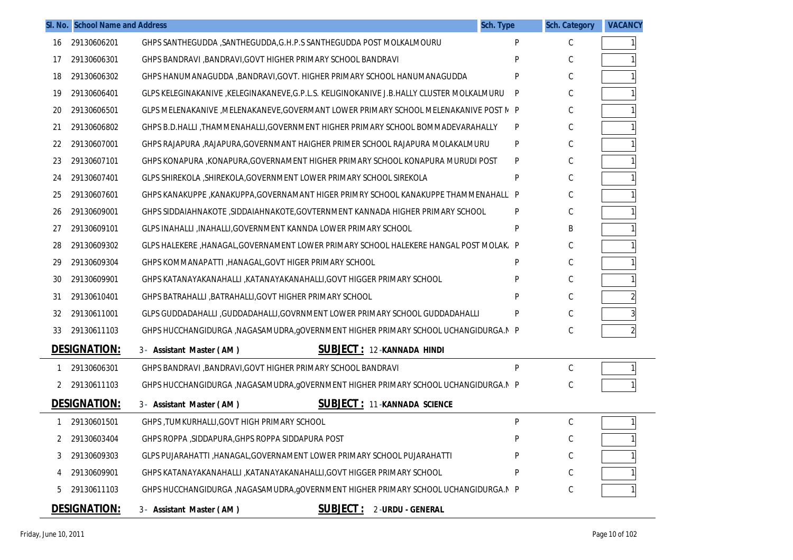|    | SI. No. School Name and Address |                                                                                          | Sch. Type | <b>Sch. Category</b> | <b>VACANCY</b> |
|----|---------------------------------|------------------------------------------------------------------------------------------|-----------|----------------------|----------------|
| 16 | 29130606201                     | GHPS SANTHEGUDDA, SANTHEGUDDA, G.H.P.S SANTHEGUDDA POST MOLKALMOURU                      | P         | C                    |                |
| 17 | 29130606301                     | GHPS BANDRAVI , BANDRAVI, GOVT HIGHER PRIMARY SCHOOL BANDRAVI                            |           | С                    |                |
| 18 | 29130606302                     | GHPS HANUMANAGUDDA , BANDRAVI, GOVT. HIGHER PRIMARY SCHOOL HANUMANAGUDDA                 | P         | C                    |                |
| 19 | 29130606401                     | GLPS KELEGINAKANIVE ,KELEGINAKANEVE,G.P.L.S. KELIGINOKANIVE J.B.HALLY CLUSTER MOLKALMURU | P         | C                    |                |
| 20 | 29130606501                     | GLPS MELENAKANIVE , MELENAKANEVE, GOVERMANT LOWER PRIMARY SCHOOL MELENAKANIVE POST N P   |           | C                    |                |
| 21 | 29130606802                     | GHPS B.D.HALLI, THAMMENAHALLI, GOVERNMENT HIGHER PRIMARY SCHOOL BOMMADEVARAHALLY         | P         | C                    |                |
| 22 | 29130607001                     | GHPS RAJAPURA , RAJAPURA, GOVERNMANT HAIGHER PRIMER SCHOOL RAJAPURA MOLAKALMURU          | P         | C                    |                |
| 23 | 29130607101                     | GHPS KONAPURA ,KONAPURA,GOVERNAMENT HIGHER PRIMARY SCHOOL KONAPURA MURUDI POST           | P         | C                    |                |
| 24 | 29130607401                     | GLPS SHIREKOLA , SHIREKOLA, GOVERNMENT LOWER PRIMARY SCHOOL SIREKOLA                     | P         | C                    |                |
| 25 | 29130607601                     | GHPS KANAKUPPE, KANAKUPPA, GOVERNAMANT HIGER PRIMRY SCHOOL KANAKUPPE THAMMENAHALL P      |           | C                    |                |
| 26 | 29130609001                     | GHPS SIDDAIAHNAKOTE , SIDDAIAHNAKOTE, GOVTERNMENT KANNADA HIGHER PRIMARY SCHOOL          | P         | C                    |                |
| 27 | 29130609101                     | GLPS INAHALLI , INAHALLI, GOVERNMENT KANNDA LOWER PRIMARY SCHOOL                         | P         | B                    |                |
| 28 | 29130609302                     | GLPS HALEKERE ,HANAGAL,GOVERNAMENT LOWER PRIMARY SCHOOL HALEKERE HANGAL POST MOLAK, P    |           | C                    |                |
| 29 | 29130609304                     | GHPS KOMMANAPATTI , HANAGAL, GOVT HIGER PRIMARY SCHOOL                                   | Þ         | C                    |                |
| 30 | 29130609901                     | GHPS KATANAYAKANAHALLI , KATANAYAKANAHALLI, GOVT HIGGER PRIMARY SCHOOL                   |           | C                    |                |
| 31 | 29130610401                     | GHPS BATRAHALLI , BATRAHALLI, GOVT HIGHER PRIMARY SCHOOL                                 |           | C                    |                |
| 32 | 29130611001                     | GLPS GUDDADAHALLI ,GUDDADAHALLI,GOVRNMENT LOWER PRIMARY SCHOOL GUDDADAHALLI              | P         | C                    |                |
| 33 | 29130611103                     | GHPS HUCCHANGIDURGA , NAGASAMUDRA, gOVERNMENT HIGHER PRIMARY SCHOOL UCHANGIDURGA. N P    |           | С                    |                |
|    | <b>DESIGNATION:</b>             | <b>SUBJECT: 12-KANNADA HINDI</b><br>3- Assistant Master (AM)                             |           |                      |                |
| 1  | 29130606301                     | GHPS BANDRAVI , BANDRAVI, GOVT HIGHER PRIMARY SCHOOL BANDRAVI                            | P         | С                    |                |
|    | 29130611103                     | GHPS HUCCHANGIDURGA, NAGASAMUDRA, gOVERNMENT HIGHER PRIMARY SCHOOL UCHANGIDURGA.N P      |           | С                    |                |
|    | <b>DESIGNATION:</b>             | <b>SUBJECT: 11-KANNADA SCIENCE</b><br>3- Assistant Master (AM)                           |           |                      |                |
|    | 29130601501                     | GHPS, TUMKURHALLI, GOVT HIGH PRIMARY SCHOOL                                              | P         | С                    |                |
|    | 29130603404                     | GHPS ROPPA , SIDDAPURA, GHPS ROPPA SIDDAPURA POST                                        |           |                      |                |
|    | 29130609303                     | GLPS PUJARAHATTI ,HANAGAL,GOVERNAMENT LOWER PRIMARY SCHOOL PUJARAHATTI                   | P         | С                    |                |
|    | 29130609901                     | GHPS KATANAYAKANAHALLI , KATANAYAKANAHALLI, GOVT HIGGER PRIMARY SCHOOL                   | P         | C                    |                |
| 5  | 29130611103                     | GHPS HUCCHANGIDURGA , NAGASAMUDRA, gOVERNMENT HIGHER PRIMARY SCHOOL UCHANGIDURGA. N P    |           | С                    |                |
|    | DESIGNATION:                    | <b>SUBJECT: 2-URDU - GENERAL</b><br>3- Assistant Master (AM)                             |           |                      |                |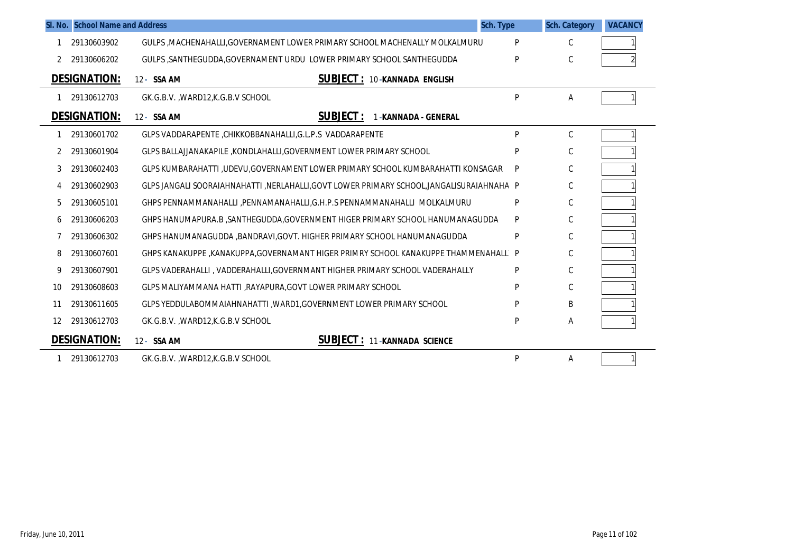|    | SI. No. School Name and Address |                                                                                         | Sch. Type | <b>Sch. Category</b> | <b>VACANCY</b> |
|----|---------------------------------|-----------------------------------------------------------------------------------------|-----------|----------------------|----------------|
|    | 29130603902                     | GULPS, MACHENAHALLI, GOVERNAMENT LOWER PRIMARY SCHOOL MACHENALLY MOLKALMURU             | P         | C                    |                |
| 2  | 29130606202                     | GULPS , SANTHEGUDDA, GOVERNAMENT URDU LOWER PRIMARY SCHOOL SANTHEGUDDA                  | P         | C                    |                |
|    | <b>DESIGNATION:</b>             | <b>SUBJECT: 10-KANNADA ENGLISH</b><br>12- SSA AM                                        |           |                      |                |
|    | 29130612703                     | GK.G.B.V., WARD12, K.G.B.V SCHOOL                                                       | P         | Α                    |                |
|    | <b>DESIGNATION:</b>             | <b>SUBJECT:</b><br>12- SSA AM<br>1-KANNADA - GENERAL                                    |           |                      |                |
|    | 29130601702                     | GLPS VADDARAPENTE , CHIKKOBBANAHALLI, G.L.P.S VADDARAPENTE                              | P         | $\mathsf C$          |                |
| 2  | 29130601904                     | GLPS BALLAJJANAKAPILE, KONDLAHALLI, GOVERNMENT LOWER PRIMARY SCHOOL                     | P         | C                    |                |
|    | 29130602403                     | GLPS KUMBARAHATTI ,UDEVU,GOVERNAMENT LOWER PRIMARY SCHOOL KUMBARAHATTI KONSAGAR         | P         | С                    |                |
|    | 29130602903                     | GLPS JANGALI SOORAIAHNAHATTI ,NERLAHALLI,GOVT LOWER PRIMARY SCHOOL,JANGALISURAIAHNAHA P |           | $\mathsf{C}$         |                |
| 5  | 29130605101                     | GHPS PENNAMMANAHALLI , PENNAMANAHALLI, G.H.P.S PENNAMMANAHALLI MOLKALMURU               | P         | C                    |                |
| 6  | 29130606203                     | GHPS HANUMAPURA.B ,SANTHEGUDDA,GOVERNMENT HIGER PRIMARY SCHOOL HANUMANAGUDDA            | P         | C                    |                |
|    | 29130606302                     | GHPS HANUMANAGUDDA , BANDRAVI, GOVT. HIGHER PRIMARY SCHOOL HANUMANAGUDDA                | P         | $\mathsf C$          |                |
| 8  | 29130607601                     | GHPS KANAKUPPE ,KANAKUPPA,GOVERNAMANT HIGER PRIMRY SCHOOL KANAKUPPE THAMMENAHALL P      |           | С                    |                |
| 9  | 29130607901                     | GLPS VADERAHALLI, VADDERAHALLI, GOVERNMANT HIGHER PRIMARY SCHOOL VADERAHALLY            | P         | C                    |                |
| 10 | 29130608603                     | GLPS MALIYAMMANA HATTI , RAYAPURA, GOVT LOWER PRIMARY SCHOOL                            | P         | C                    |                |
| 11 | 29130611605                     | GLPS YEDDULABOMMAIAHNAHATTI , WARD1, GOVERNMENT LOWER PRIMARY SCHOOL                    | P         | B                    |                |
| 12 | 29130612703                     | GK.G.B.V., WARD12, K.G.B.V SCHOOL                                                       | P         | Α                    |                |
|    | <b>DESIGNATION:</b>             | <b>SUBJECT: 11-KANNADA SCIENCE</b><br>12- SSA AM                                        |           |                      |                |
|    | 29130612703                     | GK.G.B.V., WARD12, K.G.B.V SCHOOL                                                       | P         | Α                    |                |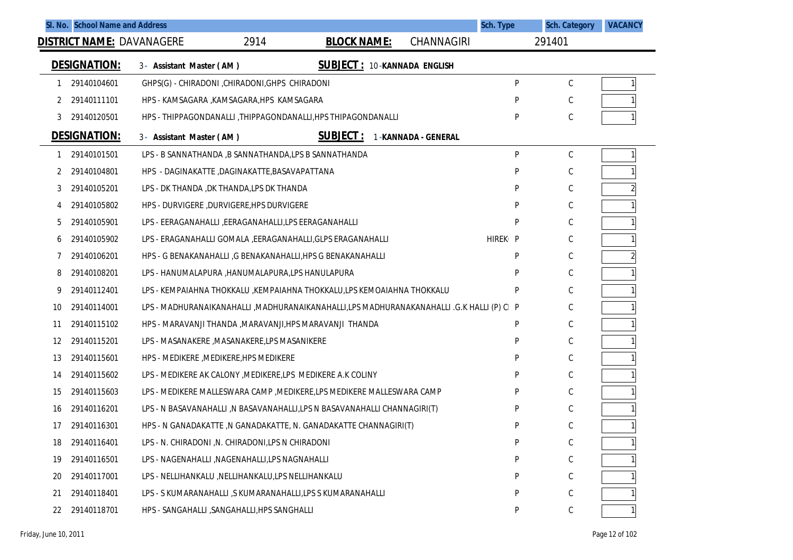|    |                     | SI. No. School Name and Address                     |                                                                                            |                                    | <b>Sch. Type</b>     | <b>Sch. Category</b> | <b>VACANCY</b> |
|----|---------------------|-----------------------------------------------------|--------------------------------------------------------------------------------------------|------------------------------------|----------------------|----------------------|----------------|
|    |                     | <b>DISTRICT NAME: DAVANAGERE</b>                    | 2914<br><b>BLOCK NAME:</b>                                                                 | CHANNAGIRI                         |                      | 291401               |                |
|    | <b>DESIGNATION:</b> | 3- Assistant Master (AM)                            |                                                                                            | <b>SUBJECT: 10-KANNADA ENGLISH</b> |                      |                      |                |
|    | 29140104601         | GHPS(G) - CHIRADONI , CHIRADONI, GHPS CHIRADONI     |                                                                                            |                                    | P                    | C                    |                |
| 2  | 29140111101         | HPS - KAMSAGARA , KAMSAGARA, HPS KAMSAGARA          |                                                                                            |                                    | P                    | C                    |                |
| 3  | 29140120501         |                                                     | HPS - THIPPAGONDANALLI, THIPPAGONDANALLI, HPS THIPAGONDANALLI                              |                                    | P                    | C                    |                |
|    | <b>DESIGNATION:</b> | 3- Assistant Master (AM)                            | <b>SUBJECT:</b>                                                                            | 1-KANNADA - GENERAL                |                      |                      |                |
|    | 29140101501         |                                                     | LPS - B SANNATHANDA , B SANNATHANDA, LPS B SANNATHANDA                                     |                                    | P                    | $\mathsf C$          |                |
| 2  | 29140104801         | HPS - DAGINAKATTE ,DAGINAKATTE,BASAVAPATTANA        |                                                                                            |                                    | P                    | C                    |                |
| 3  | 29140105201         | LPS - DK THANDA , DK THANDA, LPS DK THANDA          |                                                                                            |                                    | P                    | C                    |                |
|    | 29140105802         | HPS - DURVIGERE , DURVIGERE, HPS DURVIGERE          |                                                                                            |                                    | P                    | C                    |                |
| 5  | 29140105901         |                                                     | LPS - EERAGANAHALLI ,EERAGANAHALLI,LPS EERAGANAHALLI                                       |                                    | P                    | C                    |                |
| b  | 29140105902         |                                                     | LPS - ERAGANAHALLI GOMALA , EERAGANAHALLI, GLPS ERAGANAHALLI                               |                                    | HIREK <sub>1</sub> P | C                    |                |
| 7  | 29140106201         |                                                     | HPS - G BENAKANAHALLI , G BENAKANAHALLI, HPS G BENAKANAHALLI                               |                                    | P                    | C                    |                |
| 8  | 29140108201         |                                                     | LPS - HANUMALAPURA , HANUMALAPURA, LPS HANULAPURA                                          |                                    | P                    | C                    |                |
| 9  | 29140112401         |                                                     | LPS - KEMPAIAHNA THOKKALU ,KEMPAIAHNA THOKKALU,LPS KEMOAIAHNA THOKKALU                     |                                    | P                    | C                    |                |
| 10 | 29140114001         |                                                     | LPS - MADHURANAIKANAHALLI , MADHURANAIKANAHALLI,LPS MADHURANAKANAHALLI .G.K HALLI (P) CI P |                                    |                      | С                    |                |
| 11 | 29140115102         |                                                     | HPS - MARAVANJI THANDA , MARAVANJI, HPS MARAVANJI THANDA                                   |                                    | P                    | C                    |                |
| 12 | 29140115201         | LPS - MASANAKERE , MASANAKERE, LPS MASANIKERE       |                                                                                            |                                    | P                    | C                    |                |
| 13 | 29140115601         | HPS - MEDIKERE, MEDIKERE, HPS MEDIKERE              |                                                                                            |                                    | P                    | C                    |                |
| 14 | 29140115602         |                                                     | LPS - MEDIKERE AK CALONY , MEDIKERE, LPS MEDIKERE A.K COLINY                               |                                    | P                    | C                    |                |
| 15 | 29140115603         |                                                     | LPS - MEDIKERE MALLESWARA CAMP , MEDIKERE, LPS MEDIKERE MALLESWARA CAMP                    |                                    | P                    | C                    |                |
| 16 | 29140116201         |                                                     | LPS - N BASAVANAHALLI ,N BASAVANAHALLI,LPS N BASAVANAHALLI CHANNAGIRI(T)                   |                                    | P                    | C                    |                |
| 17 | 29140116301         |                                                     | HPS - N GANADAKATTE, N GANADAKATTE, N. GANADAKATTE CHANNAGIRI(T)                           |                                    | P                    | C                    |                |
| 18 | 29140116401         | LPS - N. CHIRADONI, N. CHIRADONI, LPS N CHIRADONI   |                                                                                            |                                    | P                    | $\mathsf C$          |                |
| 19 | 29140116501         | LPS - NAGENAHALLI , NAGENAHALLI, LPS NAGNAHALLI     |                                                                                            |                                    | P                    | C                    |                |
| 20 | 29140117001         | LPS - NELLIHANKALU , NELLIHANKALU, LPS NELLIHANKALU |                                                                                            |                                    | P                    | С                    |                |
| 21 | 29140118401         |                                                     | LPS - S KUMARANAHALLI, S KUMARANAHALLI, LPS S KUMARANAHALLI                                |                                    | P                    | C                    |                |
| 22 | 29140118701         | HPS - SANGAHALLI , SANGAHALLI, HPS SANGHALLI        |                                                                                            |                                    | P                    | С                    |                |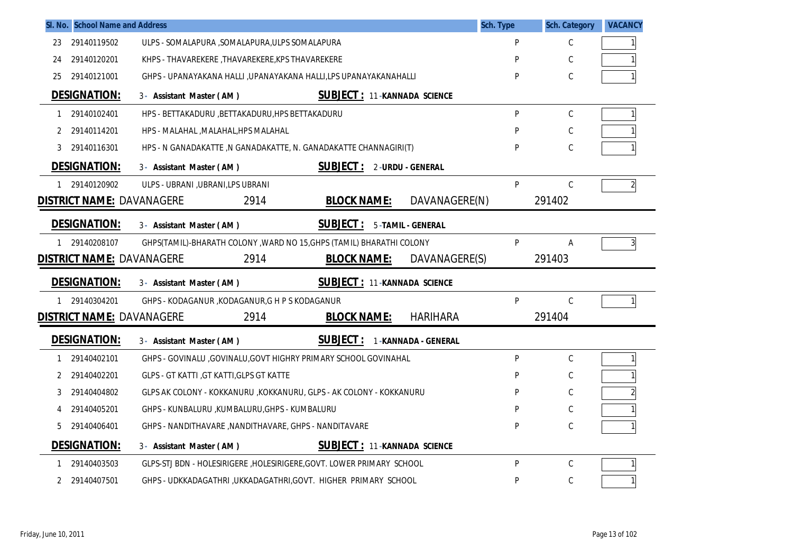|    | SI. No. School Name and Address  |                                                                        | Sch. Type     | <b>Sch. Category</b> | <b>VACANCY</b> |
|----|----------------------------------|------------------------------------------------------------------------|---------------|----------------------|----------------|
| 23 | 29140119502                      | ULPS - SOMALAPURA , SOMALAPURA, ULPS SOMALAPURA                        | P             | $\mathsf C$          |                |
| 24 | 29140120201                      | KHPS - THAVAREKERE , THAVAREKERE, KPS THAVAREKERE                      | P             | С                    |                |
| 25 | 29140121001                      | GHPS - UPANAYAKANA HALLI , UPANAYAKANA HALLI, LPS UPANAYAKANAHALLI     | P             | $\mathsf C$          |                |
|    | <b>DESIGNATION:</b>              | <b>SUBJECT: 11-KANNADA SCIENCE</b><br>3- Assistant Master (AM)         |               |                      |                |
| 1  | 29140102401                      | HPS - BETTAKADURU , BETTAKADURU, HPS BETTAKADURU                       | P             | C                    |                |
| 2  | 29140114201                      | HPS - MALAHAL , MALAHAL, HPS MALAHAL                                   | P             | C                    |                |
| 3  | 29140116301                      | HPS - N GANADAKATTE , N GANADAKATTE, N. GANADAKATTE CHANNAGIRI(T)      | P             | C                    |                |
|    | <b>DESIGNATION:</b>              | <b>SUBJECT: 2-URDU - GENERAL</b><br>3- Assistant Master (AM)           |               |                      |                |
| 1  | 29140120902                      | ULPS - UBRANI , UBRANI, LPS UBRANI                                     | P             | С                    | $\overline{2}$ |
|    | <b>DISTRICT NAME: DAVANAGERE</b> | 2914<br><b>BLOCK NAME:</b>                                             | DAVANAGERE(N) | 291402               |                |
|    | <b>DESIGNATION:</b>              | <b>SUBJECT:</b><br>5-TAMIL - GENERAL<br>3- Assistant Master (AM)       |               |                      |                |
| 1  | 29140208107                      | GHPS(TAMIL)-BHARATH COLONY, WARD NO 15, GHPS (TAMIL) BHARATHI COLONY   | P             | A                    | 3              |
|    | <b>DISTRICT NAME: DAVANAGERE</b> | 2914<br><b>BLOCK NAME:</b>                                             | DAVANAGERE(S) | 291403               |                |
|    | <b>DESIGNATION:</b>              | <b>SUBJECT: 11-KANNADA SCIENCE</b><br>3- Assistant Master (AM)         |               |                      |                |
| 1  | 29140304201                      | GHPS - KODAGANUR, KODAGANUR, G H P S KODAGANUR                         | P             | C                    |                |
|    | <b>DISTRICT NAME: DAVANAGERE</b> | <b>BLOCK NAME:</b><br><b>HARIHARA</b><br>2914                          |               | 291404               |                |
|    |                                  |                                                                        |               |                      |                |
|    | <b>DESIGNATION:</b>              | <b>SUBJECT:</b><br>1-KANNADA - GENERAL<br>3- Assistant Master (AM)     |               |                      |                |
| 1  | 29140402101                      | GHPS - GOVINALU , GOVINALU, GOVT HIGHRY PRIMARY SCHOOL GOVINAHAL       | P             | C                    |                |
| 2  | 29140402201                      | <b>GLPS - GT KATTI, GT KATTI, GLPS GT KATTE</b>                        | P             | C                    |                |
| 3  | 29140404802                      | GLPS AK COLONY - KOKKANURU , KOKKANURU, GLPS - AK COLONY - KOKKANURU   | P             | C                    |                |
| 4  | 29140405201                      | GHPS - KUNBALURU , KUMBALURU, GHPS - KUMBALURU                         | P             | C                    |                |
| 5  | 29140406401                      | GHPS - NANDITHAVARE , NANDITHAVARE, GHPS - NANDITAVARE                 | P             | С                    |                |
|    | <b>DESIGNATION:</b>              | <b>SUBJECT: 11-KANNADA SCIENCE</b><br>3- Assistant Master (AM)         |               |                      |                |
|    | 29140403503                      | GLPS-STJ BDN - HOLESIRIGERE , HOLESIRIGERE, GOVT. LOWER PRIMARY SCHOOL | P             | $\mathsf C$          |                |
| 2  | 29140407501                      | GHPS - UDKKADAGATHRI ,UKKADAGATHRI,GOVT. HIGHER PRIMARY SCHOOL         | P             | C                    |                |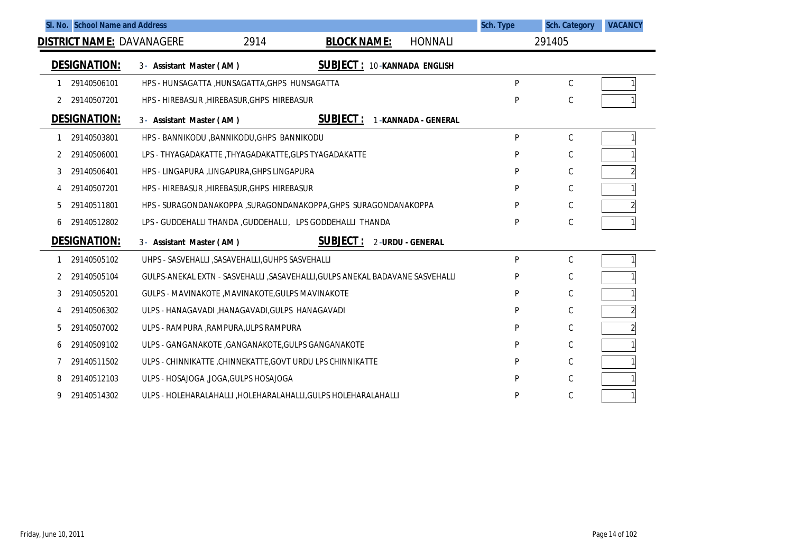|   | SI. No. School Name and Address  |                                                                                 |                                    |                            | Sch. Type | <b>Sch. Category</b> | <b>VACANCY</b> |
|---|----------------------------------|---------------------------------------------------------------------------------|------------------------------------|----------------------------|-----------|----------------------|----------------|
|   | <b>DISTRICT NAME: DAVANAGERE</b> | 2914                                                                            | <b>BLOCK NAME:</b>                 | <b>HONNALI</b>             |           | 291405               |                |
|   | <b>DESIGNATION:</b>              | 3- Assistant Master (AM)                                                        | <b>SUBJECT: 10-KANNADA ENGLISH</b> |                            |           |                      |                |
|   | 29140506101                      | HPS - HUNSAGATTA , HUNSAGATTA, GHPS HUNSAGATTA                                  |                                    |                            | P         | $\mathsf{C}$         |                |
| 2 | 29140507201                      | HPS - HIREBASUR, HIREBASUR, GHPS HIREBASUR                                      |                                    |                            | P         | C                    |                |
|   | <b>DESIGNATION:</b>              | 3- Assistant Master (AM)                                                        | <b>SUBJECT:</b>                    | <b>1-KANNADA - GENERAL</b> |           |                      |                |
|   | 29140503801                      | HPS - BANNIKODU , BANNIKODU, GHPS BANNIKODU                                     |                                    |                            | P         | C                    |                |
| 2 | 29140506001                      | LPS - THYAGADAKATTE ,THYAGADAKATTE,GLPS TYAGADAKATTE                            |                                    |                            | P         | С                    |                |
| 3 | 29140506401                      | HPS - LINGAPURA ,LINGAPURA,GHPS LINGAPURA                                       |                                    |                            | P         | C                    |                |
|   | 29140507201                      | HPS - HIREBASUR HIREBASUR GHPS HIREBASUR                                        |                                    |                            | P         | C                    |                |
| 5 | 29140511801                      | HPS - SURAGONDANAKOPPA , SURAGONDANAKOPPA, GHPS SURAGONDANAKOPPA                |                                    |                            | P         | C                    |                |
| 6 | 29140512802                      | LPS - GUDDEHALLI THANDA, GUDDEHALLI, LPS GODDEHALLI THANDA                      |                                    |                            | P         | C                    |                |
|   | <b>DESIGNATION:</b>              | 3- Assistant Master (AM)                                                        | <b>SUBJECT:</b>                    | 2-URDU - GENERAL           |           |                      |                |
|   | 29140505102                      | UHPS - SASVEHALLI , SASAVEHALLI, GUHPS SASVEHALLI                               |                                    |                            | P         | $\mathsf{C}$         |                |
| 2 | 29140505104                      | GULPS-ANEKAL EXTN - SASVEHALLI , SASAVEHALLI , GULPS ANEKAL BADAVANE SASVEHALLI |                                    |                            | P         | C                    |                |
| 3 | 29140505201                      | GULPS - MAVINAKOTE , MAVINAKOTE, GULPS MAVINAKOTE                               |                                    |                            | P         | C                    |                |
| 4 | 29140506302                      | ULPS - HANAGAVADI , HANAGAVADI, GULPS HANAGAVADI                                |                                    |                            | P         | C                    |                |
| 5 | 29140507002                      | ULPS - RAMPURA , RAMPURA, ULPS RAMPURA                                          |                                    |                            | P         | C                    | $\overline{2}$ |
| 6 | 29140509102                      | ULPS - GANGANAKOTE , GANGANAKOTE, GULPS GANGANAKOTE                             |                                    |                            | P         | C                    |                |
|   | 29140511502                      | ULPS - CHINNIKATTE, CHINNEKATTE, GOVT URDU LPS CHINNIKATTE                      |                                    |                            | P         | C                    |                |
| 8 | 29140512103                      | ULPS - HOSAJOGA , JOGA, GULPS HOSAJOGA                                          |                                    |                            | P         | C                    |                |
|   | 29140514302                      | ULPS - HOLEHARALAHALLI , HOLEHARALAHALLI, GULPS HOLEHARALAHALLI                 |                                    |                            | P         | С                    |                |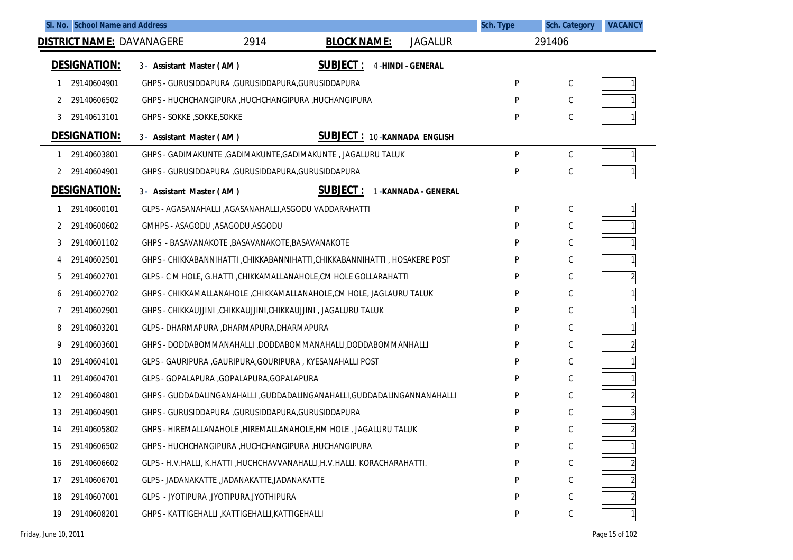|                     | SI. No. School Name and Address                       |      |                                                                              |                          | Sch. Type | <b>Sch. Category</b> | <b>VACANCY</b> |
|---------------------|-------------------------------------------------------|------|------------------------------------------------------------------------------|--------------------------|-----------|----------------------|----------------|
|                     | <b>DISTRICT NAME: DAVANAGERE</b>                      | 2914 | <b>BLOCK NAME:</b>                                                           | <b>JAGALUR</b>           |           | 291406               |                |
| <b>DESIGNATION:</b> | 3- Assistant Master (AM)                              |      | <u>SUBJECT :</u>                                                             | <b>4-HINDI - GENERAL</b> |           |                      |                |
| 29140604901<br>1    | GHPS - GURUSIDDAPURA , GURUSIDDAPURA, GURUSIDDAPURA   |      |                                                                              |                          | P         | $\mathsf C$          |                |
| 29140606502<br>2    | GHPS - HUCHCHANGIPURA, HUCHCHANGIPURA, HUCHANGIPURA   |      |                                                                              |                          | P         | С                    |                |
| 29140613101<br>3    | GHPS - SOKKE, SOKKE, SOKKE                            |      |                                                                              |                          | P         | С                    |                |
| <b>DESIGNATION:</b> | 3- Assistant Master (AM)                              |      | <b>SUBJECT: 10-KANNADA ENGLISH</b>                                           |                          |           |                      |                |
| 29140603801<br>1    |                                                       |      | GHPS - GADIMAKUNTE , GADIMAKUNTE, GADIMAKUNTE , JAGALURU TALUK               |                          | P         | $\mathsf C$          |                |
| 29140604901         | GHPS - GURUSIDDAPURA , GURUSIDDAPURA, GURUSIDDAPURA   |      |                                                                              |                          | P         | С                    |                |
| <u>DESIGNATION:</u> | 3- Assistant Master (AM)                              |      | <u>SUBJECT :</u>                                                             | 1-KANNADA - GENERAL      |           |                      |                |
| 29140600101<br>1    | GLPS - AGASANAHALLI ,AGASANAHALLI,ASGODU VADDARAHATTI |      |                                                                              |                          | P         | $\mathsf C$          |                |
| 29140600602<br>2    | GMHPS - ASAGODU ,ASAGODU,ASGODU                       |      |                                                                              |                          | P         | С                    |                |
| 29140601102<br>3    | GHPS - BASAVANAKOTE , BASAVANAKOTE, BASAVANAKOTE      |      |                                                                              |                          | P         | С                    |                |
| 29140602501<br>4    |                                                       |      | GHPS - CHIKKABANNIHATTI , CHIKKABANNIHATTI, CHIKKABANNIHATTI , HOSAKERE POST |                          | P         | С                    |                |
| 29140602701<br>5    |                                                       |      | GLPS - C M HOLE, G.HATTI, CHIKKAMALLANAHOLE, CM HOLE GOLLARAHATTI            |                          | P         | С                    |                |
| 29140602702<br>6    |                                                       |      | GHPS - CHIKKAMALLANAHOLE, CHIKKAMALLANAHOLE, CM HOLE, JAGLAURU TALUK         |                          | P         | С                    |                |
| 29140602901<br>7    |                                                       |      | GHPS - CHIKKAUJJINI ,CHIKKAUJJINI,CHIKKAUJJINI , JAGALURU TALUK              |                          | P         | С                    |                |
| 8<br>29140603201    | GLPS - DHARMAPURA , DHARMAPURA, DHARMAPURA            |      |                                                                              |                          | P         | С                    |                |
| 9<br>29140603601    |                                                       |      | GHPS - DODDABOMMANAHALLI ,DODDABOMMANAHALLI,DODDABOMMANHALLI                 |                          | P         | С                    |                |
| 10<br>29140604101   |                                                       |      | GLPS - GAURIPURA , GAURIPURA, GOURIPURA , KYESANAHALLI POST                  |                          | P         | С                    |                |
| 29140604701<br>11   | GLPS - GOPALAPURA , GOPALAPURA, GOPALAPURA            |      |                                                                              |                          | P         | С                    |                |
| 12<br>29140604801   |                                                       |      | GHPS - GUDDADALINGANAHALLI ,GUDDADALINGANAHALLI,GUDDADALINGANNANAHALLI       |                          | P         | С                    | 2              |
| 13<br>29140604901   | GHPS - GURUSIDDAPURA , GURUSIDDAPURA, GURUSIDDAPURA   |      |                                                                              |                          | P         | С                    | 3              |
| 29140605802<br>14   |                                                       |      | GHPS - HIREMALLANAHOLE, HIREMALLANAHOLE, HM HOLE, JAGALURU TALUK             |                          | P         | С                    |                |
| 29140606502<br>15   | GHPS - HUCHCHANGIPURA, HUCHCHANGIPURA, HUCHANGIPURA   |      |                                                                              |                          | P         | C                    |                |
| 29140606602<br>16   |                                                       |      | GLPS - H.V.HALLI, K.HATTI ,HUCHCHAVVANAHALLI,H.V.HALLI. KORACHARAHATTI.      |                          | P         | С                    |                |
| 29140606701<br>17   | GLPS - JADANAKATTE ,JADANAKATTE,JADANAKATTE           |      |                                                                              |                          | P         | С                    |                |
| 29140607001<br>18   | GLPS - JYOTIPURA , JYOTIPURA, JYOTHIPURA              |      |                                                                              |                          | P         | С                    |                |
| 29140608201<br>19   | GHPS - KATTIGEHALLI , KATTIGEHALLI, KATTIGEHALLI      |      |                                                                              |                          | P         | С                    |                |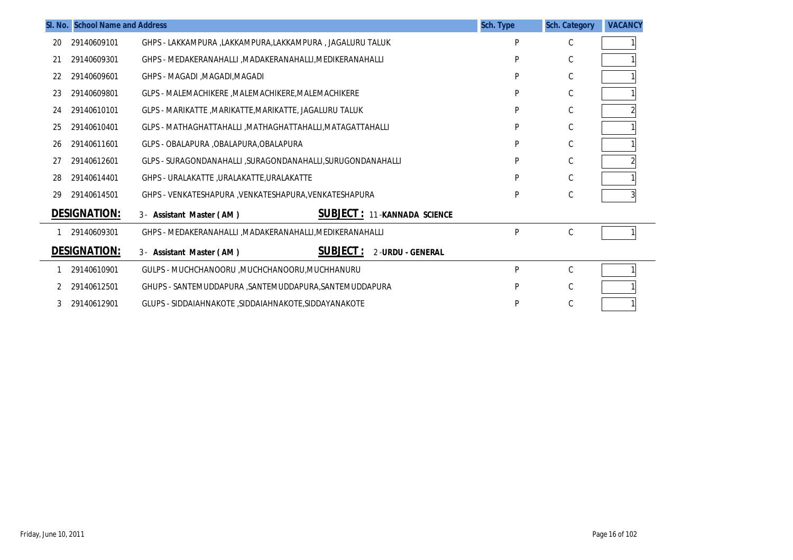|    | SI. No. School Name and Address |                                                                  | Sch. Type | <b>Sch. Category</b> | <b>VACANCY</b> |
|----|---------------------------------|------------------------------------------------------------------|-----------|----------------------|----------------|
| 20 | 29140609101                     | GHPS - LAKKAMPURA ,LAKKAMPURA,LAKKAMPURA , JAGALURU TALUK        | Þ         | C                    |                |
| 21 | 29140609301                     | GHPS - MEDAKERANAHALLI , MADAKERANAHALLI, MEDIKERANAHALLI        | P         | С                    |                |
| 22 | 29140609601                     | GHPS - MAGADI , MAGADI, MAGADI                                   | P         | $\mathsf C$          |                |
| 23 | 29140609801                     | GLPS - MALEMACHIKERE, MALEMACHIKERE, MALEMACHIKERE               | P         | С                    |                |
| 24 | 29140610101                     | GLPS - MARIKATTE , MARIKATTE, MARIKATTE, JAGALURU TALUK          | P         | С                    |                |
| 25 | 29140610401                     | GLPS - MATHAGHATTAHALLI , MATHAGHATTAHALLI, MATAGATTAHALLI       | P         | $\mathsf C$          |                |
| 26 | 29140611601                     | GLPS - OBALAPURA , OBALAPURA, OBALAPURA                          | P         | С                    |                |
| 27 | 29140612601                     | GLPS - SURAGONDANAHALLI , SURAGONDANAHALLI , SURUGONDANAHALLI    | P         | С                    |                |
| 28 | 29140614401                     | GHPS - URALAKATTE ,URALAKATTE,URALAKATTE                         | P         | $\mathsf C$          |                |
| 29 | 29140614501                     | GHPS - VENKATESHAPURA , VENKATESHAPURA, VENKATESHAPURA           | P         | С                    |                |
|    | <b>DESIGNATION:</b>             | <b>SUBJECT: 11-KANNADA SCIENCE</b><br>3- Assistant Master (AM)   |           |                      |                |
|    | 29140609301                     | GHPS - MEDAKERANAHALLI , MADAKERANAHALLI, MEDIKERANAHALLI        | P         | C                    |                |
|    | <b>DESIGNATION:</b>             | <b>SUBJECT :</b><br>2-URDU - GENERAL<br>3- Assistant Master (AM) |           |                      |                |
|    | 29140610901                     | GULPS - MUCHCHANOORU , MUCHCHANOORU, MUCHHANURU                  | P         | C                    |                |
|    | 29140612501                     | GHUPS - SANTEMUDDAPURA , SANTEMUDDAPURA, SANTEMUDDAPURA          | P         | С                    |                |
|    | 29140612901                     | GLUPS - SIDDAIAHNAKOTE .SIDDAIAHNAKOTE.SIDDAYANAKOTE             | P         | С                    |                |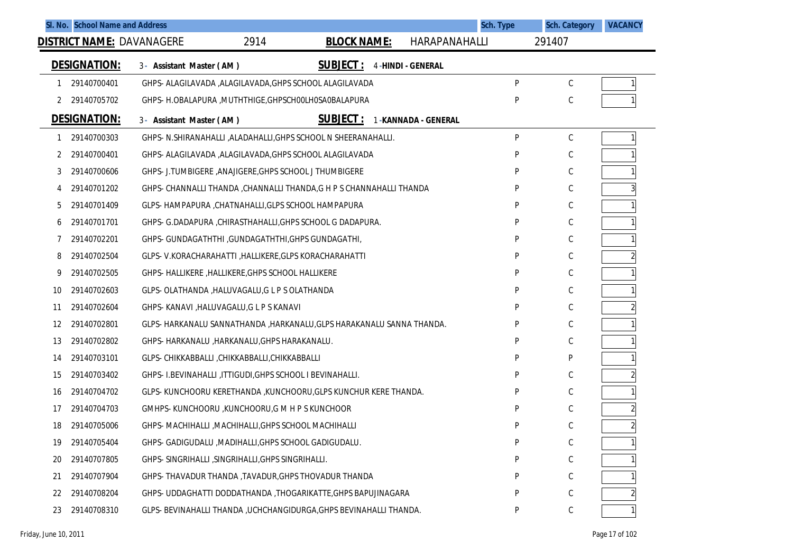|    | SI. No. School Name and Address |                                                           |                                                                      |                          | Sch. Type | <b>Sch. Category</b> | <b>VACANCY</b> |
|----|---------------------------------|-----------------------------------------------------------|----------------------------------------------------------------------|--------------------------|-----------|----------------------|----------------|
|    |                                 | 2914<br><b>DISTRICT NAME: DAVANAGERE</b>                  | <b>BLOCK NAME:</b>                                                   | HARAPANAHALLI            |           | 291407               |                |
|    | <b>DESIGNATION:</b>             | 3- Assistant Master (AM)                                  | <b>SUBJECT:</b>                                                      | <b>4-HINDI - GENERAL</b> |           |                      |                |
| 1  | 29140700401                     | GHPS- ALAGILAVADA , ALAGILAVADA, GHPS SCHOOL ALAGILAVADA  |                                                                      |                          | P         | С                    | 1              |
| 2  | 29140705702                     | GHPS- H.OBALAPURA , MUTHTHIGE, GHPSCHOOLHOSAOBALAPURA     |                                                                      |                          | P         | C                    |                |
|    | <b>DESIGNATION:</b>             | 3- Assistant Master (AM)                                  | <b>SUBJECT:</b>                                                      | 1-KANNADA - GENERAL      |           |                      |                |
| 1  | 29140700303                     |                                                           | GHPS- N.SHIRANAHALLI , ALADAHALLI, GHPS SCHOOL N SHEERANAHALLI.      |                          | P         | С                    |                |
| 2  | 29140700401                     | GHPS- ALAGILAVADA , ALAGILAVADA, GHPS SCHOOL ALAGILAVADA  |                                                                      |                          | P         | C                    |                |
| 3  | 29140700606                     | GHPS- J.TUMBIGERE , ANAJIGERE, GHPS SCHOOL J THUMBIGERE   |                                                                      |                          | P         | C                    |                |
| 4  | 29140701202                     |                                                           | GHPS- CHANNALLI THANDA, CHANNALLI THANDA, G H P S CHANNAHALLI THANDA |                          | P         | C                    | 3              |
| 5  | 29140701409                     | GLPS- HAMPAPURA , CHATNAHALLI, GLPS SCHOOL HAMPAPURA      |                                                                      |                          | P         | C                    |                |
| 6  | 29140701701                     | GHPS- G.DADAPURA, CHIRASTHAHALLI, GHPS SCHOOL G DADAPURA. |                                                                      |                          | P         | C                    |                |
|    | 29140702201                     | GHPS- GUNDAGATHTHI, GUNDAGATHTHI, GHPS GUNDAGATHI,        |                                                                      |                          | P         | C                    |                |
| 8  | 29140702504                     | GLPS-V.KORACHARAHATTI, HALLIKERE, GLPS KORACHARAHATTI     |                                                                      |                          | P         | C                    | $\overline{2}$ |
| 9  | 29140702505                     | GHPS- HALLIKERE, HALLIKERE, GHPS SCHOOL HALLIKERE         |                                                                      |                          | P         | C                    |                |
| 10 | 29140702603                     | GLPS- OLATHANDA, HALUVAGALU, G L P S OLATHANDA            |                                                                      |                          | P         | C                    |                |
| 11 | 29140702604                     | GHPS- KANAVI , HALUVAGALU, G L P S KANAVI                 |                                                                      |                          | P         | C                    | $\overline{2}$ |
| 12 | 29140702801                     |                                                           | GLPS-HARKANALU SANNATHANDA, HARKANALU, GLPS HARAKANALU SANNA THANDA. |                          | P         | C                    |                |
| 13 | 29140702802                     | GHPS- HARKANALU , HARKANALU, GHPS HARAKANALU.             |                                                                      |                          | P         | C                    |                |
| 14 | 29140703101                     | GLPS- CHIKKABBALLI , CHIKKABBALLI, CHIKKABBALLI           |                                                                      |                          | P         | P                    |                |
| 15 | 29140703402                     | GHPS- I.BEVINAHALLI, ITTIGUDI, GHPS SCHOOL I BEVINAHALLI. |                                                                      |                          | P         | C                    | $\overline{c}$ |
| 16 | 29140704702                     |                                                           | GLPS- KUNCHOORU KERETHANDA , KUNCHOORU, GLPS KUNCHUR KERE THANDA.    |                          |           | C                    |                |
| 17 | 29140704703                     | GMHPS- KUNCHOORU, KUNCHOORU, G M H P S KUNCHOOR           |                                                                      |                          | P         | C                    | $\overline{c}$ |
| 18 | 29140705006                     | GHPS- MACHIHALLI , MACHIHALLI, GHPS SCHOOL MACHIHALLI     |                                                                      |                          | P         |                      | $\overline{c}$ |
| 19 | 29140705404                     | GHPS- GADIGUDALU , MADIHALLI, GHPS SCHOOL GADIGUDALU.     |                                                                      |                          | P         | С                    |                |
| 20 | 29140707805                     | GHPS- SINGRIHALLI, SINGRIHALLI, GHPS SINGRIHALLI.         |                                                                      |                          | P         | C                    |                |
| 21 | 29140707904                     | GHPS- THAVADUR THANDA , TAVADUR, GHPS THOVADUR THANDA     |                                                                      |                          |           | С                    |                |
| 22 | 29140708204                     |                                                           | GHPS- UDDAGHATTI DODDATHANDA, THOGARIKATTE, GHPS BAPUJINAGARA        |                          |           |                      |                |
| 23 | 29140708310                     |                                                           | GLPS- BEVINAHALLI THANDA , UCHCHANGIDURGA, GHPS BEVINAHALLI THANDA.  |                          | P         |                      |                |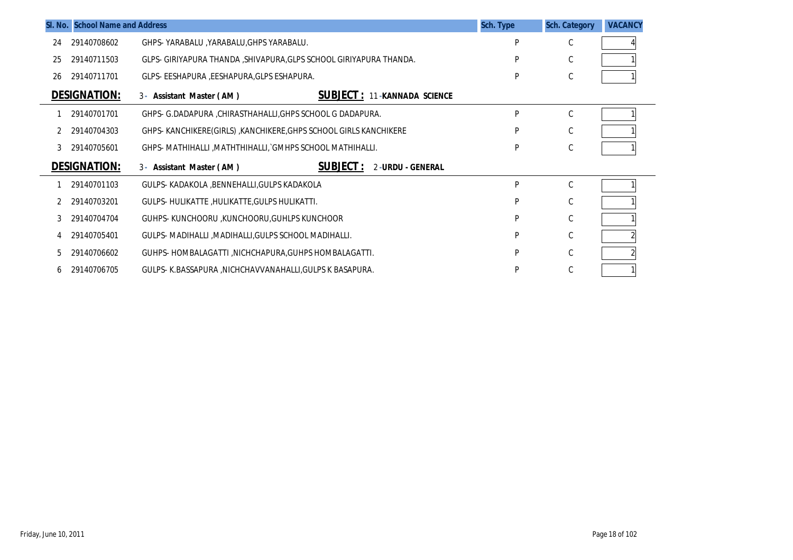|              | SI. No. School Name and Address |                                                                     | Sch. Type | <b>Sch. Category</b> | <b>VACANCY</b> |
|--------------|---------------------------------|---------------------------------------------------------------------|-----------|----------------------|----------------|
| 24           | 29140708602                     | GHPS-YARABALU, YARABALU, GHPS YARABALU.                             | D         | C                    |                |
| 25           | 29140711503                     | GLPS- GIRIYAPURA THANDA , SHIVAPURA, GLPS SCHOOL GIRIYAPURA THANDA. | D         | C                    |                |
| 26           | 29140711701                     | GLPS- EESHAPURA , EESHAPURA, GLPS ESHAPURA.                         | D         | $\mathsf C$          |                |
|              | <b>DESIGNATION:</b>             | <b>SUBJECT: 11-KANNADA SCIENCE</b><br>3- Assistant Master (AM)      |           |                      |                |
|              | 29140701701                     | GHPS- G.DADAPURA , CHIRASTHAHALLI, GHPS SCHOOL G DADAPURA.          | P         | C                    |                |
|              | 29140704303                     | GHPS- KANCHIKERE (GIRLS), KANCHIKERE, GHPS SCHOOL GIRLS KANCHIKERE  | P         | $\mathsf{C}$         |                |
| 3            | 29140705601                     | GHPS- MATHIHALLI, MATHTHIHALLI, GMHPS SCHOOL MATHIHALLI.            | P         | C                    |                |
|              | <b>DESIGNATION:</b>             | <b>SUBJECT:</b><br>2-URDU - GENERAL<br>3- Assistant Master (AM)     |           |                      |                |
|              | 29140701103                     | GULPS- KADAKOLA , BENNEHALLI, GULPS KADAKOLA                        | p         | $\mathsf C$          |                |
|              | 29140703201                     | GULPS-HULIKATTE, HULIKATTE, GULPS HULIKATTI.                        | P         | $\mathsf{C}$         |                |
| 3            | 29140704704                     | GUHPS- KUNCHOORU , KUNCHOORU, GUHLPS KUNCHOOR                       | P         | C                    |                |
|              | 29140705401                     | GULPS- MADIHALLI , MADIHALLI, GULPS SCHOOL MADIHALLI.               | P         | C                    |                |
| 5            | 29140706602                     | GUHPS- HOMBALAGATTI, NICHCHAPURA, GUHPS HOMBALAGATTI.               | P         | C                    |                |
| <sub>b</sub> | 29140706705                     | GULPS- K.BASSAPURA , NICHCHAVVANAHALLI, GULPS K BASAPURA.           | P         | C                    |                |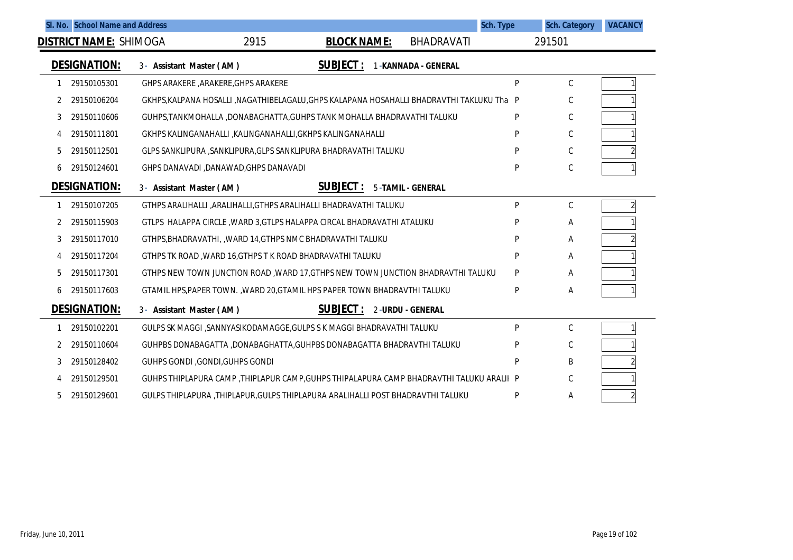|   | SI. No. School Name and Address | Sch. Type                                                                                  |   | <b>Sch. Category</b> | <b>VACANCY</b> |
|---|---------------------------------|--------------------------------------------------------------------------------------------|---|----------------------|----------------|
|   | <b>DISTRICT NAME:</b> SHIMOGA   | 2915<br><b>BHADRAVATI</b><br><b>BLOCK NAME:</b>                                            |   | 291501               |                |
|   | <b>DESIGNATION:</b>             | <b>SUBJECT:</b><br>1-KANNADA - GENERAL<br>3- Assistant Master (AM)                         |   |                      |                |
|   | 29150105301                     | GHPS ARAKERE , ARAKERE, GHPS ARAKERE                                                       | P | $\mathsf C$          |                |
| 2 | 29150106204                     | GKHPS, KALPANA HOSALLI , NAGATHIBELAGALU, GHPS KALAPANA HOSAHALLI BHADRAVTHI TAKLUKU Tha P |   | C                    |                |
| 3 | 29150110606                     | GUHPS, TANKMOHALLA , DONABAGHATTA, GUHPS TANK MOHALLA BHADRAVATHI TALUKU                   | P | С                    |                |
| 4 | 29150111801                     | GKHPS KALINGANAHALLI ,KALINGANAHALLI,GKHPS KALINGANAHALLI                                  | P | C                    |                |
| 5 | 29150112501                     | GLPS SANKLIPURA , SANKLIPURA, GLPS SANKLIPURA BHADRAVATHI TALUKU                           | P | $\mathsf C$          |                |
| 6 | 29150124601                     | GHPS DANAVADI ,DANAWAD,GHPS DANAVADI                                                       | P | C                    |                |
|   | <b>DESIGNATION:</b>             | <b>SUBJECT:</b><br><b>5-TAMIL - GENERAL</b><br>3- Assistant Master (AM)                    |   |                      |                |
|   | 29150107205                     | GTHPS ARALIHALLI , ARALIHALLI, GTHPS ARALIHALLI BHADRAVATHI TALUKU                         | P | $\mathsf C$          | $\overline{2}$ |
| 2 | 29150115903                     | GTLPS HALAPPA CIRCLE, WARD 3, GTLPS HALAPPA CIRCAL BHADRAVATHI ATALUKU                     | P | Α                    |                |
| 3 | 29150117010                     | GTHPS, BHADRAVATHI, WARD 14, GTHPS NMC BHADRAVATHI TALUKU                                  | P | Α                    |                |
| 4 | 29150117204                     | GTHPS TK ROAD, WARD 16, GTHPS TK ROAD BHADRAVATHI TALUKU                                   | P | Α                    |                |
| 5 | 29150117301                     | GTHPS NEW TOWN JUNCTION ROAD, WARD 17, GTHPS NEW TOWN JUNCTION BHADRAVTHI TALUKU           | P | Α                    |                |
| 6 | 29150117603                     | GTAMIL HPS, PAPER TOWN., WARD 20, GTAMIL HPS PAPER TOWN BHADRAVTHI TALUKU                  | P | Α                    |                |
|   | <b>DESIGNATION:</b>             | <b>SUBJECT:</b><br>3- Assistant Master (AM)<br>2-URDU - GENERAL                            |   |                      |                |
|   | 29150102201                     | GULPS SK MAGGI , SANNYASIKODAMAGGE, GULPS SK MAGGI BHADRAVATHI TALUKU                      | P | $\mathsf C$          |                |
| 2 | 29150110604                     | GUHPBS DONABAGATTA ,DONABAGHATTA,GUHPBS DONABAGATTA BHADRAVTHI TALUKU                      | P | $\mathsf C$          |                |
| 3 | 29150128402                     | GUHPS GONDI , GONDI, GUHPS GONDI                                                           | P | B                    |                |
| 4 | 29150129501                     | GUHPS THIPLAPURA CAMP, THIPLAPUR CAMP, GUHPS THIPALAPURA CAMP BHADRAVTHI TALUKU ARALII P   |   | C                    |                |
| 5 | 29150129601                     | GULPS THIPLAPURA , THIPLAPUR, GULPS THIPLAPURA ARALIHALLI POST BHADRAVTHI TALUKU           | P | Α                    |                |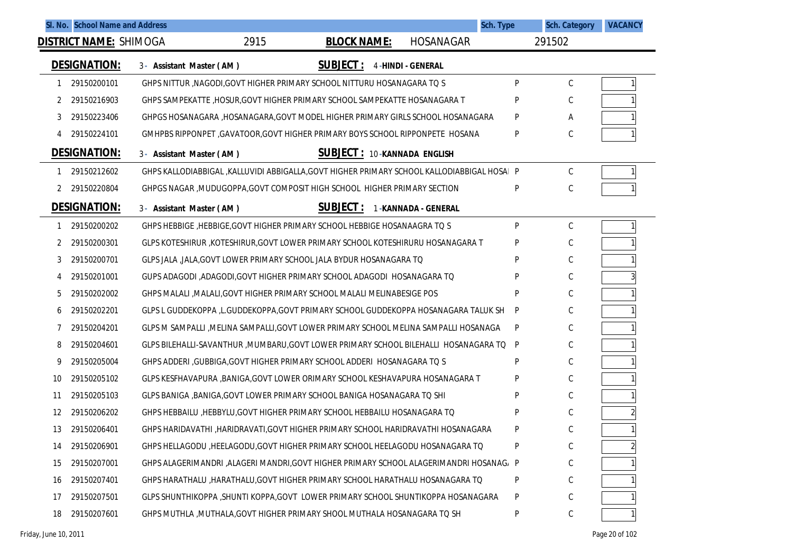|    | SI. No. School Name and Address |                                                                                              |                                    | <b>Sch. Type</b>         |   | <b>Sch. Category</b> | <b>VACANCY</b> |
|----|---------------------------------|----------------------------------------------------------------------------------------------|------------------------------------|--------------------------|---|----------------------|----------------|
|    | <b>DISTRICT NAME: SHIMOGA</b>   | 2915                                                                                         | <b>BLOCK NAME:</b>                 | <b>HOSANAGAR</b>         |   | 291502               |                |
|    | <b>DESIGNATION:</b>             | 3- Assistant Master (AM)                                                                     | <b>SUBJECT:</b>                    | <b>4-HINDI - GENERAL</b> |   |                      |                |
|    | 29150200101                     | GHPS NITTUR , NAGODI, GOVT HIGHER PRIMARY SCHOOL NITTURU HOSANAGARA TO S                     |                                    |                          | P | $\mathsf{C}$         |                |
| 2  | 29150216903                     | GHPS SAMPEKATTE, HOSUR, GOVT HIGHER PRIMARY SCHOOL SAMPEKATTE HOSANAGARA T                   |                                    |                          | P | С                    |                |
| 3  | 29150223406                     | GHPGS HOSANAGARA , HOSANAGARA, GOVT MODEL HIGHER PRIMARY GIRLS SCHOOL HOSANAGARA             |                                    |                          | P | Α                    |                |
|    | 29150224101                     | GMHPBS RIPPONPET, GAVATOOR, GOVT HIGHER PRIMARY BOYS SCHOOL RIPPONPETE HOSANA                |                                    |                          | P | C                    |                |
|    | <b>DESIGNATION:</b>             | 3- Assistant Master (AM)                                                                     | <b>SUBJECT: 10-KANNADA ENGLISH</b> |                          |   |                      |                |
|    | 29150212602                     | GHPS KALLODIABBIGAL , KALLUVIDI ABBIGALLA, GOVT HIGHER PRIMARY SCHOOL KALLODIABBIGAL HOSAI P |                                    |                          |   | $\mathsf{C}$         |                |
| 2  | 29150220804                     | GHPGS NAGAR, MUDUGOPPA, GOVT COMPOSIT HIGH SCHOOL HIGHER PRIMARY SECTION                     |                                    |                          | P | C                    |                |
|    | <b>DESIGNATION:</b>             | 3- Assistant Master (AM)                                                                     | <b>SUBJECT:</b>                    | 1-KANNADA - GENERAL      |   |                      |                |
|    | 29150200202                     | GHPS HEBBIGE, HEBBIGE, GOVT HIGHER PRIMARY SCHOOL HEBBIGE HOSANAAGRA TO S                    |                                    |                          | P | $\mathsf{C}$         |                |
|    | 29150200301                     | GLPS KOTESHIRUR , KOTESHIRUR, GOVT LOWER PRIMARY SCHOOL KOTESHIRURU HOSANAGARA T             |                                    |                          | P | C                    |                |
| 3  | 29150200701                     | GLPS JALA , JALA, GOVT LOWER PRIMARY SCHOOL JALA BYDUR HOSANAGARA TO                         |                                    |                          | P | С                    |                |
| 4  | 29150201001                     | GUPS ADAGODI ,ADAGODI,GOVT HIGHER PRIMARY SCHOOL ADAGODI HOSANAGARA TO                       |                                    |                          | P | C                    |                |
| 5  | 29150202002                     | GHPS MALALI , MALALI, GOVT HIGHER PRIMARY SCHOOL MALALI MELINABESIGE POS                     |                                    |                          | P | С                    |                |
| 6  | 29150202201                     | GLPS L GUDDEKOPPA ,L.GUDDEKOPPA,GOVT PRIMARY SCHOOL GUDDEKOPPA HOSANAGARA TALUK SH           |                                    |                          | P | С                    |                |
|    | 29150204201                     | GLPS M SAMPALLI , MELINA SAMPALLI, GOVT LOWER PRIMARY SCHOOL MELINA SAMPALLI HOSANAGA        |                                    |                          | P | С                    |                |
| 8  | 29150204601                     | GLPS BILEHALLI-SAVANTHUR ,MUMBARU,GOVT LOWER PRIMARY SCHOOL BILEHALLI HOSANAGARA TO          |                                    |                          | P | С                    |                |
| 9  | 29150205004                     | GHPS ADDERI , GUBBIGA, GOVT HIGHER PRIMARY SCHOOL ADDERI HOSANAGARA TO S                     |                                    |                          | P | С                    |                |
| 10 | 29150205102                     | GLPS KESFHAVAPURA ,BANIGA,GOVT LOWER ORIMARY SCHOOL KESHAVAPURA HOSANAGARA T                 |                                    |                          | P | С                    |                |
| 11 | 29150205103                     | GLPS BANIGA , BANIGA, GOVT LOWER PRIMARY SCHOOL BANIGA HOSANAGARA TO SHI                     |                                    |                          | P | С                    |                |
| 12 | 29150206202                     | GHPS HEBBAILU, HEBBYLU, GOVT HIGHER PRIMARY SCHOOL HEBBAILU HOSANAGARA TO                    |                                    |                          | P | C                    |                |
| 13 | 29150206401                     | GHPS HARIDAVATHI ,HARIDRAVATI,GOVT HIGHER PRIMARY SCHOOL HARIDRAVATHI HOSANAGARA             |                                    |                          | P | С                    |                |
| 14 | 29150206901                     | GHPS HELLAGODU, HEELAGODU, GOVT HIGHER PRIMARY SCHOOL HEELAGODU HOSANAGARA TO                |                                    |                          | P | С                    |                |
| 15 | 29150207001                     | GHPS ALAGERIMANDRI ,ALAGERI MANDRI,GOVT HIGHER PRIMARY SCHOOL ALAGERIMANDRI HOSANAG, P       |                                    |                          |   | С                    |                |
| 16 | 29150207401                     | GHPS HARATHALU , HARATHALU, GOVT HIGHER PRIMARY SCHOOL HARATHALU HOSANAGARA TO               |                                    |                          | P | С                    |                |
| 17 | 29150207501                     | GLPS SHUNTHIKOPPA , SHUNTI KOPPA, GOVT LOWER PRIMARY SCHOOL SHUNTIKOPPA HOSANAGARA           |                                    |                          | P | С                    |                |
| 18 | 29150207601                     | GHPS MUTHLA , MUTHALA, GOVT HIGHER PRIMARY SHOOL MUTHALA HOSANAGARA TO SH                    |                                    |                          | P | С                    |                |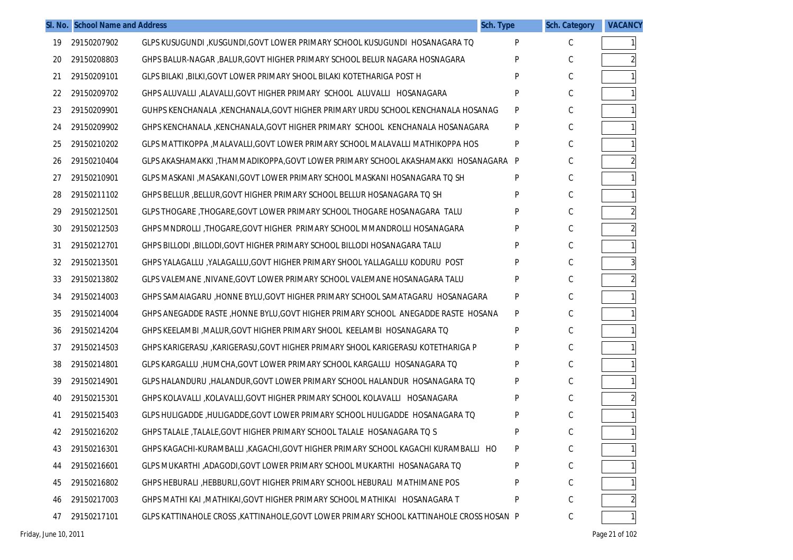|    | SI. No. School Name and Address |                                                                                           | Sch. Type | <b>Sch. Category</b> | <b>VACANCY</b> |
|----|---------------------------------|-------------------------------------------------------------------------------------------|-----------|----------------------|----------------|
| 19 | 29150207902                     | GLPS KUSUGUNDI ,KUSGUNDI,GOVT LOWER PRIMARY SCHOOL KUSUGUNDI HOSANAGARA TQ                | P         | C                    |                |
| 20 | 29150208803                     | GHPS BALUR-NAGAR , BALUR, GOVT HIGHER PRIMARY SCHOOL BELUR NAGARA HOSNAGARA               | P         | C                    |                |
| 21 | 29150209101                     | GLPS BILAKI , BILKI, GOVT LOWER PRIMARY SHOOL BILAKI KOTETHARIGA POST H                   | P         | C                    |                |
| 22 | 29150209702                     | GHPS ALUVALLI , ALAVALLI, GOVT HIGHER PRIMARY SCHOOL ALUVALLI HOSANAGARA                  | P         | C                    |                |
| 23 | 29150209901                     | GUHPS KENCHANALA , KENCHANALA, GOVT HIGHER PRIMARY URDU SCHOOL KENCHANALA HOSANAG         | P         | C                    |                |
| 24 | 29150209902                     | GHPS KENCHANALA, KENCHANALA, GOVT HIGHER PRIMARY SCHOOL KENCHANALA HOSANAGARA             | P         | C                    |                |
| 25 | 29150210202                     | GLPS MATTIKOPPA , MALAVALLI, GOVT LOWER PRIMARY SCHOOL MALAVALLI MATHIKOPPA HOS           | P         | C                    |                |
| 26 | 29150210404                     | GLPS AKASHAMAKKI ,THAMMADIKOPPA,GOVT LOWER PRIMARY SCHOOL AKASHAMAKKI HOSANAGARA          | P         | C                    |                |
| 27 | 29150210901                     | GLPS MASKANI , MASAKANI, GOVT LOWER PRIMARY SCHOOL MASKANI HOSANAGARA TO SH               | Ρ         | C                    |                |
| 28 | 29150211102                     | GHPS BELLUR , BELLUR, GOVT HIGHER PRIMARY SCHOOL BELLUR HOSANAGARA TO SH                  | P         | C                    |                |
| 29 | 29150212501                     | GLPS THOGARE , THOGARE, GOVT LOWER PRIMARY SCHOOL THOGARE HOSANAGARA TALU                 | P         | C                    |                |
| 30 | 29150212503                     | GHPS MNDROLLI ,THOGARE,GOVT HIGHER PRIMARY SCHOOL MMANDROLLI HOSANAGARA                   | P         | C                    |                |
| 31 | 29150212701                     | GHPS BILLODI , BILLODI, GOVT HIGHER PRIMARY SCHOOL BILLODI HOSANAGARA TALU                | P         | C                    |                |
| 32 | 29150213501                     | GHPS YALAGALLU, YALAGALLU, GOVT HIGHER PRIMARY SHOOL YALLAGALLU KODURU POST               | P         | C                    | $\overline{3}$ |
| 33 | 29150213802                     | GLPS VALEMANE , NIVANE, GOVT LOWER PRIMARY SCHOOL VALEMANE HOSANAGARA TALU                | P         | C                    |                |
| 34 | 29150214003                     | GHPS SAMAIAGARU ,HONNE BYLU,GOVT HIGHER PRIMARY SCHOOL SAMATAGARU HOSANAGARA              | P         | C                    |                |
| 35 | 29150214004                     | GHPS ANEGADDE RASTE ,HONNE BYLU,GOVT HIGHER PRIMARY SCHOOL ANEGADDE RASTE HOSANA          | P         | C                    |                |
| 36 | 29150214204                     | GHPS KEELAMBI , MALUR, GOVT HIGHER PRIMARY SHOOL KEELAMBI HOSANAGARA TO                   | P         | C                    |                |
| 37 | 29150214503                     | GHPS KARIGERASU , KARIGERASU, GOVT HIGHER PRIMARY SHOOL KARIGERASU KOTETHARIGA P          | P         | C                    |                |
| 38 | 29150214801                     | GLPS KARGALLU ,HUMCHA,GOVT LOWER PRIMARY SCHOOL KARGALLU HOSANAGARA TO                    | P         | C                    |                |
| 39 | 29150214901                     | GLPS HALANDURU , HALANDUR, GOVT LOWER PRIMARY SCHOOL HALANDUR HOSANAGARA TO               | P         | C                    |                |
| 40 | 29150215301                     | GHPS KOLAVALLI ,KOLAVALLI,GOVT HIGHER PRIMARY SCHOOL KOLAVALLI HOSANAGARA                 | P         | C                    |                |
| 41 | 29150215403                     | GLPS HULIGADDE, HULIGADDE, GOVT LOWER PRIMARY SCHOOL HULIGADDE HOSANAGARA TO              | P         | C                    |                |
| 42 | 29150216202                     | GHPS TALALE , TALALE, GOVT HIGHER PRIMARY SCHOOL TALALE HOSANAGARA TO S                   | P         | C                    |                |
| 43 | 29150216301                     | GHPS KAGACHI-KURAMBALLI ,KAGACHI,GOVT HIGHER PRIMARY SCHOOL KAGACHI KURAMBALLI HO         | Ρ         | $\mathsf C$          |                |
| 44 | 29150216601                     | GLPS MUKARTHI ,ADAGODI,GOVT LOWER PRIMARY SCHOOL MUKARTHI HOSANAGARA TO                   | P         | C                    |                |
| 45 | 29150216802                     | GHPS HEBURALI , HEBBURLI, GOVT HIGHER PRIMARY SCHOOL HEBURALI MATHIMANE POS               |           | С                    |                |
| 46 | 29150217003                     | GHPS MATHI KAI , MATHIKAI, GOVT HIGHER PRIMARY SCHOOL MATHIKAI HOSANAGARA T               | Ρ         | C                    |                |
| 47 | 29150217101                     | GLPS KATTINAHOLE CROSS , KATTINAHOLE, GOVT LOWER PRIMARY SCHOOL KATTINAHOLE CROSS HOSAN P |           | С                    |                |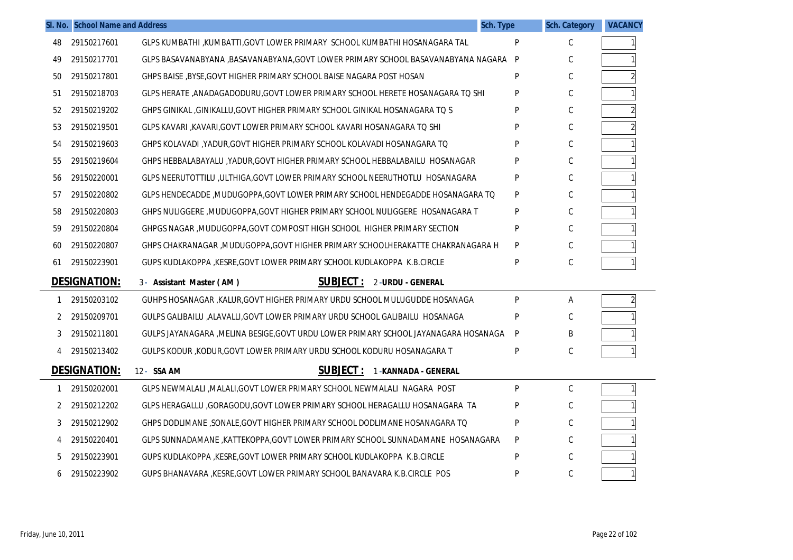|    | SI. No. School Name and Address |                                                                                    | Sch. Type | <b>Sch. Category</b> | <b>VACANCY</b> |
|----|---------------------------------|------------------------------------------------------------------------------------|-----------|----------------------|----------------|
| 48 | 29150217601                     | GLPS KUMBATHI ,KUMBATTI,GOVT LOWER PRIMARY SCHOOL KUMBATHI HOSANAGARA TAL          | P         | С                    |                |
| 49 | 29150217701                     | GLPS BASAVANABYANA ,BASAVANABYANA,GOVT LOWER PRIMARY SCHOOL BASAVANABYANA NAGARA   | P         | C                    |                |
| 50 | 29150217801                     | GHPS BAISE , BYSE, GOVT HIGHER PRIMARY SCHOOL BAISE NAGARA POST HOSAN              | P         | C                    |                |
| 51 | 29150218703                     | GLPS HERATE ,ANADAGADODURU,GOVT LOWER PRIMARY SCHOOL HERETE HOSANAGARA TO SHI      | P         | C                    |                |
| 52 | 29150219202                     | GHPS GINIKAL ,GINIKALLU,GOVT HIGHER PRIMARY SCHOOL GINIKAL HOSANAGARA TO S         | P         | C                    | $\overline{2}$ |
| 53 | 29150219501                     | GLPS KAVARI ,KAVARI,GOVT LOWER PRIMARY SCHOOL KAVARI HOSANAGARA TO SHI             | P         | С                    |                |
| 54 | 29150219603                     | GHPS KOLAVADI ,YADUR,GOVT HIGHER PRIMARY SCHOOL KOLAVADI HOSANAGARA TQ             | P         | С                    |                |
| 55 | 29150219604                     | GHPS HEBBALABAYALU, YADUR, GOVT HIGHER PRIMARY SCHOOL HEBBALABAILU HOSANAGAR       | Þ         | C                    |                |
| 56 | 29150220001                     | GLPS NEERUTOTTILU ,ULTHIGA,GOVT LOWER PRIMARY SCHOOL NEERUTHOTLU HOSANAGARA        | P         | C                    |                |
| 57 | 29150220802                     | GLPS HENDECADDE ,MUDUGOPPA,GOVT LOWER PRIMARY SCHOOL HENDEGADDE HOSANAGARA TQ      | P         | C                    |                |
| 58 | 29150220803                     | GHPS NULIGGERE , MUDUGOPPA, GOVT HIGHER PRIMARY SCHOOL NULIGGERE HOSANAGARA T      | P         | C                    |                |
| 59 | 29150220804                     | GHPGS NAGAR , MUDUGOPPA, GOVT COMPOSIT HIGH SCHOOL HIGHER PRIMARY SECTION          | P         | C                    |                |
| 60 | 29150220807                     | GHPS CHAKRANAGAR , MUDUGOPPA, GOVT HIGHER PRIMARY SCHOOLHERAKATTE CHAKRANAGARA H   | P         | C                    |                |
| 61 | 29150223901                     | GUPS KUDLAKOPPA , KESRE, GOVT LOWER PRIMARY SCHOOL KUDLAKOPPA K.B.CIRCLE           | P         | С                    |                |
|    | <b>DESIGNATION:</b>             | <b>SUBJECT :</b><br>2-URDU - GENERAL<br>3- Assistant Master (AM)                   |           |                      |                |
| -1 | 29150203102                     | GUHPS HOSANAGAR , KALUR, GOVT HIGHER PRIMARY URDU SCHOOL MULUGUDDE HOSANAGA        | P         | Α                    | $\overline{2}$ |
| 2  | 29150209701                     | GULPS GALIBAILU .ALAVALLI.GOVT LOWER PRIMARY URDU SCHOOL GALIBAILU HOSANAGA        | P         | C                    |                |
| 3  | 29150211801                     | GULPS JAYANAGARA ,MELINA BESIGE,GOVT URDU LOWER PRIMARY SCHOOL JAYANAGARA HOSANAGA | P         | B                    |                |
| 4  | 29150213402                     | GULPS KODUR, KODUR, GOVT LOWER PRIMARY URDU SCHOOL KODURU HOSANAGARA T             | P         | С                    |                |
|    | <b>DESIGNATION:</b>             | <b>SUBJECT:</b><br>12- SSA AM<br>1-KANNADA - GENERAL                               |           |                      |                |
| -1 | 29150202001                     | GLPS NEWMALALI , MALALI, GOVT LOWER PRIMARY SCHOOL NEWMALALI NAGARA POST           | P         | C                    | 1 <sup>1</sup> |
| 2  | 29150212202                     | GLPS HERAGALLU ,GORAGODU,GOVT LOWER PRIMARY SCHOOL HERAGALLU HOSANAGARA TA         |           | C                    |                |
| 3  | 29150212902                     | GHPS DODLIMANE ,SONALE,GOVT HIGHER PRIMARY SCHOOL DODLIMANE HOSANAGARA TO          | P         | C                    |                |
| 4  | 29150220401                     | GLPS SUNNADAMANE , KATTEKOPPA, GOVT LOWER PRIMARY SCHOOL SUNNADAMANE HOSANAGARA    | P         | C                    |                |
| 5  | 29150223901                     | GUPS KUDLAKOPPA , KESRE, GOVT LOWER PRIMARY SCHOOL KUDLAKOPPA K.B.CIRCLE           | P         | C                    |                |
| 6  | 29150223902                     | GUPS BHANAVARA , KESRE, GOVT LOWER PRIMARY SCHOOL BANAVARA K.B. CIRCLE POS         | Þ         | C                    | 1 <sup>1</sup> |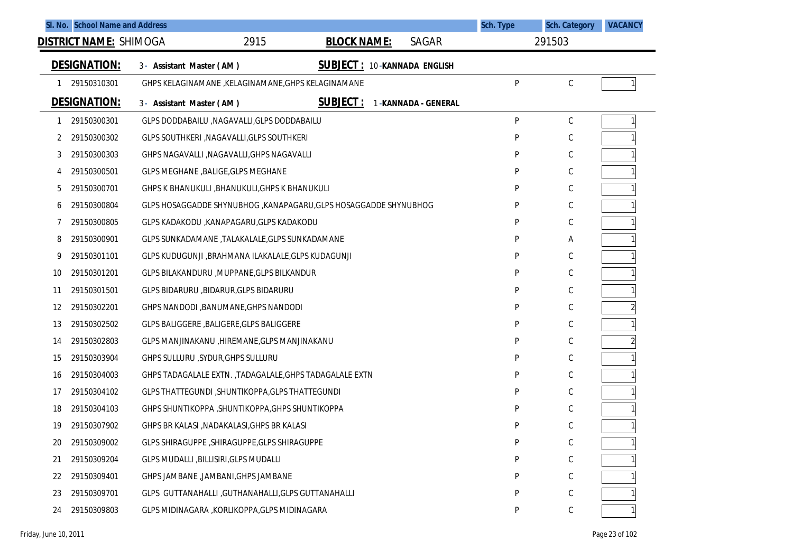|    | SI. No. School Name and Address |                                                          |                                                                   | Sch. Type | <b>Sch. Category</b> | <b>VACANCY</b> |
|----|---------------------------------|----------------------------------------------------------|-------------------------------------------------------------------|-----------|----------------------|----------------|
|    | <b>DISTRICT NAME: SHIMOGA</b>   | 2915                                                     | <b>BLOCK NAME:</b><br>SAGAR                                       |           | 291503               |                |
|    | <b>DESIGNATION:</b>             | 3- Assistant Master (AM)                                 | <b>SUBJECT :</b><br>10-KANNADA ENGLISH                            |           |                      |                |
|    | 29150310301                     | GHPS KELAGINAMANE, KELAGINAMANE, GHPS KELAGINAMANE       |                                                                   | P         | $\mathsf C$          |                |
|    | <b>DESIGNATION:</b>             | 3- Assistant Master (AM)                                 | <u>SUBJECT :</u><br>1-KANNADA - GENERAL                           |           |                      |                |
|    | 29150300301                     | GLPS DODDABAILU , NAGAVALLI, GLPS DODDABAILU             |                                                                   | P         | $\mathsf C$          |                |
| 2  | 29150300302                     | GLPS SOUTHKERI , NAGAVALLI, GLPS SOUTHKERI               |                                                                   | P         | C                    |                |
| 3  | 29150300303                     | GHPS NAGAVALLI , NAGAVALLI, GHPS NAGAVALLI               |                                                                   | P         | $\mathsf C$          |                |
| 4  | 29150300501                     | GLPS MEGHANE, BALIGE, GLPS MEGHANE                       |                                                                   | P         | C                    |                |
| 5  | 29150300701                     | GHPS K BHANUKULI , BHANUKULI, GHPS K BHANUKULI           |                                                                   | P         | C                    |                |
| 6  | 29150300804                     |                                                          | GLPS HOSAGGADDE SHYNUBHOG , KANAPAGARU, GLPS HOSAGGADDE SHYNUBHOG | P         | C                    |                |
|    | 29150300805                     | GLPS KADAKODU ,KANAPAGARU,GLPS KADAKODU                  |                                                                   | P         | C                    |                |
| 8  | 29150300901                     | GLPS SUNKADAMANE, TALAKALALE, GLPS SUNKADAMANE           |                                                                   | P         | Α                    |                |
| 9  | 29150301101                     | GLPS KUDUGUNJI ,BRAHMANA ILAKALALE, GLPS KUDAGUNJI       |                                                                   | P         | $\mathsf C$          |                |
| 10 | 29150301201                     | GLPS BILAKANDURU , MUPPANE, GLPS BILKANDUR               |                                                                   | P         | C                    |                |
| 11 | 29150301501                     | GLPS BIDARURU, BIDARUR, GLPS BIDARURU                    |                                                                   | P         | $\mathsf C$          |                |
| 12 | 29150302201                     | GHPS NANDODI, BANUMANE, GHPS NANDODI                     |                                                                   | P         | C                    |                |
| 13 | 29150302502                     | GLPS BALIGGERE, BALIGERE, GLPS BALIGGERE                 |                                                                   | P         | C                    |                |
| 14 | 29150302803                     | GLPS MANJINAKANU , HIREMANE, GLPS MANJINAKANU            |                                                                   | P         | C                    |                |
| 15 | 29150303904                     | GHPS SULLURU , SYDUR, GHPS SULLURU                       |                                                                   | P         | $\mathsf C$          |                |
| 16 | 29150304003                     | GHPS TADAGALALE EXTN. , TADAGALALE, GHPS TADAGALALE EXTN |                                                                   | P         | C                    |                |
| 17 | 29150304102                     | GLPS THATTEGUNDI, SHUNTIKOPPA, GLPS THATTEGUNDI          |                                                                   | P         | $\mathsf C$          |                |
| 18 | 29150304103                     | GHPS SHUNTIKOPPA , SHUNTIKOPPA, GHPS SHUNTIKOPPA         |                                                                   | P         | $\mathsf C$          |                |
| 19 | 29150307902                     | GHPS BR KALASI , NADAKALASI, GHPS BR KALASI              |                                                                   | P         | C                    |                |
| 20 | 29150309002                     | GLPS SHIRAGUPPE , SHIRAGUPPE, GLPS SHIRAGUPPE            |                                                                   | P         | $\mathsf C$          |                |
| 21 | 29150309204                     | GLPS MUDALLI , BILLISIRI, GLPS MUDALLI                   |                                                                   | P         | $\mathsf C$          |                |
| 22 | 29150309401                     | GHPS JAMBANE, JAMBANI, GHPS JAMBANE                      |                                                                   | P         | $\mathsf C$          |                |
| 23 | 29150309701                     | GLPS GUTTANAHALLI, GUTHANAHALLI, GLPS GUTTANAHALLI       |                                                                   | P         | $\mathsf C$          |                |
| 24 | 29150309803                     | GLPS MIDINAGARA , KORLIKOPPA, GLPS MIDINAGARA            |                                                                   | P         | $\mathsf C$          |                |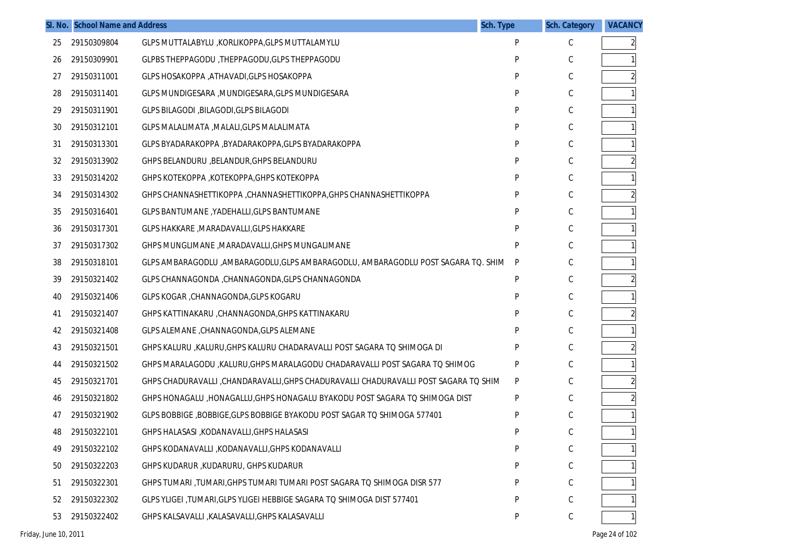|    | SI. No. School Name and Address | <b>Sch. Type</b>                                                                      | <b>Sch. Category</b> | <b>VACANCY</b> |   |
|----|---------------------------------|---------------------------------------------------------------------------------------|----------------------|----------------|---|
| 25 | 29150309804                     | GLPS MUTTALABYLU , KORLIKOPPA, GLPS MUTTALAMYLU                                       | P                    | C              | 2 |
| 26 | 29150309901                     | GLPBS THEPPAGODU, THEPPAGODU, GLPS THEPPAGODU                                         | P                    | С              |   |
| 27 | 29150311001                     | GLPS HOSAKOPPA , ATHAVADI, GLPS HOSAKOPPA                                             | P                    | С              |   |
| 28 | 29150311401                     | GLPS MUNDIGESARA , MUNDIGESARA, GLPS MUNDIGESARA                                      | P                    | С              |   |
| 29 | 29150311901                     | GLPS BILAGODI , BILAGODI, GLPS BILAGODI                                               | P                    | С              |   |
| 30 | 29150312101                     | GLPS MALALIMATA , MALALI, GLPS MALALIMATA                                             | P                    | С              |   |
| 31 | 29150313301                     | GLPS BYADARAKOPPA , BYADARAKOPPA, GLPS BYADARAKOPPA                                   | P                    | C              |   |
| 32 | 29150313902                     | GHPS BELANDURU , BELANDUR, GHPS BELANDURU                                             | P                    | С              |   |
| 33 | 29150314202                     | GHPS KOTEKOPPA, KOTEKOPPA, GHPS KOTEKOPPA                                             | P                    | C              |   |
| 34 | 29150314302                     | GHPS CHANNASHETTIKOPPA , CHANNASHETTIKOPPA, GHPS CHANNASHETTIKOPPA                    | P                    | С              |   |
| 35 | 29150316401                     | GLPS BANTUMANE, YADEHALLI, GLPS BANTUMANE                                             | P                    | C              |   |
| 36 | 29150317301                     | GLPS HAKKARE, MARADAVALLI, GLPS HAKKARE                                               | P                    | С              |   |
| 37 | 29150317302                     | GHPS MUNGLIMANE, MARADAVALLI, GHPS MUNGALIMANE                                        | P                    | C              |   |
| 38 | 29150318101                     | GLPS AMBARAGODLU ,AMBARAGODLU,GLPS AMBARAGODLU, AMBARAGODLU POST SAGARA TQ. SHIM      | P                    | С              |   |
| 39 | 29150321402                     | GLPS CHANNAGONDA , CHANNAGONDA, GLPS CHANNAGONDA                                      | P                    | C              |   |
| 40 | 29150321406                     | GLPS KOGAR , CHANNAGONDA, GLPS KOGARU                                                 | P                    | С              |   |
| 41 | 29150321407                     | GHPS KATTINAKARU , CHANNAGONDA, GHPS KATTINAKARU                                      | P                    | C              |   |
| 42 | 29150321408                     | GLPS ALEMANE, CHANNAGONDA, GLPS ALEMANE                                               | P                    | С              |   |
| 43 | 29150321501                     | GHPS KALURU , KALURU, GHPS KALURU CHADARAVALLI POST SAGARA TO SHIMOGA DI              | P                    | C              |   |
| 44 | 29150321502                     | GHPS MARALAGODU , KALURU, GHPS MARALAGODU CHADARAVALLI POST SAGARA TO SHIMOG          | P                    | C              |   |
| 45 | 29150321701                     | GHPS CHADURAVALLI , CHANDARAVALLI, GHPS CHADURAVALLI CHADURAVALLI POST SAGARA TO SHIM | P                    | C              |   |
| 46 | 29150321802                     | GHPS HONAGALU , HONAGALLU, GHPS HONAGALU BYAKODU POST SAGARA TO SHIMOGA DIST          | P                    | C              |   |
| 47 | 29150321902                     | GLPS BOBBIGE , BOBBIGE, GLPS BOBBIGE BYAKODU POST SAGAR TO SHIMOGA 577401             | P                    | C              |   |
| 48 | 29150322101                     | GHPS HALASASI , KODANAVALLI, GHPS HALASASI                                            | P                    | С              |   |
| 49 | 29150322102                     | GHPS KODANAVALLI ,KODANAVALLI,GHPS KODANAVALLI                                        | P                    | $\mathsf C$    |   |
| 50 | 29150322203                     | GHPS KUDARUR , KUDARURU, GHPS KUDARUR                                                 | P                    | C              |   |
| 51 | 29150322301                     | GHPS TUMARI, TUMARI, GHPS TUMARI TUMARI POST SAGARA TO SHIMOGA DISR 577               |                      | C              |   |
| 52 | 29150322302                     | GLPS YLIGEI, TUMARI, GLPS YLIGEI HEBBIGE SAGARA TO SHIMOGA DIST 577401                | P                    | C              |   |
| 53 | 29150322402                     | GHPS KALSAVALLI , KALASAVALLI, GHPS KALASAVALLI                                       | P                    | С              |   |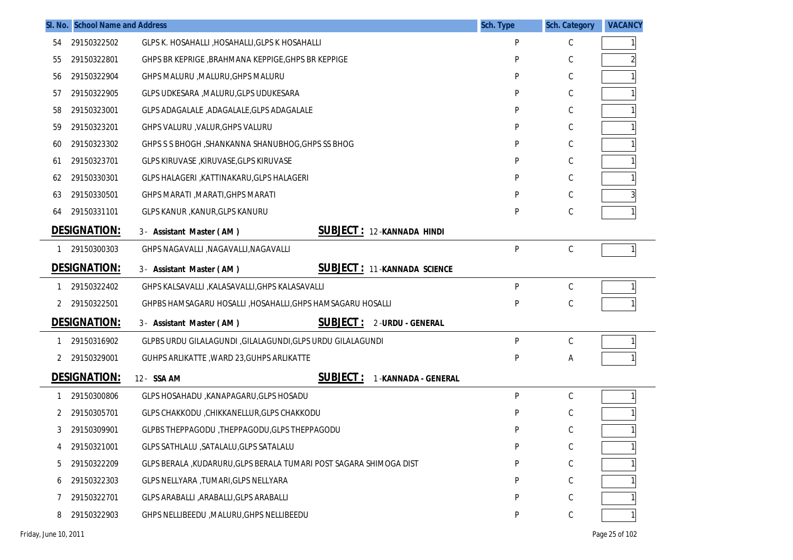|    | SI. No. School Name and Address |                                                                     | Sch. Type | <b>Sch. Category</b> | <b>VACANCY</b> |
|----|---------------------------------|---------------------------------------------------------------------|-----------|----------------------|----------------|
| 54 | 29150322502                     | GLPS K. HOSAHALLI , HOSAHALLI, GLPS K HOSAHALLI                     | P         | С                    |                |
| 55 | 29150322801                     | GHPS BR KEPRIGE, BRAHMANA KEPPIGE, GHPS BR KEPPIGE                  | P         | С                    |                |
| 56 | 29150322904                     | GHPS MALURU , MALURU, GHPS MALURU                                   | P         | С                    |                |
| 57 | 29150322905                     | GLPS UDKESARA , MALURU, GLPS UDUKESARA                              | P         | С                    |                |
| 58 | 29150323001                     | GLPS ADAGALALE , ADAGALALE, GLPS ADAGALALE                          | P         | С                    |                |
| 59 | 29150323201                     | GHPS VALURU , VALUR, GHPS VALURU                                    | P         | С                    |                |
| 60 | 29150323302                     | GHPS S S BHOGH, SHANKANNA SHANUBHOG, GHPS SS BHOG                   | P         | С                    |                |
| 61 | 29150323701                     | GLPS KIRUVASE, KIRUVASE, GLPS KIRUVASE                              | P         | С                    |                |
| 62 | 29150330301                     | GLPS HALAGERI, KATTINAKARU, GLPS HALAGERI                           | P         | С                    |                |
| 63 | 29150330501                     | GHPS MARATI, MARATI, GHPS MARATI                                    | P         | С                    |                |
| 64 | 29150331101                     | GLPS KANUR , KANUR, GLPS KANURU                                     | P         | С                    |                |
|    | <b>DESIGNATION:</b>             | <b>SUBJECT: 12-KANNADA HINDI</b><br>3- Assistant Master (AM)        |           |                      |                |
| 1  | 29150300303                     | GHPS NAGAVALLI , NAGAVALLI, NAGAVALLI                               | P         | $\mathsf C$          |                |
|    | <b>DESIGNATION:</b>             | <b>SUBJECT: 11-KANNADA SCIENCE</b><br>3- Assistant Master (AM)      |           |                      |                |
|    | 29150322402                     | GHPS KALSAVALLI , KALASAVALLI, GHPS KALASAVALLI                     | P         | С                    |                |
| 2  | 29150322501                     | GHPBS HAMSAGARU HOSALLI , HOSAHALLI, GHPS HAMSAGARU HOSALLI         | P         | С                    |                |
|    | <b>DESIGNATION:</b>             | <b>SUBJECT:</b><br>2-URDU - GENERAL<br>3- Assistant Master (AM)     |           |                      |                |
|    | 29150316902                     | GLPBS URDU GILALAGUNDI , GILALAGUNDI, GLPS URDU GILALAGUNDI         | P         | С                    |                |
| 2  | 29150329001                     | GUHPS ARLIKATTE, WARD 23, GUHPS ARLIKATTE                           | P         | А                    |                |
|    | <b>DESIGNATION:</b>             | <u>SUBJECT :</u><br>12- SSA AM<br>1-KANNADA - GENERAL               |           |                      |                |
|    | 29150300806                     | GLPS HOSAHADU , KANAPAGARU, GLPS HOSADU                             | P         | С                    |                |
| 2  | 29150305701                     | GLPS CHAKKODU , CHIKKANELLUR, GLPS CHAKKODU                         | P         | С                    |                |
| 3  | 29150309901                     | GLPBS THEPPAGODU, THEPPAGODU, GLPS THEPPAGODU                       | P         | С                    |                |
|    | 29150321001                     | GLPS SATHLALU , SATALALU, GLPS SATALALU                             | P         | С                    |                |
|    | 29150322209                     | GLPS BERALA , KUDARURU, GLPS BERALA TUMARI POST SAGARA SHIMOGA DIST | P         | С                    |                |
| 6  | 29150322303                     | GLPS NELLYARA , TUMARI, GLPS NELLYARA                               | P         | С                    |                |
|    | 29150322701                     | GLPS ARABALLI , ARABALLI, GLPS ARABALLI                             | P         | С                    |                |
| 8  | 29150322903                     | GHPS NELLIBEEDU , MALURU, GHPS NELLIBEEDU                           | P         | С                    |                |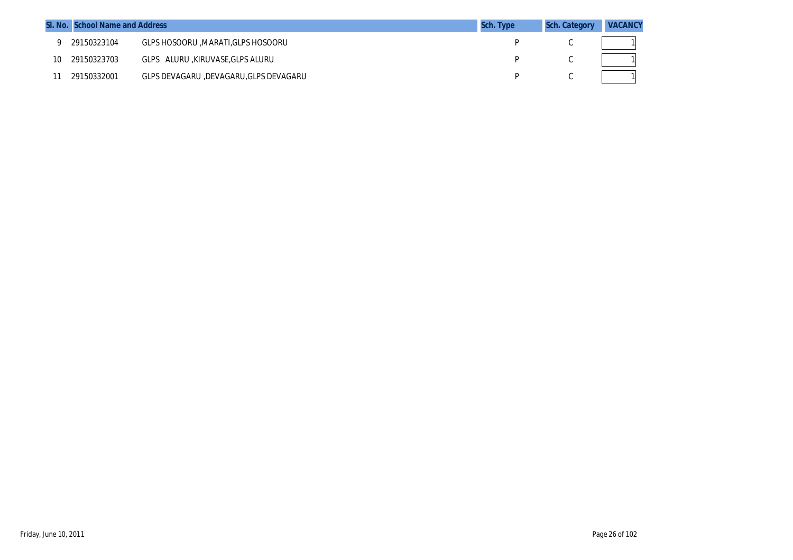|    | SI. No. School Name and Address |                                       | <b>Sch. Type</b> | <b>Sch. Category</b> | <b>VACANCY</b> |
|----|---------------------------------|---------------------------------------|------------------|----------------------|----------------|
|    | 29150323104                     | GLPS HOSOORU , MARATI, GLPS HOSOORU   |                  |                      |                |
| 10 | 29150323703                     | GLPS ALURU KIRUVASE, GLPS ALURU       |                  |                      |                |
|    | 29150332001                     | GLPS DEVAGARU ,DEVAGARU,GLPS DEVAGARU |                  |                      |                |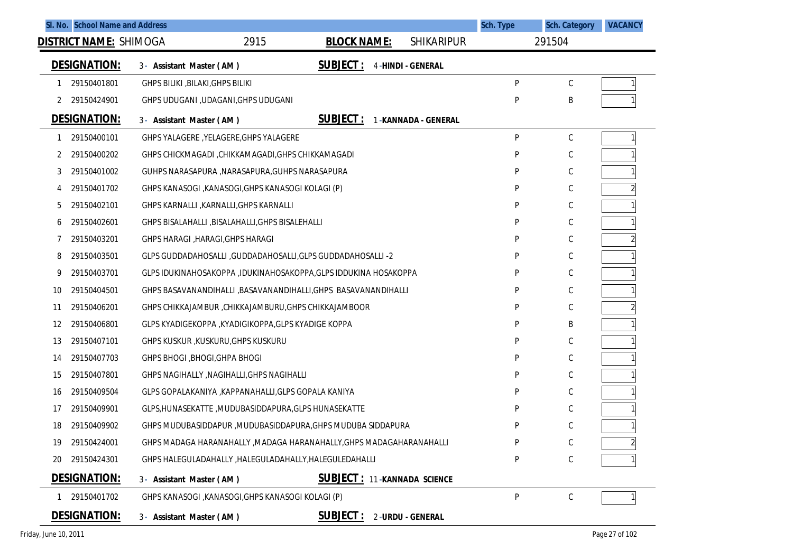|    |                               | SI. No. School Name and Address                      |                                                                      |                          | Sch. Type | <b>Sch. Category</b> | <b>VACANCY</b> |
|----|-------------------------------|------------------------------------------------------|----------------------------------------------------------------------|--------------------------|-----------|----------------------|----------------|
|    | <b>DISTRICT NAME: SHIMOGA</b> |                                                      | 2915<br><b>BLOCK NAME:</b>                                           | <b>SHIKARIPUR</b>        |           | 291504               |                |
|    | <b>DESIGNATION:</b>           | 3- Assistant Master (AM)                             | <b>SUBJECT:</b>                                                      | <b>4-HINDI - GENERAL</b> |           |                      |                |
| 1  | 29150401801                   | GHPS BILIKI , BILAKI, GHPS BILIKI                    |                                                                      |                          | P         | С                    |                |
| 2  | 29150424901                   | GHPS UDUGANI , UDAGANI, GHPS UDUGANI                 |                                                                      |                          | P         | B                    |                |
|    | <b>DESIGNATION:</b>           | 3- Assistant Master (AM)                             | <b>SUBJECT:</b>                                                      | 1-KANNADA - GENERAL      |           |                      |                |
| -1 | 29150400101                   | GHPS YALAGERE, YELAGERE, GHPS YALAGERE               |                                                                      |                          | P         | С                    |                |
| 2  | 29150400202                   |                                                      | GHPS CHICKMAGADI, CHIKKAMAGADI, GHPS CHIKKAMAGADI                    |                          | P         | С                    |                |
| 3  | 29150401002                   | GUHPS NARASAPURA , NARASAPURA, GUHPS NARASAPURA      |                                                                      |                          | P         | С                    |                |
| 4  | 29150401702                   | GHPS KANASOGI , KANASOGI, GHPS KANASOGI KOLAGI (P)   |                                                                      |                          | P         | С                    |                |
| 5  | 29150402101                   | GHPS KARNALLI , KARNALLI, GHPS KARNALLI              |                                                                      |                          | P         | С                    |                |
| 6  | 29150402601                   | GHPS BISALAHALLI , BISALAHALLI, GHPS BISALEHALLI     |                                                                      |                          | P         | С                    |                |
|    | 29150403201                   | GHPS HARAGI, HARAGI, GHPS HARAGI                     |                                                                      |                          | P         | С                    |                |
| 8  | 29150403501                   |                                                      | GLPS GUDDADAHOSALLI , GUDDADAHOSALLI, GLPS GUDDADAHOSALLI -2         |                          | P         | С                    |                |
| 9  | 29150403701                   |                                                      | GLPS IDUKINAHOSAKOPPA ,IDUKINAHOSAKOPPA,GLPS IDDUKINA HOSAKOPPA      |                          | P         | С                    |                |
| 10 | 29150404501                   |                                                      | GHPS BASAVANANDIHALLI ,BASAVANANDIHALLI, GHPS BASAVANANDIHALLI       |                          | P         | С                    |                |
| 11 | 29150406201                   |                                                      | GHPS CHIKKAJAMBUR, CHIKKAJAMBURU, GHPS CHIKKAJAMBOOR                 |                          | P         | С                    |                |
| 12 | 29150406801                   | GLPS KYADIGEKOPPA , KYADIGIKOPPA, GLPS KYADIGE KOPPA |                                                                      |                          | P         | Β                    |                |
| 13 | 29150407101                   | GHPS KUSKUR , KUSKURU, GHPS KUSKURU                  |                                                                      |                          | P         | С                    |                |
| 14 | 29150407703                   | GHPS BHOGI, BHOGI, GHPA BHOGI                        |                                                                      |                          | P         | С                    |                |
| 15 | 29150407801                   | GHPS NAGIHALLY, NAGIHALLI, GHPS NAGIHALLI            |                                                                      |                          | P         | С                    |                |
| 16 | 29150409504                   |                                                      | GLPS GOPALAKANIYA , KAPPANAHALLI, GLPS GOPALA KANIYA                 |                          | P         | С                    |                |
| 17 | 29150409901                   |                                                      | GLPS, HUNASEKATTE, MUDUBASIDDAPURA, GLPS HUNASEKATTE                 |                          | P         | С                    |                |
| 18 | 29150409902                   |                                                      | GHPS MUDUBASIDDAPUR, MUDUBASIDDAPURA, GHPS MUDUBA SIDDAPURA          |                          | P         | С                    |                |
| 19 | 29150424001                   |                                                      | GHPS MADAGA HARANAHALLY , MADAGA HARANAHALLY, GHPS MADAGAHARANAHALLI |                          | P         | С                    | 21             |
| 20 | 29150424301                   |                                                      | GHPS HALEGULADAHALLY , HALEGULADAHALLY, HALEGULEDAHALLI              |                          | P         | С                    |                |
|    | DESIGNATION:                  | 3- Assistant Master (AM)                             | <b>SUBJECT: 11-KANNADA SCIENCE</b>                                   |                          |           |                      |                |
| 1  | 29150401702                   | GHPS KANASOGI , KANASOGI, GHPS KANASOGI KOLAGI (P)   |                                                                      |                          | P         | C                    |                |
|    | <b>DESIGNATION:</b>           | 3- Assistant Master (AM)                             | <u>SUBJECT :</u>                                                     | 2-URDU - GENERAL         |           |                      |                |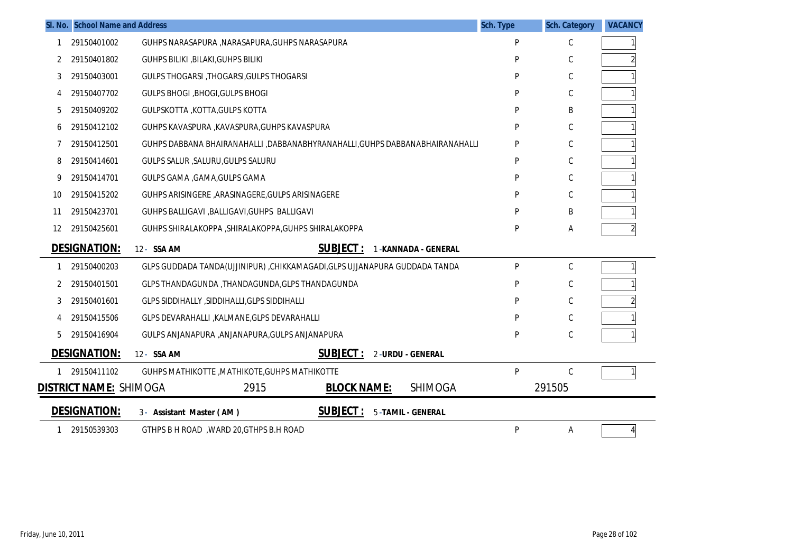|    | SI. No. School Name and Address |                                                                             | Sch. Type | <b>Sch. Category</b> | <b>VACANCY</b> |
|----|---------------------------------|-----------------------------------------------------------------------------|-----------|----------------------|----------------|
| 1  | 29150401002                     | GUHPS NARASAPURA , NARASAPURA, GUHPS NARASAPURA                             | P         | С                    |                |
| 2  | 29150401802                     | <b>GUHPS BILIKI , BILAKI, GUHPS BILIKI</b>                                  | P         | С                    |                |
| 3  | 29150403001                     | <b>GULPS THOGARSI, THOGARSI, GULPS THOGARSI</b>                             | P         | $\mathsf C$          |                |
| 4  | 29150407702                     | <b>GULPS BHOGI, BHOGI, GULPS BHOGI</b>                                      | P         | С                    |                |
| 5  | 29150409202                     | GULPSKOTTA , KOTTA, GULPS KOTTA                                             | P         | B                    |                |
| 6  | 29150412102                     | GUHPS KAVASPURA , KAVASPURA, GUHPS KAVASPURA                                | P         | C                    |                |
| 7  | 29150412501                     | GUHPS DABBANA BHAIRANAHALLI ,DABBANABHYRANAHALLI,GUHPS DABBANABHAIRANAHALLI | P         | С                    |                |
| 8  | 29150414601                     | GULPS SALUR , SALURU, GULPS SALURU                                          | P         | С                    |                |
| 9  | 29150414701                     | GULPS GAMA , GAMA, GULPS GAMA                                               | P         | С                    |                |
| 10 | 29150415202                     | GUHPS ARISINGERE , ARASINAGERE, GULPS ARISINAGERE                           | P         | С                    |                |
| 11 | 29150423701                     | GUHPS BALLIGAVI , BALLIGAVI, GUHPS BALLIGAVI                                | P         | B                    |                |
| 12 | 29150425601                     | GUHPS SHIRALAKOPPA , SHIRALAKOPPA, GUHPS SHIRALAKOPPA                       | P         | A                    |                |
|    | <b>DESIGNATION:</b>             | <b>SUBJECT:</b><br>12- SSA AM<br>1-KANNADA - GENERAL                        |           |                      |                |
| 1  | 29150400203                     | GLPS GUDDADA TANDA(UJJINIPUR), CHIKKAMAGADI, GLPS UJJANAPURA GUDDADA TANDA  | P         | С                    |                |
| 2  | 29150401501                     | GLPS THANDAGUNDA , THANDAGUNDA, GLPS THANDAGUNDA                            | P         | $\mathsf C$          |                |
| 3  | 29150401601                     | GLPS SIDDIHALLY , SIDDIHALLI, GLPS SIDDIHALLI                               | P         | С                    |                |
|    | 29150415506                     | GLPS DEVARAHALLI , KALMANE, GLPS DEVARAHALLI                                | P         | C                    |                |
| 5  | 29150416904                     | GULPS ANJANAPURA , ANJANAPURA, GULPS ANJANAPURA                             | P         | C                    |                |
|    | <b>DESIGNATION:</b>             | <b>SUBJECT:</b><br>12- SSA AM<br>2-URDU - GENERAL                           |           |                      |                |
|    | 29150411102                     | GUHPS MATHIKOTTE, MATHIKOTE, GUHPS MATHIKOTTE                               | P         | C                    |                |
|    | DISTRICT NAME: SHIMOGA          | 2915<br><b>SHIMOGA</b><br><b>BLOCK NAME:</b>                                |           | 291505               |                |
|    | <b>DESIGNATION:</b>             | <b>SUBJECT:</b><br>3- Assistant Master (AM)<br>5-TAMIL - GENERAL            |           |                      |                |
|    | 29150539303                     | GTHPS B H ROAD, WARD 20, GTHPS B.H ROAD                                     | P         | A                    | $\overline{4}$ |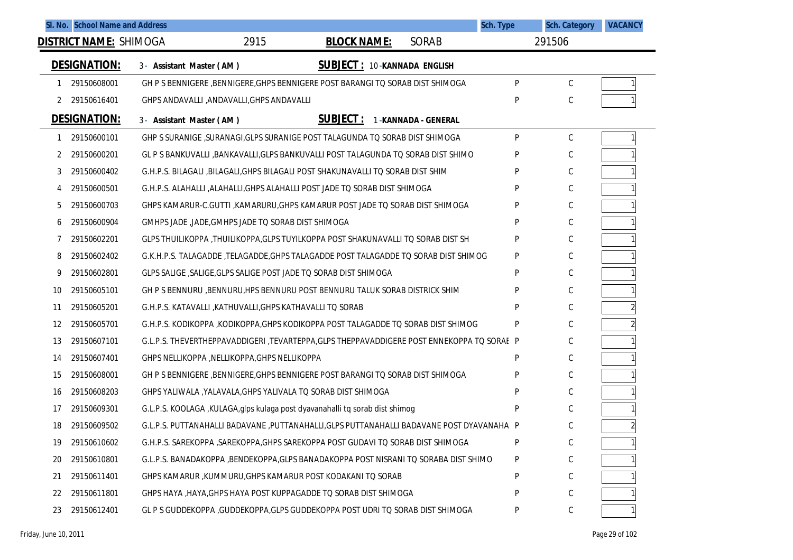|          | SI. No. School Name and Address |                          |                                                           |                                                                                           |                     | Sch. Type | <b>Sch. Category</b> | <b>VACANCY</b> |
|----------|---------------------------------|--------------------------|-----------------------------------------------------------|-------------------------------------------------------------------------------------------|---------------------|-----------|----------------------|----------------|
|          | <b>DISTRICT NAME: SHIMOGA</b>   |                          | 2915                                                      | <b>BLOCK NAME:</b>                                                                        | <b>SORAB</b>        |           | 291506               |                |
|          | <b>DESIGNATION:</b>             | 3- Assistant Master (AM) |                                                           | SUBJECT: 10-KANNADA ENGLISH                                                               |                     |           |                      |                |
|          | 29150608001                     |                          |                                                           | GH P S BENNIGERE , BENNIGERE, GHPS BENNIGERE POST BARANGI TO SORAB DIST SHIMOGA           |                     | P         | $\mathsf{C}$         |                |
| 2        | 29150616401                     |                          | GHPS ANDAVALLI , ANDAVALLI, GHPS ANDAVALLI                |                                                                                           |                     | P         | C                    |                |
|          | <b>DESIGNATION:</b>             | 3- Assistant Master (AM) |                                                           | <b>SUBJECT:</b>                                                                           | 1-KANNADA - GENERAL |           |                      |                |
| 1        | 29150600101                     |                          |                                                           | GHP S SURANIGE , SURANAGI, GLPS SURANIGE POST TALAGUNDA TO SORAB DIST SHIMOGA             |                     | P         | C                    |                |
| 2        | 29150600201                     |                          |                                                           | GL P S BANKUVALLI ,BANKAVALLI,GLPS BANKUVALLI POST TALAGUNDA TO SORAB DIST SHIMO          |                     | P         | C                    |                |
| 3        | 29150600402                     |                          |                                                           | G.H.P.S. BILAGALI ,BILAGALI,GHPS BILAGALI POST SHAKUNAVALLI TO SORAB DIST SHIM            |                     | P         | C                    |                |
| 4        | 29150600501                     |                          |                                                           | G.H.P.S. ALAHALLI ,ALAHALLI,GHPS ALAHALLI POST JADE TO SORAB DIST SHIMOGA                 |                     | P         | C                    |                |
| 5        | 29150600703                     |                          |                                                           | GHPS KAMARUR-C.GUTTI ,KAMARURU,GHPS KAMARUR POST JADE TO SORAB DIST SHIMOGA               |                     | P         | C                    |                |
| 6        | 29150600904                     |                          | GMHPS JADE, JADE, GMHPS JADE TO SORAB DIST SHIMOGA        |                                                                                           |                     | P         | C                    |                |
| $\prime$ | 29150602201                     |                          |                                                           | GLPS THUILIKOPPA, THUILIKOPPA, GLPS TUYILKOPPA POST SHAKUNAVALLI TO SORAB DIST SH         |                     | P         | С                    |                |
| 8        | 29150602402                     |                          |                                                           | G.K.H.P.S. TALAGADDE, TELAGADDE, GHPS TALAGADDE POST TALAGADDE TO SORAB DIST SHIMOG       |                     | P         | C                    |                |
| 9        | 29150602801                     |                          |                                                           | GLPS SALIGE, SALIGE, GLPS SALIGE POST JADE TO SORAB DIST SHIMOGA                          |                     | P         | С                    |                |
| 10       | 29150605101                     |                          |                                                           | GH P S BENNURU , BENNURU, HPS BENNURU POST BENNURU TALUK SORAB DISTRICK SHIM              |                     | P         | C                    |                |
| 11       | 29150605201                     |                          | G.H.P.S. KATAVALLI , KATHUVALLI, GHPS KATHAVALLI TO SORAB |                                                                                           |                     | P         | С                    |                |
| 12       | 29150605701                     |                          |                                                           | G.H.P.S. KODIKOPPA ,KODIKOPPA,GHPS KODIKOPPA POST TALAGADDE TQ SORAB DIST SHIMOG          |                     | P         | C                    |                |
| 13       | 29150607101                     |                          |                                                           | G.L.P.S. THEVERTHEPPAVADDIGERI ,TEVARTEPPA,GLPS THEPPAVADDIGERE POST ENNEKOPPA TO SORAE P |                     |           | С                    |                |
| 14       | 29150607401                     |                          | GHPS NELLIKOPPA , NELLIKOPPA, GHPS NELLIKOPPA             |                                                                                           |                     | P         | C                    |                |
| 15       | 29150608001                     |                          |                                                           | GH P S BENNIGERE , BENNIGERE, GHPS BENNIGERE POST BARANGI TO SORAB DIST SHIMOGA           |                     | P         | С                    |                |
| 16       | 29150608203                     |                          |                                                           | GHPS YALIWALA, YALAVALA, GHPS YALIVALA TO SORAB DIST SHIMOGA                              |                     | P         | C                    |                |
| 17       | 29150609301                     |                          |                                                           | G.L.P.S. KOOLAGA, KULAGA, glps kulaga post dyavanahalli tq sorab dist shimog              |                     | P         | С                    |                |
| 18       | 29150609502                     |                          |                                                           | G.L.P.S. PUTTANAHALLI BADAVANE ,PUTTANAHALLI,GLPS PUTTANAHALLI BADAVANE POST DYAVANAHA P  |                     |           | C                    |                |
| 19       | 29150610602                     |                          |                                                           | G.H.P.S. SAREKOPPA , SAREKOPPA, GHPS SAREKOPPA POST GUDAVI TO SORAB DIST SHIMOGA          |                     | P         | C                    |                |
| 20       | 29150610801                     |                          |                                                           | G.L.P.S. BANADAKOPPA .BENDEKOPPA.GLPS BANADAKOPPA POST NISRANI TO SORABA DIST SHIMO       |                     | P         | С                    |                |
| 21       | 29150611401                     |                          |                                                           | GHPS KAMARUR ,KUMMURU,GHPS KAMARUR POST KODAKANI TO SORAB                                 |                     | P         | C                    |                |
| 22       | 29150611801                     |                          |                                                           | GHPS HAYA, HAYA, GHPS HAYA POST KUPPAGADDE TO SORAB DIST SHIMOGA                          |                     | P         | C                    |                |
| 23       | 29150612401                     |                          |                                                           | GL P S GUDDEKOPPA , GUDDEKOPPA, GLPS GUDDEKOPPA POST UDRI TO SORAB DIST SHIMOGA           |                     | P         | C                    |                |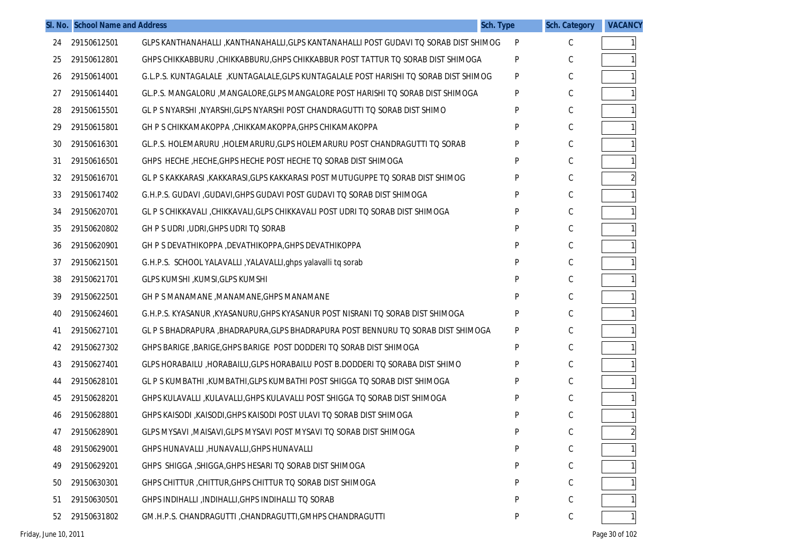|    | SI. No. School Name and Address |                                                                                        | Sch. Type | <b>Sch. Category</b> | <b>VACANCY</b> |
|----|---------------------------------|----------------------------------------------------------------------------------------|-----------|----------------------|----------------|
| 24 | 29150612501                     | GLPS KANTHANAHALLI , KANTHANAHALLI, GLPS KANTANAHALLI POST GUDAVI TO SORAB DIST SHIMOG | P         | C                    | $\mathbf{1}$   |
| 25 | 29150612801                     | GHPS CHIKKABBURU , CHIKKABBURU, GHPS CHIKKABBUR POST TATTUR TO SORAB DIST SHIMOGA      | P         | C                    | $\mathbf{1}$   |
| 26 | 29150614001                     | G.L.P.S. KUNTAGALALE, KUNTAGALALE, GLPS KUNTAGALALE POST HARISHI TO SORAB DIST SHIMOG  | P         | С                    | $\mathbf{1}$   |
| 27 | 29150614401                     | GL.P.S. MANGALORU , MANGALORE, GLPS MANGALORE POST HARISHI TO SORAB DIST SHIMOGA       | P         | С                    |                |
| 28 | 29150615501                     | GL P S NYARSHI , NYARSHI, GLPS NYARSHI POST CHANDRAGUTTI TO SORAB DIST SHIMO           | P         | С                    | $\mathbf{1}$   |
| 29 | 29150615801                     | GH P S CHIKKAMAKOPPA, CHIKKAMAKOPPA, GHPS CHIKAMAKOPPA                                 | P         | С                    |                |
| 30 | 29150616301                     | GL.P.S. HOLEMARURU , HOLEMARURU, GLPS HOLEMARURU POST CHANDRAGUTTI TO SORAB            | P         | С                    | $\mathbf{1}$   |
| 31 | 29150616501                     | GHPS HECHE, HECHE, GHPS HECHE POST HECHE TO SORAB DIST SHIMOGA                         | P         | С                    | $\mathbf{1}$   |
| 32 | 29150616701                     | GL P S KAKKARASI ,KAKKARASI,GLPS KAKKARASI POST MUTUGUPPE TQ SORAB DIST SHIMOG         | P         | С                    |                |
| 33 | 29150617402                     | G.H.P.S. GUDAVI, GUDAVI, GHPS GUDAVI POST GUDAVI TO SORAB DIST SHIMOGA                 | P         | С                    |                |
| 34 | 29150620701                     | GL P S CHIKKAVALI , CHIKKAVALI, GLPS CHIKKAVALI POST UDRI TQ SORAB DIST SHIMOGA        | P         | С                    |                |
| 35 | 29150620802                     | GH P S UDRI, UDRI, GHPS UDRI TO SORAB                                                  | P         | С                    |                |
| 36 | 29150620901                     | GH P S DEVATHIKOPPA, DEVATHIKOPPA, GHPS DEVATHIKOPPA                                   | P         | С                    |                |
| 37 | 29150621501                     | G.H.P.S. SCHOOL YALAVALLI, YALAVALLI, ghps yalavalli tq sorab                          | P         | С                    |                |
| 38 | 29150621701                     | GLPS KUMSHI, KUMSI, GLPS KUMSHI                                                        | P         | С                    |                |
| 39 | 29150622501                     | GH P S MANAMANE, MANAMANE, GHPS MANAMANE                                               | P         | С                    |                |
| 40 | 29150624601                     | G.H.P.S. KYASANUR ,KYASANURU,GHPS KYASANUR POST NISRANI TO SORAB DIST SHIMOGA          | P         | С                    |                |
| 41 | 29150627101                     | GL P S BHADRAPURA , BHADRAPURA, GLPS BHADRAPURA POST BENNURU TO SORAB DIST SHIMOGA     | P         | С                    |                |
| 42 | 29150627302                     | GHPS BARIGE, BARIGE, GHPS BARIGE POST DODDERI TO SORAB DIST SHIMOGA                    | P         | С                    |                |
| 43 | 29150627401                     | GLPS HORABAILU , HORABAILU, GLPS HORABAILU POST B. DODDERI TO SORABA DIST SHIMO        | P         | С                    |                |
| 44 | 29150628101                     | GL P S KUMBATHI , KUMBATHI, GLPS KUMBATHI POST SHIGGA TO SORAB DIST SHIMOGA            | P         | С                    |                |
| 45 | 29150628201                     | GHPS KULAVALLI ,KULAVALLI,GHPS KULAVALLI POST SHIGGA TQ SORAB DIST SHIMOGA             | P         | С                    | $\mathbf{1}$   |
| 46 | 29150628801                     | GHPS KAISODI, KAISODI, GHPS KAISODI POST ULAVI TO SORAB DIST SHIMOGA                   | P         | С                    | $\mathbf{1}$   |
| 47 | 29150628901                     | GLPS MYSAVI , MAISAVI, GLPS MYSAVI POST MYSAVI TO SORAB DIST SHIMOGA                   | P         | С                    | $\overline{c}$ |
| 48 | 29150629001                     | GHPS HUNAVALLI, HUNAVALLI, GHPS HUNAVALLI                                              | P         | С                    | 1              |
| 49 | 29150629201                     | GHPS SHIGGA, SHIGGA, GHPS HESARI TO SORAB DIST SHIMOGA                                 | P         | С                    |                |
| 50 | 29150630301                     | GHPS CHITTUR, CHITTUR, GHPS CHITTUR TO SORAB DIST SHIMOGA                              | P         | С                    |                |
| 51 | 29150630501                     | GHPS INDIHALLI , INDIHALLI, GHPS INDIHALLI TO SORAB                                    | P         | С                    |                |
| 52 | 29150631802                     | GM.H.P.S. CHANDRAGUTTI, CHANDRAGUTTI, GMHPS CHANDRAGUTTI                               | P         | С                    | $\mathbf{1}$   |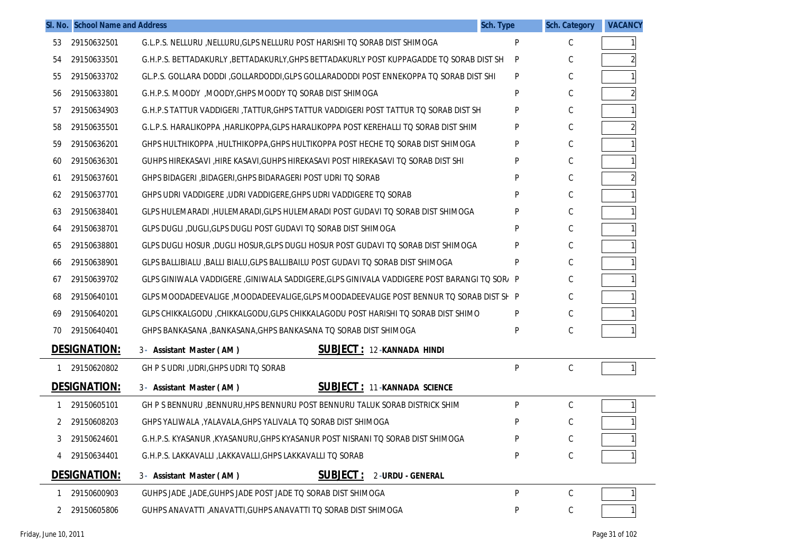|    | SI. No. School Name and Address |                                                                                            | Sch. Type | <b>Sch. Category</b> | <b>VACANCY</b> |
|----|---------------------------------|--------------------------------------------------------------------------------------------|-----------|----------------------|----------------|
| 53 | 29150632501                     | G.L.P.S. NELLURU , NELLURU, GLPS NELLURU POST HARISHI TO SORAB DIST SHIMOGA                | P         | C                    |                |
| 54 | 29150633501                     | G.H.P.S. BETTADAKURLY , BETTADAKURLY, GHPS BETTADAKURLY POST KUPPAGADDE TO SORAB DIST SH   | P         | С                    |                |
| 55 | 29150633702                     | GL.P.S. GOLLARA DODDI ,GOLLARDODDI,GLPS GOLLARADODDI POST ENNEKOPPA TO SORAB DIST SHI      | P         | С                    |                |
| 56 | 29150633801                     | G.H.P.S. MOODY, MOODY, GHPS MOODY TO SORAB DIST SHIMOGA                                    | p         | С                    |                |
| 57 | 29150634903                     | G.H.P.S TATTUR VADDIGERI ,TATTUR,GHPS TATTUR VADDIGERI POST TATTUR TO SORAB DIST SH        | P         | С                    |                |
| 58 | 29150635501                     | G.L.P.S. HARALIKOPPA , HARLIKOPPA, GLPS HARALIKOPPA POST KEREHALLI TO SORAB DIST SHIM      | D         | С                    |                |
| 59 | 29150636201                     | GHPS HULTHIKOPPA, HULTHIKOPPA, GHPS HULTIKOPPA POST HECHE TO SORAB DIST SHIMOGA            | D         | С                    |                |
| 60 | 29150636301                     | GUHPS HIREKASAVI ,HIRE KASAVI, GUHPS HIREKASAVI POST HIREKASAVI TO SORAB DIST SHI          | D         | С                    |                |
| 61 | 29150637601                     | GHPS BIDAGERI , BIDAGERI, GHPS BIDARAGERI POST UDRI TO SORAB                               | D         | С                    |                |
| 62 | 29150637701                     | GHPS UDRI VADDIGERE, UDRI VADDIGERE, GHPS UDRI VADDIGERE TO SORAB                          | D         | С                    |                |
| 63 | 29150638401                     | GLPS HULEMARADI, HULEMARADI, GLPS HULEMARADI POST GUDAVI TO SORAB DIST SHIMOGA             | P         | C                    |                |
| 64 | 29150638701                     | GLPS DUGLI, DUGLI, GLPS DUGLI POST GUDAVI TO SORAB DIST SHIMOGA                            |           | С                    |                |
| 65 | 29150638801                     | GLPS DUGLI HOSUR ,DUGLI HOSUR,GLPS DUGLI HOSUR POST GUDAVI TO SORAB DIST SHIMOGA           | D         | С                    |                |
| 66 | 29150638901                     | GLPS BALLIBIALU , BALLI BIALU, GLPS BALLIBAILU POST GUDAVI TO SORAB DIST SHIMOGA           | P         | С                    |                |
| 67 | 29150639702                     | GLPS GINIWALA VADDIGERE ,GINIWALA SADDIGERE,GLPS GINIVALA VADDIGERE POST BARANGI TO SOR/ P |           | С                    |                |
| 68 | 29150640101                     | GLPS MOODADEEVALIGE ,MOODADEEVALIGE,GLPS MOODADEEVALIGE POST BENNUR TO SORAB DIST SF P     |           | C                    |                |
| 69 | 29150640201                     | GLPS CHIKKALGODU ,CHIKKALGODU,GLPS CHIKKALAGODU POST HARISHI TO SORAB DIST SHIMO           | P         | С                    |                |
| 70 | 29150640401                     | GHPS BANKASANA , BANKASANA, GHPS BANKASANA TO SORAB DIST SHIMOGA                           | D         | С                    |                |
|    | <b>DESIGNATION:</b>             | <b>SUBJECT: 12-KANNADA HINDI</b><br>3- Assistant Master (AM)                               |           |                      |                |
|    | 29150620802                     | GH P S UDRI, UDRI, GHPS UDRI TO SORAB                                                      | P         | C                    |                |
|    | <b>DESIGNATION:</b>             | <b>SUBJECT: 11-KANNADA SCIENCE</b><br>3- Assistant Master (AM)                             |           |                      |                |
|    | 29150605101                     | GH P S BENNURU , BENNURU, HPS BENNURU POST BENNURU TALUK SORAB DISTRICK SHIM               | P         | $\mathsf C$          |                |
|    | 29150608203                     | GHPS YALIWALA , YALAVALA, GHPS YALIVALA TO SORAB DIST SHIMOGA                              |           | C                    |                |
|    | 29150624601                     | G.H.P.S. KYASANUR ,KYASANURU,GHPS KYASANUR POST NISRANI TO SORAB DIST SHIMOGA              |           |                      |                |
|    | 29150634401                     | G.H.P.S. LAKKAVALLI ,LAKKAVALLI, GHPS LAKKAVALLI TO SORAB                                  | P         | С                    |                |
|    | <b>DESIGNATION:</b>             | <b>SUBJECT:</b><br>2-URDU - GENERAL<br>3- Assistant Master (AM)                            |           |                      |                |
|    | 29150600903                     | GUHPS JADE, JADE, GUHPS JADE POST JADE TO SORAB DIST SHIMOGA                               | P         | C                    |                |
|    | 29150605806                     | GUHPS ANAVATTI , ANAVATTI, GUHPS ANAVATTI TO SORAB DIST SHIMOGA                            | P         | С                    |                |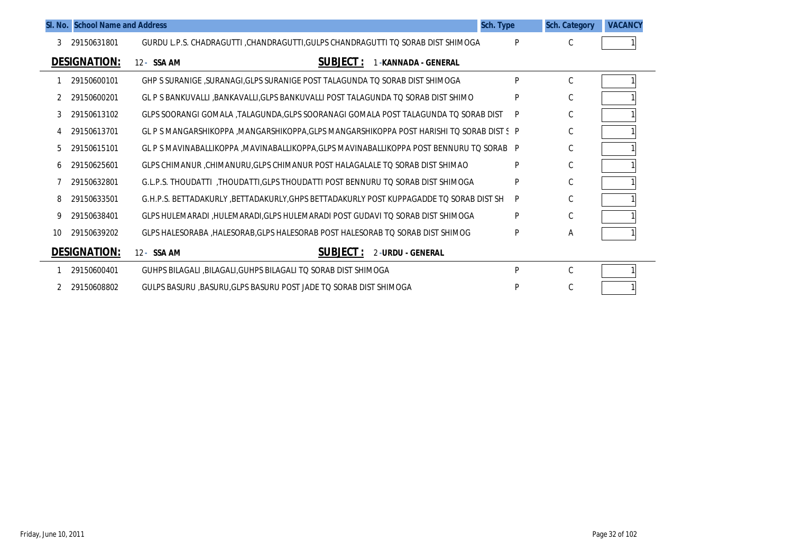|    | SI. No. School Name and Address |                                                                                            | Sch. Type | <b>Sch. Category</b> | <b>VACANCY</b> |
|----|---------------------------------|--------------------------------------------------------------------------------------------|-----------|----------------------|----------------|
| 3  | 29150631801                     | GURDU L.P.S. CHADRAGUTTI ,CHANDRAGUTTI,GULPS CHANDRAGUTTI TO SORAB DIST SHIMOGA            | P         | C                    |                |
|    | <b>DESIGNATION:</b>             | <b>SUBJECT:</b><br>12- SSA AM<br>-KANNADA - GENERAL                                        |           |                      |                |
|    | 29150600101                     | GHP S SURANIGE , SURANAGI, GLPS SURANIGE POST TALAGUNDA TO SORAB DIST SHIMOGA              | Þ         | C                    |                |
|    | 29150600201                     | GL P S BANKUVALLI ,BANKAVALLI,GLPS BANKUVALLI POST TALAGUNDA TO SORAB DIST SHIMO           | P         | C                    |                |
| 3  | 29150613102                     | GLPS SOORANGI GOMALA ,TALAGUNDA,GLPS SOORANAGI GOMALA POST TALAGUNDA TQ SORAB DIST         | P         | C                    |                |
|    | 29150613701                     | GL P S MANGARSHIKOPPA , MANGARSHIKOPPA, GLPS MANGARSHIKOPPA POST HARISHI TO SORAB DIST S P |           | $\mathsf C$          |                |
| 5  | 29150615101                     | GL P S MAVINABALLIKOPPA , MAVINABALLIKOPPA, GLPS MAVINABALLIKOPPA POST BENNURU TO SORAB P  |           | C                    |                |
| 6  | 29150625601                     | GLPS CHIMANUR, CHIMANURU, GLPS CHIMANUR POST HALAGALALE TO SORAB DIST SHIMAO               | P         | C                    |                |
|    | 29150632801                     | G.L.P.S. THOUDATTI , THOUDATTI, GLPS THOUDATTI POST BENNURU TO SORAB DIST SHIMOGA          | P         | C                    |                |
| 8  | 29150633501                     | G.H.P.S. BETTADAKURLY ,BETTADAKURLY,GHPS BETTADAKURLY POST KUPPAGADDE TO SORAB DIST SH     | P         | C                    |                |
| 9  | 29150638401                     | GLPS HULEMARADI, HULEMARADI, GLPS HULEMARADI POST GUDAVI TO SORAB DIST SHIMOGA             | P         | C                    |                |
| 10 | 29150639202                     | GLPS HALESORABA, HALESORAB, GLPS HALESORAB POST HALESORAB TO SORAB DIST SHIMOG             | P         | Α                    |                |
|    | <b>DESIGNATION:</b>             | <b>SUBJECT:</b><br>2-URDU - GENERAL<br>12- SSA AM                                          |           |                      |                |
|    | 29150600401                     | GUHPS BILAGALI BILAGALI GUHPS BILAGALI TO SORAB DIST SHIMOGA                               | Þ         | $\mathcal{C}$        |                |
|    | 29150608802                     | GULPS BASURU, BASURU, GLPS BASURU POST JADE TO SORAB DIST SHIMOGA                          | P         | C                    |                |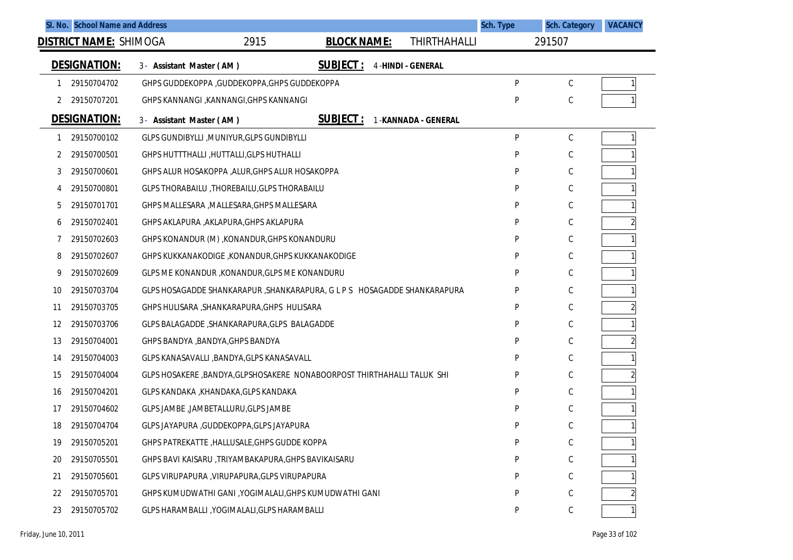|    | SI. No. School Name and Address |                          |                                                      |                                                                           |                          | Sch. Type | <b>Sch. Category</b> | <b>VACANCY</b> |
|----|---------------------------------|--------------------------|------------------------------------------------------|---------------------------------------------------------------------------|--------------------------|-----------|----------------------|----------------|
|    | <u>DISTRICT NAME:</u> SHIMOGA   |                          | 2915                                                 | <b>BLOCK NAME:</b>                                                        | <b>THIRTHAHALLI</b>      |           | 291507               |                |
|    | <b>DESIGNATION:</b>             | 3- Assistant Master (AM) |                                                      | <b>SUBJECT:</b>                                                           | <b>4-HINDI - GENERAL</b> |           |                      |                |
|    | 29150704702                     |                          | GHPS GUDDEKOPPA , GUDDEKOPPA, GHPS GUDDEKOPPA        |                                                                           |                          | P         | С                    |                |
| 2  | 29150707201                     |                          | GHPS KANNANGI , KANNANGI, GHPS KANNANGI              |                                                                           |                          | P         | C                    |                |
|    | <b>DESIGNATION:</b>             | 3- Assistant Master (AM) |                                                      | <b>SUBJECT:</b>                                                           | 1-KANNADA - GENERAL      |           |                      |                |
|    | 29150700102                     |                          | GLPS GUNDIBYLLI , MUNIYUR, GLPS GUNDIBYLLI           |                                                                           |                          | P         | С                    |                |
| 2  | 29150700501                     |                          | GHPS HUTTTHALLI, HUTTALLI, GLPS HUTHALLI             |                                                                           |                          | P         | С                    |                |
| 3  | 29150700601                     |                          | GHPS ALUR HOSAKOPPA , ALUR, GHPS ALUR HOSAKOPPA      |                                                                           |                          | P         | С                    |                |
| 4  | 29150700801                     |                          | GLPS THORABAILU, THOREBAILU, GLPS THORABAILU         |                                                                           |                          | P         | С                    |                |
| 5  | 29150701701                     |                          | GHPS MALLESARA , MALLESARA, GHPS MALLESARA           |                                                                           |                          | P         | С                    |                |
| 6  | 29150702401                     |                          | GHPS AKLAPURA , AKLAPURA, GHPS AKLAPURA              |                                                                           |                          | P         | С                    | $\overline{2}$ |
|    | 29150702603                     |                          | GHPS KONANDUR (M), KONANDUR, GHPS KONANDURU          |                                                                           |                          | P         | C                    |                |
| 8  | 29150702607                     |                          | GHPS KUKKANAKODIGE, KONANDUR, GHPS KUKKANAKODIGE     |                                                                           |                          | P         | С                    |                |
| 9  | 29150702609                     |                          | GLPS ME KONANDUR, KONANDUR, GLPS ME KONANDURU        |                                                                           |                          | P         | C                    |                |
| 10 | 29150703704                     |                          |                                                      | GLPS HOSAGADDE SHANKARAPUR , SHANKARAPURA, G L P S HOSAGADDE SHANKARAPURA |                          | P         | С                    |                |
| 11 | 29150703705                     |                          | GHPS HULISARA , SHANKARAPURA, GHPS HULISARA          |                                                                           |                          | P         | С                    | $\overline{c}$ |
| 12 | 29150703706                     |                          | GLPS BALAGADDE, SHANKARAPURA, GLPS BALAGADDE         |                                                                           |                          | P         | С                    |                |
| 13 | 29150704001                     |                          | GHPS BANDYA , BANDYA, GHPS BANDYA                    |                                                                           |                          | P         | C                    | $\overline{c}$ |
| 14 | 29150704003                     |                          | GLPS KANASAVALLI , BANDYA, GLPS KANASAVALL           |                                                                           |                          | P         | С                    |                |
| 15 | 29150704004                     |                          |                                                      | GLPS HOSAKERE , BANDYA, GLPSHOSAKERE NONABOORPOST THIRTHAHALLI TALUK SHI  |                          | P         | С                    | $\overline{c}$ |
| 16 | 29150704201                     |                          | GLPS KANDAKA , KHANDAKA, GLPS KANDAKA                |                                                                           |                          | P         | С                    |                |
| 17 | 29150704602                     |                          | GLPS JAMBE , JAMBETALLURU, GLPS JAMBE                |                                                                           |                          | P         | C                    |                |
| 18 | 29150704704                     |                          | GLPS JAYAPURA , GUDDEKOPPA, GLPS JAYAPURA            |                                                                           |                          | P         | С                    |                |
| 19 | 29150705201                     |                          | GHPS PATREKATTE, HALLUSALE, GHPS GUDDE KOPPA         |                                                                           |                          | P         | С                    |                |
| 20 | 29150705501                     |                          | GHPS BAVI KAISARU , TRIYAMBAKAPURA, GHPS BAVIKAISARU |                                                                           |                          | P         | C                    |                |
| 21 | 29150705601                     |                          | GLPS VIRUPAPURA, VIRUPAPURA, GLPS VIRUPAPURA         |                                                                           |                          |           | C                    |                |
| 22 | 29150705701                     |                          |                                                      | GHPS KUMUDWATHI GANI , YOGIMALALI, GHPS KUMUDWATHI GANI                   |                          | P         | C                    |                |
| 23 | 29150705702                     |                          | GLPS HARAMBALLI , YOGIMALALI, GLPS HARAMBALLI        |                                                                           |                          | P         |                      |                |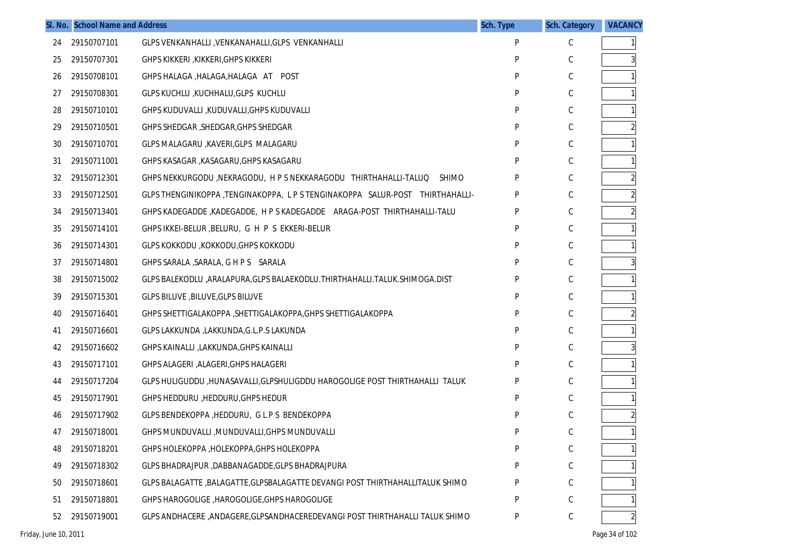|    | SI. No. School Name and Address |                                                                                 | Sch. Type | <b>Sch. Category</b> | <b>VACANCY</b> |
|----|---------------------------------|---------------------------------------------------------------------------------|-----------|----------------------|----------------|
| 24 | 29150707101                     | GLPS VENKANHALLI, VENKANAHALLI, GLPS VENKANHALLI                                | P         | C                    |                |
| 25 | 29150707301                     | GHPS KIKKERI ,KIKKERI,GHPS KIKKERI                                              | P         | C                    |                |
| 26 | 29150708101                     | GHPS HALAGA, HALAGA, HALAGA AT POST                                             | P         | С                    |                |
| 27 | 29150708301                     | GLPS KUCHLU KUCHHALU GLPS KUCHLU                                                | P         | С                    |                |
| 28 | 29150710101                     | GHPS KUDUVALLI ,KUDUVALLI,GHPS KUDUVALLI                                        | P         | С                    |                |
| 29 | 29150710501                     | GHPS SHEDGAR , SHEDGAR, GHPS SHEDGAR                                            | P         | С                    |                |
| 30 | 29150710701                     | GLPS MALAGARU , KAVERI, GLPS MALAGARU                                           | P         | С                    |                |
| 31 | 29150711001                     | GHPS KASAGAR , KASAGARU, GHPS KASAGARU                                          | P         | С                    |                |
| 32 | 29150712301                     | GHPS NEKKURGODU, NEKRAGODU, H P S NEKKARAGODU THIRTHAHALLI-TALUQ SHIMO          | P         | С                    |                |
| 33 | 29150712501                     | GLPS THENGINIKOPPA, TENGINAKOPPA, LPS TENGINAKOPPA SALUR-POST THIRTHAHALLI-     | P         | С                    |                |
| 34 | 29150713401                     | GHPS KADEGADDE, KADEGADDE, H P S KADEGADDE    ARAGA-POST THIRTHAHALLI-TALU      | P         | С                    |                |
| 35 | 29150714101                     | GHPS IKKEI-BELUR, BELURU, G H P S EKKERI-BELUR                                  | P         | С                    |                |
| 36 | 29150714301                     | GLPS KOKKODU ,KOKKODU,GHPS KOKKODU                                              | P         | С                    |                |
| 37 | 29150714801                     | GHPS SARALA, SARALA, G H P S SARALA                                             | P         | С                    |                |
| 38 | 29150715002                     | GLPS BALEKODLU , ARALAPURA, GLPS BALAEKODLU. THIRTHAHALLI. TALUK. SHIMOGA. DIST | P         | С                    |                |
| 39 | 29150715301                     | GLPS BILUVE , BILUVE, GLPS BILUVE                                               | P         | С                    |                |
| 40 | 29150716401                     | GHPS SHETTIGALAKOPPA , SHETTIGALAKOPPA, GHPS SHETTIGALAKOPPA                    | P         | С                    |                |
| 41 | 29150716601                     | GLPS LAKKUNDA ,LAKKUNDA,G.L.P.S LAKUNDA                                         | P         | С                    |                |
| 42 | 29150716602                     | GHPS KAINALLI ,LAKKUNDA,GHPS KAINALLI                                           | P         | С                    |                |
| 43 | 29150717101                     | GHPS ALAGERI , ALAGERI, GHPS HALAGERI                                           | P         | С                    |                |
| 44 | 29150717204                     | GLPS HULIGUDDU ,HUNASAVALLI,GLPSHULIGDDU HAROGOLIGE POST THIRTHAHALLI TALUK     | P         | С                    |                |
| 45 | 29150717901                     | GHPS HEDDURU, HEDDURU, GHPS HEDUR                                               | P         | С                    |                |
| 46 | 29150717902                     | GLPS BENDEKOPPA, HEDDURU, GLPS BENDEKOPPA                                       | P         | С                    |                |
| 47 | 29150718001                     | GHPS MUNDUVALLI , MUNDUVALLI, GHPS MUNDUVALLI                                   | P         | C                    |                |
| 48 | 29150718201                     | GHPS HOLEKOPPA, HOLEKOPPA, GHPS HOLEKOPPA                                       | P         | С                    |                |
| 49 | 29150718302                     | GLPS BHADRAJPUR, DABBANAGADDE, GLPS BHADRAJPURA                                 | P         | С                    |                |
| 50 | 29150718601                     | GLPS BALAGATTE , BALAGATTE, GLPSBALAGATTE DEVANGI POST THIRTHAHALLITALUK SHIMO  | P         | С                    |                |
| 51 | 29150718801                     | GHPS HAROGOLIGE, HAROGOLIGE, GHPS HAROGOLIGE                                    | P         | С                    |                |
| 52 | 29150719001                     | GLPS ANDHACERE ,ANDAGERE,GLPSANDHACEREDEVANGI POST THIRTHAHALLI TALUK SHIMO     | P         | С                    |                |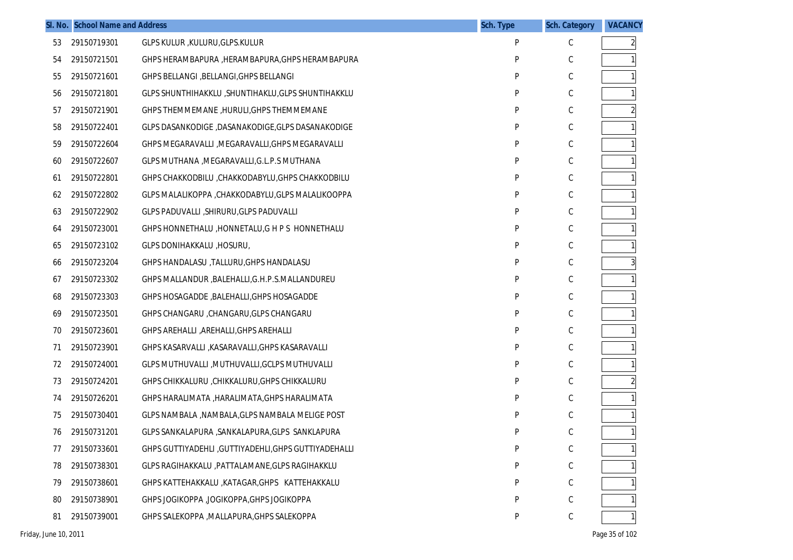|    | SI. No. School Name and Address |                                                       | <b>Sch. Type</b> | <b>Sch. Category</b> | <b>VACANCY</b> |
|----|---------------------------------|-------------------------------------------------------|------------------|----------------------|----------------|
| 53 | 29150719301                     | GLPS KULUR , KULURU, GLPS. KULUR                      | P                | C                    | $\overline{2}$ |
| 54 | 29150721501                     | GHPS HERAMBAPURA , HERAMBAPURA, GHPS HERAMBAPURA      | P                | С                    | $\mathbf{1}$   |
| 55 | 29150721601                     | GHPS BELLANGI , BELLANGI, GHPS BELLANGI               | P                | С                    | $\mathbf{1}$   |
| 56 | 29150721801                     | GLPS SHUNTHIHAKKLU, SHUNTIHAKLU, GLPS SHUNTIHAKKLU    | P                | С                    | $\mathbf{1}$   |
| 57 | 29150721901                     | GHPS THEMMEMANE, HURULI, GHPS THEMMEMANE              | P                | С                    | $\overline{2}$ |
| 58 | 29150722401                     | GLPS DASANKODIGE ,DASANAKODIGE,GLPS DASANAKODIGE      | P                | С                    | $\mathbf{1}$   |
| 59 | 29150722604                     | GHPS MEGARAVALLI , MEGARAVALLI, GHPS MEGARAVALLI      | P                | С                    | $\mathbf{1}$   |
| 60 | 29150722607                     | GLPS MUTHANA , MEGARAVALLI, G.L.P.S MUTHANA           | P                | С                    | $\mathbf{1}$   |
| 61 | 29150722801                     | GHPS CHAKKODBILU, CHAKKODABYLU, GHPS CHAKKODBILU      | P                | С                    | $\mathbf{1}$   |
| 62 | 29150722802                     | GLPS MALALIKOPPA ,CHAKKODABYLU,GLPS MALALIKOOPPA      | P                | С                    |                |
| 63 | 29150722902                     | GLPS PADUVALLI, SHIRURU, GLPS PADUVALLI               | P                | C                    | $\mathbf{1}$   |
| 64 | 29150723001                     | GHPS HONNETHALU, HONNETALU, G H P S HONNETHALU        | P                | С                    | $\mathbf{1}$   |
| 65 | 29150723102                     | GLPS DONIHAKKALU , HOSURU,                            | P                | С                    | $\mathbf{1}$   |
| 66 | 29150723204                     | GHPS HANDALASU , TALLURU, GHPS HANDALASU              | P                | С                    | $\overline{3}$ |
| 67 | 29150723302                     | GHPS MALLANDUR , BALEHALLI, G.H.P.S. MALLANDUREU      | P                | С                    | $\mathbf{1}$   |
| 68 | 29150723303                     | GHPS HOSAGADDE, BALEHALLI, GHPS HOSAGADDE             | P                | С                    | $\mathbf{1}$   |
| 69 | 29150723501                     | GHPS CHANGARU , CHANGARU, GLPS CHANGARU               | P                | С                    | $\mathbf{1}$   |
| 70 | 29150723601                     | GHPS AREHALLI , AREHALLI, GHPS AREHALLI               | P                | С                    | $\mathbf{1}$   |
| 71 | 29150723901                     | GHPS KASARVALLI , KASARAVALLI, GHPS KASARAVALLI       | P                | С                    | $\mathbf{1}$   |
| 72 | 29150724001                     | GLPS MUTHUVALLI , MUTHUVALLI, GCLPS MUTHUVALLI        | P                | С                    | $\mathbf{1}$   |
| 73 | 29150724201                     | GHPS CHIKKALURU , CHIKKALURU, GHPS CHIKKALURU         | P                | С                    |                |
| 74 | 29150726201                     | GHPS HARALIMATA , HARALIMATA, GHPS HARALIMATA         | P                | C                    | $\mathbf{1}$   |
| 75 | 29150730401                     | GLPS NAMBALA , NAMBALA, GLPS NAMBALA MELIGE POST      | P                | С                    | $\mathbf{1}$   |
| 76 | 29150731201                     | GLPS SANKALAPURA , SANKALAPURA, GLPS SANKLAPURA       | P                | С                    | $\mathbf{1}$   |
| 77 | 29150733601                     | GHPS GUTTIYADEHLI , GUTTIYADEHLI, GHPS GUTTIYADEHALLI | P                | С                    |                |
| 78 | 29150738301                     | GLPS RAGIHAKKALU , PATTALAMANE, GLPS RAGIHAKKLU       | P                | С                    |                |
| 79 | 29150738601                     | GHPS KATTEHAKKALU , KATAGAR, GHPS KATTEHAKKALU        | P                | С                    |                |
| 80 | 29150738901                     | GHPS JOGIKOPPA , JOGIKOPPA, GHPS JOGIKOPPA            | P                | С                    |                |
| 81 | 29150739001                     | GHPS SALEKOPPA , MALLAPURA, GHPS SALEKOPPA            | P                | С                    |                |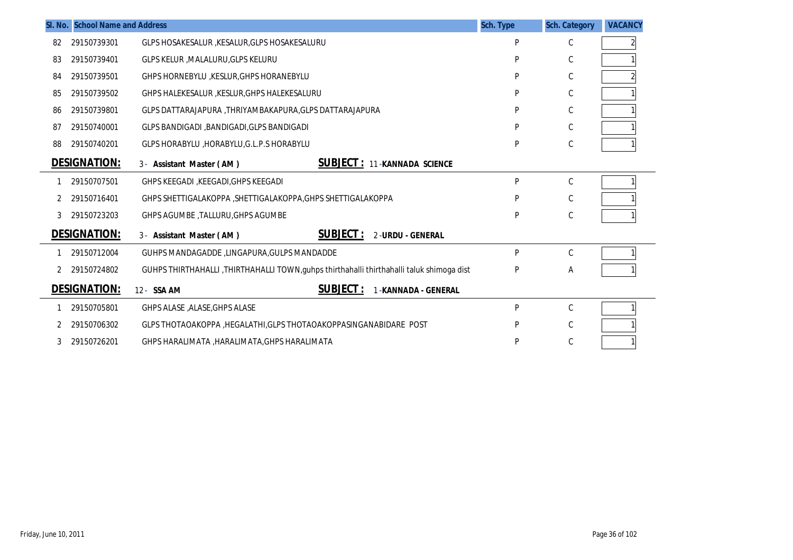|    | <b>SI. No. School Name and Address</b> |                                                                                          | <b>Sch. Type</b> | <b>Sch. Category</b> | <b>VACANCY</b> |
|----|----------------------------------------|------------------------------------------------------------------------------------------|------------------|----------------------|----------------|
| 82 | 29150739301                            | GLPS HOSAKESALUR , KESALUR, GLPS HOSAKESALURU                                            | P                | С                    |                |
| 83 | 29150739401                            | GLPS KELUR , MALALURU, GLPS KELURU                                                       | P                | C                    |                |
| 84 | 29150739501                            | GHPS HORNEBYLU , KESLUR, GHPS HORANEBYLU                                                 | P                | C                    |                |
| 85 | 29150739502                            | GHPS HALEKESALUR, KESLUR, GHPS HALEKESALURU                                              | P                | C                    |                |
| 86 | 29150739801                            | GLPS DATTARAJAPURA ,THRIYAMBAKAPURA,GLPS DATTARAJAPURA                                   | P                | С                    |                |
| 87 | 29150740001                            | GLPS BANDIGADI , BANDIGADI, GLPS BANDIGADI                                               | P                | C                    |                |
| 88 | 29150740201                            | GLPS HORABYLU, HORABYLU, G.L.P.S HORABYLU                                                | P                | $\mathsf C$          |                |
|    | <b>DESIGNATION:</b>                    | <b>SUBJECT :</b><br>11-KANNADA SCIENCE<br>3- Assistant Master (AM)                       |                  |                      |                |
|    | 29150707501                            | GHPS KEEGADI , KEEGADI , GHPS KEEGADI                                                    | P                | $\mathsf{C}$         |                |
|    | 29150716401                            | GHPS SHETTIGALAKOPPA , SHETTIGALAKOPPA, GHPS SHETTIGALAKOPPA                             | P                | С                    |                |
| 3  | 29150723203                            | <b>GHPS AGUMBE, TALLURU, GHPS AGUMBE</b>                                                 | P                | C                    |                |
|    | <b>DESIGNATION:</b>                    | SUBJECT:<br>3- Assistant Master (AM)<br>2-URDU - GENERAL                                 |                  |                      |                |
|    | 29150712004                            | GUHPS MANDAGADDE, LINGAPURA, GULPS MANDADDE                                              | P                | C                    |                |
|    | 29150724802                            | GUHPS THIRTHAHALLI ,THIRTHAHALLI TOWN,guhps thirthahalli thirthahalli taluk shimoga dist | P                | Α                    |                |
|    | <b>DESIGNATION:</b>                    | SUBJECT:<br>12- SSA AM<br>-KANNADA - GENERAL                                             |                  |                      |                |
|    | 29150705801                            | GHPS ALASE , ALASE, GHPS ALASE                                                           | P                | C                    |                |
|    | 29150706302                            | GLPS THOTAOAKOPPA , HEGALATHI, GLPS THOTAOAKOPPASINGANABIDARE POST                       | P                | С                    |                |
| 3  | 29150726201                            | GHPS HARALIMATA , HARALIMATA, GHPS HARALIMATA                                            | p                | C                    |                |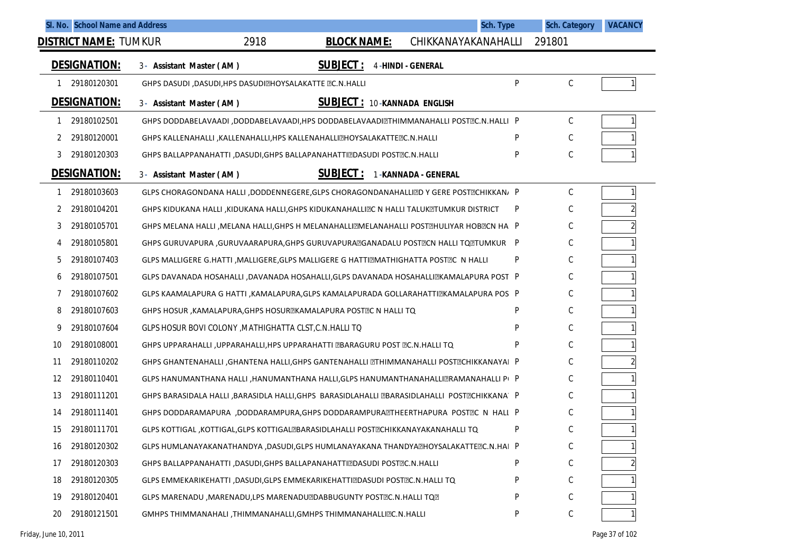| 2918<br><b>BLOCK NAME:</b><br>CHIKKANAYAKANAHALLI<br><u>DISTRICT NAME:</u> TUMKUR<br>291801<br><b>DESIGNATION:</b><br><b>SUBJECT:</b><br>4-HINDI - GENERAL<br>3- Assistant Master (AM)<br>$\mathsf{P}$<br>$\mathsf C$<br>29180120301<br>GHPS DASUDI , DASUDI, HPS DASUDI EHOYSALAKATTE EC. N. HALLI<br><b>DESIGNATION:</b><br><b>SUBJECT: 10-KANNADA ENGLISH</b><br>3- Assistant Master (AM)<br>C<br>29180102501<br>GHPS DODDABELAVAADI ,DODDABELAVAADI,HPS DODDABELAVAADI THIMMANAHALLI POST TC.N.HALLI P<br>-1<br>P<br>C<br>29180120001<br>GHPS KALLENAHALLI , KALLENAHALLI, HPS KALLENAHALLI@HOYSALAKATTE @C.N.HALLI<br>2 |  |
|------------------------------------------------------------------------------------------------------------------------------------------------------------------------------------------------------------------------------------------------------------------------------------------------------------------------------------------------------------------------------------------------------------------------------------------------------------------------------------------------------------------------------------------------------------------------------------------------------------------------------|--|
|                                                                                                                                                                                                                                                                                                                                                                                                                                                                                                                                                                                                                              |  |
|                                                                                                                                                                                                                                                                                                                                                                                                                                                                                                                                                                                                                              |  |
|                                                                                                                                                                                                                                                                                                                                                                                                                                                                                                                                                                                                                              |  |
|                                                                                                                                                                                                                                                                                                                                                                                                                                                                                                                                                                                                                              |  |
|                                                                                                                                                                                                                                                                                                                                                                                                                                                                                                                                                                                                                              |  |
|                                                                                                                                                                                                                                                                                                                                                                                                                                                                                                                                                                                                                              |  |
| P<br>C<br>29180120303<br>3<br>GHPS BALLAPPANAHATTI , DASUDI, GHPS BALLAPANAHATTI DASUDI POST DC.N.HALLI                                                                                                                                                                                                                                                                                                                                                                                                                                                                                                                      |  |
| <u>DESIGNATION:</u><br><b>SUBJECT :</b><br>1-KANNADA - GENERAL<br>3- Assistant Master (AM)                                                                                                                                                                                                                                                                                                                                                                                                                                                                                                                                   |  |
| C<br>29180103603<br>GLPS CHORAGONDANA HALLI ,DODDENNEGERE,GLPS CHORAGONDANAHALLIZD Y GERE POSTZCHIKKAN/ P                                                                                                                                                                                                                                                                                                                                                                                                                                                                                                                    |  |
| C<br>29180104201<br>P<br>GHPS KIDUKANA HALLI , KIDUKANA HALLI, GHPS KIDUKANAHALLIZC N HALLI TALUKZTUMKUR DISTRICT                                                                                                                                                                                                                                                                                                                                                                                                                                                                                                            |  |
| 2<br>C<br>29180105701<br>3<br>GHPS MELANA HALLI , MELANA HALLI, GHPS H MELANAHALLI MELANAHALLI POST THULIYAR HOB TCN HA P                                                                                                                                                                                                                                                                                                                                                                                                                                                                                                    |  |
| C<br>29180105801<br>GHPS GURUVAPURA , GURUVAARAPURA, GHPS GURUVAPURA @GANADALU POST @CN HALLI TO @TUMKUR P<br>4                                                                                                                                                                                                                                                                                                                                                                                                                                                                                                              |  |
| C<br>P<br>29180107403<br>5<br>GLPS MALLIGERE G.HATTI ,MALLIGERE,GLPS MALLIGERE G HATTI@MATHIGHATTA POST@C N HALLI                                                                                                                                                                                                                                                                                                                                                                                                                                                                                                            |  |
| C<br>29180107501<br>GLPS DAVANADA HOSAHALLI ,DAVANADA HOSAHALLI,GLPS DAVANADA HOSAHALLIZKAMALAPURA POST P<br>6                                                                                                                                                                                                                                                                                                                                                                                                                                                                                                               |  |
| C<br>29180107602<br>GLPS KAAMALAPURA G HATTI , KAMALAPURA, GLPS KAMALAPURADA GOLLARAHATTI EKAMALAPURA POS P                                                                                                                                                                                                                                                                                                                                                                                                                                                                                                                  |  |
| C<br>P<br>29180107603<br>8<br>GHPS HOSUR, KAMALAPURA, GHPS HOSUR EKAMALAPURA POST L N HALLI TO                                                                                                                                                                                                                                                                                                                                                                                                                                                                                                                               |  |
| C<br>P<br>29180107604<br>GLPS HOSUR BOVI COLONY, MATHIGHATTA CLST, C.N. HALLI TO<br>9                                                                                                                                                                                                                                                                                                                                                                                                                                                                                                                                        |  |
| C<br>P<br>29180108001<br>10<br>GHPS UPPARAHALLI, UPPARAHALLI, HPS UPPARAHATTI LBARAGURU POST LC. N. HALLI TQ                                                                                                                                                                                                                                                                                                                                                                                                                                                                                                                 |  |
| C<br>29180110202<br>GHPS GHANTENAHALLI , GHANTENA HALLI, GHPS GANTENAHALLI ZTHIMMANAHALLI POSTZCHIKKANAYAI P<br>11                                                                                                                                                                                                                                                                                                                                                                                                                                                                                                           |  |
| C<br>29180110401<br>12<br>GLPS HANUMANTHANA HALLI , HANUMANTHANA HALLI, GLPS HANUMANTHANAHALLI RAMANAHALLI PI P                                                                                                                                                                                                                                                                                                                                                                                                                                                                                                              |  |
| C<br>29180111201<br>13<br>GHPS BARASIDALA HALLI ,BARASIDLA HALLI,GHPS BARASIDLAHALLI @BARASIDLAHALLI  POST@CHIKKANA`  P                                                                                                                                                                                                                                                                                                                                                                                                                                                                                                      |  |
| C<br>29180111401<br>14<br>GHPS DODDARAMAPURA ,DODDARAMPURA, GHPS DODDARAMPURA ETHE ERTHAPURA POSTEC N HALL P                                                                                                                                                                                                                                                                                                                                                                                                                                                                                                                 |  |
| C<br>P<br>15<br>29180111701<br>GLPS KOTTIGAL, KOTTIGAL, GLPS KOTTIGAL PARASIDLAHALLI POST PCHIKKANAYAKANAHALLI TQ                                                                                                                                                                                                                                                                                                                                                                                                                                                                                                            |  |
| $\mathsf C$<br>29180120302<br>GLPS HUMLANAYAKANATHANDYA ,DASUDI,GLPS HUMLANAYAKANA THANDYAZHOYSALAKATTEZC.N.HAI P<br>16                                                                                                                                                                                                                                                                                                                                                                                                                                                                                                      |  |
| $\mathsf C$<br>29180120303<br>P<br>17<br><b>GHPS BALLAPPANAHATTI ,DASUDI,GHPS BALLAPANAHATTI DASUDI POST PLOST C.N.HALLI</b>                                                                                                                                                                                                                                                                                                                                                                                                                                                                                                 |  |
| С<br>29180120305<br>18<br>GLPS EMMEKARIKEHATTI ,DASUDI,GLPS EMMEKARIKEHATTI DASUDI POST DC.N.HALLI TQ<br>P                                                                                                                                                                                                                                                                                                                                                                                                                                                                                                                   |  |
| С<br>29180120401<br>P<br>19<br>GLPS MARENADU, MARENADU, LPS MARENADU @DABBUGUNTY POST @C.N.HALLI TQ                                                                                                                                                                                                                                                                                                                                                                                                                                                                                                                          |  |
| C<br>29180121501<br>P<br>20<br>GMHPS THIMMANAHALI ,THIMMANAHALLI,GMHPS THIMMANAHALLIZC.N.HALLI                                                                                                                                                                                                                                                                                                                                                                                                                                                                                                                               |  |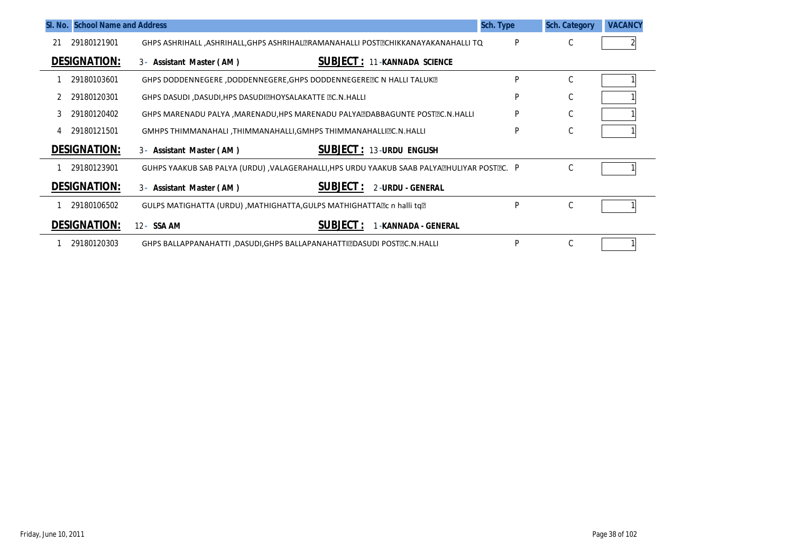| SI. No. School Name and Address |                                                                                               | <b>Sch. Type</b> | <b>Sch. Category</b> | <b>VACANCY</b> |
|---------------------------------|-----------------------------------------------------------------------------------------------|------------------|----------------------|----------------|
| 29180121901<br>21               | GHPS ASHRIHALL ,ASHRIHALL,GHPS ASHRIHAL RAMANAHALLI POST PCHIKKANAYAKANAHALLI TQ              | P                | С                    |                |
| <b>DESIGNATION:</b>             | <b>SUBJECT: 11-KANNADA SCIENCE</b><br>3- Assistant Master (AM)                                |                  |                      |                |
| 29180103601                     | GHPS DODDENNEGERE ,DODDENNEGERE,GHPS DODDENNEGERETC N HALLI TALUKT                            | P                | С                    |                |
| 29180120301                     | <b>GHPS DASUDI, DASUDI, HPS DASUDI EHOYSALAKATTE EC. N. HALLI</b>                             | P                | С                    |                |
| 29180120402<br>3                | GHPS MARENADU PALYA , MARENADU, HPS MARENADU PALYA DABBAGUNTE POST PC. N. HALLI               | P                | С                    |                |
| 29180121501                     | GMHPS THIMMANAHALI, THIMMANAHALLI, GMHPS THIMMANAHALLIZC.N. HALLI                             | P                | С                    |                |
| <b>DESIGNATION:</b>             | <b>SUBJECT: 13-URDU ENGLISH</b><br>3- Assistant Master (AM)                                   |                  |                      |                |
| 29180123901                     | GUHPS YAAKUB SAB PALYA (URDU) , VALAGERAHALLI, HPS URDU YAAKUB SAAB PALYA EHULIYAR POST EC. P |                  | С                    |                |
| <b>DESIGNATION:</b>             | <b>SUBJECT:</b><br>2-URDU - GENERAL<br>3- Assistant Master (AM)                               |                  |                      |                |
| 29180106502                     | GULPS MATIGHATTA (URDU) , MATHIGHATTA, GULPS MATHIGHATTA ? Contail to a                       | P                | $\mathsf C$          |                |
| <b>DESIGNATION:</b>             | <b>SUBJECT:</b><br>12 - SSA AM<br>-KANNADA - GENERAL                                          |                  |                      |                |
| 29180120303                     | <b>GHPS BALLAPPANAHATTI ,DASUDI,GHPS BALLAPANAHATTI DASUDI POST PLC.N.HALLI</b>               | P                | С                    |                |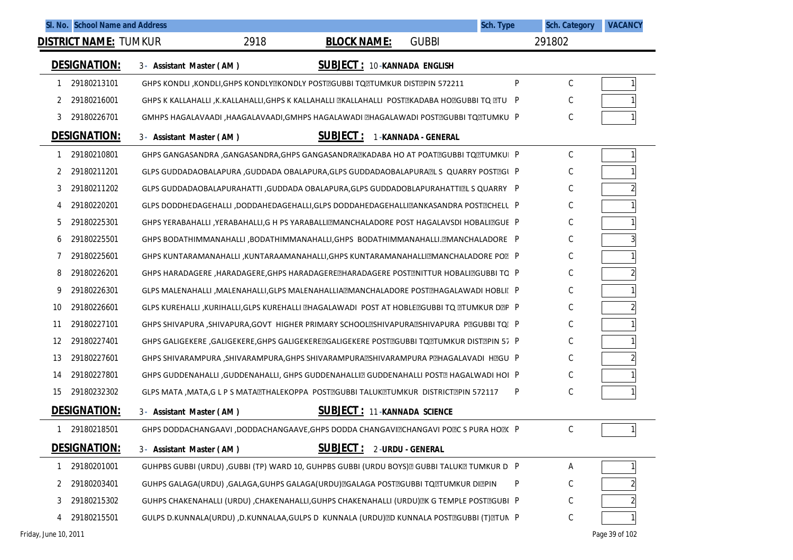| SI. No. School Name and Address |                                                                                               |                                     |                  | <b>Sch. Type</b> | <b>Sch. Category</b> | <b>VACANCY</b> |
|---------------------------------|-----------------------------------------------------------------------------------------------|-------------------------------------|------------------|------------------|----------------------|----------------|
| <b>DISTRICT NAME: TUMKUR</b>    | 2918                                                                                          | <b>BLOCK NAME:</b>                  | <b>GUBBI</b>     |                  | 291802               |                |
| <b>DESIGNATION:</b>             | 3- Assistant Master (AM)                                                                      | <b>SUBJECT: 10-KANNADA ENGLISH</b>  |                  |                  |                      |                |
| 29180213101                     | GHPS KONDLI, KONDLI, GHPS KONDLY EXONDLY POST EGUBBI TO TUMKUR DIST EPIN 572211               |                                     |                  | P                | С                    |                |
| 29180216001<br>2                | GHPS K KALLAHALLI ,K.KALLAHALLI,GHPS K KALLAHALLI ZKALLAHALLI POSTZKADABA HOZGUBBI TQ ZTU P   |                                     |                  |                  | C                    |                |
| 29180226701<br>3                |                                                                                               |                                     |                  |                  | C                    |                |
| <b>DESIGNATION:</b>             | 3- Assistant Master (AM)                                                                      | <b>SUBJECT: 1-KANNADA - GENERAL</b> |                  |                  |                      |                |
| 29180210801                     | GHPS GANGASANDRA ,GANGASANDRA,GHPS GANGASANDRAZKADABA HO AT POATZGUBBI TQZTUMKUI P            |                                     |                  |                  | $\mathsf C$          |                |
| 29180211201<br>2                | GLPS GUDDADAOBALAPURA ,GUDDADA OBALAPURA,GLPS GUDDADAOBALAPURA⊠L S  QUARRY POST⊠Gl   P        |                                     |                  |                  | C                    |                |
| 29180211202<br>3                | GLPS GUDDADAOBALAPURAHATTI , GUDDADA OBALAPURA, GLPS GUDDADOBLAPURAHATTIZL S QUARRY P         |                                     |                  |                  | C                    |                |
| 29180220201<br>4                | GLPS DODDHEDAGEHALLI ,DODDAHEDAGEHALLI,GLPS DODDAHEDAGEHALLI⊠ANKASANDRA POST⊠CHELL P          |                                     |                  |                  | C                    |                |
| 29180225301<br>5                | GHPS YERABAHALLI ,YERABAHALLI,G H PS YARABALLI⊠MANCHALADORE POST HAGALAVSDI HOBALI⊠GUE P      |                                     |                  |                  | C                    |                |
| 29180225501<br>6                | GHPS BODATHIMMANAHALLI ,BODATHIMMANAHALLI,GHPS BODATHIMMANAHALLI.@MANCHALADORE P              |                                     |                  |                  | C                    |                |
| 29180225601                     | GHPS KUNTARAMANAHALLI ,KUNTARAAMANAHALLI,GHPS KUNTARAMANAHALLI⊠MANCHALADORE PO®P              |                                     |                  |                  | C                    |                |
| 29180226201<br>8                | GHPS HARADAGERE ,HARADAGERE,GHPS HARADAGERE THARADAGERE POST TIUR HOBALITGUBBI TO             |                                     |                  |                  | C                    |                |
| 29180226301<br>9                | GLPS MALENAHALLI ,MALENAHALLI,GLPS MALENAHALLIA@MANCHALADORE POST@HAGALAWADI HOBLIE P         |                                     |                  |                  | C                    |                |
| 29180226601<br>10               | GLPS KUREHALLI ,KURIHALLI,GLPS KUREHALLI @HAGALAWADI  POST AT HOBLE@GUBBI TQ @TUMKUR D@P   P  |                                     |                  |                  | C                    |                |
| 29180227101<br>11               | GHPS SHIVAPURA, SHIVAPURA, GOVT HIGHER PRIMARY SCHOOLESHIVAPURAESHIVAPURA PEGUBBI TQI P       |                                     |                  |                  | C                    |                |
| 29180227401<br>12               | GHPS GALIGEKERE ,GALIGEKERE,GHPS GALIGEKERE⊠GALIGEKERE POST⊠GUBBI TQ⊠TUMKUR DIST⊠PIN 57_P     |                                     |                  |                  | C                    |                |
| 29180227601<br>13               | GHPS SHIVARAMPURA ,SHIVARAMPURA,GHPS SHIVARAMPURA⊠SHIVARAMPURA P⊠HAGALAVADI  H⊠GU   P         |                                     |                  |                  | C                    |                |
| 29180227801<br>14               | GHPS GUDDENAHALLI ,GUDDENAHALLI, GHPS GUDDENAHALLI⊠ GUDDENAHALLI POST⊠ HAGALWADI HOI P        |                                     |                  |                  | C                    |                |
| 29180232302<br>15               | GLPS MATA , MATA, G L P S MATA ETHALE KOPPA POST EIGUBBI TALUK ETUMKUR DISTRICT EPIN 572117   |                                     |                  | P                | C                    |                |
| <b>DESIGNATION:</b>             | 3- Assistant Master (AM)                                                                      | <b>SUBJECT: 11-KANNADA SCIENCE</b>  |                  |                  |                      |                |
| 29180218501                     | GHPS DODDACHANGAAVI, DODDACHANGAAVE, GHPS DODDA CHANGAVIZCHANGAVI POZC S PURA HOZC P          |                                     |                  |                  | C                    |                |
| <b>DESIGNATION:</b>             | 3- Assistant Master (AM)                                                                      | <b>SUBJECT:</b>                     | 2-URDU - GENERAL |                  |                      |                |
| 29180201001                     | GUHPBS GUBBI (URDU) ,GUBBI (TP) WARD 10, GUHPBS GUBBI (URDU BOYS) @ GUBBI TALUK @ TUMKUR D  P |                                     |                  |                  | A                    |                |
| 29180203401<br>2                | GUHPS GALAGA(URDU) ,GALAGA,GUHPS GALAGA(URDU) @GALAGA POST @GUBBI TO @TUMKUR DI @PIN          |                                     |                  | P                | С                    |                |
| 29180215302<br>3                | GUHPS CHAKENAHALLI (URDU) ,CHAKENAHALLI,GUHPS CHAKENAHALLI (URDU) EK G TEMPLE POSTEGUBI P     |                                     |                  |                  | С                    |                |
| 29180215501<br>4                | GULPS D.KUNNALA(URDU) ,D.KUNNALAA,GULPS D KUNNALA (URDU) D KUNNALA POST DGUBBI (T) TUN P      |                                     |                  |                  | $\mathsf C$          |                |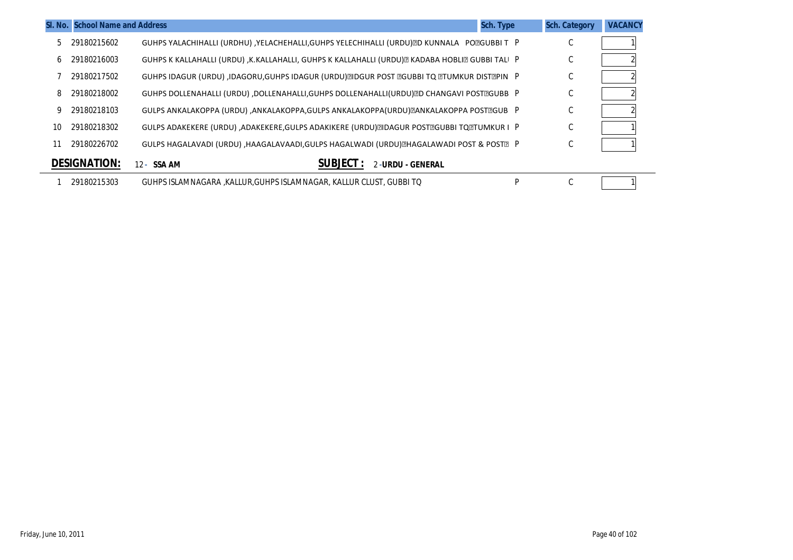|    | SI. No. School Name and Address |                                                                                                  | <b>Sch. Type</b> | <b>Sch. Category</b> | <b>VACANCY</b> |
|----|---------------------------------|--------------------------------------------------------------------------------------------------|------------------|----------------------|----------------|
| 5. | 29180215602                     | GUHPS YALACHIHALLI (URDHU) ,YELACHEHALLI,GUHPS YELECHIHALLI (URDU) D KUNNALA PO OGUBBI T P       |                  | $\sim$<br>◡          |                |
| 6  | 29180216003                     | GUHPS K KALLAHALLI (URDU) ,K.KALLAHALLI, GUHPS K KALLAHALLI (URDU) E KADABA HOBLI E GUBBI TALI P |                  | $\sim$<br>U          |                |
|    | 29180217502                     | GUHPS IDAGUR (URDU) ,IDAGORU,GUHPS IDAGUR (URDU) DIDGUR POST DGUBBI TO DTUMKUR DISTOPIN P        |                  | $\sim$<br>U          |                |
| 8  | 29180218002                     | GUHPS DOLLENAHALLI (URDU) ,DOLLENAHALLI,GUHPS DOLLENAHALLI(URDU) DO CHANGAVI POST TGUBB P        |                  | $\sim$<br>◡          |                |
| 9  | 29180218103                     | GULPS ANKALAKOPPA (URDU) ,ANKALAKOPPA,GULPS ANKALAKOPPA (URDU) @ANKALAKOPPA POST@GUB  P          |                  | C                    |                |
| 10 | 29180218302                     | GULPS ADAKEKERE (URDU) ,ADAKEKERE,GULPS ADAKIKERE (URDU) DIDAGUR POST DGUBBI TO DTUMKUR I P      |                  | $\sim$<br>U          |                |
| 11 | 29180226702                     | GULPS HAGALAVADI (URDU) ,HAAGALAVAADI,GULPS HAGALWADI (URDU) EHAGALAWADI POST & POSTE P          |                  | $\sim$<br>◡          |                |
|    | <b>DESIGNATION:</b>             | <b>SUBJECT</b><br>2-URDU - GENERAL<br>12 - SSA AM                                                |                  |                      |                |
|    | 29180215303                     | GUHPS ISLAMNAGARA .KALLUR.GUHPS ISLAMNAGAR. KALLUR CLUST. GUBBI TO                               | P                | $\sim$<br>◡          |                |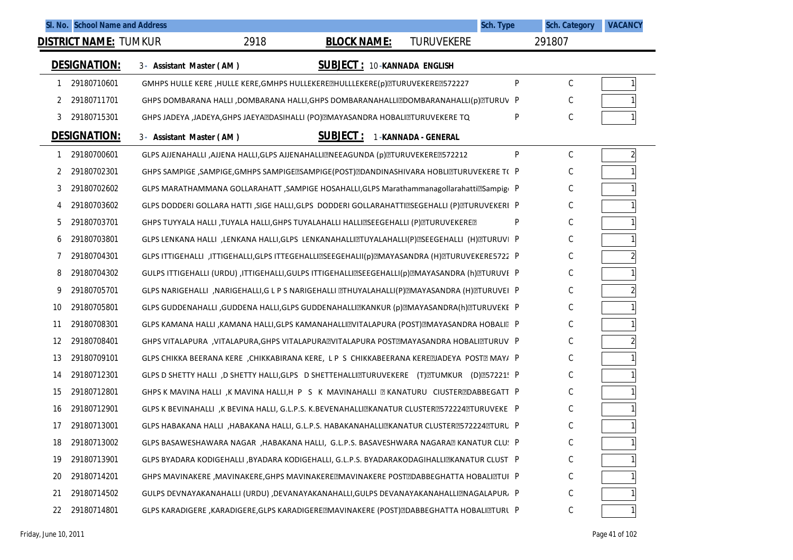| SI. No. School Name and Address |                          |      |                                                                                                |                     | Sch. Type | <b>Sch. Category</b> | <b>VACANCY</b> |
|---------------------------------|--------------------------|------|------------------------------------------------------------------------------------------------|---------------------|-----------|----------------------|----------------|
| <b>DISTRICT NAME: TUMKUR</b>    |                          | 2918 | <b>BLOCK NAME:</b>                                                                             | <b>TURUVEKERE</b>   |           | 291807               |                |
| <b>DESIGNATION:</b>             | 3- Assistant Master (AM) |      | <b>SUBJECT: 10-KANNADA ENGLISH</b>                                                             |                     |           |                      |                |
| 29180710601<br>1                |                          |      | GMHPS HULLE KERE , HULLE KERE, GMHPS HULLEKERE@HULLLEKERE(p)@TURUVEKERE@572227                 |                     | ${\sf P}$ | С                    |                |
| 29180711701<br>2                |                          |      | GHPS DOMBARANA HALLI ,DOMBARANA HALLI,GHPS DOMBARANAHALLI DOMBARANAHALLI (p) DTURUV P          |                     |           | С                    |                |
| 29180715301<br>3                |                          |      | GHPS JADEYA, JADEYA, GHPS JAEYA DASIHALLI (PO) MAYASANDRA HOBALI ITURUVEKERE TO                |                     | P         | C                    |                |
| <b>DESIGNATION:</b>             | 3- Assistant Master (AM) |      | <b>SUBJECT:</b>                                                                                | 1-KANNADA - GENERAL |           |                      |                |
| 29180700601<br>1                |                          |      | GLPS AJJENAHALLI ,AJJENA HALLI,GLPS AJJENAHALLIZNEEAGUNDA (p)ZTURUVEKEREZ572212                |                     | P         | $\mathsf{C}$         | $\overline{2}$ |
| 29180702301<br>2                |                          |      | GHPS SAMPIGE ,SAMPIGE,GMHPS SAMPIGE@SAMPIGE(POST)@DANDINASHIVARA HOBLI@TURUVEKERE T( P         |                     |           | С                    |                |
| 29180702602<br>3                |                          |      | GLPS MARATHAMMANA GOLLARAHATT , SAMPIGE HOSAHALLI, GLPS Marathammanagollarahatti@Sampig(P      |                     |           | C                    |                |
| 29180703602<br>4                |                          |      | GLPS DODDERI GOLLARA HATTI ,SIGE HALLI,GLPS DODDERI GOLLARAHATTIZSEGEHALLI (P)ZTURUVEKERI P    |                     |           | С                    |                |
| 29180703701<br>5                |                          |      | GHPS TUYYALA HALLI ,TUYALA HALLI,GHPS TUYALAHALLI HALLIZSEEGEHALLI (P)ZTURUVEKEREZ             |                     | P         | C                    |                |
| 29180703801<br>6                |                          |      | GLPS LENKANA HALLI ,LENKANA HALLI,GLPS LENKANAHALLI@TUYALAHALLI(P)@SEEGEHALLI (H)@TURUVI P     |                     |           | С                    |                |
| 29180704301<br>7                |                          |      | GLPS ITTIGEHALLI ,ITTIGEHALLI,GLPS ITTEGEHALLI@SEEGEHALII(p)@MAYASANDRA (H)@TURUVEKERE5722 P   |                     |           | C                    |                |
| 29180704302<br>8                |                          |      | GULPS ITTIGEHALLI (URDU) ,ITTIGEHALLI,GULPS ITTIGEHALLIZSEEGEHALLI(p)ZMAYASANDRA (h)ZTURUVE P  |                     |           | С                    |                |
| 29180705701<br>9                |                          |      | GLPS NARIGEHALLI, NARIGEHALLI,G L P S NARIGEHALLI @THUYALAHALLI(P)@MAYASANDRA (H)@TURUVEI P    |                     |           | C                    |                |
| 29180705801<br>10               |                          |      | GLPS GUDDENAHALLI ,GUDDENA HALLI,GLPS GUDDENAHALLI@KANKUR (p)@MAYASANDRA(h)@TURUVEKE P         |                     |           | С                    |                |
| 29180708301<br>11               |                          |      | GLPS KAMANA HALLI ,KAMANA HALLI,GLPS KAMANAHALLIZVITALAPURA (POST)ZMAYASANDRA HOBALIZ P        |                     |           | C                    |                |
| 29180708401<br>12               |                          |      | GHPS VITALAPURA , VITALAPURA, GHPS VITALAPURA EVITALAPURA POST EMAYASANDRA HOBALI ETURUV P     |                     |           | С                    |                |
| 29180709101<br>13               |                          |      | GLPS CHIKKA BEERANA KERE , CHIKKABIRANA KERE, LP S CHIKKABEERANA KEREZIADEYA POSTZ MAY/ P      |                     |           | C                    |                |
| 29180712301<br>14               |                          |      | GLPS D SHETTY HALLI ,D SHETTY HALLI,GLPS D SHETTEHALLIZTURUVEKERE (T) ZTUMKUR (D) Z57221! P    |                     |           | С                    |                |
| 29180712801<br>15               |                          |      | GHPS K MAVINA HALLI, K MAVINA HALLI, H P S K MAVINAHALLI Z KANATURU CIUSTERZDABBEGATT P        |                     |           | C                    |                |
| 29180712901<br>16               |                          |      | GLPS K BEVINAHALLI , K BEVINA HALLI, G.L.P.S. K.BEVENAHALLIZKANATUR CLUSTERZ572224ZTURUVEKE  P |                     |           | C                    |                |
| 29180713001<br>17               |                          |      | GLPS HABAKANA HALLI, HABAKANA HALLI, G.L.P.S. HABAKANAHALLIZKANATUR CLUSTERZ572224ZTURU P      |                     |           | C                    |                |
| 29180713002<br>18               |                          |      | GLPS BASAWESHAWARA NAGAR ,HABAKANA HALLI, G.L.P.S. BASAVESHWARA NAGARAZ KANATUR CLU! P         |                     |           | С                    |                |
| 29180713901<br>19               |                          |      | GLPS BYADARA KODIGEHALLI ,BYADARA KODIGEHALLI, G.L.P.S. BYADARAKODAGIHALLIZKANATUR CLUST P     |                     |           | С                    |                |
| 29180714201<br>20               |                          |      | GHPS MAVINAKERE , MAVINAKERE, GHPS MAVINAKERE ZMAVINAKERE POST ZDABBEGHATTA HOBALI ZTUF P      |                     |           | С                    |                |
| 29180714502<br>21               |                          |      | GULPS DEVNAYAKANAHALLI (URDU) ,DEVANAYAKANAHALLI,GULPS DEVANAYAKANAHALLIZNAGALAPUR, P          |                     |           | С                    |                |
| 29180714801<br>22               |                          |      | GLPS KARADIGERE , KARADIGERE, GLPS KARADIGERE ZMAVINAKERE (POST) ZDABBEGHATTA HOBALI ZTURL P   |                     |           | С                    |                |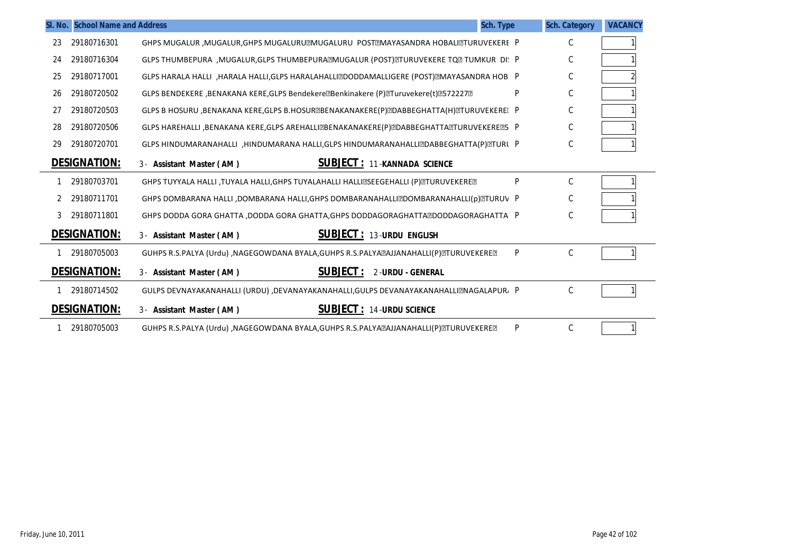|    | SI. No. School Name and Address |                                                                                              | Sch. Type | <b>Sch. Category</b> | <b>VACANCY</b> |
|----|---------------------------------|----------------------------------------------------------------------------------------------|-----------|----------------------|----------------|
| 23 | 29180716301                     | GHPS MUGALUR, MUGALUR, GHPS MUGALURU MUGALURU POST MAYASANDRA HOBALI TURUVEKERE P            |           | C                    |                |
| 24 | 29180716304                     | GLPS THUMBEPURA , MUGALUR, GLPS THUMBEPURA MUGALUR (POST) MTURUVEKERE TQ MTUMKUR DI: P       |           | C                    |                |
| 25 | 29180717001                     | GLPS HARALA HALLI, HARALA HALLI, GLPS HARALAHALLI DODDAMALLI GERE (POST) EMAYASANDRA HOB. P  |           | C                    |                |
| 26 | 29180720502                     | GLPS BENDEKERE ,BENAKANA KERE,GLPS Bendekere@Benkinakere (P)@Turuvekere(t)@572227@           | P         | C                    |                |
| 27 | 29180720503                     | GLPS B HOSURU, BENAKANA KERE, GLPS B.HOSUR RENAKANAKERE (P) RDABBEGHATTA (H) RTURUVEKERE [ P |           | C                    |                |
| 28 | 29180720506                     | GLPS HAREHALLI ,BENAKANA KERE,GLPS AREHALLI@BENAKANAKERE(P)@DABBEGHATTA@TURUVEKERE@5 P       |           | C                    |                |
| 29 | 29180720701                     | GLPS HINDUMARANAHALLI, HINDUMARANA HALLI, GLPS HINDUMARANAHALLIZDABBEGHATTA(P) ZTURL P       |           | C                    |                |
|    | <b>DESIGNATION:</b>             | <b>SUBJECT: 11-KANNADA SCIENCE</b><br>3- Assistant Master (AM)                               |           |                      |                |
|    | 29180703701                     | GHPS TUYYALA HALLI ,TUYALA HALLI,GHPS TUYALAHALLI HALLIZSEEGEHALLI (P)ZTURUVEKEREZ           | P         | C                    |                |
|    | 29180711701                     | GHPS DOMBARANA HALLI ,DOMBARANA HALLI,GHPS DOMBARANAHALLIZDOMBARANAHALLI(p)ZTURUV P          |           | C                    |                |
| 3  | 29180711801                     | GHPS DODDA GORA GHATTA ,DODDA GORA GHATTA,GHPS DODDAGORAGHATTA  DODDAGORAGHATTA P            |           | C                    |                |
|    | <b>DESIGNATION:</b>             | <b>SUBJECT: 13-URDU ENGLISH</b><br>3- Assistant Master (AM)                                  |           |                      |                |
|    | 29180705003                     | GUHPS R.S.PALYA (Urdu) , NAGEGOWDANA BYALA, GUHPS R.S.PALYA aJJANAHALLI (P) ETURUVEKERE E    | P         | C                    |                |
|    | <b>DESIGNATION:</b>             | <b>SUBJECT:</b><br>2-URDU - GENERAL<br>3- Assistant Master (AM)                              |           |                      |                |
|    | 29180714502                     | GULPS DEVNAYAKANAHALLI (URDU) ,DEVANAYAKANAHALLI,GULPS DEVANAYAKANAHALLIZNAGALAPUR, P        |           | C                    |                |
|    | <b>DESIGNATION:</b>             | <b>SUBJECT: 14-URDU SCIENCE</b><br>3- Assistant Master (AM)                                  |           |                      |                |
|    | 29180705003                     | GUHPS R.S.PALYA (Urdu) ,NAGEGOWDANA BYALA,GUHPS R.S.PALYA@AJJANAHALLI(P)@TURUVEKERE@         | P         | C                    |                |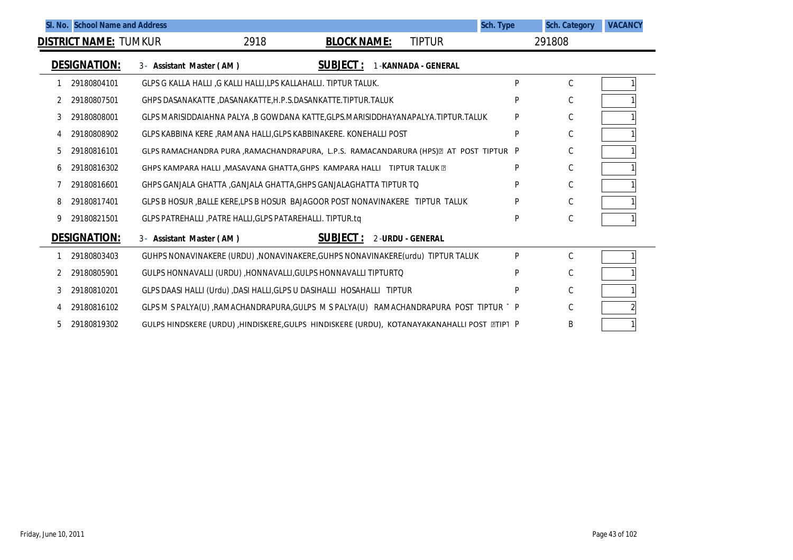|   | SI. No. School Name and Address |                                                                                             |      |                    |                         | Sch. Type | <b>Sch. Category</b> | <b>VACANCY</b> |
|---|---------------------------------|---------------------------------------------------------------------------------------------|------|--------------------|-------------------------|-----------|----------------------|----------------|
|   | <b>DISTRICT NAME: TUMKUR</b>    |                                                                                             | 2918 | <b>BLOCK NAME:</b> | <b>TIPTUR</b>           |           | 291808               |                |
|   | <b>DESIGNATION:</b>             | 3- Assistant Master (AM)                                                                    |      | <b>SUBJECT:</b>    | 1-KANNADA - GENERAL     |           |                      |                |
|   | 29180804101                     | GLPS G KALLA HALLI G KALLI HALLI, LPS KALLAHALLI. TIPTUR TALUK.                             |      |                    |                         | P         | С                    |                |
|   | 29180807501                     | GHPS DASANAKATTE, DASANAKATTE, H.P.S.DASANKATTE. TIPTUR. TALUK                              |      |                    |                         | P         | С                    |                |
| 3 | 29180808001                     | GLPS MARISIDDAIAHNA PALYA ,B GOWDANA KATTE,GLPS.MARISIDDHAYANAPALYA.TIPTUR.TALUK            |      |                    |                         | P         | С                    |                |
| 4 | 29180808902                     | GLPS KABBINA KERE, RAMANA HALLI, GLPS KABBINAKERE. KONEHALLI POST                           |      |                    |                         | P         | C                    |                |
| 5 | 29180816101                     | GLPS RAMACHANDRA PURA , RAMACHANDRAPURA, L.P.S. RAMACANDARURA (HPS) AT POST TIPTUR P        |      |                    |                         |           | C                    |                |
| 6 | 29180816302                     | GHPS KAMPARA HALLI , MASAVANA GHATTA, GHPS KAMPARA HALLI TIPTUR TALUK 2                     |      |                    |                         | P         | C                    |                |
|   | 29180816601                     | GHPS GANJALA GHATTA ,GANJALA GHATTA,GHPS GANJALAGHATTA TIPTUR TO                            |      |                    |                         | P         | С                    |                |
| 8 | 29180817401                     | GLPS B HOSUR , BALLE KERE, LPS B HOSUR BAJAGOOR POST NONAVINAKERE TIPTUR TALUK              |      |                    |                         | P         | C                    |                |
| 9 | 29180821501                     | GLPS PATREHALLI, PATRE HALLI, GLPS PATAREHALLI. TIPTUR.tq                                   |      |                    |                         | P         | С                    |                |
|   | <b>DESIGNATION:</b>             | 3- Assistant Master (AM)                                                                    |      | <b>SUBJECT:</b>    | <b>2-URDU - GENERAL</b> |           |                      |                |
|   | 29180803403                     | GUHPS NONAVINAKERE (URDU) , NONAVINAKERE, GUHPS NONAVINAKERE (urdu) TIPTUR TALUK            |      |                    |                         | P         | C                    |                |
|   | 29180805901                     | GULPS HONNAVALLI (URDU), HONNAVALLI, GULPS HONNAVALLI TIPTURTO                              |      |                    |                         | P         | C                    |                |
|   | 29180810201                     | GLPS DAASI HALLI (Urdu) ,DASI HALLI, GLPS U DASIHALLI HOSAHALLI TIPTUR                      |      |                    |                         | P         | C                    |                |
|   | 29180816102                     | GLPS M S PALYA(U) ,RAMACHANDRAPURA,GULPS M S PALYA(U) RAMACHANDRAPURA POST TIPTUR 1 P       |      |                    |                         |           | C                    |                |
| 5 | 29180819302                     | GULPS HINDSKERE (URDU) ,HINDISKERE, GULPS HINDISKERE (URDU), KOTANAYAKANAHALLI POST ETIPI P |      |                    |                         |           | B                    |                |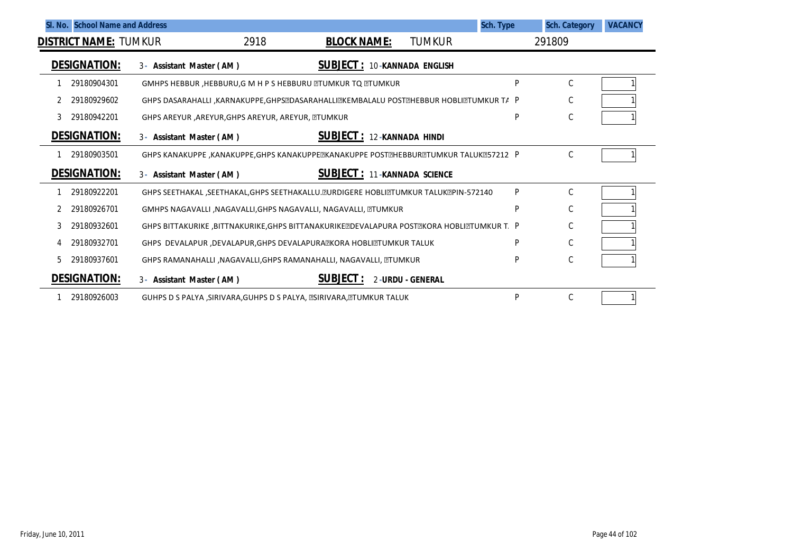|    | SI. No. School Name and Address |                                                     |                                                                                          |                           | Sch. Type | <b>Sch. Category</b> | <b>VACANCY</b> |
|----|---------------------------------|-----------------------------------------------------|------------------------------------------------------------------------------------------|---------------------------|-----------|----------------------|----------------|
|    | <b>DISTRICT NAME: TUMKUR</b>    |                                                     | 2918<br><b>BLOCK NAME:</b>                                                               | <b>TUMKUR</b>             |           | 291809               |                |
|    | <b>DESIGNATION:</b>             | 3- Assistant Master (AM)                            | <b>SUBJECT: 10-KANNADA ENGLISH</b>                                                       |                           |           |                      |                |
|    | 29180904301                     |                                                     | GMHPS HEBBUR, HEBBURU, G M H P S HEBBURU TUMKUR TO TUMKUR                                |                           | P         | C                    |                |
|    | 29180929602                     |                                                     | GHPS DASARAHALLI , KARNAKUPPE, GHPS@DASARAHALLI@KEMBALALU POST@HEBBUR HOBLI@TUMKUR TA P  |                           |           | С                    |                |
| 3  | 29180942201                     | GHPS AREYUR , AREYUR, GHPS AREYUR, AREYUR, DITUMKUR |                                                                                          |                           | P         | С                    |                |
|    | <b>DESIGNATION:</b>             | 3- Assistant Master (AM)                            | <b>SUBJECT: 12-KANNADA HINDI</b>                                                         |                           |           |                      |                |
|    | 29180903501                     |                                                     | GHPS KANAKUPPE, KANAKUPPE, GHPS KANAKUPPE EKANAKUPPE POST EHBBUR ET UMKUR TALUK E57212 P |                           |           | С                    |                |
|    | <b>DESIGNATION:</b>             | 3- Assistant Master (AM)                            | <b>SUBJECT :</b>                                                                         | <b>11-KANNADA SCIENCE</b> |           |                      |                |
|    | 29180922201                     |                                                     | GHPS SEETHAKAL ,SEETHAKAL,GHPS SEETHAKALLU. ZURDIGERE HOBLIZTUMKUR TALUKZPIN-572140      |                           | P         | С                    |                |
|    | 29180926701                     |                                                     | GMHPS NAGAVALLI , NAGAVALLI, GHPS NAGAVALLI, NAGAVALLI, ZTUMKUR                          |                           | P         | С                    |                |
|    | 29180932601                     |                                                     | GHPS BITTAKURIKE ,BITTNAKURIKE,GHPS BITTANAKURIKEZDEVALAPURA POSTZKORA HOBLIZTUMKUR T. P |                           |           | С                    |                |
| 4  | 29180932701                     |                                                     | GHPS DEVALAPUR, DEVALAPUR, GHPS DEVALAPURAZIKORA HOBLIZTUMKUR TALUK                      |                           | P         | С                    |                |
| 5. | 29180937601                     |                                                     | GHPS RAMANAHALLI , NAGAVALLI, GHPS RAMANAHALLI, NAGAVALLI, DTUMKUR                       |                           | P         | $\mathsf C$          |                |
|    | <b>DESIGNATION:</b>             | 3- Assistant Master (AM)                            | <b>SUBJECT:</b>                                                                          | 2-URDU - GENERAL          |           |                      |                |
|    | 29180926003                     |                                                     | GUHPS D S PALYA, SIRIVARA, GUHPS D S PALYA, ESIRIVARA, ETUMKUR TALUK                     |                           | P         | C                    |                |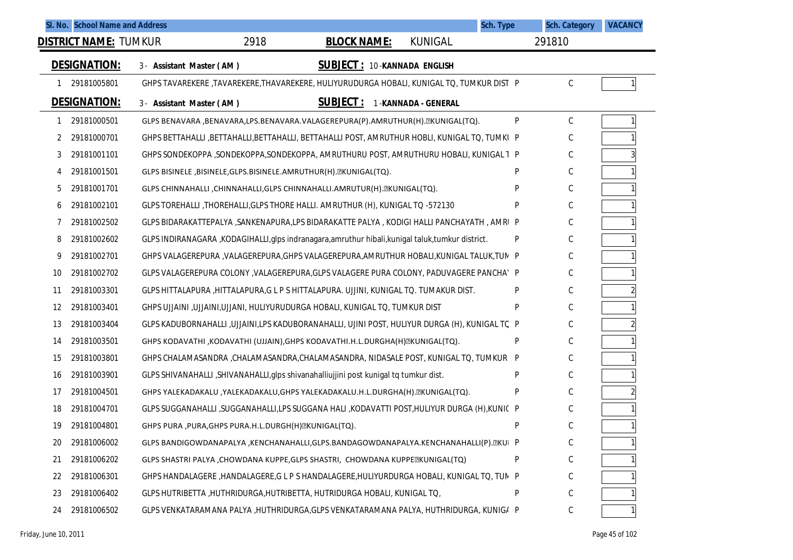|    | SI. No. School Name and Address |                                                                                                     |                                    | Sch. Type | <b>Sch. Category</b> | <b>VACANCY</b> |
|----|---------------------------------|-----------------------------------------------------------------------------------------------------|------------------------------------|-----------|----------------------|----------------|
|    | <b>DISTRICT NAME: TUMKUR</b>    | 2918<br><b>BLOCK NAME:</b>                                                                          | <b>KUNIGAL</b>                     |           | 291810               |                |
|    | <b>DESIGNATION:</b>             | 3- Assistant Master (AM)                                                                            | <b>SUBJECT: 10-KANNADA ENGLISH</b> |           |                      |                |
|    | 29181005801                     | GHPS TAVAREKERE ,TAVAREKERE,THAVAREKERE, HULIYURUDURGA HOBALI, KUNIGAL TO, TUMKUR DIST P            |                                    |           | C                    | 1 <sup>1</sup> |
|    | <b>DESIGNATION:</b>             | <u>SUBJECT :</u><br>3- Assistant Master (AM)                                                        | 1-KANNADA - GENERAL                |           |                      |                |
| 1  | 29181000501                     | GLPS BENAVARA , BENAVARA, LPS. BENAVARA. VALAGEREPURA(P). AMRUTHUR(H). EKUNIGAL(TQ).                |                                    | P         | С                    | 1              |
| 2  | 29181000701                     | GHPS BETTAHALLI , BETTAHALLI, BETTAHALLI, BETTAHALLI POST, AMRUTHUR HOBLI, KUNIGAL TO, TUMKI P      |                                    |           | C                    |                |
| 3  | 29181001101                     | GHPS SONDEKOPPA, SONDEKOPPA, SONDEKOPPA, AMRUTHURU POST, AMRUTHURU HOBALI, KUNIGAL T P              |                                    |           | С                    |                |
| 4  | 29181001501                     | GLPS BISINELE, BISINELE, GLPS. BISINELE. AMRUTHUR (H). EKUNIGAL (TQ).                               |                                    | P         | С                    |                |
| 5  | 29181001701                     | GLPS CHINNAHALLI, CHINNAHALLI, GLPS CHINNAHALLI. AMRUTUR (H). ZKUNIGAL (TQ).                        |                                    | P         | С                    |                |
| 6  | 29181002101                     | GLPS TOREHALLI, THOREHALLI, GLPS THORE HALLI. AMRUTHUR (H), KUNIGAL TQ -572130                      |                                    | P         | С                    |                |
| 7  | 29181002502                     | GLPS BIDARAKATTEPALYA ,SANKENAPURA,LPS BIDARAKATTE PALYA, KODIGI HALLI PANCHAYATH , AMRI P          |                                    |           | С                    |                |
| 8  | 29181002602                     | GLPS INDIRANAGARA , KODAGIHALLI, glps indranagara, amruthur hibali, kunigal taluk, tumkur district. |                                    | P         | С                    |                |
| 9  | 29181002701                     | GHPS VALAGEREPURA , VALAGEREPURA, GHPS VALAGEREPURA, AMRUTHUR HOBALI, KUNIGAL TALUK, TUN P          |                                    |           | С                    |                |
| 10 | 29181002702                     | GLPS VALAGEREPURA COLONY , VALAGEREPURA, GLPS VALAGERE PURA COLONY, PADUVAGERE PANCHA' P            |                                    |           | С                    |                |
| 11 | 29181003301                     | GLPS HITTALAPURA ,HITTALAPURA,G L P S HITTALAPURA. UJJINI, KUNIGAL TO. TUMAKUR DIST.                |                                    | P         | С                    |                |
| 12 | 29181003401                     | GHPS UJJAINI, UJJAINI, UJJANI, HULIYURUDURGA HOBALI, KUNIGAL TO, TUMKUR DIST                        |                                    | P         | С                    |                |
| 13 | 29181003404                     | GLPS KADUBORNAHALLI ,UJJAINI,LPS KADUBORANAHALLI, UJINI POST, HULIYUR DURGA (H), KUNIGAL TC P       |                                    |           | С                    |                |
| 14 | 29181003501                     | GHPS KODAVATHI ,KODAVATHI (UJJAIN),GHPS KODAVATHI.H.L.DURGHA(H) EKUNIGAL(TQ).                       |                                    | P         | С                    |                |
| 15 | 29181003801                     | GHPS CHALAMASANDRA , CHALAMASANDRA, CHALAMASANDRA, NIDASALE POST, KUNIGAL TO, TUMKUR P              |                                    |           | С                    |                |
| 16 | 29181003901                     | GLPS SHIVANAHALLI ,SHIVANAHALLI,glps shivanahalliujjini post kunigal tq tumkur dist.                |                                    | P         | С                    |                |
| 17 | 29181004501                     | GHPS YALEKADAKALU ,YALEKADAKALU,GHPS YALEKADAKALU.H.L.DURGHA(H). EKUNIGAL(TQ).                      |                                    | P         | С                    |                |
| 18 | 29181004701                     | GLPS SUGGANAHALLI ,SUGGANAHALLI,LPS SUGGANA HALI ,KODAVATTI POST,HULIYUR DURGA (H),KUNIC P          |                                    |           | С                    |                |
| 19 | 29181004801                     | GHPS PURA, PURA, GHPS PURA.H.L.DURGH(H) EKUNIGAL(TQ).                                               |                                    | P         | С                    |                |
| 20 | 29181006002                     | GLPS BANDIGOWDANAPALYA ,KENCHANAHALLI,GLPS.BANDAGOWDANAPALYA.KENCHANAHALLI(P). EKUI P               |                                    |           | С                    |                |
| 21 | 29181006202                     | GLPS SHASTRI PALYA, CHOWDANA KUPPE, GLPS SHASTRI, CHOWDANA KUPPE EKUNIGAL (TQ)                      |                                    | P         | С                    |                |
| 22 | 29181006301                     | GHPS HANDALAGERE , HANDALAGERE, G L P S HANDALAGERE, HULIYURDURGA HOBALI, KUNIGAL TO, TUN P         |                                    |           | С                    |                |
| 23 | 29181006402                     | GLPS HUTRIBETTA, HUTHRIDURGA, HUTRIBETTA, HUTRIDURGA HOBALI, KUNIGAL TQ,                            |                                    | P         | С                    |                |
| 24 | 29181006502                     | GLPS VENKATARAMANA PALYA , HUTHRIDURGA, GLPS VENKATARAMANA PALYA, HUTHRIDURGA, KUNIGI P             |                                    |           | С                    |                |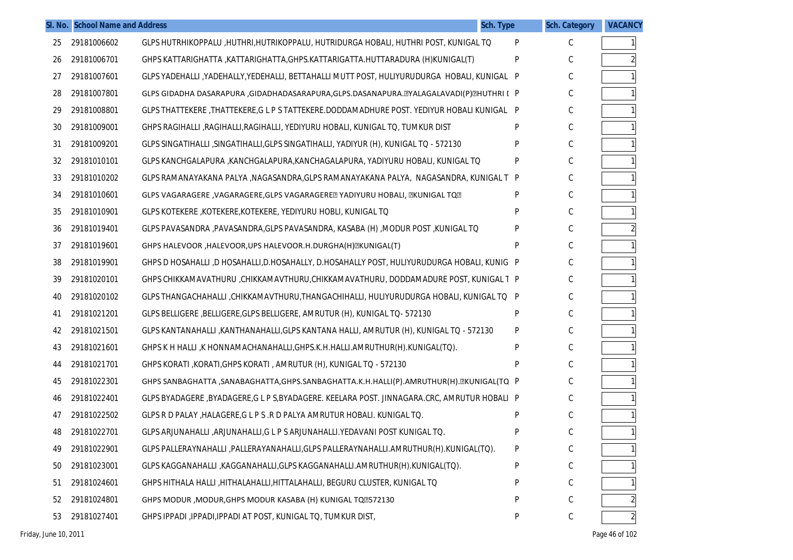|    | SI. No. School Name and Address |                                                                                              | Sch. Type | <b>Sch. Category</b> | <b>VACANCY</b> |
|----|---------------------------------|----------------------------------------------------------------------------------------------|-----------|----------------------|----------------|
| 25 | 29181006602                     | GLPS HUTRHIKOPPALU , HUTHRI, HUTRIKOPPALU, HUTRIDURGA HOBALI, HUTHRI POST, KUNIGAL TO        | P         | C                    | 1 <sup>1</sup> |
| 26 | 29181006701                     | GHPS KATTARIGHATTA, KATTARIGHATTA, GHPS. KATTARIGATTA. HUTTARADURA (H) KUNIGAL (T)           | P         | C                    | $\overline{a}$ |
| 27 | 29181007601                     | GLPS YADEHALLI ,YADEHALLY,YEDEHALLI, BETTAHALLI MUTT POST, HULIYURUDURGA HOBALI, KUNIGAL P   |           | C                    |                |
| 28 | 29181007801                     | GLPS GIDADHA DASARAPURA ,GIDADHADASARAPURA,GLPS.DASANAPURA. [2]YALAGALAVADI(P) [2]HUTHRI [ P |           | C                    |                |
| 29 | 29181008801                     | GLPS THATTEKERE ,THATTEKERE,G L P S TATTEKERE.DODDAMADHURE POST. YEDIYUR HOBALI KUNIGAL P    |           | C                    |                |
| 30 | 29181009001                     | GHPS RAGIHALLI ,RAGIHALLI,RAGIHALLI, YEDIYURU HOBALI, KUNIGAL TO, TUMKUR DIST                | P         | С                    |                |
| 31 | 29181009201                     | GLPS SINGATIHALLI , SINGATIHALLI, GLPS SINGATIHALLI, YADIYUR (H), KUNIGAL TQ - 572130        | P         | С                    |                |
| 32 | 29181010101                     | GLPS KANCHGALAPURA , KANCHGALAPURA, KANCHAGALAPURA, YADIYURU HOBALI, KUNIGAL TO              | P         | С                    |                |
| 33 | 29181010202                     | GLPS RAMANAYAKANA PALYA ,NAGASANDRA,GLPS RAMANAYAKANA PALYA, NAGASANDRA, KUNIGAL T P         |           | C                    |                |
| 34 | 29181010601                     |                                                                                              | P         | С                    |                |
| 35 | 29181010901                     | GLPS KOTEKERE, KOTEKERE, KOTEKERE, YEDIYURU HOBLI, KUNIGAL TO                                | P         | С                    |                |
| 36 | 29181019401                     | GLPS PAVASANDRA ,PAVASANDRA,GLPS PAVASANDRA, KASABA (H) ,MODUR POST ,KUNIGAL TO              | P         | С                    | $\overline{a}$ |
| 37 | 29181019601                     | GHPS HALEVOOR, HALEVOOR, UPS HALEVOOR. H. DURGHA (H) EKUNIGAL (T)                            | P         | С                    |                |
| 38 | 29181019901                     | GHPS D HOSAHALLI ,D HOSAHALLI,D.HOSAHALLY, D.HOSAHALLY POST, HULIYURUDURGA HOBALI, KUNIG P   |           | C                    |                |
| 39 | 29181020101                     | GHPS CHIKKAMAVATHURU , CHIKKAMAVTHURU, CHIKKAMAVATHURU, DODDAMADURE POST, KUNIGAL T P        |           | C                    |                |
| 40 | 29181020102                     | GLPS THANGACHAHALLI ,CHIKKAMAVTHURU,THANGACHIHALLI, HULIYURUDURGA HOBALI, KUNIGAL TO P       |           | C                    |                |
| 41 | 29181021201                     | GLPS BELLIGERE , BELLIGERE, GLPS BELLIGERE, AMRUTUR (H), KUNIGAL TO- 572130                  | P         | C                    |                |
| 42 | 29181021501                     | GLPS KANTANAHALLI ,KANTHANAHALLI,GLPS KANTANA HALLI, AMRUTUR (H), KUNIGAL TO - 572130        | P         | С                    |                |
| 43 | 29181021601                     | GHPS K H HALLI, K HONNAMACHANAHALLI, GHPS.K.H.HALLI.AMRUTHUR(H).KUNIGAL(TQ).                 | P         | С                    |                |
| 44 | 29181021701                     | GHPS KORATI, KORATI, GHPS KORATI, AMRUTUR (H), KUNIGAL TO - 572130                           | P         | С                    |                |
| 45 | 29181022301                     | GHPS SANBAGHATTA ,SANABAGHATTA,GHPS.SANBAGHATTA.K.H.HALLI(P).AMRUTHUR(H). ZKUNIGAL(TQ P      |           | C                    |                |
| 46 | 29181022401                     | GLPS BYADAGERE ,BYADAGERE,G L P S,BYADAGERE. KEELARA POST. JINNAGARA.CRC, AMRUTUR HOBALI P   |           | С                    |                |
| 47 | 29181022502                     | GLPS R D PALAY, HALAGERE, G L P S .R D PALYA AMRUTUR HOBALI. KUNIGAL TO.                     | P         | С                    |                |
| 48 | 29181022701                     | GLPS ARJUNAHALLI , ARJUNAHALLI, G L P S ARJUNAHALLI. YEDAVANI POST KUNIGAL TO.               | P         | С                    | $\mathbf{1}$   |
| 49 | 29181022901                     | GLPS PALLERAYNAHALLI , PALLERAYANAHALLI, GLPS PALLERAYNAHALLI. AMRUTHUR(H). KUNIGAL(TQ).     | P         | С                    |                |
| 50 | 29181023001                     | GLPS KAGGANAHALLI , KAGGANAHALLI, GLPS KAGGANAHALLI. AMRUTHUR(H). KUNIGAL(TQ).               | P         | С                    |                |
| 51 | 29181024601                     | GHPS HITHALA HALLI, HITHALAHALLI, HITTALAHALLI, BEGURU CLUSTER, KUNIGAL TO                   | P         | С                    |                |
| 52 | 29181024801                     | GHPS MODUR, MODUR, GHPS MODUR KASABA (H) KUNIGAL TQ7572130                                   | P         | С                    |                |
| 53 | 29181027401                     | GHPS IPPADI , IPPADI, IPPADI AT POST, KUNIGAL TO, TUMKUR DIST,                               | P         | С                    | $\overline{2}$ |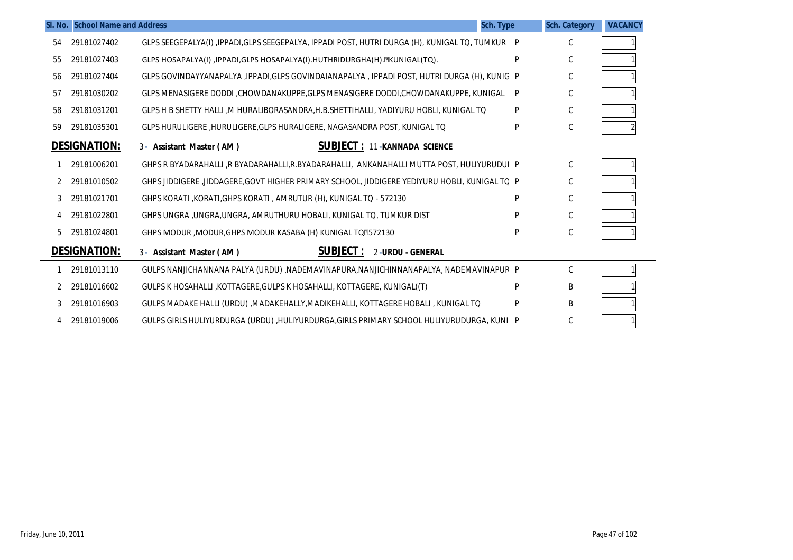|    | SI. No. School Name and Address |                                                                                                   | Sch. Type | <b>Sch. Category</b> | <b>VACANCY</b> |
|----|---------------------------------|---------------------------------------------------------------------------------------------------|-----------|----------------------|----------------|
| 54 | 29181027402                     | GLPS SEEGEPALYA(I), IPPADI, GLPS SEEGEPALYA, IPPADI POST, HUTRI DURGA (H), KUNIGAL TO, TUMKUR   P |           | C                    |                |
| 55 | 29181027403                     | GLPS HOSAPALYA(I), IPPADI, GLPS HOSAPALYA(I). HUTHRIDURGHA(H). ZKUNIGAL(TQ).                      | P         | C                    |                |
| 56 | 29181027404                     | GLPS GOVINDAYYANAPALYA , IPPADI, GLPS GOVINDAIANAPALYA , IPPADI POST, HUTRI DURGA (H), KUNIG P    |           | С                    |                |
| 57 | 29181030202                     | GLPS MENASIGERE DODDI ,CHOWDANAKUPPE,GLPS MENASIGERE DODDI,CHOWDANAKUPPE, KUNIGAL                 | P         | C                    |                |
| 58 | 29181031201                     | GLPS H B SHETTY HALLI ,M HURALIBORASANDRA,H.B.SHETTIHALLI, YADIYURU HOBLI, KUNIGAL TQ             | P         | C                    |                |
| 59 | 29181035301                     | GLPS HURULIGERE, HURULIGERE, GLPS HURALIGERE, NAGASANDRA POST, KUNIGAL TO                         | Þ         | $\mathsf C$          |                |
|    | <b>DESIGNATION:</b>             | <b>SUBJECT: 11-KANNADA SCIENCE</b><br>3- Assistant Master (AM)                                    |           |                      |                |
|    | 29181006201                     | GHPS R BYADARAHALLI ,R BYADARAHALLI,R.BYADARAHALLI, ANKANAHALLI MUTTA POST, HULIYURUDUI P         |           | C                    |                |
|    | 29181010502                     | GHPS JIDDIGERE ,JIDDAGERE,GOVT HIGHER PRIMARY SCHOOL, JIDDIGERE YEDIYURU HOBLI, KUNIGAL TC P      |           | С                    |                |
| 3  | 29181021701                     | GHPS KORATI, KORATI, GHPS KORATI, AMRUTUR (H), KUNIGAL TQ - 572130                                | Þ         | $\mathsf C$          |                |
|    | 29181022801                     | GHPS UNGRA, UNGRA, UNGRA, AMRUTHURU HOBALI, KUNIGAL TO, TUMKUR DIST                               | D         | $\mathsf C$          |                |
| 5  | 29181024801                     | GHPS MODUR, MODUR, GHPS MODUR KASABA (H) KUNIGAL TQ777130                                         | P         | C                    |                |
|    | <b>DESIGNATION:</b>             | <b>SUBJECT:</b><br><b>2-URDU - GENERAL</b><br>3- Assistant Master (AM)                            |           |                      |                |
|    | 29181013110                     | GULPS NANJICHANNANA PALYA (URDU) ,NADEMAVINAPURA,NANJICHINNANAPALYA, NADEMAVINAPUR P              |           | $\mathsf C$          |                |
| 2  | 29181016602                     | GULPS K HOSAHALLI , KOTTAGERE, GULPS K HOSAHALLI, KOTTAGERE, KUNIGAL ((T)                         | Þ         | B                    |                |
| 3  | 29181016903                     | GULPS MADAKE HALLI (URDU) ,MADAKEHALLY,MADIKEHALLI, KOTTAGERE HOBALI , KUNIGAL TO                 | P         | B                    |                |
| 4  | 29181019006                     | GULPS GIRLS HULIYURDURGA (URDU) ,HULIYURDURGA,GIRLS PRIMARY SCHOOL HULIYURUDURGA, KUNI P          |           | C                    |                |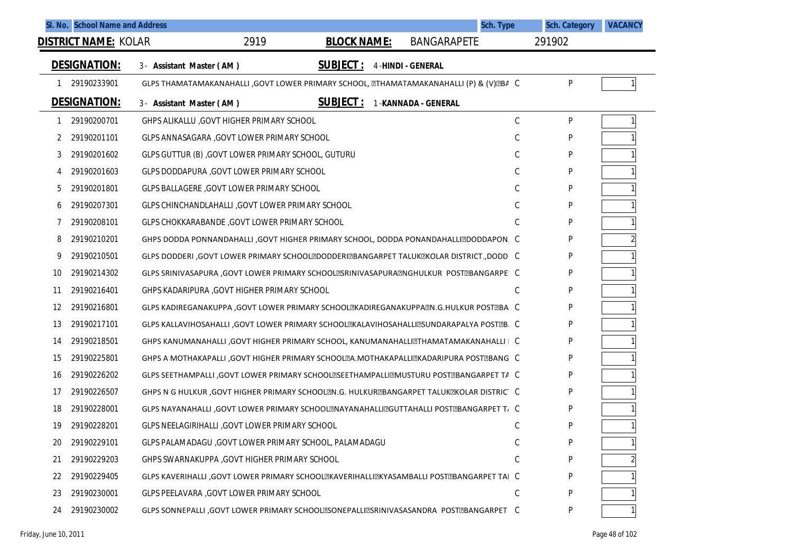| SI. No. School Name and Address |                                                                                              |                    | Sch. Type           | <b>Sch. Category</b> | <b>VACANCY</b> |
|---------------------------------|----------------------------------------------------------------------------------------------|--------------------|---------------------|----------------------|----------------|
| <b>DISTRICT NAME: KOLAR</b>     | 2919                                                                                         | <b>BLOCK NAME:</b> | <b>BANGARAPETE</b>  | 291902               |                |
| <b>DESIGNATION:</b>             | 3- Assistant Master (AM)                                                                     | <b>SUBJECT:</b>    | 4-HINDI - GENERAL   |                      |                |
| 29190233901                     | GLPS THAMATAMAKANAHALLI ,GOVT LOWER PRIMARY SCHOOL, ETHAMATAMAKANAHALLI (P) & (V)EBA C       |                    |                     | P                    |                |
| <b>DESIGNATION:</b>             | 3- Assistant Master (AM)                                                                     | <u>SUBJECT :</u>   | 1-KANNADA - GENERAL |                      |                |
| 29190200701<br>1                | GHPS ALIKALLU , GOVT HIGHER PRIMARY SCHOOL                                                   |                    |                     | $\mathbb C$<br>P     |                |
| 29190201101<br>2                | GLPS ANNASAGARA , GOVT LOWER PRIMARY SCHOOL                                                  |                    |                     | С<br>P               |                |
| 29190201602<br>3                | GLPS GUTTUR (B), GOVT LOWER PRIMARY SCHOOL, GUTURU                                           |                    |                     | C<br>P               |                |
| 29190201603<br>4                | GLPS DODDAPURA , GOVT LOWER PRIMARY SCHOOL                                                   |                    |                     | C<br>P               |                |
| 29190201801<br>5                | GLPS BALLAGERE, GOVT LOWER PRIMARY SCHOOL                                                    |                    |                     | С<br>P               |                |
| 29190207301<br>6                | GLPS CHINCHANDLAHALLI , GOVT LOWER PRIMARY SCHOOL                                            |                    |                     | С<br>P               |                |
| 29190208101<br>7                | GLPS CHOKKARABANDE, GOVT LOWER PRIMARY SCHOOL                                                |                    |                     | C<br>P               |                |
| 29190210201<br>8                | GHPS DODDA PONNANDAHALLI ,GOVT HIGHER PRIMARY SCHOOL, DODDA PONANDAHALLIZDODDAPON. C         |                    |                     | P                    |                |
| 29190210501<br>9                | GLPS DODDERI , GOVT LOWER PRIMARY SCHOOLTDODDERITBANGARPET TALUKTKOLAR DISTRICT., DODD C     |                    |                     | P                    |                |
| 29190214302<br>10               | GLPS SRINIVASAPURA , GOVT LOWER PRIMARY SCHOOLESRINIVASAPURAENGHULKUR POSTEBANGARPE C        |                    |                     | P                    |                |
| 29190216401<br>11               | GHPS KADARIPURA , GOVT HIGHER PRIMARY SCHOOL                                                 |                    |                     | C<br>P               |                |
| 29190216801<br>12               | GLPS KADIREGANAKUPPA , GOVT LOWER PRIMARY SCHOOLXKADIREGANAKUPPAZN.G.HULKUR POSTZBA C        |                    |                     | P                    |                |
| 29190217101<br>13               | GLPS KALLAVIHOSAHALLI ,GOVT LOWER PRIMARY SCHOOLEKALAVIHOSAHALLIESUNDARAPALYA POSTEB. C      |                    |                     | P                    |                |
| 29190218501<br>14               | GHPS KANUMANAHALLI ,GOVT HIGHER PRIMARY SCHOOL, KANUMANAHALLIZTHAMATAMAKANAHALLI   C         |                    |                     | P                    |                |
| 15<br>29190225801               | GHPS A MOTHAKAPALLI , GOVT HIGHER PRIMARY SCHOOL A. MOTHAKAPALLI EKADARIPURA POST EBANG C    |                    |                     | P                    |                |
| 29190226202<br>16               | GLPS SEETHAMPALLI , GOVT LOWER PRIMARY SCHOOLESEETHAMPALLIEMUSTURU POSTEBANGARPET TA C       |                    |                     | P                    |                |
| 29190226507<br>17               | GHPS N G HULKUR ,GOVT HIGHER PRIMARY SCHOOLEN.G. HULKUREBANGARPET TALUKEKOLAR DISTRIC C      |                    |                     | P                    |                |
| 29190228001<br>18               | GLPS NAYANAHALLI ,GOVT LOWER PRIMARY SCHOOLZNAYANAHALLIZGUTTAHALLI POSTZBANGARPET T, C       |                    |                     | P                    |                |
| 19<br>29190228201               | GLPS NEELAGIRIHALLI , GOVT LOWER PRIMARY SCHOOL                                              |                    |                     | C<br>P               |                |
| 29190229101<br>20               | GLPS PALAMADAGU , GOVT LOWER PRIMARY SCHOOL, PALAMADAGU                                      |                    |                     | C<br>P               |                |
| 29190229203<br>21               | GHPS SWARNAKUPPA , GOVT HIGHER PRIMARY SCHOOL                                                |                    |                     | C<br>P               |                |
| 29190229405<br>22               | GLPS KAVERIHALLI ,GOVT LOWER PRIMARY SCHOOL EKAVERIHALLI EIKYASAMBALLI POST EBANGARPET TAI C |                    |                     | P                    |                |
| 29190230001<br>23               | GLPS PEELAVARA , GOVT LOWER PRIMARY SCHOOL                                                   |                    |                     | C<br>P               |                |
| 29190230002<br>24               | GLPS SONNEPALLI ,GOVT LOWER PRIMARY SCHOOLESONEPALLIESRINIVASASANDRA POSTEBANGARPET C        |                    |                     | P                    |                |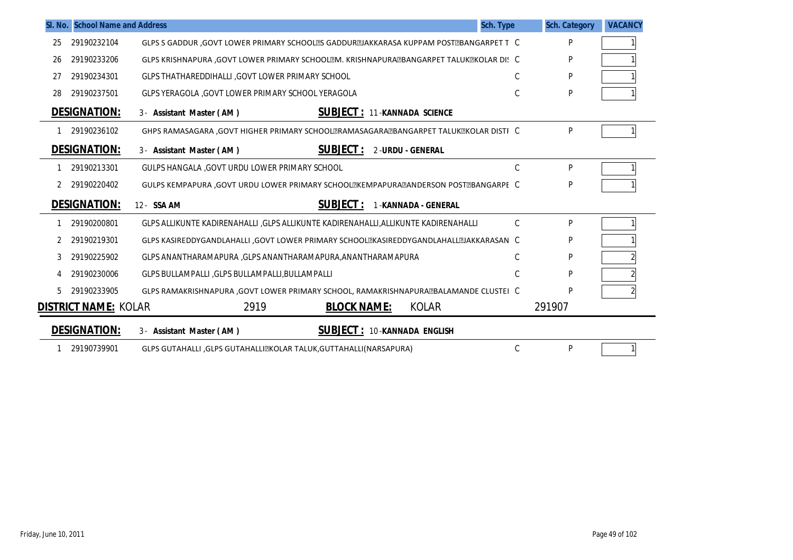|    | SI. No. School Name and Address |                                                                                         | Sch. Type | <b>Sch. Category</b> | <b>VACANCY</b> |
|----|---------------------------------|-----------------------------------------------------------------------------------------|-----------|----------------------|----------------|
| 25 | 29190232104                     | GLPS S GADDUR , GOVT LOWER PRIMARY SCHOOL®S GADDUR JAKKARASA KUPPAM POST @BANGARPET T C |           | P                    |                |
| 26 | 29190233206                     | GLPS KRISHNAPURA ,GOVT LOWER PRIMARY SCHOOL®M. KRISHNAPURA®BANGARPET TALUK®KOLAR DI! C  |           | P                    |                |
| 27 | 29190234301                     | GLPS THATHAREDDIHALLI GOVT LOWER PRIMARY SCHOOL                                         | C         | P                    |                |
| 28 | 29190237501                     | GLPS YERAGOLA , GOVT LOWER PRIMARY SCHOOL YERAGOLA                                      | C         | P                    |                |
|    | <b>DESIGNATION:</b>             | <b>SUBJECT: 11-KANNADA SCIENCE</b><br>3- Assistant Master (AM)                          |           |                      |                |
|    | 29190236102                     | GHPS RAMASAGARA , GOVT HIGHER PRIMARY SCHOOLERAMASAGARAEBANGARPET TALUKEKOLAR DISTI C   |           | P                    |                |
|    | <b>DESIGNATION:</b>             | <b>SUBJECT :</b><br>2-URDU - GENERAL<br>3- Assistant Master (AM)                        |           |                      |                |
|    | 29190213301                     | GULPS HANGALA , GOVT URDU LOWER PRIMARY SCHOOL                                          | C         | P                    |                |
| 2  | 29190220402                     | GULPS KEMPAPURA , GOVT URDU LOWER PRIMARY SCHOOLEKEMPAPURAEANDERSON POSTEBANGARPE C     |           | P                    |                |
|    | <b>DESIGNATION:</b>             | <b>SUBJECT:</b><br>12- SSA AM<br><b>1-KANNADA - GENERAL</b>                             |           |                      |                |
|    | 29190200801                     | GLPS ALLIKUNTE KADIRENAHALLI ,GLPS ALLIKUNTE KADIRENAHALLI,ALLIKUNTE KADIRENAHALLI      | C         | P                    |                |
|    | 29190219301                     | GLPS KASIREDDYGANDLAHALLI ,GOVT LOWER PRIMARY SCHOOLTKASIREDDYGANDLAHALLTJAKKARASAN C   |           | P                    |                |
| 3  | 29190225902                     | GLPS ANANTHARAMAPURA , GLPS ANANTHARAMAPURA, ANANTHARAMAPURA                            | C         | P                    |                |
| 4  | 29190230006                     | GLPS BULLAMPALLI, GLPS BULLAMPALLI, BULLAMPALLI                                         | C         | P                    |                |
| 5  | 29190233905                     | GLPS RAMAKRISHNAPURA ,GOVT LOWER PRIMARY SCHOOL, RAMAKRISHNAPURA@BALAMANDE CLUSTEI C    |           | P                    |                |
|    | DISTRICT NAME: KOLAR            | 2919<br><b>BLOCK NAME:</b><br><b>KOLAR</b>                                              |           | 291907               |                |
|    | <b>DESIGNATION:</b>             | <b>SUBJECT: 10-KANNADA ENGLISH</b><br>3- Assistant Master (AM)                          |           |                      |                |
|    | 29190739901                     | GLPS GUTAHALLI ,GLPS GUTAHALLI@KOLAR TALUK,GUTTAHALLI(NARSAPURA)                        | C         | P                    |                |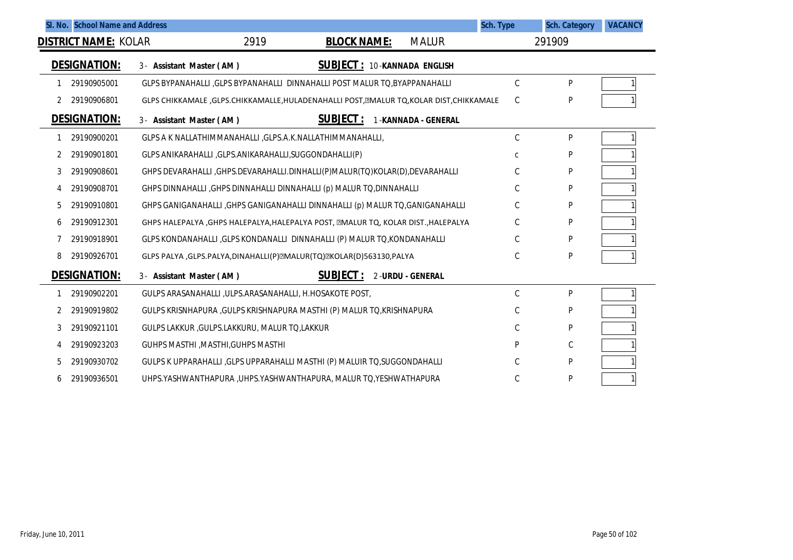|                |                             | SI. No. School Name and Address |                                                                                        |                    |                             | Sch. Type     | <b>Sch. Category</b> | <b>VACANCY</b> |
|----------------|-----------------------------|---------------------------------|----------------------------------------------------------------------------------------|--------------------|-----------------------------|---------------|----------------------|----------------|
|                | <b>DISTRICT NAME: KOLAR</b> |                                 | 2919                                                                                   | <b>BLOCK NAME:</b> | <b>MALUR</b>                |               | 291909               |                |
|                | <b>DESIGNATION:</b>         | 3- Assistant Master (AM)        |                                                                                        |                    | SUBJECT: 10-KANNADA ENGLISH |               |                      |                |
|                | 29190905001                 |                                 | GLPS BYPANAHALLI , GLPS BYPANAHALLI DINNAHALLI POST MALUR TO, BYAPPANAHALLI            |                    |                             | $\mathcal{C}$ | P                    |                |
|                | 29190906801                 |                                 | GLPS CHIKKAMALE ,GLPS.CHIKKAMALLE,HULADENAHALLI POST, MALUR TQ, KOLAR DIST, CHIKKAMALE |                    |                             | C             | P                    |                |
|                | <b>DESIGNATION:</b>         | 3- Assistant Master (AM)        |                                                                                        | <b>SUBJECT:</b>    | 1-KANNADA - GENERAL         |               |                      |                |
|                | 29190900201                 |                                 | GLPS A K NALLATHIMMANAHALLI , GLPS.A.K.NALLATHIMMANAHALLI,                             |                    |                             | $\mathsf C$   | P                    |                |
|                | 29190901801                 |                                 | GLPS ANIKARAHALLI , GLPS.ANIKARAHALLI, SUGGONDAHALLI (P)                               |                    |                             | C             | P                    |                |
| 3              | 29190908601                 |                                 | GHPS DEVARAHALLI ,GHPS.DEVARAHALLI.DINHALLI(P)MALUR(TQ)KOLAR(D),DEVARAHALLI            |                    |                             | C             | P                    |                |
| $\overline{4}$ | 29190908701                 |                                 | GHPS DINNAHALLI, GHPS DINNAHALLI DINNAHALLI (p) MALUR TO, DINNAHALLI                   |                    |                             | $\mathcal{C}$ | P                    |                |
| 5              | 29190910801                 |                                 | GHPS GANIGANAHALLI , GHPS GANIGANAHALLI DINNAHALLI (p) MALUR TO, GANIGANAHALLI         |                    |                             | C             | P                    |                |
| 6              | 29190912301                 |                                 | GHPS HALEPALYA , GHPS HALEPALYA, HALEPALYA POST, MALLUR TQ, KOLAR DIST., HALEPALYA     |                    |                             | C             | P                    |                |
|                | 29190918901                 |                                 | GLPS KONDANAHALLI , GLPS KONDANALLI DINNAHALLI (P) MALUR TO, KONDANAHALLI              |                    |                             | C.            | P                    |                |
| 8              | 29190926701                 |                                 | GLPS PALYA , GLPS.PALYA, DINAHALLI (P) MALUR (TQ) MKOLAR (D) 563130, PALYA             |                    |                             | C             | P                    |                |
|                | <b>DESIGNATION:</b>         | 3- Assistant Master (AM)        |                                                                                        | <b>SUBJECT:</b>    | 2-URDU - GENERAL            |               |                      |                |
|                | 29190902201                 |                                 | GULPS ARASANAHALLI, ULPS.ARASANAHALLI, H.HOSAKOTE POST,                                |                    |                             | $\mathsf C$   | P                    |                |
| 2              | 29190919802                 |                                 | GULPS KRISNHAPURA, GULPS KRISHNAPURA MASTHI (P) MALUR TO, KRISHNAPURA                  |                    |                             | C             | P                    |                |
| 3              | 29190921101                 |                                 | GULPS LAKKUR , GULPS.LAKKURU, MALUR TO,LAKKUR                                          |                    |                             | $\mathcal{C}$ | P                    |                |
|                | 29190923203                 |                                 | GUHPS MASTHI, MASTHI, GUHPS MASTHI                                                     |                    |                             | P             | С                    |                |
| 5              | 29190930702                 |                                 | GULPS K UPPARAHALLI , GLPS UPPARAHALLI MASTHI (P) MALUIR TO, SUGGONDAHALLI             |                    |                             | C             | P                    |                |
| 6              | 29190936501                 |                                 | UHPS.YASHWANTHAPURA ,UHPS.YASHWANTHAPURA, MALUR TQ,YESHWATHAPURA                       |                    |                             | C             | P                    |                |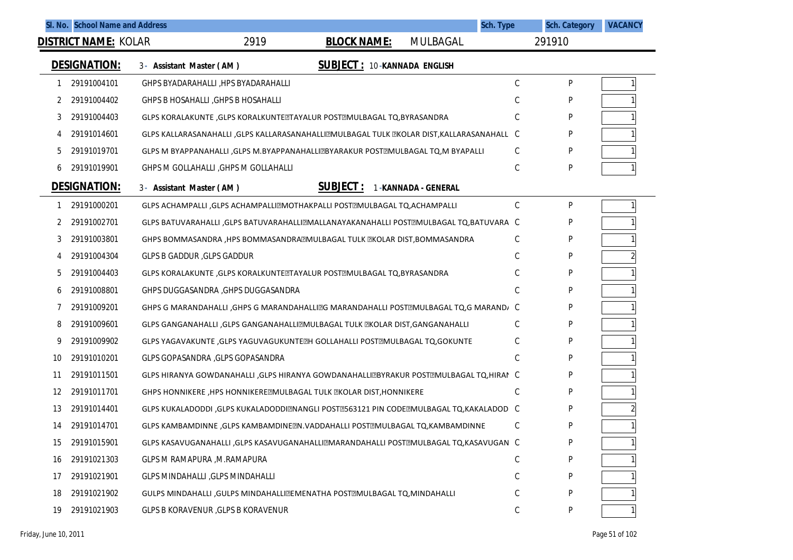|    | SI. No. School Name and Address |                                                                                          |                                    |                     | <b>Sch. Type</b> | <b>Sch. Category</b> | <b>VACANCY</b> |
|----|---------------------------------|------------------------------------------------------------------------------------------|------------------------------------|---------------------|------------------|----------------------|----------------|
|    | <b>DISTRICT NAME: KOLAR</b>     | 2919                                                                                     | <b>BLOCK NAME:</b>                 | MULBAGAL            |                  | 291910               |                |
|    | <b>DESIGNATION:</b>             | 3- Assistant Master (AM)                                                                 | <b>SUBJECT: 10-KANNADA ENGLISH</b> |                     |                  |                      |                |
|    | 29191004101                     | GHPS BYADARAHALLI, HPS BYADARAHALLI                                                      |                                    |                     | С                | P                    |                |
|    | 29191004402                     | GHPS B HOSAHALLI, GHPS B HOSAHALLI                                                       |                                    |                     | C                | P                    |                |
| 3  | 29191004403                     | GLPS KORALAKUNTE , GLPS KORALKUNTE TAYALUR POST MULBAGAL TO, BYRASANDRA                  |                                    |                     | С                | P                    |                |
|    | 29191014601                     | GLPS KALLARASANAHALLI ,GLPS KALLARASANAHALLI@MULBAGAL TULK @KOLAR DIST,KALLARASANAHALL C |                                    |                     |                  | P                    |                |
| 5  | 29191019701                     | GLPS M BYAPPANAHALLI , GLPS M.BYAPPANAHALLIZZBYARAKUR POSTZMULBAGAL TQ, M BYAPALLI       |                                    |                     | C                | P                    |                |
| 6  | 29191019901                     | GHPS M GOLLAHALLI, GHPS M GOLLAHALLI                                                     |                                    |                     | C                | P                    |                |
|    | <b>DESIGNATION:</b>             | 3- Assistant Master (AM)                                                                 | <b>SUBJECT:</b>                    | 1-KANNADA - GENERAL |                  |                      |                |
|    | 29191000201                     | GLPS ACHAMPALLI , GLPS ACHAMPALLIZMOTHAKPALLI POSTZMULBAGAL TQ, ACHAMPALLI               |                                    |                     | С                | P                    |                |
| 2  | 29191002701                     | GLPS BATUVARAHALLI , GLPS BATUVARAHALLIZMALLANAYAKANAHALLI POSTZMULBAGAL TQ, BATUVARA C  |                                    |                     |                  | P                    |                |
| 3  | 29191003801                     | GHPS BOMMASANDRA , HPS BOMMASANDRA MULBAGAL TULK MICOLAR DIST, BOMMASANDRA               |                                    |                     | C                | P                    |                |
| 4  | 29191004304                     | <b>GLPS B GADDUR, GLPS GADDUR</b>                                                        |                                    |                     | С                | P                    |                |
| b  | 29191004403                     | GLPS KORALAKUNTE , GLPS KORALKUNTE TAYALUR POST EMULBAGAL TO, BYRASANDRA                 |                                    |                     | C                | P                    |                |
| 6  | 29191008801                     | GHPS DUGGASANDRA, GHPS DUGGASANDRA                                                       |                                    |                     | C                | P                    |                |
|    | 29191009201                     | GHPS G MARANDAHALLI , GHPS G MARANDAHALLIEG MARANDAHALLI POSTEMULBAGAL TQ, G MARAND/ C   |                                    |                     |                  | P                    |                |
| 8  | 29191009601                     | GLPS GANGANAHALLI ,GLPS GANGANAHALLIZMULBAGAL TULK ZKOLAR DIST,GANGANAHALLI              |                                    |                     | С                | P                    |                |
| 9  | 29191009902                     | GLPS YAGAVAKUNTE , GLPS YAGUVAGUKUNTE EH GOLLAHALLI POST EMULBAGAL TO, GOKUNTE           |                                    |                     | C                | P                    |                |
| 10 | 29191010201                     | GLPS GOPASANDRA , GLPS GOPASANDRA                                                        |                                    |                     | C                | P                    |                |
| 11 | 29191011501                     | GLPS HIRANYA GOWDANAHALLI , GLPS HIRANYA GOWDANAHALLIZEYRAKUR POSTZMULBAGAL TQ, HIRAN C  |                                    |                     |                  | P                    |                |
| 12 | 29191011701                     | GHPS HONNIKERE , HPS HONNIKERE ZMULBAGAL TULK ZKOLAR DIST, HONNIKERE                     |                                    |                     | C                | P                    |                |
| 13 | 29191014401                     | GLPS KUKALADODDI ,GLPS KUKALADODDIZNANGLI POSTZ563121 PIN CODEZMULBAGAL TQ,KAKALADOD C   |                                    |                     |                  | P                    |                |
| 14 | 29191014701                     | GLPS KAMBAMDINNE , GLPS KAMBAMDINE EN. VADDAHALLI POST EMULBAGAL TO, KAMBAMDINNE         |                                    |                     | C                | P                    |                |
| 15 | 29191015901                     | GLPS KASAVUGANAHALLI ,GLPS KASAVUGANAHALLI MARANDAHALLI POST MULBAGAL TQ, KASAVUGAN C    |                                    |                     |                  | P                    |                |
| 16 | 29191021303                     | GLPS M RAMAPURA , M.RAMAPURA                                                             |                                    |                     | С                | P                    |                |
| 17 | 29191021901                     | <b>GLPS MINDAHALLI , GLPS MINDAHALLI</b>                                                 |                                    |                     | C                | P                    |                |
| 18 | 29191021902                     | GULPS MINDAHALLI , GULPS MINDAHALLI TEMENATHA POSTTMULBAGAL TQ, MINDAHALLI               |                                    |                     | C                | P                    |                |
| 19 | 29191021903                     | GLPS B KORAVENUR, GLPS B KORAVENUR                                                       |                                    |                     | С                | P                    |                |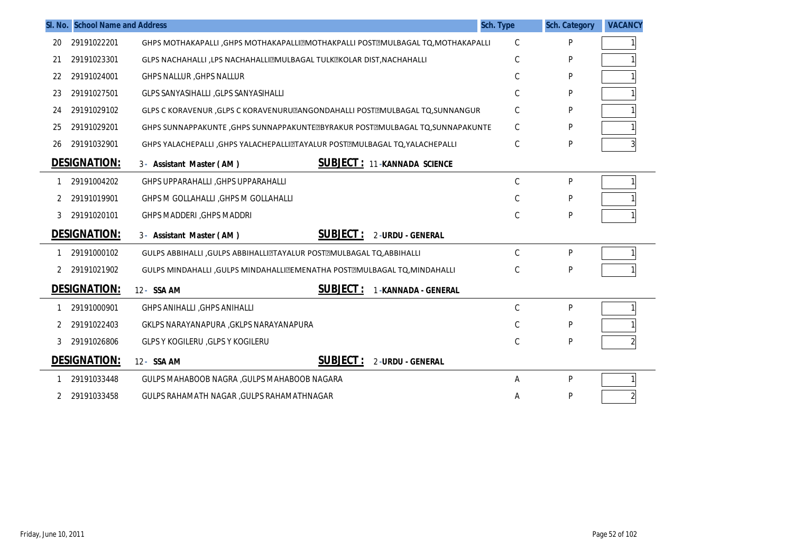|    | SI. No. School Name and Address |                                                                                  | Sch. Type     | <b>Sch. Category</b> | <b>VACANCY</b> |
|----|---------------------------------|----------------------------------------------------------------------------------|---------------|----------------------|----------------|
| 20 | 29191022201                     | GHPS MOTHAKAPALLI, GHPS MOTHAKAPALLIZMOTHAKPALLI POSTZMULBAGAL TQ, MOTHAKAPALLI  | $\mathsf C$   | P                    |                |
| 21 | 29191023301                     | GLPS NACHAHALLI ,LPS NACHAHALLIZMULBAGAL TULKZKOLAR DIST, NACHAHALLI             | C             | P                    |                |
| 22 | 29191024001                     | <b>GHPS NALLUR, GHPS NALLUR</b>                                                  | C             | P                    |                |
| 23 | 29191027501                     | GLPS SANYASIHALLI , GLPS SANYASIHALLI                                            | C             | P                    |                |
| 24 | 29191029102                     | GLPS C KORAVENUR , GLPS C KORAVENURU LANGONDAHALLI POST EMULBAGAL TO, SUNNANGUR  | C             | P                    |                |
| 25 | 29191029201                     | GHPS SUNNAPPAKUNTE , GHPS SUNNAPPAKUNTE EBYRAKUR POST EMULBAGAL TO, SUNNAPAKUNTE | C             | P                    |                |
| 26 | 29191032901                     | GHPS YALACHEPALLI , GHPS YALACHEPALLIZTAYALUR POSTZMULBAGAL TQ, YALACHEPALLI     | C             | P                    |                |
|    | <b>DESIGNATION:</b>             | <b>SUBJECT: 11-KANNADA SCIENCE</b><br>3- Assistant Master (AM)                   |               |                      |                |
|    | 29191004202                     | <b>GHPS UPPARAHALLI, GHPS UPPARAHALLI</b>                                        | $\mathcal{C}$ | P                    |                |
| 2  | 29191019901                     | GHPS M GOLLAHALLI, GHPS M GOLLAHALLI                                             | C             | P                    |                |
| 3  | 29191020101                     | <b>GHPS MADDERI, GHPS MADDRI</b>                                                 | C             | P                    |                |
|    | <b>DESIGNATION:</b>             | <b>SUBJECT:</b><br>2-URDU - GENERAL<br>3- Assistant Master (AM)                  |               |                      |                |
|    | 29191000102                     | GULPS ABBIHALLI , GULPS ABBIHALLIZTAYALUR POSTZMULBAGAL TQ, ABBIHALLI            | $\mathcal{C}$ | P                    |                |
| 2  | 29191021902                     | GULPS MINDAHALLI , GULPS MINDAHALLI TEMENATHA POSTTMULBAGAL TQ, MINDAHALLI       | C             | P                    |                |
|    | <b>DESIGNATION:</b>             | <b>SUBJECT:</b><br>12- SSA AM<br>1-KANNADA - GENERAL                             |               |                      |                |
|    | 29191000901                     | <b>GHPS ANIHALLI, GHPS ANIHALLI</b>                                              | $\mathcal{C}$ | P                    |                |
| 2  | 29191022403                     | GKLPS NARAYANAPURA , GKLPS NARAYANAPURA                                          | C             | P                    |                |
| 3  | 29191026806                     | <b>GLPS Y KOGILERU , GLPS Y KOGILERU</b>                                         | C             | P                    |                |
|    | <b>DESIGNATION:</b>             | <b>SUBJECT:</b><br>12- SSA AM<br><b>2-URDU - GENERAL</b>                         |               |                      |                |
|    | 29191033448                     | GULPS MAHABOOB NAGRA , GULPS MAHABOOB NAGARA                                     | Α             | P                    |                |
| 2  | 29191033458                     | GULPS RAHAMATH NAGAR , GULPS RAHAMATHNAGAR                                       | A             | P                    |                |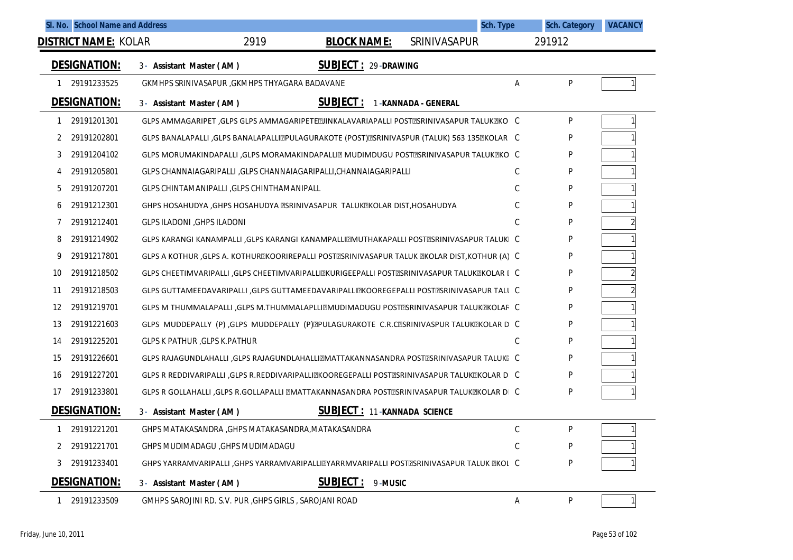|              | SI. No. School Name and Address |                                                                                                |                                    | Sch. Type           |    | <b>Sch. Category</b> | <b>VACANCY</b> |
|--------------|---------------------------------|------------------------------------------------------------------------------------------------|------------------------------------|---------------------|----|----------------------|----------------|
|              | <b>DISTRICT NAME: KOLAR</b>     | 2919                                                                                           | <b>BLOCK NAME:</b>                 | SRINIVASAPUR        |    | 291912               |                |
|              | <b>DESIGNATION:</b>             | 3- Assistant Master (AM)                                                                       | <b>SUBJECT: 29-DRAWING</b>         |                     |    |                      |                |
| $\mathbf{1}$ | 29191233525                     | GKMHPS SRINIVASAPUR, GKMHPS THYAGARA BADAVANE                                                  |                                    |                     | Α  | ${\sf P}$            |                |
|              | <b>DESIGNATION:</b>             | 3- Assistant Master (AM)                                                                       | <b>SUBJECT:</b>                    | 1-KANNADA - GENERAL |    |                      |                |
| 1            | 29191201301                     | GLPS AMMAGARIPET ,GLPS GLPS AMMAGARIPETE [IINKALAVARIAPALLI POST [ISRINIVASAPUR TALUK [IKO] C  |                                    |                     |    | P                    |                |
| 2            | 29191202801                     | GLPS BANALAPALLI ,GLPS BANALAPALLIZPULAGURAKOTE (POST)ZSRINIVASPUR (TALUK) 563 135ZKOLAR C     |                                    |                     |    | P                    |                |
| 3            | 29191204102                     | GLPS MORUMAKINDAPALLI ,GLPS MORAMAKINDAPALLIZ MUDIMDUGU POSTZSRINIVASAPUR TALUKZKO C           |                                    |                     |    | P                    |                |
| 4            | 29191205801                     | GLPS CHANNAIAGARIPALLI ,GLPS CHANNAIAGARIPALLI,CHANNAIAGARIPALLI                               |                                    |                     | C  | P                    |                |
| 5            | 29191207201                     | GLPS CHINTAMANIPALLI, GLPS CHINTHAMANIPALL                                                     |                                    |                     | C  | P                    |                |
| 6            | 29191212301                     | GHPS HOSAHUDYA , GHPS HOSAHUDYA ZSRINIVASAPUR TALUKZKOLAR DIST, HOSAHUDYA                      |                                    |                     | C  | P                    |                |
| 7            | 29191212401                     | <b>GLPS ILADONI, GHPS ILADONI</b>                                                              |                                    |                     | C. | P                    |                |
| 8            | 29191214902                     | GLPS KARANGI KANAMPALLI ,GLPS KARANGI KANAMPALLIZMUTHAKAPALLI POSTZSRINIVASAPUR TALUKI C       |                                    |                     |    | P                    |                |
| 9            | 29191217801                     | GLPS A KOTHUR , GLPS A. KOTHUR EKORIREPALLI POST ESNINIVASAPUR TALUK EKOLAR DIST, KOTHUR (A) C |                                    |                     |    | P                    |                |
| 10           | 29191218502                     | GLPS CHEETIMVARIPALLI , GLPS CHEETIMVARIPALLIZKURIGEEPALLI POSTZSRINIVASAPUR TALUKZKOLAR I C   |                                    |                     |    | P                    | $\overline{2}$ |
| 11           | 29191218503                     | GLPS GUTTAMEEDAVARIPALLI , GLPS GUTTAMEEDAVARIPALLIZKOOREGEPALLI POSTZSRINIVASAPUR TALI C      |                                    |                     |    | P                    | $\overline{2}$ |
| 12           | 29191219701                     | GLPS M THUMMALAPALLI ,GLPS M.THUMMALAPLLIZMUDIMADUGU POSTZSRINIVASAPUR TALUKZKOLAF C           |                                    |                     |    | P                    |                |
| 13           | 29191221603                     | GLPS MUDDEPALLY (P), GLPS MUDDEPALLY (P) @PULAGURAKOTE C.R.C @SRINIVASPUR TALUK @KOLAR D C     |                                    |                     |    | P                    |                |
| 14           | 29191225201                     | <b>GLPS K PATHUR, GLPS K.PATHUR</b>                                                            |                                    |                     | C. | P                    |                |
| 15           | 29191226601                     | GLPS RAJAGUNDLAHALLI ,GLPS RAJAGUNDLAHALLIMATTAKANNASANDRA POSTMSRINIVASAPUR TALUKI: C         |                                    |                     |    | P                    |                |
| 16           | 29191227201                     | GLPS R REDDIVARIPALLI ,GLPS R.REDDIVARIPALLI⊠KOOREGEPALLI POST⊠SRINIVASAPUR TALUK⊠KOLAR D C    |                                    |                     |    | P                    |                |
| 17           | 29191233801                     | GLPS R GOLLAHALLI ,GLPS R.GOLLAPALLI ZMATTAKANNASANDRA POSTZSRINIVASAPUR TALUKZKOLAR DI C      |                                    |                     |    | P                    |                |
|              | <b>DESIGNATION:</b>             | 3- Assistant Master (AM)                                                                       | <b>SUBJECT: 11-KANNADA SCIENCE</b> |                     |    |                      |                |
| $\mathbf{1}$ | 29191221201                     | GHPS MATAKASANDRA , GHPS MATAKASANDRA, MATAKASANDRA                                            |                                    |                     | С  | P                    |                |
| 2            | 29191221701                     | GHPS MUDIMADAGU, GHPS MUDIMADAGU                                                               |                                    |                     | C  | P                    |                |
| 3            | 29191233401                     | GHPS YARRAMVARIPALLI ,GHPS YARRAMVARIPALLIZYARRMVARIPALLI POSTZSRINIVASAPUR TALUK ZKOL C       |                                    |                     |    | P                    |                |
|              | <b>DESIGNATION:</b>             | 3- Assistant Master (AM)                                                                       | <b>SUBJECT:</b><br>9-MUSIC         |                     |    |                      |                |
| $\mathbf{1}$ | 29191233509                     | GMHPS SAROJINI RD. S.V. PUR, GHPS GIRLS, SAROJANI ROAD                                         |                                    |                     | Α  | P                    | 1              |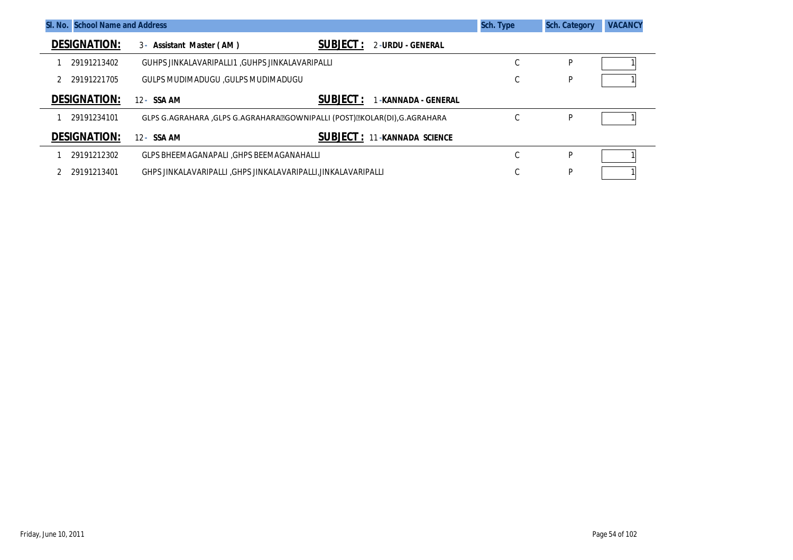| SI. No. School Name and Address |                                                                         |                                                  | Sch. Type | <b>Sch. Category</b> | <b>VACANCY</b> |
|---------------------------------|-------------------------------------------------------------------------|--------------------------------------------------|-----------|----------------------|----------------|
| <b>DESIGNATION:</b>             | 3- Assistant Master (AM)                                                | <b>SUBJECT:</b><br>2-URDU - GENERAL              |           |                      |                |
| 29191213402                     | GUHPS JINKALAVARIPALLI1 .GUHPS JINKALAVARIPALLI                         |                                                  | U         | P                    |                |
| 29191221705                     | GULPS MUDIMADUGU .GULPS MUDIMADUGU                                      |                                                  |           | P                    |                |
| <b>DESIGNATION:</b>             | 12 - SSA AM                                                             | <b>SUBJECT:</b><br>-KANNADA - GENERAL            |           |                      |                |
| 29191234101                     | GLPS G.AGRAHARA ,GLPS G.AGRAHARAZGOWNIPALLI (POST)ZKOLAR(DI),G.AGRAHARA |                                                  |           | P                    |                |
| <b>DESIGNATION:</b>             | 12 - SSA AM                                                             | <b>SUBJECT</b> : $11$<br><b>-KANNADA SCIENCE</b> |           |                      |                |
| 29191212302                     | GLPS BHEEMAGANAPALI , GHPS BEEMAGANAHALLI                               |                                                  | $\sim$    | P                    |                |
| 29191213401                     | GHPS JINKALAVARIPALLI ,GHPS JINKALAVARIPALLI,JINKALAVARIPALLI           |                                                  |           | P                    |                |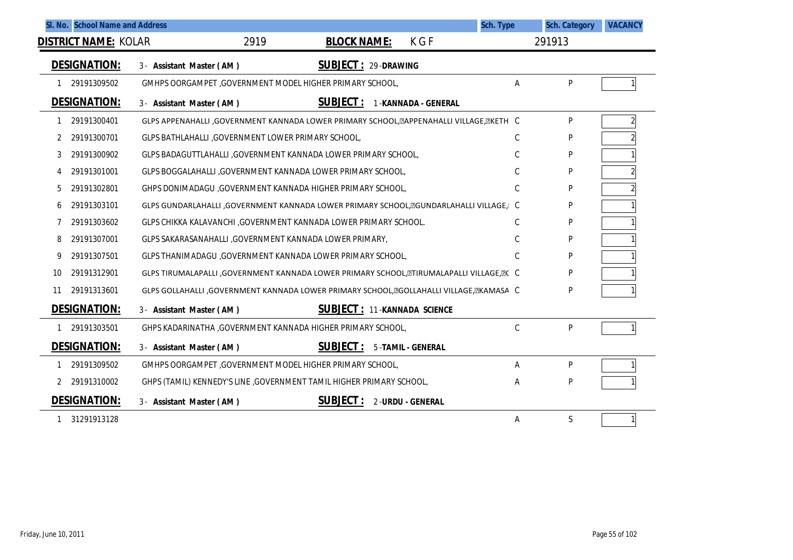| SI. No. School Name and Address |                                                                                           | Sch. Type     | <b>Sch. Category</b> | <b>VACANCY</b> |
|---------------------------------|-------------------------------------------------------------------------------------------|---------------|----------------------|----------------|
| <b>DISTRICT NAME: KOLAR</b>     | 2919<br><b>BLOCK NAME:</b><br>K G F                                                       |               | 291913               |                |
| <b>DESIGNATION:</b>             | <b>SUBJECT: 29-DRAWING</b><br>3- Assistant Master (AM)                                    |               |                      |                |
| 29191309502                     | GMHPS OORGAMPET, GOVERNMENT MODEL HIGHER PRIMARY SCHOOL,                                  | A             | P                    |                |
| <b>DESIGNATION:</b>             | <b>SUBJECT:</b><br>1-KANNADA - GENERAL<br>3- Assistant Master (AM)                        |               |                      |                |
| 29191300401                     | GLPS APPENAHALLI , GOVERNMENT KANNADA LOWER PRIMARY SCHOOL, EAPPENAHALLI VILLAGE, EKETH C |               | P                    | $\overline{2}$ |
| 29191300701                     | GLPS BATHLAHALLI, GOVERNMENT LOWER PRIMARY SCHOOL,                                        | C             | P                    |                |
| 29191300902<br>3                | GLPS BADAGUTTLAHALLI, GOVERNMENT KANNADA LOWER PRIMARY SCHOOL,                            | C             | P                    |                |
| 29191301001<br>4                | GLPS BOGGALAHALLI, GOVERNMENT KANNADA LOWER PRIMARY SCHOOL,                               | C             | P                    |                |
| 29191302801<br>5                | GHPS DONIMADAGU , GOVERNMENT KANNADA HIGHER PRIMARY SCHOOL,                               | C             | P                    |                |
| 29191303101<br>6                | GLPS GUNDARLAHALLI , GOVERNMENT KANNADA LOWER PRIMARY SCHOOL, EGUNDARLAHALLI VILLAGE, I C |               | P                    |                |
| 29191303602                     | GLPS CHIKKA KALAVANCHI , GOVERNMENT KANNADA LOWER PRIMARY SCHOOL.                         | C             | P                    |                |
| 29191307001<br>8                | GLPS SAKARASANAHALLI, GOVERNMENT KANNADA LOWER PRIMARY,                                   | $\mathcal{C}$ | P                    |                |
| 29191307501<br>9                | GLPS THANIMADAGU , GOVERNMENT KANNADA LOWER PRIMARY SCHOOL,                               | C             | P                    |                |
| 29191312901<br>10               | GLPS TIRUMALAPALLI ,GOVERNMENT KANNADA LOWER PRIMARY SCHOOL, ETIRUMALAPALLI VILLAGE, EC C |               | P                    |                |
| 29191313601<br>11               | GLPS GOLLAHALLI ,GOVERNMENT KANNADA LOWER PRIMARY SCHOOL, EGOLLAHALLI VILLAGE, EKAMASA C  |               | P                    |                |
| <b>DESIGNATION:</b>             | <b>SUBJECT: 11-KANNADA SCIENCE</b><br>3- Assistant Master (AM)                            |               |                      |                |
| 29191303501                     | GHPS KADARINATHA , GOVERNMENT KANNADA HIGHER PRIMARY SCHOOL,                              | $\mathcal{C}$ | P                    |                |
| <b>DESIGNATION:</b>             | <b>SUBJECT:</b><br>5-TAMIL - GENERAL<br>3- Assistant Master (AM)                          |               |                      |                |
| 29191309502                     | GMHPS OORGAMPET, GOVERNMENT MODEL HIGHER PRIMARY SCHOOL,                                  | A             | P                    |                |
| 29191310002                     | GHPS (TAMIL) KENNEDY'S LINE , GOVERNMENT TAMIL HIGHER PRIMARY SCHOOL,                     | A             | P                    |                |
| <b>DESIGNATION:</b>             | <b>SUBJECT:</b><br>2-URDU - GENERAL<br>3- Assistant Master (AM)                           |               |                      |                |
| 31291913128                     |                                                                                           | Α             | S                    | $\mathbf{1}$   |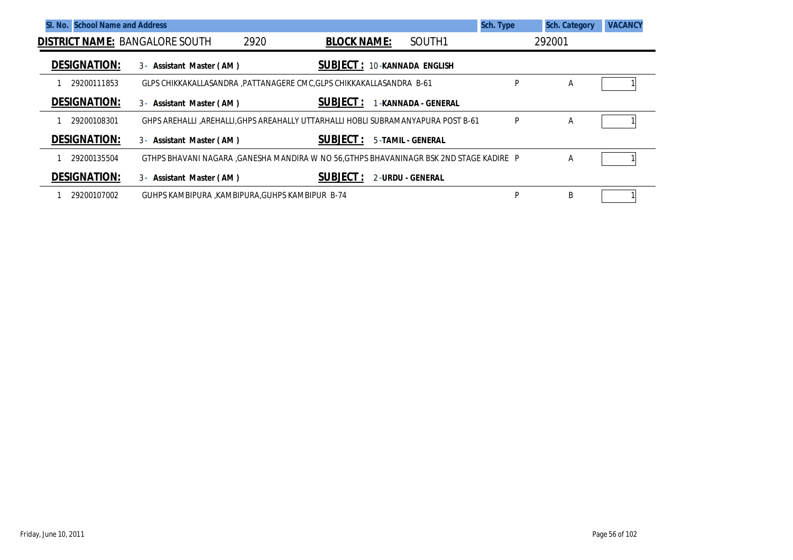| <b>School Name and Address</b><br>SI. No. |                                                                                        |                                    |                         | Sch. Type | <b>Sch. Category</b> | <b>VACANCY</b> |
|-------------------------------------------|----------------------------------------------------------------------------------------|------------------------------------|-------------------------|-----------|----------------------|----------------|
| <b>DISTRICT NAME: BANGALORE SOUTH</b>     | 2920                                                                                   | <b>BLOCK NAME:</b>                 | SOUTH <sub>1</sub>      |           | 292001               |                |
| <b>DESIGNATION:</b>                       | 3 - Assistant Master (AM)                                                              | <b>SUBJECT: 10-KANNADA ENGLISH</b> |                         |           |                      |                |
| 29200111853                               | GLPS CHIKKAKALLASANDRA, PATTANAGERE CMC, GLPS CHIKKAKALLASANDRA B-61                   |                                    |                         | P         | A                    |                |
| <b>DESIGNATION:</b>                       | 3- Assistant Master (AM)                                                               | <b>SUBJECT:</b>                    | -KANNADA - GENERAL      |           |                      |                |
| 29200108301                               | GHPS AREHALLI ,AREHALLI,GHPS AREAHALLY UTTARHALLI HOBLI SUBRAMANYAPURA POST B-61       |                                    |                         | P         | A                    |                |
| <b>DESIGNATION:</b>                       | 3 - Assistant Master (AM)                                                              | <b>SUBJECT :</b>                   | 5-TAMIL - GENERAL       |           |                      |                |
| 29200135504                               | GTHPS BHAVANI NAGARA ,GANESHA MANDIRA W NO 56,GTHPS BHAVANINAGR BSK 2ND STAGE KADIRE P |                                    |                         |           | Α                    |                |
| <b>DESIGNATION:</b>                       | 3 - Assistant Master (AM)                                                              | <b>SUBJECT :</b>                   | <b>2-URDU - GENERAL</b> |           |                      |                |
| 29200107002                               | GUHPS KAMBIPURA ,KAMBIPURA,GUHPS KAMBIPUR B-74                                         |                                    |                         | P         | B                    |                |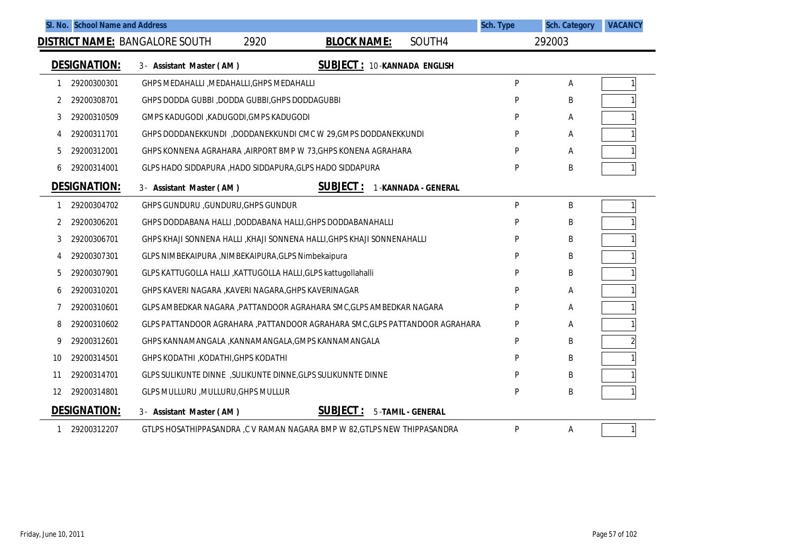|    | SI. No. School Name and Address |                                                                            |                                    |                          | <b>Sch. Type</b> | <b>Sch. Category</b> | <b>VACANCY</b> |
|----|---------------------------------|----------------------------------------------------------------------------|------------------------------------|--------------------------|------------------|----------------------|----------------|
|    |                                 | <b>DISTRICT NAME: BANGALORE SOUTH</b><br>2920                              | <b>BLOCK NAME:</b>                 | SOUTH4                   |                  | 292003               |                |
|    | <b>DESIGNATION:</b>             | 3- Assistant Master (AM)                                                   | <b>SUBJECT: 10-KANNADA ENGLISH</b> |                          |                  |                      |                |
| 1  | 29200300301                     | GHPS MEDAHALLI, MEDAHALLI, GHPS MEDAHALLI                                  |                                    |                          | P                | Α                    |                |
| 2  | 29200308701                     | GHPS DODDA GUBBI, DODDA GUBBI, GHPS DODDAGUBBI                             |                                    |                          | P                | В                    |                |
| 3  | 29200310509                     | GMPS KADUGODI , KADUGODI, GMPS KADUGODI                                    |                                    |                          | P                | Α                    |                |
| 4  | 29200311701                     | GHPS DODDANEKKUNDI ,DODDANEKKUNDI CMC W 29, GMPS DODDANEKKUNDI             |                                    |                          | D                | Α                    |                |
| 5  | 29200312001                     | GHPS KONNENA AGRAHARA , AIRPORT BMP W 73, GHPS KONENA AGRAHARA             |                                    |                          | p                | Α                    |                |
| 6  | 29200314001                     | GLPS HADO SIDDAPURA, HADO SIDDAPURA, GLPS HADO SIDDAPURA                   |                                    |                          | P                | Β                    |                |
|    | <b>DESIGNATION:</b>             | 3- Assistant Master (AM)                                                   | <b>SUBJECT:</b>                    | 1-KANNADA - GENERAL      |                  |                      |                |
| 1  | 29200304702                     | GHPS GUNDURU , GUNDURU, GHPS GUNDUR                                        |                                    |                          | P                | B                    |                |
| 2  | 29200306201                     | GHPS DODDABANA HALLI ,DODDABANA HALLI, GHPS DODDABANAHALLI                 |                                    |                          | P                | Β                    |                |
| 3  | 29200306701                     | GHPS KHAJI SONNENA HALLI ,KHAJI SONNENA HALLI,GHPS KHAJI SONNENAHALLI      |                                    |                          | P                | В                    |                |
| 4  | 29200307301                     | GLPS NIMBEKAIPURA, NIMBEKAIPURA, GLPS Nimbekaipura                         |                                    |                          | P                | В                    |                |
| 5  | 29200307901                     | GLPS KATTUGOLLA HALLI , KATTUGOLLA HALLI, GLPS kattugollahalli             |                                    |                          | P                | Β                    |                |
| 6  | 29200310201                     | GHPS KAVERI NAGARA , KAVERI NAGARA, GHPS KAVERINAGAR                       |                                    |                          | P                | Α                    |                |
| 7  | 29200310601                     | GLPS AMBEDKAR NAGARA , PATTANDOOR AGRAHARA SMC, GLPS AMBEDKAR NAGARA       |                                    |                          | P                | Α                    |                |
| 8  | 29200310602                     | GLPS PATTANDOOR AGRAHARA ,PATTANDOOR AGRAHARA SMC,GLPS PATTANDOOR AGRAHARA |                                    |                          | P                | Α                    |                |
| 9  | 29200312601                     | GHPS KANNAMANGALA , KANNAMANGALA, GMPS KANNAMANGALA                        |                                    |                          | P                | В                    |                |
| 10 | 29200314501                     | GHPS KODATHI , KODATHI, GHPS KODATHI                                       |                                    |                          | P                | В                    |                |
| 11 | 29200314701                     | GLPS SULIKUNTE DINNE , SULIKUNTE DINNE, GLPS SULIKUNNTE DINNE              |                                    |                          | P                | B                    |                |
| 12 | 29200314801                     | GLPS MULLURU, MULLURU, GHPS MULLUR                                         |                                    |                          | P                | Β                    |                |
|    | <b>DESIGNATION:</b>             | 3- Assistant Master (AM)                                                   | <b>SUBJECT:</b>                    | <b>5-TAMIL - GENERAL</b> |                  |                      |                |
| 1  | 29200312207                     | GTLPS HOSATHIPPASANDRA, C V RAMAN NAGARA BMP W 82, GTLPS NEW THIPPASANDRA  |                                    |                          | P                | Α                    | 1              |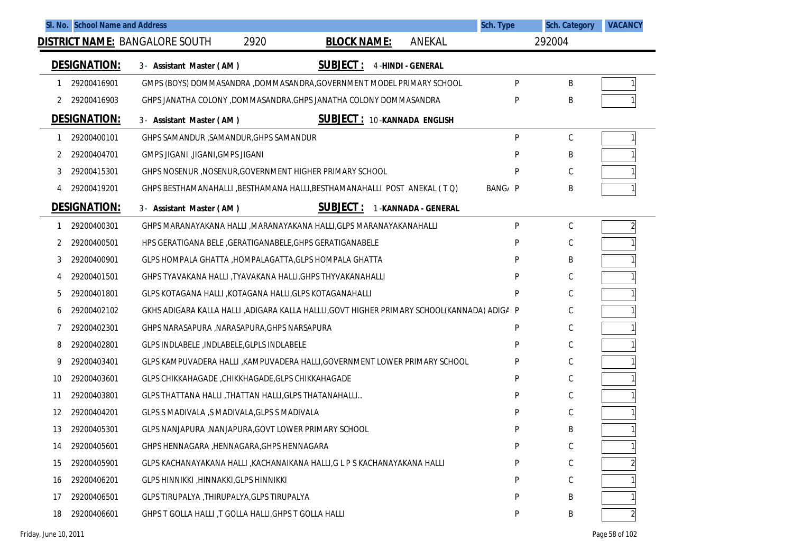| SI. No. School Name and Address |                                                                                            | Sch. Type | <b>Sch. Category</b> | <b>VACANCY</b> |
|---------------------------------|--------------------------------------------------------------------------------------------|-----------|----------------------|----------------|
|                                 | <b>DISTRICT NAME: BANGALORE SOUTH</b><br>2920<br><b>BLOCK NAME:</b><br><b>ANEKAL</b>       |           | 292004               |                |
| <b>DESIGNATION:</b>             | <b>SUBJECT:</b><br><b>4-HINDI - GENERAL</b><br>3- Assistant Master (AM)                    |           |                      |                |
| 29200416901<br>1                | GMPS (BOYS) DOMMASANDRA ,DOMMASANDRA,GOVERNMENT MODEL PRIMARY SCHOOL                       | P         | Β                    |                |
| 29200416903                     | GHPS JANATHA COLONY , DOMMASANDRA, GHPS JANATHA COLONY DOMMASANDRA                         | D         | Β                    |                |
| <b>DESIGNATION:</b>             | <b>SUBJECT: 10-KANNADA ENGLISH</b><br>3- Assistant Master (AM)                             |           |                      |                |
| 29200400101<br>-1               | GHPS SAMANDUR, SAMANDUR, GHPS SAMANDUR                                                     | P         | $\mathsf C$          |                |
| 29200404701<br>2                | GMPS JIGANI , JIGANI, GMPS JIGANI                                                          | P         | Β                    |                |
| 29200415301<br>3                | GHPS NOSENUR, NOSENUR, GOVERNMENT HIGHER PRIMARY SCHOOL                                    | P         | C                    |                |
| 29200419201<br>4                | GHPS BESTHAMANAHALLI, BESTHAMANA HALLI, BESTHAMANAHALLI POST ANEKAL (TQ)                   | BANG/ P   | Β                    |                |
| <b>DESIGNATION:</b>             | <b>SUBJECT:</b><br>3- Assistant Master (AM)<br>1-KANNADA - GENERAL                         |           |                      |                |
| 29200400301<br>1                | GHPS MARANAYAKANA HALLI , MARANAYAKANA HALLI, GLPS MARANAYAKANAHALLI                       | P         | C                    | $\overline{2}$ |
| 29200400501<br>2                | HPS GERATIGANA BELE , GERATIGANABELE, GHPS GERATIGANABELE                                  | P         | $\mathsf C$          |                |
| 29200400901<br>3                | GLPS HOMPALA GHATTA, HOMPALAGATTA, GLPS HOMPALA GHATTA                                     | P         | Β                    |                |
| 29200401501<br>4                | GHPS TYAVAKANA HALLI ,TYAVAKANA HALLI,GHPS THYVAKANAHALLI                                  | P         | С                    |                |
| 29200401801<br>5                | GLPS KOTAGANA HALLI , KOTAGANA HALLI, GLPS KOTAGANAHALLI                                   | P         | C                    |                |
| 29200402102<br>6                | GKHS ADIGARA KALLA HALLI ,ADIGARA KALLA HALLLI,GOVT HIGHER PRIMARY SCHOOL(KANNADA) ADIGA P |           | C                    |                |
| 29200402301                     | GHPS NARASAPURA , NARASAPURA, GHPS NARSAPURA                                               | P         | С                    |                |
| 29200402801<br>8                | GLPS INDLABELE, INDLABELE, GLPLS INDLABELE                                                 | P         | С                    |                |
| 9<br>29200403401                | GLPS KAMPUVADERA HALLI , KAMPUVADERA HALLI, GOVERNMENT LOWER PRIMARY SCHOOL                | P         | С                    |                |
| 29200403601<br>10               | GLPS CHIKKAHAGADE, CHIKKHAGADE, GLPS CHIKKAHAGADE                                          | P         | С                    |                |
| 11<br>29200403801               | GLPS THATTANA HALLI, THATTAN HALLI, GLPS THATANAHALLI                                      | P         | С                    |                |
| 29200404201<br>12               | GLPS S MADIVALA ,S MADIVALA, GLPS S MADIVALA                                               | P         | C                    |                |
| 29200405301<br>13               | GLPS NANJAPURA , NANJAPURA, GOVT LOWER PRIMARY SCHOOL                                      | P         | Β                    |                |
| 29200405601<br>14               | GHPS HENNAGARA , HENNAGARA, GHPS HENNAGARA                                                 | P         | С                    |                |
| 29200405901<br>15               | GLPS KACHANAYAKANA HALLI , KACHANAIKANA HALLI, G L P S KACHANAYAKANA HALLI                 | P         | С                    |                |
| 29200406201<br>16               | GLPS HINNIKKI, HINNAKKI, GLPS HINNIKKI                                                     | P         | С                    |                |
| 17<br>29200406501               | GLPS TIRUPALYA, THIRUPALYA, GLPS TIRUPALYA                                                 | P         | Β                    |                |
| 29200406601<br>18               | GHPS T GOLLA HALLI, T GOLLA HALLI, GHPS T GOLLA HALLI                                      | P         | Β                    |                |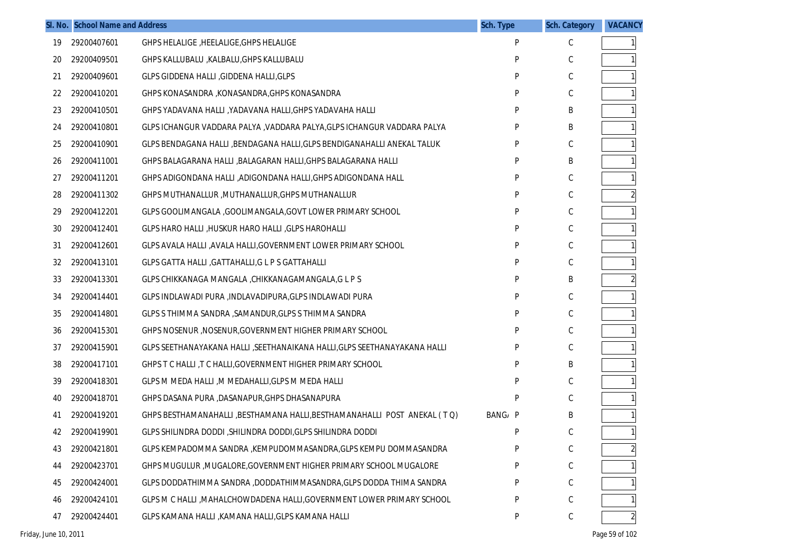|    | SI. No. School Name and Address |                                                                          | <b>Sch. Type</b> | <b>Sch. Category</b> | <b>VACANCY</b> |
|----|---------------------------------|--------------------------------------------------------------------------|------------------|----------------------|----------------|
| 19 | 29200407601                     | GHPS HELALIGE, HEELALIGE, GHPS HELALIGE                                  | P                | C                    |                |
| 20 | 29200409501                     | GHPS KALLUBALU ,KALBALU,GHPS KALLUBALU                                   | P                | С                    |                |
| 21 | 29200409601                     | <b>GLPS GIDDENA HALLI, GIDDENA HALLI, GLPS</b>                           | P                | С                    |                |
| 22 | 29200410201                     | GHPS KONASANDRA ,KONASANDRA,GHPS KONASANDRA                              | P                | С                    |                |
| 23 | 29200410501                     | GHPS YADAVANA HALLI ,YADAVANA HALLI,GHPS YADAVAHA HALLI                  | P                | B                    |                |
| 24 | 29200410801                     | GLPS ICHANGUR VADDARA PALYA , VADDARA PALYA, GLPS ICHANGUR VADDARA PALYA | P                | B                    |                |
| 25 | 29200410901                     | GLPS BENDAGANA HALLI ,BENDAGANA HALLI,GLPS BENDIGANAHALLI ANEKAL TALUK   | P                | C                    |                |
| 26 | 29200411001                     | GHPS BALAGARANA HALLI ,BALAGARAN HALLI,GHPS BALAGARANA HALLI             | P                | B                    |                |
| 27 | 29200411201                     | GHPS ADIGONDANA HALLI ,ADIGONDANA HALLI,GHPS ADIGONDANA HALL             | P                | С                    |                |
| 28 | 29200411302                     | GHPS MUTHANALLUR , MUTHANALLUR, GHPS MUTHANALLUR                         | P                | С                    |                |
| 29 | 29200412201                     | GLPS GOOLIMANGALA , GOOLIMANGALA, GOVT LOWER PRIMARY SCHOOL              | P                | С                    | 1 <sup>1</sup> |
| 30 | 29200412401                     | GLPS HARO HALLI, HUSKUR HARO HALLI, GLPS HAROHALLI                       | P                | С                    |                |
| 31 | 29200412601                     | GLPS AVALA HALLI , AVALA HALLI, GOVERNMENT LOWER PRIMARY SCHOOL          | P                | С                    |                |
| 32 | 29200413101                     | GLPS GATTA HALLI, GATTAHALLI, G L P S GATTAHALLI                         | P                | С                    |                |
| 33 | 29200413301                     | GLPS CHIKKANAGA MANGALA , CHIKKANAGAMANGALA, G L P S                     | P                | B                    |                |
| 34 | 29200414401                     | GLPS INDLAWADI PURA , INDLAVADIPURA, GLPS INDLAWADI PURA                 | P                | С                    |                |
| 35 | 29200414801                     | GLPS S THIMMA SANDRA , SAMANDUR, GLPS S THIMMA SANDRA                    | P                | С                    |                |
| 36 | 29200415301                     | GHPS NOSENUR , NOSENUR, GOVERNMENT HIGHER PRIMARY SCHOOL                 | P                | С                    |                |
| 37 | 29200415901                     | GLPS SEETHANAYAKANA HALLI ,SEETHANAIKANA HALLI,GLPS SEETHANAYAKANA HALLI | P                | С                    |                |
| 38 | 29200417101                     | GHPS T C HALLI, T C HALLI, GOVERNMENT HIGHER PRIMARY SCHOOL              | P                | B                    |                |
| 39 | 29200418301                     | GLPS M MEDA HALLI, M MEDAHALLI, GLPS M MEDA HALLI                        | P                | С                    |                |
| 40 | 29200418701                     | GHPS DASANA PURA ,DASANAPUR,GHPS DHASANAPURA                             | P                | С                    |                |
| 41 | 29200419201                     | GHPS BESTHAMANAHALLI, BESTHAMANA HALLI, BESTHAMANAHALLI POST ANEKAL (TQ) | BANG/ P          | B                    | 1 <sup>1</sup> |
| 42 | 29200419901                     | GLPS SHILINDRA DODDI, SHILINDRA DODDI, GLPS SHILINDRA DODDI              | P                | С                    | 1              |
| 43 | 29200421801                     | GLPS KEMPADOMMA SANDRA ,KEMPUDOMMASANDRA,GLPS KEMPU DOMMASANDRA          | P                | $\mathsf C$          | $\overline{c}$ |
| 44 | 29200423701                     | GHPS MUGULUR , MUGALORE, GOVERNMENT HIGHER PRIMARY SCHOOL MUGALORE       | P                | $\mathsf C$          |                |
| 45 | 29200424001                     | GLPS DODDATHIMMA SANDRA, DODDATHIMMASANDRA, GLPS DODDA THIMA SANDRA      | P                | С                    |                |
| 46 | 29200424101                     | GLPS M C HALLI , MAHALCHOWDADENA HALLI, GOVERNMENT LOWER PRIMARY SCHOOL  | P                | С                    |                |
| 47 | 29200424401                     | GLPS KAMANA HALLI , KAMANA HALLI, GLPS KAMANA HALLI                      | P                | С                    | $\overline{2}$ |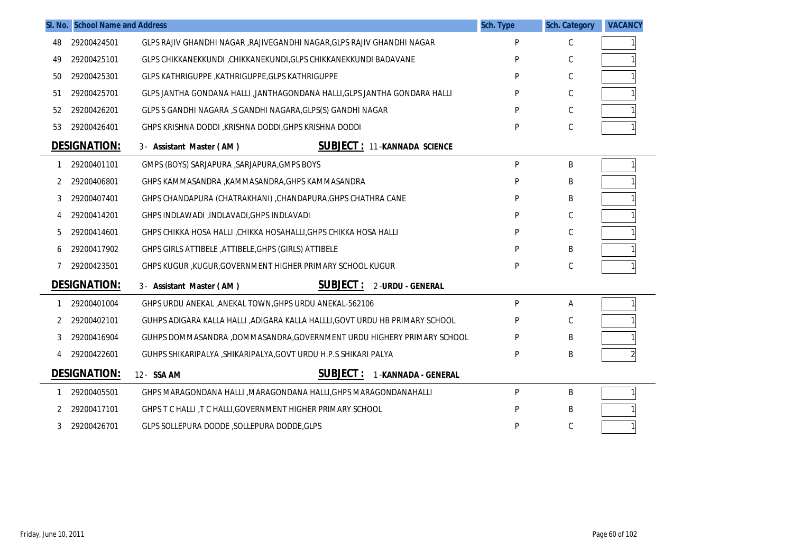|    | SI. No. School Name and Address |                                                                             | <b>Sch. Type</b> | <b>Sch. Category</b> | <b>VACANCY</b> |
|----|---------------------------------|-----------------------------------------------------------------------------|------------------|----------------------|----------------|
| 48 | 29200424501                     | GLPS RAJIV GHANDHI NAGAR , RAJIVEGANDHI NAGAR, GLPS RAJIV GHANDHI NAGAR     | P                | С                    |                |
| 49 | 29200425101                     | GLPS CHIKKANEKKUNDI, CHIKKANEKUNDI, GLPS CHIKKANEKKUNDI BADAVANE            | P                | С                    |                |
| 50 | 29200425301                     | GLPS KATHRIGUPPE, KATHRIGUPPE, GLPS KATHRIGUPPE                             | P                | C                    |                |
| 51 | 29200425701                     | GLPS JANTHA GONDANA HALLI ,JANTHAGONDANA HALLI,GLPS JANTHA GONDARA HALLI    | P                | С                    |                |
| 52 | 29200426201                     | GLPS S GANDHI NAGARA ,S GANDHI NAGARA, GLPS(S) GANDHI NAGAR                 | P                | С                    |                |
| 53 | 29200426401                     | GHPS KRISHNA DODDI, KRISHNA DODDI, GHPS KRISHNA DODDI                       | P                | C                    |                |
|    | <b>DESIGNATION:</b>             | <b>SUBJECT: 11-KANNADA SCIENCE</b><br>3- Assistant Master (AM)              |                  |                      |                |
| 1  | 29200401101                     | GMPS (BOYS) SARJAPURA , SARJAPURA, GMPS BOYS                                | P                | В                    | 1              |
| 2  | 29200406801                     | GHPS KAMMASANDRA ,KAMMASANDRA,GHPS KAMMASANDRA                              | P                | Β                    |                |
| 3  | 29200407401                     | GHPS CHANDAPURA (CHATRAKHANI), CHANDAPURA, GHPS CHATHRA CANE                | P                | Β                    |                |
| 4  | 29200414201                     | GHPS INDLAWADI , INDLAVADI, GHPS INDLAVADI                                  | P                | С                    |                |
| 5  | 29200414601                     | GHPS CHIKKA HOSA HALLI, CHIKKA HOSAHALLI, GHPS CHIKKA HOSA HALLI            | P                | С                    |                |
| 6  | 29200417902                     | GHPS GIRLS ATTIBELE, ATTIBELE, GHPS (GIRLS) ATTIBELE                        | P                | Β                    |                |
| 7  | 29200423501                     | GHPS KUGUR, KUGUR, GOVERNMENT HIGHER PRIMARY SCHOOL KUGUR                   | P                | C                    |                |
|    | <b>DESIGNATION:</b>             | <b>SUBJECT :</b><br>3- Assistant Master (AM)<br>2-URDU - GENERAL            |                  |                      |                |
| 1  | 29200401004                     | GHPS URDU ANEKAL , ANEKAL TOWN, GHPS URDU ANEKAL-562106                     | P                | Α                    | 1              |
| 2  | 29200402101                     | GUHPS ADIGARA KALLA HALLI ,ADIGARA KALLA HALLII,GOVT URDU HB PRIMARY SCHOOL | P                | С                    |                |
| 3  | 29200416904                     | GUHPS DOMMASANDRA ,DOMMASANDRA,GOVERNMENT URDU HIGHERY PRIMARY SCHOOL       | P                | Β                    |                |
| 4  | 29200422601                     | GUHPS SHIKARIPALYA , SHIKARIPALYA, GOVT URDU H.P.S SHIKARI PALYA            | P                | B                    |                |
|    | <b>DESIGNATION:</b>             | <b>SUBJECT:</b><br>12- SSA AM<br><b>1-KANNADA - GENERAL</b>                 |                  |                      |                |
|    | 29200405501                     | GHPS MARAGONDANA HALLI , MARAGONDANA HALLI, GHPS MARAGONDANAHALLI           | P                | B                    |                |
| 2  | 29200417101                     | GHPS T C HALLI, T C HALLI, GOVERNMENT HIGHER PRIMARY SCHOOL                 | P                | Β                    |                |
| 3  | 29200426701                     | GLPS SOLLEPURA DODDE , SOLLEPURA DODDE, GLPS                                | P                | C                    |                |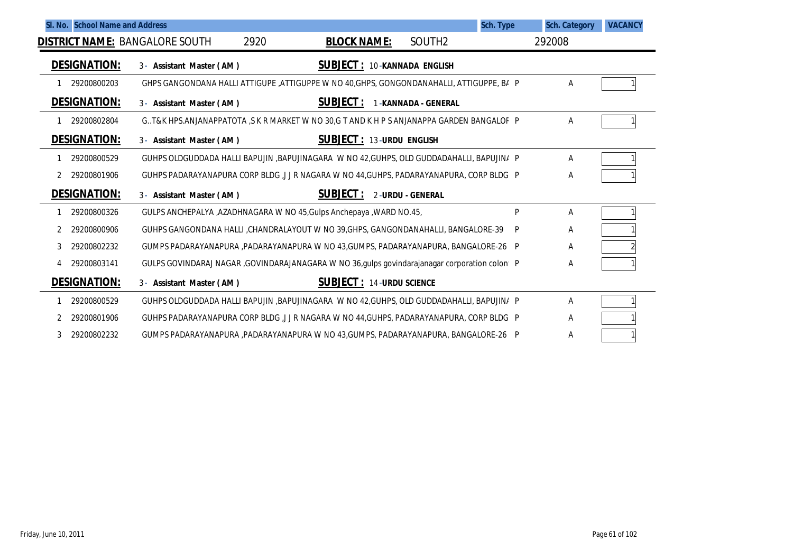| SI. No. School Name and Address       |                                                                                               |                                    | Sch. Type                  |        | <b>Sch. Category</b> | <b>VACANCY</b> |
|---------------------------------------|-----------------------------------------------------------------------------------------------|------------------------------------|----------------------------|--------|----------------------|----------------|
| <b>DISTRICT NAME: BANGALORE SOUTH</b> | 2920                                                                                          | <b>BLOCK NAME:</b>                 | SOUTH2                     | 292008 |                      |                |
| <b>DESIGNATION:</b>                   | 3- Assistant Master (AM)                                                                      | <b>SUBJECT: 10-KANNADA ENGLISH</b> |                            |        |                      |                |
| 29200800203                           | GHPS GANGONDANA HALLI ATTIGUPE ,ATTIGUPPE W NO 40,GHPS, GONGONDANAHALLI, ATTIGUPPE, B/ P      |                                    |                            |        | Α                    |                |
| <b>DESIGNATION:</b>                   | 3- Assistant Master (AM)                                                                      | SUBJECT:                           | <b>1-KANNADA - GENERAL</b> |        |                      |                |
| 29200802804                           | G. T&K HPS. ANJANAPPATOTA, S K R MARKET W NO 30,G T AND K H P S ANJANAPPA GARDEN BANGALOF P   |                                    |                            |        | Α                    |                |
| <b>DESIGNATION:</b>                   | 3- Assistant Master (AM)                                                                      | <b>SUBJECT: 13-URDU ENGLISH</b>    |                            |        |                      |                |
| 29200800529                           | GUHPS OLDGUDDADA HALLI BAPUJIN ,BAPUJINAGARA W NO 42, GUHPS, OLD GUDDADAHALLI, BAPUJIN/ P     |                                    |                            |        | Α                    |                |
| 29200801906                           | GUHPS PADARAYANAPURA CORP BLDG J J R NAGARA W NO 44, GUHPS, PADARAYANAPURA, CORP BLDG P       |                                    |                            |        | Α                    |                |
| <b>DESIGNATION:</b>                   | 3- Assistant Master (AM)                                                                      | <b>SUBJECT:</b>                    | 2-URDU - GENERAL           |        |                      |                |
| 29200800326                           | GULPS ANCHEPALYA, AZADHNAGARA W NO 45, Gulps Anchepaya, WARD NO.45,                           |                                    |                            | P      | Α                    |                |
| 29200800906                           | GUHPS GANGONDANA HALLI ,CHANDRALAYOUT W NO 39,GHPS, GANGONDANAHALLI, BANGALORE-39             |                                    |                            | P      | Α                    |                |
| 29200802232<br>3                      | GUMPS PADARAYANAPURA , PADARAYANAPURA W NO 43, GUMPS, PADARAYANAPURA, BANGALORE-26 P          |                                    |                            |        | Α                    |                |
| 29200803141<br>4                      | GULPS GOVINDARAJ NAGAR ,GOVINDARAJANAGARA W NO 36, gulps govindarajanagar corporation colon P |                                    |                            |        | Α                    |                |
| <b>DESIGNATION:</b>                   | 3- Assistant Master (AM)                                                                      | <b>SUBJECT: 14-URDU SCIENCE</b>    |                            |        |                      |                |
| 29200800529                           | GUHPS OLDGUDDADA HALLI BAPUJIN ,BAPUJINAGARA W NO 42, GUHPS, OLD GUDDADAHALLI, BAPUJIN/ P     |                                    |                            |        | Α                    |                |
| 29200801906                           | GUHPS PADARAYANAPURA CORP BLDG , J J R NAGARA W NO 44, GUHPS, PADARAYANAPURA, CORP BLDG P     |                                    |                            |        | Α                    |                |
| 29200802232<br>3                      | GUMPS PADARAYANAPURA ,PADARAYANAPURA W NO 43,GUMPS, PADARAYANAPURA, BANGALORE-26 P            |                                    |                            |        | Α                    |                |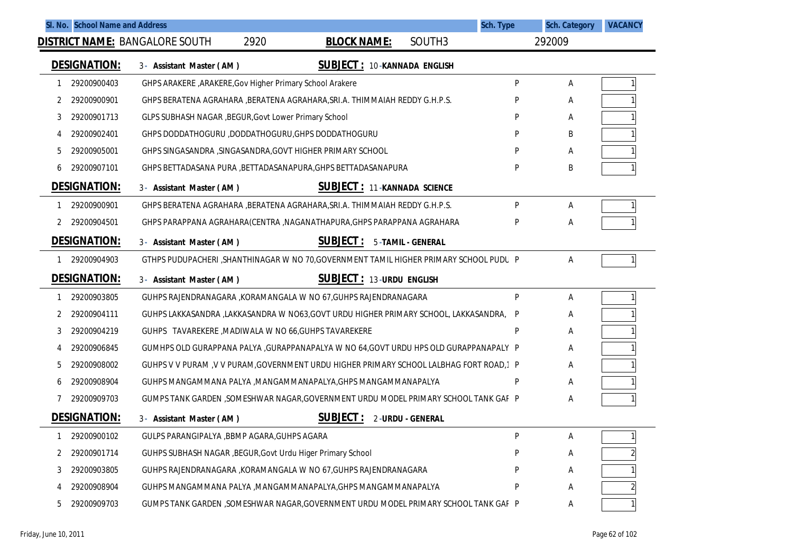|                     |             | SI. No. School Name and Address                                                           |                                 |                                    | <b>Sch. Type</b> | <b>Sch. Category</b> | <b>VACANCY</b> |
|---------------------|-------------|-------------------------------------------------------------------------------------------|---------------------------------|------------------------------------|------------------|----------------------|----------------|
|                     |             | 2920<br><b>DISTRICT NAME: BANGALORE SOUTH</b>                                             | <b>BLOCK NAME:</b>              | SOUTH <sub>3</sub>                 |                  | 292009               |                |
| <b>DESIGNATION:</b> |             | 3- Assistant Master (AM)                                                                  |                                 | <b>SUBJECT: 10-KANNADA ENGLISH</b> |                  |                      |                |
|                     | 29200900403 | GHPS ARAKERE , ARAKERE, Gov Higher Primary School Arakere                                 |                                 |                                    | P                | Α                    |                |
| 2                   | 29200900901 | GHPS BERATENA AGRAHARA , BERATENA AGRAHARA, SRI.A. THIMMAIAH REDDY G.H.P.S.               |                                 |                                    |                  | A                    |                |
| 3                   | 29200901713 | <b>GLPS SUBHASH NAGAR, BEGUR, Govt Lower Primary School</b>                               |                                 |                                    | D                | A                    |                |
|                     | 29200902401 | GHPS DODDATHOGURU ,DODDATHOGURU, GHPS DODDATHOGURU                                        |                                 |                                    |                  | B                    |                |
| 5                   | 29200905001 | GHPS SINGASANDRA, SINGASANDRA, GOVT HIGHER PRIMARY SCHOOL                                 |                                 |                                    | P                | A                    |                |
| 6                   | 29200907101 | GHPS BETTADASANA PURA , BETTADASANAPURA, GHPS BETTADASANAPURA                             |                                 |                                    | P                | B                    |                |
| <b>DESIGNATION:</b> |             | 3- Assistant Master (AM)                                                                  |                                 | SUBJECT: 11-KANNADA SCIENCE        |                  |                      |                |
|                     | 29200900901 | GHPS BERATENA AGRAHARA , BERATENA AGRAHARA, SRI.A. THIMMAIAH REDDY G.H.P.S.               |                                 |                                    | P                | Α                    |                |
|                     | 29200904501 | GHPS PARAPPANA AGRAHARA(CENTRA , NAGANATHAPURA, GHPS PARAPPANA AGRAHARA                   |                                 |                                    | P                | Α                    |                |
| <b>DESIGNATION:</b> |             | <b>SUBJECT :</b><br>3- Assistant Master (AM)                                              |                                 | 5-TAMIL - GENERAL                  |                  |                      |                |
|                     | 29200904903 | GTHPS PUDUPACHERI, SHANTHINAGAR W NO 70, GOVERNMENT TAMIL HIGHER PRIMARY SCHOOL PUDU P    |                                 |                                    |                  | A                    |                |
| <b>DESIGNATION:</b> |             | 3- Assistant Master (AM)                                                                  | <b>SUBJECT: 13-URDU ENGLISH</b> |                                    |                  |                      |                |
| -1                  | 29200903805 | GUHPS RAJENDRANAGARA , KORAMANGALA W NO 67, GUHPS RAJENDRANAGARA                          |                                 |                                    | P                | A                    |                |
| 2                   | 29200904111 | GUHPS LAKKASANDRA ,LAKKASANDRA W NO63,GOVT URDU HIGHER PRIMARY SCHOOL, LAKKASANDRA,       |                                 |                                    | P                | A                    |                |
| 3                   | 29200904219 | GUHPS TAVAREKERE , MADIWALA W NO 66, GUHPS TAVAREKERE                                     |                                 |                                    | P                | A                    |                |
|                     | 29200906845 | GUMHPS OLD GURAPPANA PALYA , GURAPPANAPALYA W NO 64, GOVT URDU HPS OLD GURAPPANAPALY P    |                                 |                                    |                  | A                    |                |
| 5                   | 29200908002 | GUHPS V V PURAM , V V PURAM, GOVERNMENT URDU HIGHER PRIMARY SCHOOL LALBHAG FORT ROAD, 1 P |                                 |                                    |                  | A                    |                |
| b                   | 29200908904 | GUHPS MANGAMMANA PALYA , MANGAMMANAPALYA, GHPS MANGAMMANAPALYA                            |                                 |                                    | P                | A                    |                |
|                     | 29200909703 | GUMPS TANK GARDEN ,SOMESHWAR NAGAR,GOVERNMENT URDU MODEL PRIMARY SCHOOL TANK GAF P        |                                 |                                    |                  | A                    |                |
| <b>DESIGNATION:</b> |             | <b>SUBJECT:</b><br>3- Assistant Master (AM)                                               |                                 | 2-URDU - GENERAL                   |                  |                      |                |
|                     | 29200900102 | GULPS PARANGIPALYA , BBMP AGARA, GUHPS AGARA                                              |                                 |                                    |                  | A                    |                |
| 2                   | 29200901714 | GUHPS SUBHASH NAGAR , BEGUR, Govt Urdu Higer Primary School                               |                                 |                                    |                  | A                    |                |
| 3                   | 29200903805 | GUHPS RAJENDRANAGARA , KORAMANGALA W NO 67, GUHPS RAJENDRANAGARA                          |                                 |                                    |                  | A                    |                |
| 4                   | 29200908904 | GUHPS MANGAMMANA PALYA , MANGAMMANAPALYA, GHPS MANGAMMANAPALYA                            |                                 |                                    | Ρ                | A                    |                |
| 5                   | 29200909703 | GUMPS TANK GARDEN ,SOMESHWAR NAGAR,GOVERNMENT URDU MODEL PRIMARY SCHOOL TANK GAF P        |                                 |                                    |                  | Α                    |                |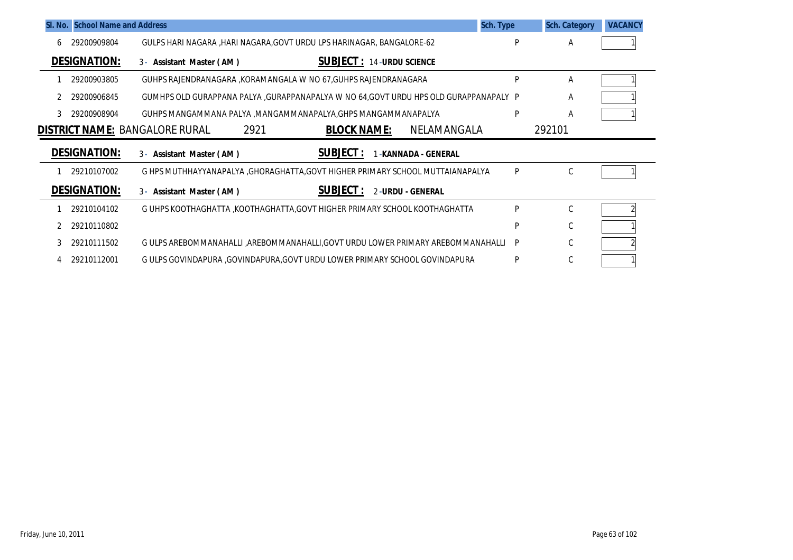|   | SI. No. School Name and Address |                                                                                      | Sch. Type | <b>Sch. Category</b> | <b>VACANCY</b> |
|---|---------------------------------|--------------------------------------------------------------------------------------|-----------|----------------------|----------------|
| 6 | 29200909804                     | GULPS HARI NAGARA , HARI NAGARA, GOVT URDU LPS HARINAGAR, BANGALORE-62               | P         | A                    |                |
|   | <b>DESIGNATION:</b>             | <b>SUBJECT: 14-URDU SCIENCE</b><br>3- Assistant Master (AM)                          |           |                      |                |
|   | 29200903805                     | GUHPS RAJENDRANAGARA , KORAMANGALA W NO 67, GUHPS RAJENDRANAGARA                     | Þ         | A                    |                |
|   | 29200906845                     | GUMHPS OLD GURAPPANA PALYA ,GURAPPANAPALYA W NO 64,GOVT URDU HPS OLD GURAPPANAPALY P |           | A                    |                |
| 3 | 29200908904                     | GUHPS MANGAMMANA PALYA , MANGAMMANAPALYA, GHPS MANGAMMANAPALYA                       | P         | A                    |                |
|   |                                 |                                                                                      |           | 292101               |                |
|   |                                 | 2921<br><b>BLOCK NAME:</b><br>NELAMANGALA<br><b>DISTRICT NAME: BANGALORE RURAL</b>   |           |                      |                |
|   | <b>DESIGNATION:</b>             | <b>SUBJECT:</b><br>3- Assistant Master (AM)<br>-KANNADA - GENERAL                    |           |                      |                |
|   | 29210107002                     | G HPS MUTHHAYYANAPALYA , GHORAGHATTA, GOVT HIGHER PRIMARY SCHOOL MUTTAIANAPALYA      | P         | C                    |                |
|   | <b>DESIGNATION:</b>             | <b>SUBJECT:</b><br>2-URDU - GENERAL<br>3- Assistant Master (AM)                      |           |                      |                |
|   | 29210104102                     | G UHPS KOOTHAGHATTA , KOOTHAGHATTA, GOVT HIGHER PRIMARY SCHOOL KOOTHAGHATTA          | P         | C                    |                |
|   | 29210110802                     |                                                                                      | Þ         | C                    |                |
| 3 | 29210111502                     | G ULPS AREBOMMANAHALLI , AREBOMMANAHALLI, GOVT URDU LOWER PRIMARY AREBOMMANAHALLI    | P         | C                    |                |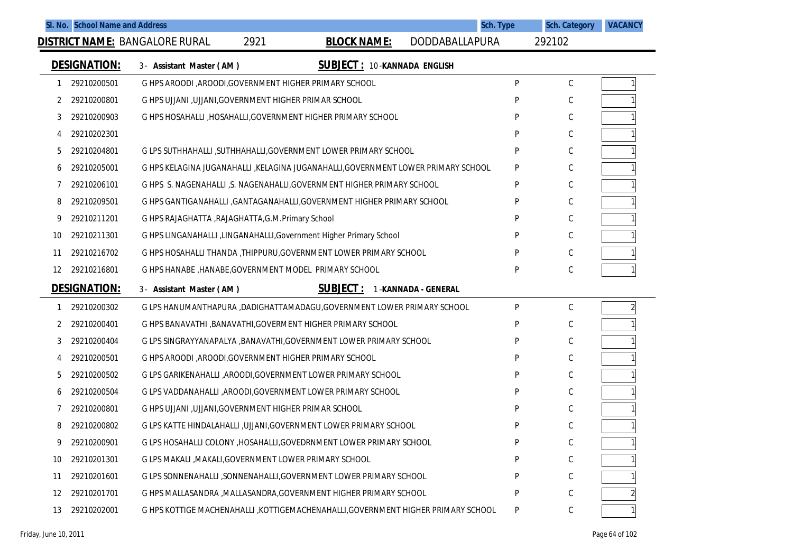|    |                     | SI. No. School Name and Address                                      | <b>Sch. Type</b>                                                                   |   | <b>Sch. Category</b> | <b>VACANCY</b> |
|----|---------------------|----------------------------------------------------------------------|------------------------------------------------------------------------------------|---|----------------------|----------------|
|    |                     | 2921<br><b>DISTRICT NAME: BANGALORE RURAL</b>                        | <b>BLOCK NAME:</b><br>DODDABALLAPURA                                               |   | 292102               |                |
|    | <b>DESIGNATION:</b> | 3- Assistant Master (AM)                                             | <b>SUBJECT: 10-KANNADA ENGLISH</b>                                                 |   |                      |                |
| 1  | 29210200501         | G HPS AROODI, AROODI, GOVERNMENT HIGHER PRIMARY SCHOOL               |                                                                                    | P | С                    |                |
| 2  | 29210200801         | G HPS UJJANI , UJJANI, GOVERNMENT HIGHER PRIMAR SCHOOL               |                                                                                    | P | C                    |                |
| 3  | 29210200903         | G HPS HOSAHALLI, HOSAHALLI, GOVERNMENT HIGHER PRIMARY SCHOOL         |                                                                                    | P | C                    |                |
| 4  | 29210202301         |                                                                      |                                                                                    | P | C                    |                |
| 5  | 29210204801         | G LPS SUTHHAHALLI, SUTHHAHALLI, GOVERNMENT LOWER PRIMARY SCHOOL      |                                                                                    | P | C                    |                |
| 6  | 29210205001         |                                                                      | G HPS KELAGINA JUGANAHALLI ,KELAGINA JUGANAHALLI,GOVERNMENT LOWER PRIMARY SCHOOL   | P | C                    |                |
| 7  | 29210206101         |                                                                      | G HPS S. NAGENAHALLI, S. NAGENAHALLI, GOVERNMENT HIGHER PRIMARY SCHOOL             | P | C                    |                |
| 8  | 29210209501         |                                                                      | G HPS GANTIGANAHALLI , GANTAGANAHALLI, GOVERNMENT HIGHER PRIMARY SCHOOL            | P | C                    |                |
| 9  | 29210211201         | G HPS RAJAGHATTA , RAJAGHATTA, G.M. Primary School                   |                                                                                    | P | C                    |                |
| 10 | 29210211301         | G HPS LINGANAHALLI , LINGANAHALLI, Government Higher Primary School  |                                                                                    | P | C                    |                |
| 11 | 29210216702         | G HPS HOSAHALLI THANDA, THIPPURU, GOVERNMENT LOWER PRIMARY SCHOOL    |                                                                                    | P | C                    |                |
| 12 | 29210216801         | G HPS HANABE , HANABE, GOVERNMENT MODEL PRIMARY SCHOOL               |                                                                                    | P | C                    |                |
|    | <b>DESIGNATION:</b> | 3- Assistant Master (AM)                                             | <b>SUBJECT:</b><br>1-KANNADA - GENERAL                                             |   |                      |                |
| 1  | 29210200302         |                                                                      | G LPS HANUMANTHAPURA ,DADIGHATTAMADAGU,GOVERNMENT LOWER PRIMARY SCHOOL             | P | C                    | $\overline{2}$ |
| 2  | 29210200401         | G HPS BANAVATHI, BANAVATHI, GOVERMENT HIGHER PRIMARY SCHOOL          |                                                                                    | P | C                    |                |
| 3  | 29210200404         | G LPS SINGRAYYANAPALYA , BANAVATHI, GOVERNMENT LOWER PRIMARY SCHOOL  |                                                                                    | P | C                    |                |
| 4  | 29210200501         | G HPS AROODI, AROODI, GOVERNMENT HIGHER PRIMARY SCHOOL               |                                                                                    | P | C                    |                |
| 5  | 29210200502         | G LPS GARIKENAHALLI ,AROODI,GOVERNMENT LOWER PRIMARY SCHOOL          |                                                                                    | P | C                    |                |
| 6  | 29210200504         | G LPS VADDANAHALLI ,AROODI,GOVERNMENT LOWER PRIMARY SCHOOL           |                                                                                    | P | C                    |                |
|    | 29210200801         | G HPS UJJANI , UJJANI, GOVERNMENT HIGHER PRIMAR SCHOOL               |                                                                                    | P | C                    |                |
| 8  | 29210200802         | G LPS KATTE HINDALAHALLI , UJJANI, GOVERNMENT LOWER PRIMARY SCHOOL   |                                                                                    | P | C                    |                |
| 9  | 29210200901         | G LPS HOSAHALLI COLONY , HOSAHALLI, GOVEDRNMENT LOWER PRIMARY SCHOOL |                                                                                    | P | С                    |                |
| 10 | 29210201301         | G LPS MAKALI , MAKALI, GOVERNMENT LOWER PRIMARY SCHOOL               |                                                                                    | P | $\mathsf C$          |                |
| 11 | 29210201601         | G LPS SONNENAHALLI , SONNENAHALLI , GOVERNMENT LOWER PRIMARY SCHOOL  |                                                                                    | P | С                    |                |
| 12 | 29210201701         | G HPS MALLASANDRA , MALLASANDRA, GOVERNMENT HIGHER PRIMARY SCHOOL    |                                                                                    | P | С                    |                |
| 13 | 29210202001         |                                                                      | G HPS KOTTIGE MACHENAHALLI , KOTTIGEMACHENAHALLI, GOVERNMENT HIGHER PRIMARY SCHOOL | P | С                    |                |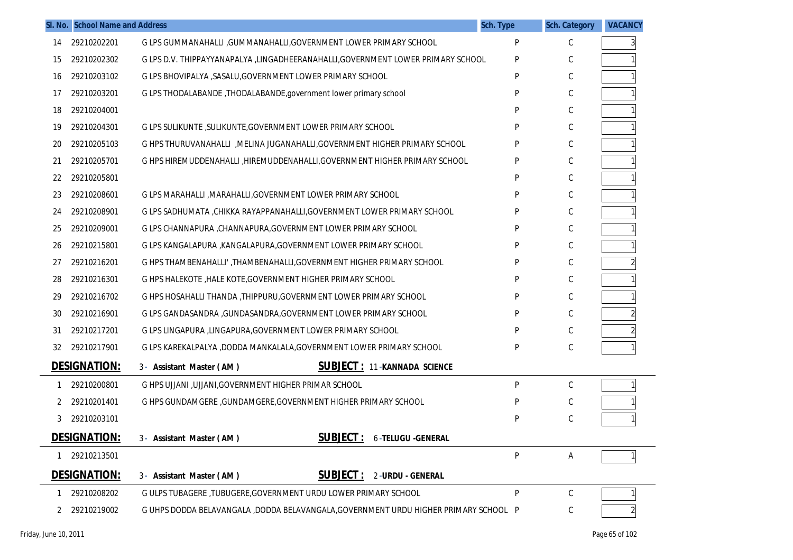|    | SI. No. School Name and Address |                                                                                     | Sch. Type | <b>Sch. Category</b> | <b>VACANCY</b> |
|----|---------------------------------|-------------------------------------------------------------------------------------|-----------|----------------------|----------------|
| 14 | 29210202201                     | G LPS GUMMANAHALLI , GUMMANAHALLI, GOVERNMENT LOWER PRIMARY SCHOOL                  | P         | C                    | 3              |
| 15 | 29210202302                     | G LPS D.V. THIPPAYYANAPALYA ,LINGADHEERANAHALLI, GOVERNMENT LOWER PRIMARY SCHOOL    | P         | С                    |                |
| 16 | 29210203102                     | G LPS BHOVIPALYA , SASALU, GOVERNMENT LOWER PRIMARY SCHOOL                          | P         | C                    |                |
| 17 | 29210203201                     | G LPS THODALABANDE, THODALABANDE, government lower primary school                   | P         | С                    |                |
| 18 | 29210204001                     |                                                                                     | P         | C                    |                |
| 19 | 29210204301                     | G LPS SULIKUNTE, SULIKUNTE, GOVERNMENT LOWER PRIMARY SCHOOL                         | P         | C                    |                |
| 20 | 29210205103                     | G HPS THURUVANAHALLI , MELINA JUGANAHALLI, GOVERNMENT HIGHER PRIMARY SCHOOL         | P         | C                    |                |
| 21 | 29210205701                     | G HPS HIREMUDDENAHALLI , HIREMUDDENAHALLI, GOVERNMENT HIGHER PRIMARY SCHOOL         | P         | С                    |                |
| 22 | 29210205801                     |                                                                                     | P         | C                    |                |
| 23 | 29210208601                     | G LPS MARAHALLI , MARAHALLI, GOVERNMENT LOWER PRIMARY SCHOOL                        | P         | C                    |                |
| 24 | 29210208901                     | G LPS SADHUMATA , CHIKKA RAYAPPANAHALLI, GOVERNMENT LOWER PRIMARY SCHOOL            | P         | C                    |                |
| 25 | 29210209001                     | G LPS CHANNAPURA, CHANNAPURA, GOVERNMENT LOWER PRIMARY SCHOOL                       | P         | С                    |                |
| 26 | 29210215801                     | G LPS KANGALAPURA , KANGALAPURA, GOVERNMENT LOWER PRIMARY SCHOOL                    | P         | C                    |                |
| 27 | 29210216201                     | G HPS THAMBENAHALLI', THAMBENAHALLI, GOVERNMENT HIGHER PRIMARY SCHOOL               | P         | С                    |                |
| 28 | 29210216301                     | G HPS HALEKOTE, HALE KOTE, GOVERNMENT HIGHER PRIMARY SCHOOL                         | P         | C                    |                |
| 29 | 29210216702                     | G HPS HOSAHALLI THANDA , THIPPURU, GOVERNMENT LOWER PRIMARY SCHOOL                  | P         | C                    |                |
| 30 | 29210216901                     | G LPS GANDASANDRA , GUNDASANDRA, GOVERNMENT LOWER PRIMARY SCHOOL                    | P         | C                    |                |
| 31 | 29210217201                     | G LPS LINGAPURA , LINGAPURA, GOVERNMENT LOWER PRIMARY SCHOOL                        | P         | С                    |                |
| 32 | 29210217901                     | G LPS KAREKALPALYA ,DODDA MANKALALA,GOVERNMENT LOWER PRIMARY SCHOOL                 | P         | С                    |                |
|    | <b>DESIGNATION:</b>             | <b>SUBJECT: 11-KANNADA SCIENCE</b><br>3- Assistant Master (AM)                      |           |                      |                |
| 1  | 29210200801                     | G HPS UJJANI , UJJANI, GOVERNMENT HIGHER PRIMAR SCHOOL                              | P         | C                    |                |
| 2  | 29210201401                     | G HPS GUNDAMGERE , GUNDAMGERE, GOVERNMENT HIGHER PRIMARY SCHOOL                     |           | С                    |                |
|    | 29210203101                     |                                                                                     | P         | C                    |                |
|    | <u>DESIGNATION:</u>             | <b>SUBJECT: 6-TELUGU -GENERAL</b><br>3- Assistant Master (AM)                       |           |                      |                |
| 1  | 29210213501                     |                                                                                     | P         | Α                    |                |
|    | <b>DESIGNATION:</b>             | <b>SUBJECT:</b><br>2-URDU - GENERAL<br>3- Assistant Master (AM)                     |           |                      |                |
|    | 29210208202                     | G ULPS TUBAGERE , TUBUGERE, GOVERNMENT URDU LOWER PRIMARY SCHOOL                    | P         | C                    |                |
|    | 29210219002                     | G UHPS DODDA BELAVANGALA ,DODDA BELAVANGALA,GOVERNMENT URDU HIGHER PRIMARY SCHOOL P |           | С                    |                |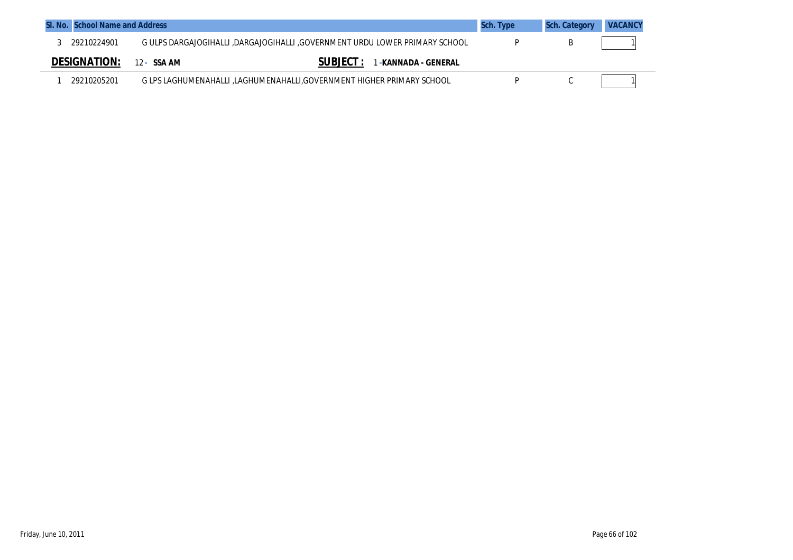| SI. No. School Name and Address |                                                                             | Sch. Type | <b>Sch. Category</b> | <b>VACANCY</b> |
|---------------------------------|-----------------------------------------------------------------------------|-----------|----------------------|----------------|
| 29210224901                     | G ULPS DARGAJOGIHALLI ,DARGAJOGIHALLI ,GOVERNMENT URDU LOWER PRIMARY SCHOOL |           |                      |                |
| <b>DESIGNATION:</b>             | <b>SUBJECT :</b><br>. -KANNADA - GENERAL<br>12 - SSA AM                     |           |                      |                |
| 29210205201                     | G LPS LAGHUMENAHALLI ,LAGHUMENAHALLI,GOVERNMENT HIGHER PRIMARY SCHOOL       |           |                      |                |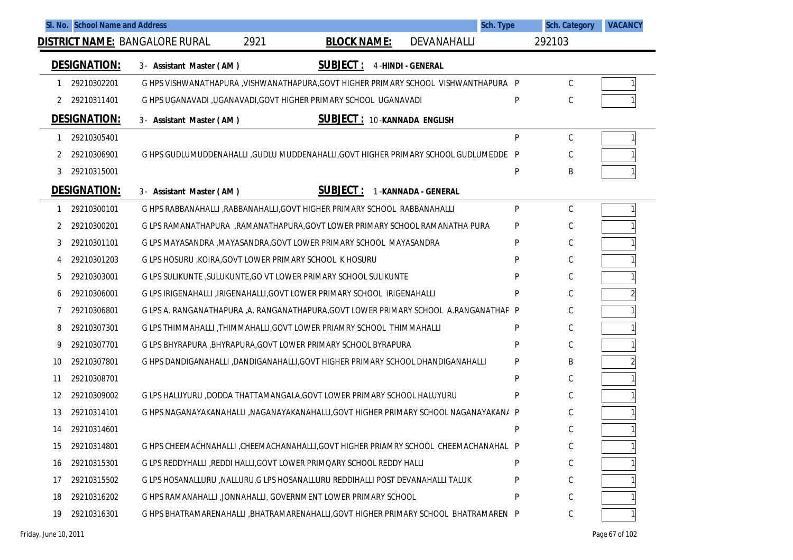|    | SI. No. School Name and Address |                                                                                        |                    |                                    | <b>Sch. Type</b> | <b>Sch. Category</b> | <b>VACANCY</b> |
|----|---------------------------------|----------------------------------------------------------------------------------------|--------------------|------------------------------------|------------------|----------------------|----------------|
|    |                                 | 2921<br><b>DISTRICT NAME: BANGALORE RURAL</b>                                          | <b>BLOCK NAME:</b> | DEVANAHALLI                        |                  | 292103               |                |
|    | <b>DESIGNATION:</b>             | 3- Assistant Master (AM)                                                               | <b>SUBJECT:</b>    | <b>4-HINDI - GENERAL</b>           |                  |                      |                |
| 1  | 29210302201                     | G HPS VISHWANATHAPURA , VISHWANATHAPURA, GOVT HIGHER PRIMARY SCHOOL VISHWANTHAPURA P   |                    |                                    |                  | C                    |                |
| 2  | 29210311401                     | G HPS UGANAVADI , UGANAVADI, GOVT HIGHER PRIMARY SCHOOL UGANAVADI                      |                    |                                    | P                | C                    |                |
|    | <b>DESIGNATION:</b>             | 3- Assistant Master (AM)                                                               |                    | <b>SUBJECT: 10-KANNADA ENGLISH</b> |                  |                      |                |
| 1  | 29210305401                     |                                                                                        |                    |                                    | P                | C                    |                |
| 2  | 29210306901                     | G HPS GUDLUMUDDENAHALLI GUDLU MUDDENAHALLI, GOVT HIGHER PRIMARY SCHOOL GUDLUMEDDE P    |                    |                                    |                  | C                    |                |
| 3  | 29210315001                     |                                                                                        |                    |                                    | P                | B                    |                |
|    | <b>DESIGNATION:</b>             | 3- Assistant Master (AM)                                                               | <b>SUBJECT:</b>    | 1-KANNADA - GENERAL                |                  |                      |                |
| 1  | 29210300101                     | G HPS RABBANAHALLI , RABBANAHALLI, GOVT HIGHER PRIMARY SCHOOL RABBANAHALLI             |                    |                                    | P                | C                    |                |
|    | 29210300201                     | G LPS RAMANATHAPURA, RAMANATHAPURA, GOVT LOWER PRIMARY SCHOOL RAMANATHA PURA           |                    |                                    | P                | C                    |                |
| 3  | 29210301101                     | G LPS MAYASANDRA , MAYASANDRA, GOVT LOWER PRIMARY SCHOOL MAYASANDRA                    |                    |                                    | P                | C                    |                |
| 4  | 29210301203                     | G LPS HOSURU , KOIRA, GOVT LOWER PRIMARY SCHOOL K HOSURU                               |                    |                                    | P                | C                    |                |
| 5  | 29210303001                     | G LPS SULIKUNTE, SULUKUNTE, GO VT LOWER PRIMARY SCHOOL SULIKUNTE                       |                    |                                    | P                | C                    |                |
| 6  | 29210306001                     | G LPS IRIGENAHALLI , IRIGENAHALLI, GOVT LOWER PRIMARY SCHOOL IRIGENAHALLI              |                    |                                    | P                | C                    |                |
| 7  | 29210306801                     | G LPS A. RANGANATHAPURA ,A. RANGANATHAPURA, GOVT LOWER PRIMARY SCHOOL A. RANGANATHAP P |                    |                                    |                  | C                    |                |
| 8  | 29210307301                     | G LPS THIMMAHALLI, THIMMAHALLI, GOVT LOWER PRIAMRY SCHOOL THIMMAHALLI                  |                    |                                    | P                | C                    |                |
| 9  | 29210307701                     | G LPS BHYRAPURA , BHYRAPURA, GOVT LOWER PRIMARY SCHOOL BYRAPURA                        |                    |                                    | P                | C                    |                |
| 10 | 29210307801                     | G HPS DANDIGANAHALLI ,DANDIGANAHALLI,GOVT HIGHER PRIMARY SCHOOL DHANDIGANAHALLI        |                    |                                    | P                | B                    |                |
| 11 | 29210308701                     |                                                                                        |                    |                                    | P                | C                    |                |
| 12 | 29210309002                     | G LPS HALUYURU ,DODDA THATTAMANGALA,GOVT LOWER PRIMARY SCHOOL HALUYURU                 |                    |                                    | P                | C                    |                |
| 13 | 29210314101                     | G HPS NAGANAYAKANAHALLI ,NAGANAYAKANAHALLI,GOVT HIGHER PRIMARY SCHOOL NAGANAYAKAN/ P   |                    |                                    |                  | C                    |                |
| 14 | 29210314601                     |                                                                                        |                    |                                    | P                | C                    |                |
| 15 | 29210314801                     | G HPS CHEEMACHNAHALLI , CHEEMACHANAHALLI, GOVT HIGHER PRIAMRY SCHOOL CHEEMACHANAHALI P |                    |                                    |                  | С                    |                |
| 16 | 29210315301                     | G LPS REDDYHALLI , REDDI HALLI, GOVT LOWER PRIMQARY SCHOOL REDDY HALLI                 |                    |                                    | P                | С                    |                |
| 17 | 29210315502                     | G LPS HOSANALLURU , NALLURU, G LPS HOSANALLURU REDDIHALLI POST DEVANAHALLI TALUK       |                    |                                    | P                | C                    |                |
| 18 | 29210316202                     | G HPS RAMANAHALLI ,JONNAHALLI, GOVERNMENT LOWER PRIMARY SCHOOL                         |                    |                                    | P                | С                    |                |
| 19 | 29210316301                     | G HPS BHATRAMARENAHALLI , BHATRAMARENAHALLI, GOVT HIGHER PRIMARY SCHOOL BHATRAMAREN. P |                    |                                    |                  | C                    | 1              |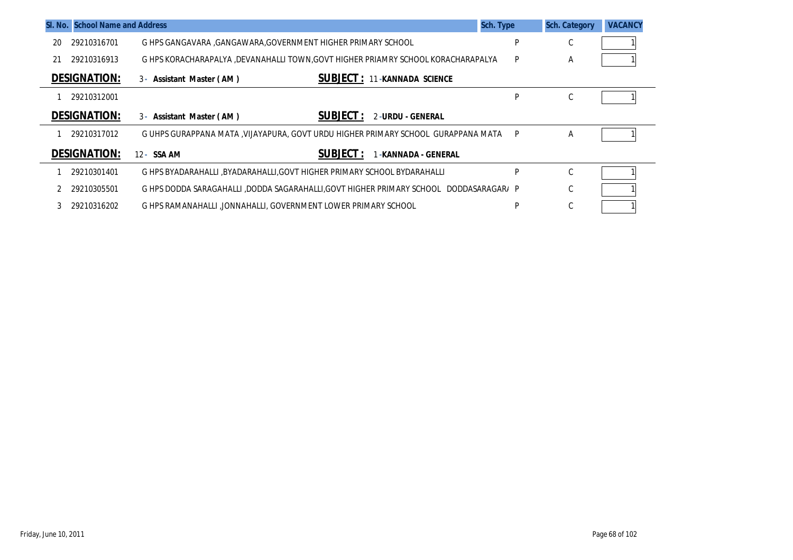|    | SI. No. School Name and Address |                                                                                       | Sch. Type | <b>Sch. Category</b> | <b>VACANCY</b> |
|----|---------------------------------|---------------------------------------------------------------------------------------|-----------|----------------------|----------------|
| 20 | 29210316701                     | G HPS GANGAVARA , GANGAWARA, GOVERNMENT HIGHER PRIMARY SCHOOL                         | P         | ⌒<br>U               |                |
| 21 | 29210316913                     | G HPS KORACHARAPALYA ,DEVANAHALLI TOWN,GOVT HIGHER PRIAMRY SCHOOL KORACHARAPALYA      | P         | A                    |                |
|    | <b>DESIGNATION:</b>             | <b>SUBJECT: 11-KANNADA SCIENCE</b><br>3 - Assistant Master (AM)                       |           |                      |                |
|    | 29210312001                     |                                                                                       | P         | $\sim$<br>U          |                |
|    | <b>DESIGNATION:</b>             | <b>SUBJECT :</b><br>2-URDU - GENERAL<br>3- Assistant Master (AM)                      |           |                      |                |
|    | 29210317012                     | G UHPS GURAPPANA MATA , VIJAYAPURA, GOVT URDU HIGHER PRIMARY SCHOOL GURAPPANA MATA    | P         | A                    |                |
|    | <b>DESIGNATION:</b>             | <b>SUBJECT:</b><br>12- SSA AM<br>-KANNADA - GENERAL                                   |           |                      |                |
|    | 29210301401                     | G HPS BYADARAHALLI .BYADARAHALLI.GOVT HIGHER PRIMARY SCHOOL BYDARAHALLI               | P         | C                    |                |
|    | 29210305501                     | G HPS DODDA SARAGAHALLI ,DODDA SAGARAHALLI,GOVT HIGHER PRIMARY SCHOOL DODDASARAGAR/ P |           | C                    |                |
|    | 29210316202                     | G HPS RAMANAHALLI JONNAHALLI. GOVERNMENT LOWER PRIMARY SCHOOL                         | P         | $\sim$<br>U          |                |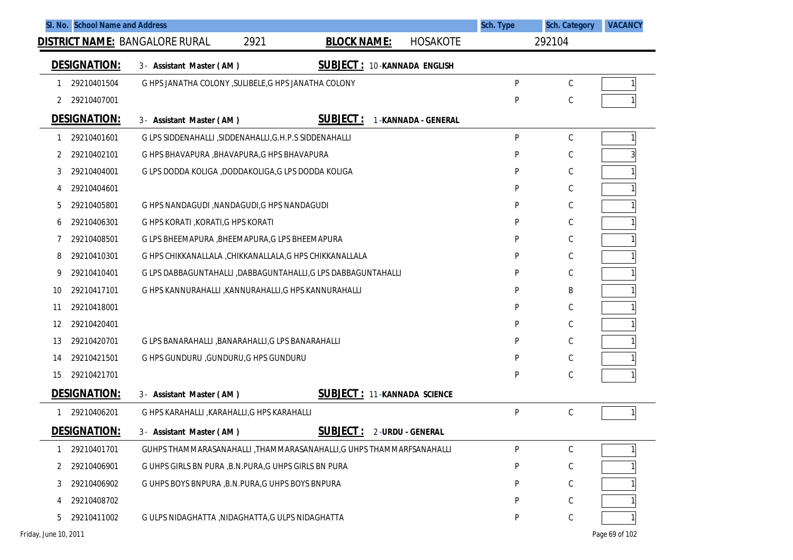| SI. No. School Name and Address | <u>DISTRICT NAME:</u> BANGALORE RURAL<br>2921                 | <b>BLOCK NAME:</b><br><b>HOSAKOTE</b>                                 | Sch. Type | <b>Sch. Category</b><br>292104 | <b>VACANCY</b> |
|---------------------------------|---------------------------------------------------------------|-----------------------------------------------------------------------|-----------|--------------------------------|----------------|
|                                 |                                                               |                                                                       |           |                                |                |
| <b>DESIGNATION:</b>             | 3- Assistant Master (AM)                                      | <b>SUBJECT: 10-KANNADA ENGLISH</b>                                    |           |                                |                |
| 29210401504                     | G HPS JANATHA COLONY , SULIBELE, G HPS JANATHA COLONY         |                                                                       | P         | C                              |                |
| 2 29210407001                   |                                                               |                                                                       | P         | C                              |                |
| <b>DESIGNATION:</b>             | 3- Assistant Master (AM)                                      | <b>SUBJECT:</b><br>1-KANNADA - GENERAL                                |           |                                |                |
| 29210401601                     | G LPS SIDDENAHALLI , SIDDENAHALLI, G.H.P.S SIDDENAHALLI       |                                                                       | P         | С                              |                |
| 29210402101<br>$\mathbf{2}$     | G HPS BHAVAPURA, BHAVAPURA, G HPS BHAVAPURA                   |                                                                       | P         | $\mathsf C$                    |                |
| 29210404001<br>3                | G LPS DODDA KOLIGA ,DODDAKOLIGA,G LPS DODDA KOLIGA            |                                                                       | P         | $\mathsf C$                    |                |
| 29210404601<br>4                |                                                               |                                                                       | P         | C                              |                |
| 29210405801<br>5                | G HPS NANDAGUDI, NANDAGUDI, G HPS NANDAGUDI                   |                                                                       | P         | $\mathsf C$                    |                |
| 29210406301<br>6                | G HPS KORATI, KORATI, G HPS KORATI                            |                                                                       | P         | $\mathsf C$                    |                |
| 29210408501<br>7                | G LPS BHEEMAPURA , BHEEMAPURA, G LPS BHEEMAPURA               |                                                                       | P         | $\mathsf C$                    |                |
| 29210410301<br>8                | G HPS CHIKKANALLALA , CHIKKANALLALA, G HPS CHIKKANALLALA      |                                                                       | P         | C                              |                |
| 29210410401<br>9                | G LPS DABBAGUNTAHALLI, DABBAGUNTAHALLI, G LPS DABBAGUNTAHALLI |                                                                       | P         | $\mathsf C$                    |                |
| 29210417101<br>10               | G HPS KANNURAHALLI , KANNURAHALLI, G HPS KANNURAHALLI         |                                                                       | P         | B                              |                |
| 29210418001<br>11               |                                                               |                                                                       | P         | C                              |                |
| 29210420401<br>12               |                                                               |                                                                       | P         | C                              |                |
| 29210420701<br>13               | G LPS BANARAHALLI, BANARAHALLI, G LPS BANARAHALLI             |                                                                       | P         | $\mathsf C$                    |                |
| 29210421501<br>14               | G HPS GUNDURU , GUNDURU, G HPS GUNDURU                        |                                                                       | P         | C                              |                |
| 29210421701<br>15               |                                                               |                                                                       | P         | $\mathsf C$                    |                |
| <b>DESIGNATION:</b>             | 3- Assistant Master (AM)                                      | <b>SUBJECT: 11-KANNADA SCIENCE</b>                                    |           |                                |                |
| 29210406201                     | G HPS KARAHALLI , KARAHALLI, G HPS KARAHALLI                  |                                                                       | P         | C                              |                |
| <b>DESIGNATION:</b>             | 3- Assistant Master (AM)                                      | <b>SUBJECT:</b><br>2-URDU - GENERAL                                   |           |                                |                |
| 29210401701                     |                                                               | GUHPS THAMMARASANAHALLI , THAMMARASANAHALLI, G UHPS THAMMARFSANAHALLI | P         | C                              |                |
| 29210406901<br>2                | G UHPS GIRLS BN PURA , B.N.PURA, G UHPS GIRLS BN PURA         |                                                                       | P         | С                              |                |
| 29210406902<br>3                | G UHPS BOYS BNPURA, B.N.PURA, G UHPS BOYS BNPURA              |                                                                       | P         | С                              |                |
| 29210408702<br>4                |                                                               |                                                                       | P         | C                              |                |
| 29210411002<br>5                | G ULPS NIDAGHATTA , NIDAGHATTA, G ULPS NIDAGHATTA             |                                                                       | P         | $\mathsf C$                    |                |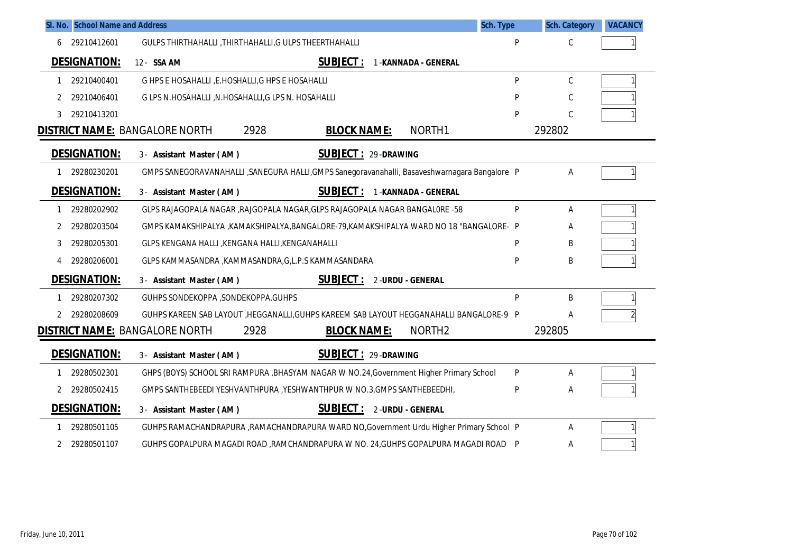|   | SI. No. School Name and Address | Sch. Type                                                                                     |   | <b>Sch. Category</b> | <b>VACANCY</b> |
|---|---------------------------------|-----------------------------------------------------------------------------------------------|---|----------------------|----------------|
| 6 | 29210412601                     | GULPS THIRTHAHALLI, THIRTHAHALLI, G ULPS THEERTHAHALLI                                        | P | С                    |                |
|   | <b>DESIGNATION:</b>             | <b>SUBJECT:</b><br>12- SSA AM<br>1-KANNADA - GENERAL                                          |   |                      |                |
| 1 | 29210400401                     | G HPS E HOSAHALLI , E.HOSHALLI, G HPS E HOSAHALLI                                             | P | C                    |                |
| 2 | 29210406401                     | G LPS N.HOSAHALLI, N.HOSAHALLI, G LPS N. HOSAHALLI                                            | P | C                    |                |
| 3 | 29210413201                     |                                                                                               | P | C                    |                |
|   |                                 | 2928<br>NORTH1<br><b>DISTRICT NAME: BANGALORE NORTH</b><br><b>BLOCK NAME:</b>                 |   | 292802               |                |
|   | <b>DESIGNATION:</b>             | <b>SUBJECT: 29-DRAWING</b><br>3- Assistant Master (AM)                                        |   |                      |                |
|   | 29280230201                     | GMPS SANEGORAVANAHALLI, SANEGURA HALLI, GMPS Sanegoravanahalli, Basaveshwarnagara Bangalore P |   | Α                    |                |
|   | <b>DESIGNATION:</b>             | <b>SUBJECT:</b><br>1-KANNADA - GENERAL<br>3- Assistant Master (AM)                            |   |                      |                |
| 1 | 29280202902                     | GLPS RAJAGOPALA NAGAR , RAJGOPALA NAGAR, GLPS RAJAGOPALA NAGAR BANGALORE -58                  | P | A                    |                |
| 2 | 29280203504                     | GMPS KAMAKSHIPALYA ,KAMAKSHIPALYA,BANGALORE-79,KAMAKSHIPALYA WARD NO 18 "BANGALORE-P          |   | Α                    |                |
| 3 | 29280205301                     | GLPS KENGANA HALLI , KENGANA HALLI, KENGANAHALLI                                              | P | B                    |                |
|   | 29280206001                     | GLPS KAMMASANDRA , KAMMASANDRA, G, L.P.S KAMMASANDARA                                         | P | B                    |                |
|   | <b>DESIGNATION:</b>             | <b>SUBJECT:</b><br>3- Assistant Master (AM)<br>2-URDU - GENERAL                               |   |                      |                |
| 1 | 29280207302                     | GUHPS SONDEKOPPA , SONDEKOPPA, GUHPS                                                          | P | B                    |                |
| 2 | 29280208609                     | GUHPS KAREEN SAB LAYOUT , HEGGANALLI, GUHPS KAREEM SAB LAYOUT HEGGANAHALLI BANGALORE-9 P      |   | Α                    |                |
|   |                                 | <b>DISTRICT NAME: BANGALORE NORTH</b><br>2928<br><b>BLOCK NAME:</b><br>NORTH <sub>2</sub>     |   | 292805               |                |
|   | <b>DESIGNATION:</b>             | <b>SUBJECT: 29-DRAWING</b><br>3- Assistant Master (AM)                                        |   |                      |                |
|   | 29280502301                     | GHPS (BOYS) SCHOOL SRI RAMPURA , BHASYAM NAGAR W NO.24, Government Higher Primary School      | P | Α                    |                |
| 2 | 29280502415                     | GMPS SANTHEBEEDI YESHVANTHPURA , YESHWANTHPUR W NO.3, GMPS SANTHEBEEDHI,                      | P | Α                    |                |
|   | <b>DESIGNATION:</b>             | <b>SUBJECT: 2-URDU - GENERAL</b><br>3- Assistant Master (AM)                                  |   |                      |                |
| 1 | 29280501105                     | GUHPS RAMACHANDRAPURA, RAMACHANDRAPURA WARD NO, Government Urdu Higher Primary School P       |   | А                    |                |
| 2 | 29280501107                     | GUHPS GOPALPURA MAGADI ROAD, RAMCHANDRAPURA W NO. 24, GUHPS GOPALPURA MAGADI ROAD P           |   | Α                    |                |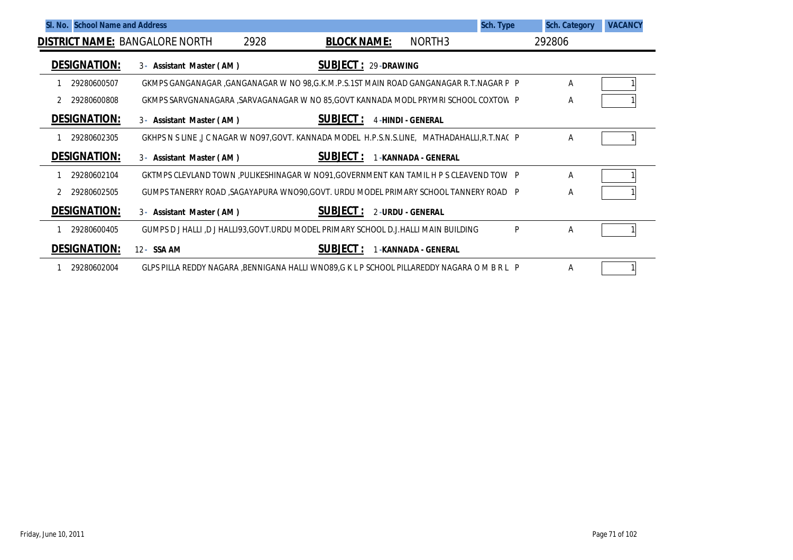| SI. No. School Name and Address |                                                                                             |      |                            |                          |                      | Sch. Type | <b>Sch. Category</b> | <b>VACANCY</b> |
|---------------------------------|---------------------------------------------------------------------------------------------|------|----------------------------|--------------------------|----------------------|-----------|----------------------|----------------|
|                                 | <b>DISTRICT NAME: BANGALORE NORTH</b>                                                       | 2928 | <b>BLOCK NAME:</b>         |                          | NORTH3               |           | 292806               |                |
| <b>DESIGNATION:</b>             | 3- Assistant Master (AM)                                                                    |      | <b>SUBJECT: 29-DRAWING</b> |                          |                      |           |                      |                |
| 29280600507                     | GKMPS GANGANAGAR ,GANGANAGAR W NO 98,G.K.M.P.S.1ST MAIN ROAD GANGANAGAR R.T.NAGAR P P       |      |                            |                          |                      |           | Α                    |                |
| 29280600808                     | GKMPS SARVGNANAGARA , SARVAGANAGAR W NO 85, GOVT KANNADA MODL PRYMRI SCHOOL COXTOW P        |      |                            |                          |                      |           | Α                    |                |
| <b>DESIGNATION:</b>             | 3- Assistant Master (AM)                                                                    |      | <b>SUBJECT:</b>            | <b>4-HINDI - GENERAL</b> |                      |           |                      |                |
| 29280602305                     | GKHPS N S LINE ,J C NAGAR W NO97,GOVT. KANNADA MODEL H.P.S.N.S.LINE, MATHADAHALLI,R.T.NAC P |      |                            |                          |                      |           | Α                    |                |
| <b>DESIGNATION:</b>             | 3- Assistant Master (AM)                                                                    |      | <b>SUBJECT:</b>            |                          | 1-KANNADA - GENERAL  |           |                      |                |
| 29280602104                     | GKTMPS CLEVLAND TOWN , PULIKESHINAGAR W NO91, GOVERNMENT KAN TAMIL H P S CLEAVEND TOW P     |      |                            |                          |                      |           | A                    |                |
| 29280602505                     | GUMPS TANERRY ROAD ,SAGAYAPURA WNO90,GOVT. URDU MODEL PRIMARY SCHOOL TANNERY ROAD P         |      |                            |                          |                      |           | Α                    |                |
| <b>DESIGNATION:</b>             | 3- Assistant Master (AM)                                                                    |      | <b>SUBJECT :</b>           | 2-URDU - GENERAL         |                      |           |                      |                |
| 29280600405                     | GUMPS D J HALLI ,D J HALLI93, GOVT. URDU MODEL PRIMARY SCHOOL D.J. HALLI MAIN BUILDING      |      |                            |                          |                      | P         | Α                    |                |
| <b>DESIGNATION:</b>             | 12 - SSA AM                                                                                 |      | SUBJECT:                   |                          | 1 -KANNADA - GENERAL |           |                      |                |
| 29280602004                     | GLPS PILLA REDDY NAGARA ,BENNIGANA HALLI WNO89,G K L P SCHOOL PILLAREDDY NAGARA O M B R L P |      |                            |                          |                      |           | A                    |                |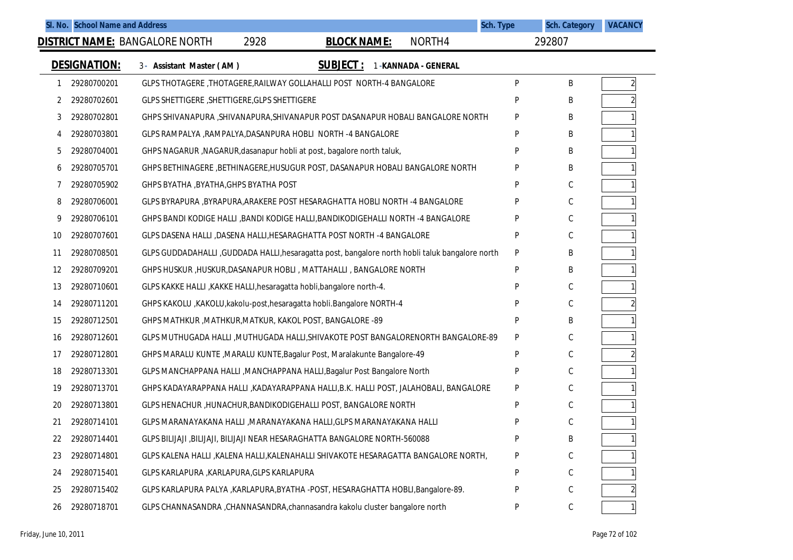| SI. No. School Name and Address |                                                                                                  |                    |                     | Sch. Type | <b>Sch. Category</b> | <b>VACANCY</b> |
|---------------------------------|--------------------------------------------------------------------------------------------------|--------------------|---------------------|-----------|----------------------|----------------|
|                                 | <b>DISTRICT NAME: BANGALORE NORTH</b><br>2928                                                    | <b>BLOCK NAME:</b> | NORTH4              |           | 292807               |                |
| <b>DESIGNATION:</b>             | 3- Assistant Master (AM)                                                                         | <b>SUBJECT:</b>    | 1-KANNADA - GENERAL |           |                      |                |
| 29280700201<br>1                | GLPS THOTAGERE, THOTAGERE, RAILWAY GOLLAHALLI POST NORTH-4 BANGALORE                             |                    |                     | P         | B                    | $\overline{2}$ |
| 29280702601<br>2                | GLPS SHETTIGERE, SHETTIGERE, GLPS SHETTIGERE                                                     |                    |                     | P         | B                    |                |
| 29280702801<br>3                | GHPS SHIVANAPURA , SHIVANAPURA, SHIVANAPUR POST DASANAPUR HOBALI BANGALORE NORTH                 |                    |                     | P         | Β                    |                |
| 29280703801<br>4                | GLPS RAMPALYA , RAMPALYA, DASANPURA HOBLI NORTH -4 BANGALORE                                     |                    |                     | P         | B                    |                |
| 5<br>29280704001                | GHPS NAGARUR, NAGARUR, dasanapur hobli at post, bagalore north taluk,                            |                    |                     | P         | B                    |                |
| 29280705701<br>b                | GHPS BETHINAGERE , BETHINAGERE, HUSUGUR POST, DASANAPUR HOBALI BANGALORE NORTH                   |                    |                     | P         | Β                    |                |
| 29280705902<br>7                | GHPS BYATHA , BYATHA, GHPS BYATHA POST                                                           |                    |                     | P         | C                    |                |
| 29280706001<br>8                | GLPS BYRAPURA , BYRAPURA, ARAKERE POST HESARAGHATTA HOBLI NORTH -4 BANGALORE                     |                    |                     | Þ         | C                    |                |
| 29280706101<br>9                | GHPS BANDI KODIGE HALLI ,BANDI KODIGE HALLI,BANDIKODIGEHALLI NORTH -4 BANGALORE                  |                    |                     | P         | C                    |                |
| 29280707601<br>10               | GLPS DASENA HALLI , DASENA HALLI, HESARAGHATTA POST NORTH -4 BANGALORE                           |                    |                     | P         | C                    |                |
| 29280708501<br>11               | GLPS GUDDADAHALLI , GUDDADA HALLI, hesaragatta post, bangalore north hobli taluk bangalore north |                    |                     | P         | Β                    |                |
| 29280709201<br>12               | GHPS HUSKUR, HUSKUR, DASANAPUR HOBLI, MATTAHALLI, BANGALORE NORTH                                |                    |                     | P         | Β                    |                |
| 29280710601<br>13               | GLPS KAKKE HALLI , KAKKE HALLI, hesaragatta hobli, bangalore north-4.                            |                    |                     | P         | C                    |                |
| 29280711201<br>14               | GHPS KAKOLU , KAKOLU, kakolu-post, hesaragatta hobli. Bangalore NORTH-4                          |                    |                     | P         | C                    |                |
| 29280712501<br>15               | GHPS MATHKUR, MATHKUR, MATKUR, KAKOL POST, BANGALORE -89                                         |                    |                     | P         | Β                    |                |
| 29280712601<br>16               | GLPS MUTHUGADA HALLI , MUTHUGADA HALLI, SHIVAKOTE POST BANGALORENORTH BANGALORE-89               |                    |                     | P         | C                    |                |
| 29280712801<br>17               | GHPS MARALU KUNTE , MARALU KUNTE, Bagalur Post, Maralakunte Bangalore-49                         |                    |                     | P         | C                    |                |
| 29280713301<br>18               | GLPS MANCHAPPANA HALLI , MANCHAPPANA HALLI, Bagalur Post Bangalore North                         |                    |                     | P         | C                    |                |
| 29280713701<br>19               | GHPS KADAYARAPPANA HALLI , KADAYARAPPANA HALLI, B.K. HALLI POST, JALAHOBALI, BANGALORE           |                    |                     | P         | C                    |                |
| 29280713801<br>20               | GLPS HENACHUR, HUNACHUR, BANDIKODIGEHALLI POST, BANGALORE NORTH                                  |                    |                     | D         | C                    |                |
| 29280714101<br>21               | GLPS MARANAYAKANA HALLI , MARANAYAKANA HALLI, GLPS MARANAYAKANA HALLI                            |                    |                     | P         | C                    |                |
| 29280714401<br>22               | GLPS BILIJAJI , BILIJAJI, BILIJAJI NEAR HESARAGHATTA BANGALORE NORTH-560088                      |                    |                     | P         | Β                    |                |
| 29280714801<br>23               | GLPS KALENA HALLI , KALENA HALLI, KALENAHALLI SHIVAKOTE HESARAGATTA BANGALORE NORTH,             |                    |                     | P         | С                    |                |
| 29280715401<br>24               | GLPS KARLAPURA , KARLAPURA, GLPS KARLAPURA                                                       |                    |                     | P         | С                    |                |
| 29280715402<br>25               | GLPS KARLAPURA PALYA, KARLAPURA, BYATHA -POST, HESARAGHATTA HOBLI, Bangalore-89.                 |                    |                     | P         | С                    |                |
| 29280718701<br>26               | GLPS CHANNASANDRA , CHANNASANDRA, channasandra kakolu cluster bangalore north                    |                    |                     | P         | $\mathsf C$          |                |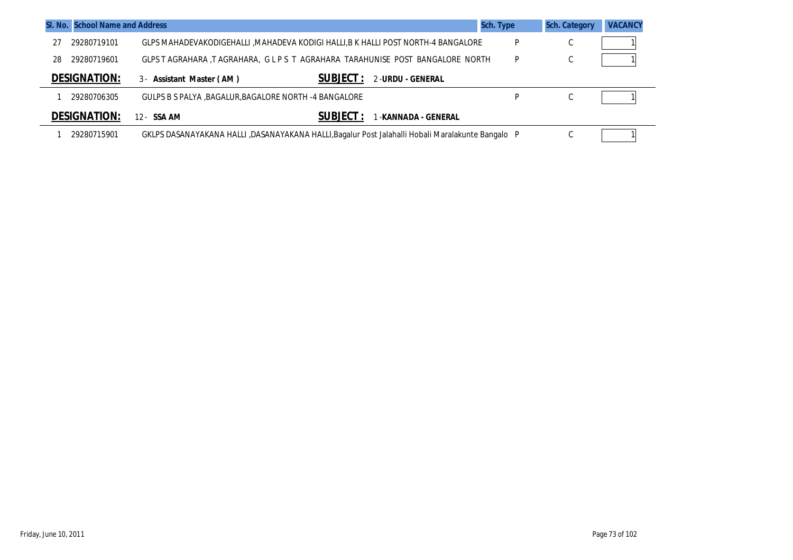|    | SI. No. School Name and Address |                                                        |                                                                                                   | <b>Sch. Type</b> | <b>Sch. Category</b> | <b>VACANCY</b> |
|----|---------------------------------|--------------------------------------------------------|---------------------------------------------------------------------------------------------------|------------------|----------------------|----------------|
| 27 | 29280719101                     |                                                        | GLPS MAHADEVAKODIGEHALLI ,MAHADEVA KODIGI HALLI,B K HALLI POST NORTH-4 BANGALORE                  | P                | C                    |                |
| 28 | 29280719601                     |                                                        | GLPS T AGRAHARA, T AGRAHARA, G L P S T AGRAHARA TARAHUNISE POST BANGALORE NORTH                   | P                | C                    |                |
|    | <b>DESIGNATION:</b>             | 3- Assistant Master (AM)                               | <b>SUBJECT :</b><br>2-URDU - GENERAL                                                              |                  |                      |                |
|    | 29280706305                     | GULPS B S PALYA , BAGALUR, BAGALORE NORTH -4 BANGALORE |                                                                                                   | D                | C                    |                |
|    | <b>DESIGNATION:</b>             | 12 - SSA AM                                            | <b>SUBJECT :</b><br>-KANNADA - GENERAL                                                            |                  |                      |                |
|    | 29280715901                     |                                                        | GKLPS DASANAYAKANA HALLI ,DASANAYAKANA HALLI,Bagalur Post Jalahalli Hobali Maralakunte Bangalo⊧ P |                  | C                    |                |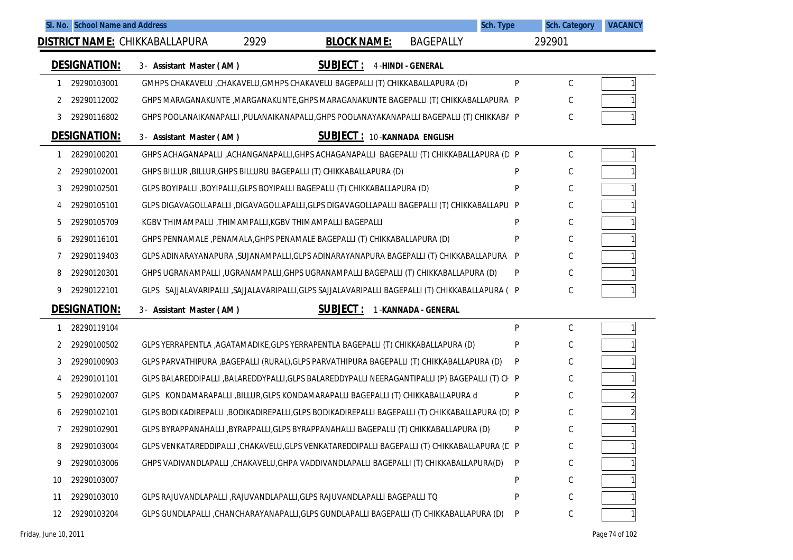|    |                     | SI. No. School Name and Address                                                                   |      |                                    |                          | Sch. Type | <b>Sch. Category</b> | <b>VACANCY</b> |
|----|---------------------|---------------------------------------------------------------------------------------------------|------|------------------------------------|--------------------------|-----------|----------------------|----------------|
|    |                     | <b>DISTRICT NAME: CHIKKABALLAPURA</b>                                                             | 2929 | <b>BLOCK NAME:</b>                 | <b>BAGEPALLY</b>         |           | 292901               |                |
|    | <b>DESIGNATION:</b> | 3- Assistant Master (AM)                                                                          |      | <b>SUBJECT:</b>                    | <b>4-HINDI - GENERAL</b> |           |                      |                |
| 1  | 29290103001         | GMHPS CHAKAVELU, CHAKAVELU, GMHPS CHAKAVELU BAGEPALLI (T) CHIKKABALLAPURA (D)                     |      |                                    |                          | P         | С                    |                |
| 2  | 29290112002         | GHPS MARAGANAKUNTE ,MARGANAKUNTE,GHPS MARAGANAKUNTE BAGEPALLI (T) CHIKKABALLAPURA P               |      |                                    |                          |           |                      |                |
| 3  | 29290116802         | GHPS POOLANAIKANAPALLI ,PULANAIKANAPALLI,GHPS POOLANAYAKANAPALLI BAGEPALLI (T) CHIKKABA P         |      |                                    |                          |           | С                    |                |
|    | <b>DESIGNATION:</b> | 3- Assistant Master (AM)                                                                          |      | <b>SUBJECT: 10-KANNADA ENGLISH</b> |                          |           |                      |                |
| 1  | 28290100201         | GHPS ACHAGANAPALLI ,ACHANGANAPALLI,GHPS ACHAGANAPALLI BAGEPALLI (T) CHIKKABALLAPURA (D P          |      |                                    |                          |           | С                    |                |
| 2  | 29290102001         | GHPS BILLUR, BILLUR, GHPS BILLURU BAGEPALLI (T) CHIKKABALLAPURA (D)                               |      |                                    |                          | P         | С                    |                |
| 3  | 29290102501         | GLPS BOYIPALLI ,BOYIPALLI,GLPS BOYIPALLI BAGEPALLI (T) CHIKKABALLAPURA (D)                        |      |                                    |                          | P         | С                    |                |
| 4  | 29290105101         | GLPS DIGAVAGOLLAPALLI ,DIGAVAGOLLAPALLI,GLPS DIGAVAGOLLAPALLI BAGEPALLI (T) CHIKKABALLAPU P       |      |                                    |                          |           | С                    |                |
| 5  | 29290105709         | KGBV THIMAMPALLI , THIMAMPALLI, KGBV THIMAMPALLI BAGEPALLI                                        |      |                                    |                          | P         | С                    |                |
| 6  | 29290116101         | GHPS PENNAMALE, PENAMALA, GHPS PENAMALE BAGEPALLI (T) CHIKKABALLAPURA (D)                         |      |                                    |                          | P         | С                    |                |
| 7  | 29290119403         | GLPS ADINARAYANAPURA ,SUJANAMPALLI,GLPS ADINARAYANAPURA BAGEPALLI (T) CHIKKABALLAPURA P           |      |                                    |                          |           | С                    |                |
| 8  | 29290120301         | GHPS UGRANAMPALLI ,UGRANAMPALLI,GHPS UGRANAMPALLI BAGEPALLI (T) CHIKKABALLAPURA (D)               |      |                                    |                          | P         | С                    |                |
| 9  | 29290122101         | GLPS SAJJALAVARIPALLI , SAJJALAVARIPALLI , GLPS SAJJALAVARIPALLI BAGEPALLI (T) CHIKKABALLAPURA (P |      |                                    |                          |           | С                    |                |
|    | <b>DESIGNATION:</b> | 3- Assistant Master (AM)                                                                          |      | <b>SUBJECT:</b>                    | 1-KANNADA - GENERAL      |           |                      |                |
| 1  | 28290119104         |                                                                                                   |      |                                    |                          | P         | C                    |                |
| 2  | 29290100502         | GLPS YERRAPENTLA , AGATAMADIKE, GLPS YERRAPENTLA BAGEPALLI (T) CHIKKABALLAPURA (D)                |      |                                    |                          | P         | С                    |                |
| 3  | 29290100903         | GLPS PARVATHIPURA ,BAGEPALLI (RURAL),GLPS PARVATHIPURA BAGEPALLI (T) CHIKKABALLAPURA (D)          |      |                                    |                          | P         | С                    |                |
| 4  | 29290101101         | GLPS BALAREDDIPALLI ,BALAREDDYPALLI,GLPS BALAREDDYPALLI NEERAGANTIPALLI (P) BAGEPALLI (T) CI- P   |      |                                    |                          |           | С                    |                |
| 5  | 29290102007         | GLPS KONDAMARAPALLI, BILLUR, GLPS KONDAMARAPALLI BAGEPALLI (T) CHIKKABALLAPURA d                  |      |                                    |                          | P         | С                    |                |
| 6  | 29290102101         | GLPS BODIKADIREPALLI ,BODIKADIREPALLI,GLPS BODIKADIREPALLI BAGEPALLI (T) CHIKKABALLAPURA (D) P    |      |                                    |                          |           | С                    |                |
| 7  | 29290102901         | GLPS BYRAPPANAHALLI ,BYRAPPALLI,GLPS BYRAPPANAHALLI BAGEPALLI (T) CHIKKABALLAPURA (D)             |      |                                    |                          | P         | С                    |                |
| 8  | 29290103004         | GLPS VENKATAREDDIPALLI ,CHAKAVELU,GLPS VENKATAREDDIPALLI BAGEPALLI (T) CHIKKABALLAPURA (C P       |      |                                    |                          |           | С                    |                |
| 9  | 29290103006         | GHPS VADIVANDLAPALLI , CHAKAVELU, GHPA VADDIVANDLAPALLI BAGEPALLI (T) CHIKKABALLAPURA(D)          |      |                                    |                          | P         | С                    |                |
| 10 | 29290103007         |                                                                                                   |      |                                    |                          | P         | C                    |                |
| 11 | 29290103010         | GLPS RAJUVANDLAPALLI , RAJUVANDLAPALLI, GLPS RAJUVANDLAPALLI BAGEPALLI TO                         |      |                                    |                          | P         | С                    |                |
| 12 | 29290103204         | GLPS GUNDLAPALLI ,CHANCHARAYANAPALLI,GLPS GUNDLAPALLI BAGEPALLI (T) CHIKKABALLAPURA (D)           |      |                                    |                          | P         | С                    |                |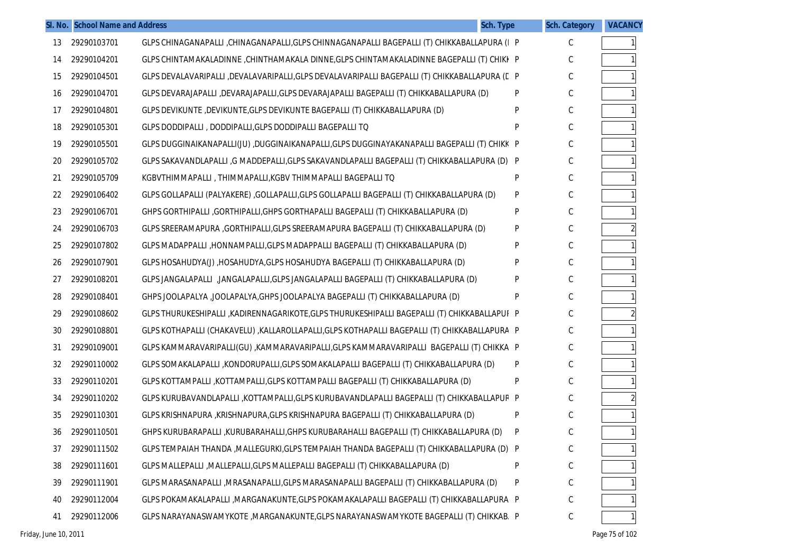|    | SI. No. School Name and Address | <b>Sch. Type</b>                                                                              |   | <b>Sch. Category</b> | <b>VACANCY</b> |
|----|---------------------------------|-----------------------------------------------------------------------------------------------|---|----------------------|----------------|
| 13 | 29290103701                     | GLPS CHINAGANAPALLI ,CHINAGANAPALLI,GLPS CHINNAGANAPALLI BAGEPALLI (T) CHIKKABALLAPURA (I P   |   | C                    |                |
| 14 | 29290104201                     | GLPS CHINTAMAKALADINNE ,CHINTHAMAKALA DINNE,GLPS CHINTAMAKALADINNE BAGEPALLI (T) CHIKI P      |   | С                    |                |
| 15 | 29290104501                     | GLPS DEVALAVARIPALLI ,DEVALAVARIPALLI,GLPS DEVALAVARIPALLI BAGEPALLI (T) CHIKKABALLAPURA (C P |   | C                    |                |
| 16 | 29290104701                     | GLPS DEVARAJAPALLI ,DEVARAJAPALLI,GLPS DEVARAJAPALLI BAGEPALLI (T) CHIKKABALLAPURA (D)        | P | С                    |                |
| 17 | 29290104801                     | GLPS DEVIKUNTE, DEVIKUNTE, GLPS DEVIKUNTE BAGEPALLI (T) CHIKKABALLAPURA (D)                   | P | C                    |                |
| 18 | 29290105301                     | GLPS DODDIPALLI, DODDIPALLI, GLPS DODDIPALLI BAGEPALLI TO                                     | P | С                    |                |
| 19 | 29290105501                     | GLPS DUGGINAIKANAPALLI(JU) ,DUGGINAIKANAPALLI,GLPS DUGGINAYAKANAPALLI BAGEPALLI (T) CHIKK P   |   | С                    |                |
| 20 | 29290105702                     | GLPS SAKAVANDLAPALLI, G MADDEPALLI, GLPS SAKAVANDLAPALLI BAGEPALLI (T) CHIKKABALLAPURA (D) P  |   | С                    |                |
| 21 | 29290105709                     | KGBVTHIMMAPALLI, THIMMAPALLI,KGBV THIMMAPALLI BAGEPALLI TQ                                    | P | C                    |                |
| 22 | 29290106402                     | GLPS GOLLAPALLI (PALYAKERE) ,GOLLAPALLI,GLPS GOLLAPALLI BAGEPALLI (T) CHIKKABALLAPURA (D)     | P | С                    |                |
| 23 | 29290106701                     | GHPS GORTHIPALLI , GORTHIPALLI, GHPS GORTHAPALLI BAGEPALLI (T) CHIKKABALLAPURA (D)            | P | C                    |                |
| 24 | 29290106703                     | GLPS SREERAMAPURA ,GORTHIPALLI,GLPS SREERAMAPURA BAGEPALLI (T) CHIKKABALLAPURA (D)            | P | С                    |                |
| 25 | 29290107802                     | GLPS MADAPPALLI ,HONNAMPALLI,GLPS MADAPPALLI BAGEPALLI (T) CHIKKABALLAPURA (D)                | P | C                    |                |
| 26 | 29290107901                     | GLPS HOSAHUDYA(J), HOSAHUDYA, GLPS HOSAHUDYA BAGEPALLI (T) CHIKKABALLAPURA (D)                | P | С                    |                |
| 27 | 29290108201                     | GLPS JANGALAPALLI , JANGALAPALLI, GLPS JANGALAPALLI BAGEPALLI (T) CHIKKABALLAPURA (D)         | P | C                    |                |
| 28 | 29290108401                     | GHPS JOOLAPALYA ,JOOLAPALYA,GHPS JOOLAPALYA BAGEPALLI (T) CHIKKABALLAPURA (D)                 | P | С                    |                |
| 29 | 29290108602                     | GLPS THURUKESHIPALLI ,KADIRENNAGARIKOTE,GLPS THURUKESHIPALLI BAGEPALLI (T) CHIKKABALLAPUF P   |   | С                    |                |
| 30 | 29290108801                     | GLPS KOTHAPALLI (CHAKAVELU) ,KALLAROLLAPALLI,GLPS KOTHAPALLI BAGEPALLI (T) CHIKKABALLAPURA P  |   | С                    |                |
| 31 | 29290109001                     | GLPS KAMMARAVARIPALLI(GU) ,KAMMARAVARIPALLI,GLPS KAMMARAVARIPALLI BAGEPALLI (T) CHIKKA P      |   | С                    |                |
| 32 | 29290110002                     | GLPS SOMAKALAPALLI ,KONDORUPALLI,GLPS SOMAKALAPALLI BAGEPALLI (T) CHIKKABALLAPURA (D)         | P | С                    |                |
| 33 | 29290110201                     | GLPS KOTTAMPALLI ,KOTTAMPALLI,GLPS KOTTAMPALLI BAGEPALLI (T) CHIKKABALLAPURA (D)              | P | C                    |                |
| 34 | 29290110202                     | GLPS KURUBAVANDLAPALLI ,KOTTAMPALLI,GLPS KURUBAVANDLAPALLI BAGEPALLI (T) CHIKKABALLAPUR P     |   | С                    |                |
| 35 | 29290110301                     | GLPS KRISHNAPURA ,KRISHNAPURA,GLPS KRISHNAPURA BAGEPALLI (T) CHIKKABALLAPURA (D)              | P | $\mathsf C$          |                |
| 36 | 29290110501                     | GHPS KURUBARAPALLI , KURUBARAHALLI, GHPS KURUBARAHALLI BAGEPALLI (T) CHIKKABALLAPURA (D)      | P | С                    |                |
| 37 | 29290111502                     | GLPS TEMPAIAH THANDA , MALLEGURKI, GLPS TEMPAIAH THANDA BAGEPALLI (T) CHIKKABALLAPURA (D) P   |   | С                    |                |
| 38 | 29290111601                     | GLPS MALLEPALLI , MALLEPALLI, GLPS MALLEPALLI BAGEPALLI (T) CHIKKABALLAPURA (D)               | P | С                    |                |
| 39 | 29290111901                     | GLPS MARASANAPALLI , MRASANAPALLI, GLPS MARASANAPALLI BAGEPALLI (T) CHIKKABALLAPURA (D)       | P | С                    |                |
| 40 | 29290112004                     | GLPS POKAMAKALAPALLI ,MARGANAKUNTE,GLPS POKAMAKALAPALLI BAGEPALLI (T) CHIKKABALLAPURA P       |   | С                    |                |
| 41 | 29290112006                     | GLPS NARAYANASWAMYKOTE , MARGANAKUNTE, GLPS NARAYANASWAMYKOTE BAGEPALLI (T) CHIKKAB. P        |   | С                    |                |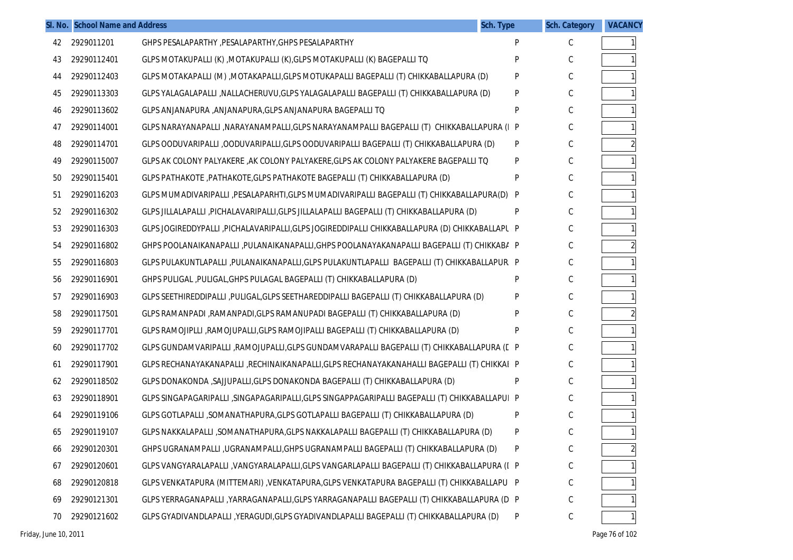|    | SI. No. School Name and Address |                                                                                                 | <b>Sch. Type</b> | <b>Sch. Category</b> | <b>VACANCY</b> |
|----|---------------------------------|-------------------------------------------------------------------------------------------------|------------------|----------------------|----------------|
| 42 | 2929011201                      | GHPS PESALAPARTHY , PESALAPARTHY, GHPS PESALAPARTHY                                             | P                | C                    |                |
| 43 | 29290112401                     | GLPS MOTAKUPALLI (K), MOTAKUPALLI (K), GLPS MOTAKUPALLI (K) BAGEPALLI TO                        | P                | C                    |                |
| 44 | 29290112403                     | GLPS MOTAKAPALLI (M) , MOTAKAPALLI, GLPS MOTUKAPALLI BAGEPALLI (T) CHIKKABALLAPURA (D)          | P                | С                    |                |
| 45 | 29290113303                     | GLPS YALAGALAPALLI ,NALLACHERUVU,GLPS YALAGALAPALLI BAGEPALLI (T) CHIKKABALLAPURA (D)           | P                | C                    |                |
| 46 | 29290113602                     | GLPS ANJANAPURA , ANJANAPURA, GLPS ANJANAPURA BAGEPALLI TO                                      | P                | С                    |                |
| 47 | 29290114001                     | GLPS NARAYANAPALLI , NARAYANAMPALLI, GLPS NARAYANAMPALLI BAGEPALLI (T) CHIKKABALLAPURA (I P     |                  | C                    |                |
| 48 | 29290114701                     | GLPS OODUVARIPALLI ,OODUVARIPALLI,GLPS OODUVARIPALLI BAGEPALLI (T) CHIKKABALLAPURA (D)          | P                | С                    |                |
| 49 | 29290115007                     | GLPS AK COLONY PALYAKERE , AK COLONY PALYAKERE, GLPS AK COLONY PALYAKERE BAGEPALLI TO           | P                | C                    |                |
| 50 | 29290115401                     | GLPS PATHAKOTE , PATHAKOTE, GLPS PATHAKOTE BAGEPALLI (T) CHIKKABALLAPURA (D)                    | P                | С                    |                |
| 51 | 29290116203                     | GLPS MUMADIVARIPALLI ,PESALAPARHTI,GLPS MUMADIVARIPALLI BAGEPALLI (T) CHIKKABALLAPURA(D) P      |                  | C                    |                |
| 52 | 29290116302                     | GLPS JILLALAPALLI ,PICHALAVARIPALLI,GLPS JILLALAPALLI BAGEPALLI (T) CHIKKABALLAPURA (D)         | P                | С                    |                |
| 53 | 29290116303                     | GLPS JOGIREDDYPALLI ,PICHALAVARIPALLI,GLPS JOGIREDDIPALLI CHIKKABALLAPURA (D) CHIKKABALLAPL P   |                  | C                    |                |
| 54 | 29290116802                     | GHPS POOLANAIKANAPALLI ,PULANAIKANAPALLI,GHPS POOLANAYAKANAPALLI BAGEPALLI (T) CHIKKABA P       |                  | С                    |                |
| 55 | 29290116803                     | GLPS PULAKUNTLAPALLI ,PULANAIKANAPALLI,GLPS PULAKUNTLAPALLI BAGEPALLI (T) CHIKKABALLAPUR. P     |                  | C                    |                |
| 56 | 29290116901                     | GHPS PULIGAL, PULIGAL, GHPS PULAGAL BAGEPALLI (T) CHIKKABALLAPURA (D)                           | P                | С                    |                |
| 57 | 29290116903                     | GLPS SEETHIREDDIPALLI ,PULIGAL,GLPS SEETHAREDDIPALLI BAGEPALLI (T) CHIKKABALLAPURA (D)          | P                | C                    |                |
| 58 | 29290117501                     | GLPS RAMANPADI ,RAMANPADI,GLPS RAMANUPADI BAGEPALLI (T) CHIKKABALLAPURA (D)                     | P                | С                    |                |
| 59 | 29290117701                     | GLPS RAMOJIPLLI ,RAMOJUPALLI,GLPS RAMOJIPALLI BAGEPALLI (T) CHIKKABALLAPURA (D)                 | P                | C                    |                |
| 60 | 29290117702                     | GLPS GUNDAMVARIPALLI ,RAMOJUPALLI,GLPS GUNDAMVARAPALLI BAGEPALLI (T) CHIKKABALLAPURA (E P       |                  | С                    |                |
| 61 | 29290117901                     | GLPS RECHANAYAKANAPALLI ,RECHINAIKANAPALLI,GLPS RECHANAYAKANAHALLI BAGEPALLI (T) CHIKKAI P      |                  | С                    |                |
| 62 | 29290118502                     | GLPS DONAKONDA , SAJJUPALLI, GLPS DONAKONDA BAGEPALLI (T) CHIKKABALLAPURA (D)                   | P                | С                    |                |
| 63 | 29290118901                     | GLPS SINGAPAGARIPALLI , SINGAPAGARIPALLI, GLPS SINGAPPAGARIPALLI BAGEPALLI (T) CHIKKABALLAPUI P |                  | C                    |                |
| 64 | 29290119106                     | GLPS GOTLAPALLI ,SOMANATHAPURA,GLPS GOTLAPALLI BAGEPALLI (T) CHIKKABALLAPURA (D)                | P                | С                    |                |
| 65 | 29290119107                     | GLPS NAKKALAPALLI ,SOMANATHAPURA,GLPS NAKKALAPALLI BAGEPALLI (T) CHIKKABALLAPURA (D)            | P                | C                    |                |
| 66 | 29290120301                     | GHPS UGRANAMPALLI ,UGRANAMPALLI,GHPS UGRANAMPALLI BAGEPALLI (T) CHIKKABALLAPURA (D)             | P                | $\mathsf C$          |                |
| 67 | 29290120601                     | GLPS VANGYARALAPALLI ,VANGYARALAPALLI,GLPS VANGARLAPALLI BAGEPALLI (T) CHIKKABALLAPURA (I P     |                  | C                    |                |
| 68 | 29290120818                     | GLPS VENKATAPURA (MITTEMARI) , VENKATAPURA, GLPS VENKATAPURA BAGEPALLI (T) CHIKKABALLAPU  P     |                  | С                    |                |
| 69 | 29290121301                     | GLPS YERRAGANAPALLI ,YARRAGANAPALLI,GLPS YARRAGANAPALLI BAGEPALLI (T) CHIKKABALLAPURA (D P      |                  | C                    |                |
| 70 | 29290121602                     | GLPS GYADIVANDLAPALLI , YERAGUDI, GLPS GYADIVANDLAPALLI BAGEPALLI (T) CHIKKABALLAPURA (D)       | P                | С                    |                |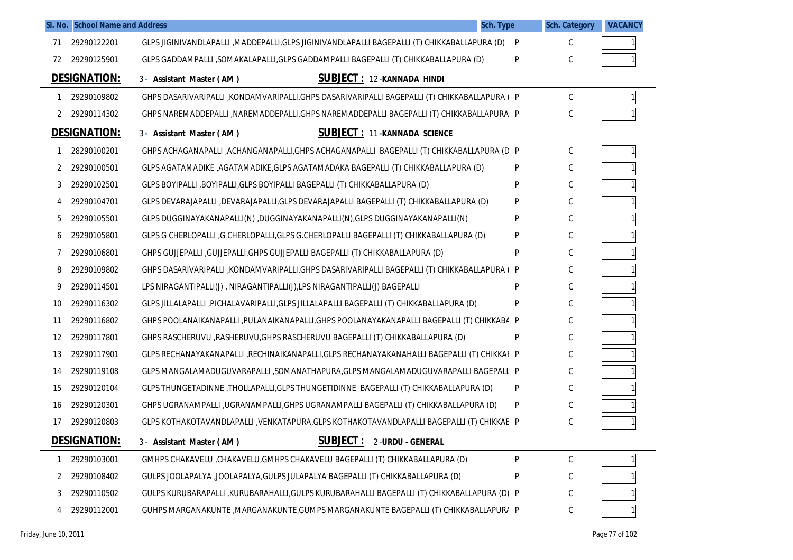|    | SI. No. School Name and Address |                                                                                              | Sch. Type | <b>Sch. Category</b> | <b>VACANCY</b> |
|----|---------------------------------|----------------------------------------------------------------------------------------------|-----------|----------------------|----------------|
| 71 | 29290122201                     | GLPS JIGINIVANDLAPALLI ,MADDEPALLI,GLPS JIGINIVANDLAPALLI BAGEPALLI (T) CHIKKABALLAPURA (D)  | P         | С                    |                |
| 72 | 29290125901                     | GLPS GADDAMPALLI ,SOMAKALAPALLI,GLPS GADDAMPALLI BAGEPALLI (T) CHIKKABALLAPURA (D)           | P         | С                    |                |
|    | <b>DESIGNATION:</b>             | SUBJECT: 12-KANNADA HINDI<br>3- Assistant Master (AM)                                        |           |                      |                |
|    | 29290109802                     | GHPS DASARIVARIPALLI ,KONDAMVARIPALLI,GHPS DASARIVARIPALLI BAGEPALLI (T) CHIKKABALLAPURA ( P |           | С                    |                |
| 2  | 29290114302                     | GHPS NAREMADDEPALLI ,NAREMADDEPALLI,GHPS NAREMADDEPALLI BAGEPALLI (T) CHIKKABALLAPURA P      |           | C                    |                |
|    | DESIGNATION:                    | <b>SUBJECT: 11-KANNADA SCIENCE</b><br>3- Assistant Master (AM)                               |           |                      |                |
|    | 28290100201                     | GHPS ACHAGANAPALLI ,ACHANGANAPALLI,GHPS ACHAGANAPALLI BAGEPALLI (T) CHIKKABALLAPURA (D P     |           | С                    |                |
| 2  | 29290100501                     | GLPS AGATAMADIKE ,AGATAMADIKE,GLPS AGATAMADAKA BAGEPALLI (T) CHIKKABALLAPURA (D)             | P         | С                    |                |
| 3  | 29290102501                     | GLPS BOYIPALLI ,BOYIPALLI,GLPS BOYIPALLI BAGEPALLI (T) CHIKKABALLAPURA (D)                   | P         | С                    |                |
| 4  | 29290104701                     | GLPS DEVARAJAPALLI ,DEVARAJAPALLI,GLPS DEVARAJAPALLI BAGEPALLI (T) CHIKKABALLAPURA (D)       | P         | С                    |                |
| 5  | 29290105501                     | GLPS DUGGINAYAKANAPALLI(N) ,DUGGINAYAKANAPALLI(N),GLPS DUGGINAYAKANAPALLI(N)                 | P         | С                    |                |
| 6  | 29290105801                     | GLPS G CHERLOPALLI ,G CHERLOPALLI,GLPS G.CHERLOPALLI BAGEPALLI (T) CHIKKABALLAPURA (D)       | P         | С                    |                |
|    | 29290106801                     | GHPS GUJJEPALLI , GUJJEPALLI, GHPS GUJJEPALLI BAGEPALLI (T) CHIKKABALLAPURA (D)              | P         | С                    |                |
| 8  | 29290109802                     | GHPS DASARIVARIPALLI ,KONDAMVARIPALLI,GHPS DASARIVARIPALLI BAGEPALLI (T) CHIKKABALLAPURA (P  |           | С                    |                |
| 9  | 29290114501                     | LPS NIRAGANTIPALLI(J), NIRAGANTIPALLI(J), LPS NIRAGANTIPALLI(J) BAGEPALLI                    | P         | С                    |                |
| 10 | 29290116302                     | GLPS JILLALAPALLI ,PICHALAVARIPALLI,GLPS JILLALAPALLI BAGEPALLI (T) CHIKKABALLAPURA (D)      | P         | С                    |                |
| 11 | 29290116802                     | GHPS POOLANAIKANAPALLI, PULANAIKANAPALLI, GHPS POOLANAYAKANAPALLI BAGEPALLI (T) CHIKKABA P   |           | С                    |                |
| 12 | 29290117801                     | GHPS RASCHERUVU , RASHERUVU, GHPS RASCHERUVU BAGEPALLI (T) CHIKKABALLAPURA (D)               | P         | С                    |                |
| 13 | 29290117901                     | GLPS RECHANAYAKANAPALLI ,RECHINAIKANAPALLI,GLPS RECHANAYAKANAHALLI BAGEPALLI (T) CHIKKAI P   |           | С                    |                |
| 14 | 29290119108                     | GLPS MANGALAMADUGUVARAPALLI ,SOMANATHAPURA,GLPS MANGALAMADUGUVARAPALLI BAGEPALL P            |           | С                    |                |
| 15 | 29290120104                     | GLPS THUNGETADINNE , THOLLAPALLI, GLPS THUNGETIDINNE BAGEPALLI (T) CHIKKABALLAPURA (D)       | P         | С                    |                |
| 16 | 29290120301                     | GHPS UGRANAMPALLI, UGRANAMPALLI, GHPS UGRANAMPALLI BAGEPALLI (T) CHIKKABALLAPURA (D)         | P         | С                    |                |
| 17 | 29290120803                     | GLPS KOTHAKOTAVANDLAPALLI, VENKATAPURA, GLPS KOTHAKOTAVANDLAPALLI BAGEPALLI (T) CHIKKAE P    |           |                      |                |
|    | <b>DESIGNATION:</b>             | <b>SUBJECT:</b><br>3- Assistant Master (AM)<br>2-URDU - GENERAL                              |           |                      |                |
|    | 29290103001                     | GMHPS CHAKAVELU , CHAKAVELU, GMHPS CHAKAVELU BAGEPALLI (T) CHIKKABALLAPURA (D)               | P         | С                    |                |
| 2  | 29290108402                     | GULPS JOOLAPALYA ,JOOLAPALYA,GULPS JULAPALYA BAGEPALLI (T) CHIKKABALLAPURA (D)               | P         | С                    |                |
| 3  | 29290110502                     | GULPS KURUBARAPALLI ,KURUBARAHALLI,GULPS KURUBARAHALLI BAGEPALLI (T) CHIKKABALLAPURA (D) P   |           | С                    |                |
| 4  | 29290112001                     | GUHPS MARGANAKUNTE , MARGANAKUNTE, GUMPS MARGANAKUNTE BAGEPALLI (T) CHIKKABALLAPUR/ P        |           | С                    |                |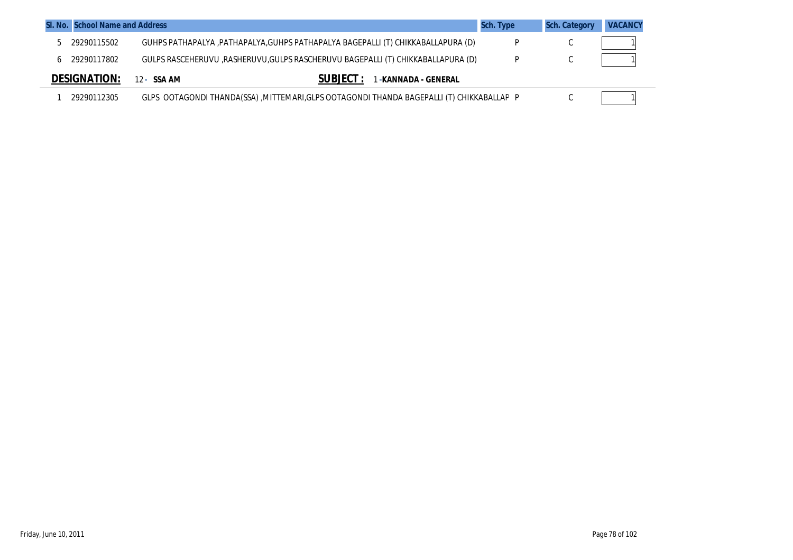| SI. No. School Name and Address |                                                                                           | Sch. Type | <b>Sch. Category</b> | <b>VACANCY</b> |
|---------------------------------|-------------------------------------------------------------------------------------------|-----------|----------------------|----------------|
| 29290115502                     | GUHPS PATHAPALYA , PATHAPALYA, GUHPS PATHAPALYA BAGEPALLI (T) CHIKKABALLAPURA (D)         |           |                      |                |
| 29290117802                     | GULPS RASCEHERUVU ,RASHERUVU,GULPS RASCHERUVU BAGEPALLI (T) CHIKKABALLAPURA (D)           |           |                      |                |
| <b>DESIGNATION:</b>             | <b>SUBJECT</b><br>-KANNADA - GENERAL<br>12 - SSA AM                                       |           |                      |                |
| 29290112305                     | GLPS OOTAGONDI THANDA(SSA), MITTEMARI, GLPS OOTAGONDI THANDA BAGEPALLI (T) CHIKKABALLAP P |           |                      |                |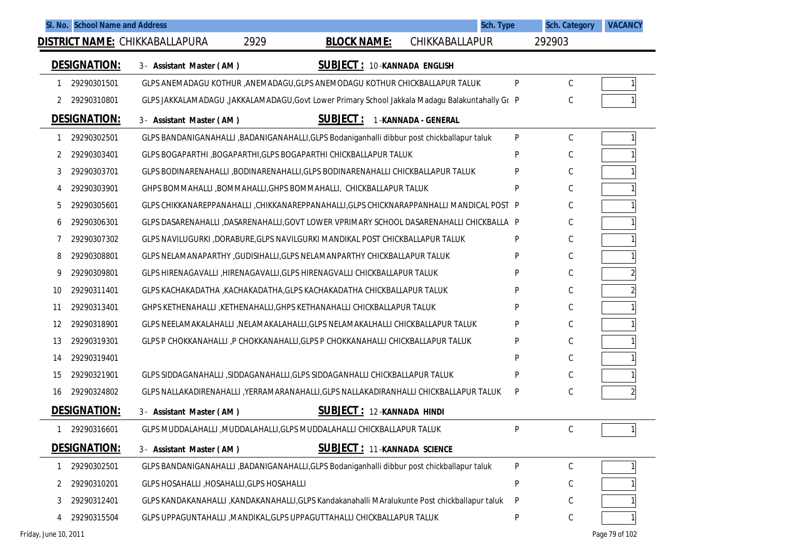|    | SI. No. School Name and Address | Sch. Type<br><b>DISTRICT NAME:</b> CHIKKABALLAPURA<br>2929<br>CHIKKABALLAPUR<br><b>BLOCK NAME:</b> |              | <b>Sch. Category</b><br>292903 | <b>VACANCY</b> |
|----|---------------------------------|----------------------------------------------------------------------------------------------------|--------------|--------------------------------|----------------|
|    |                                 |                                                                                                    |              |                                |                |
|    | <b>DESIGNATION:</b>             | <b>SUBJECT: 10-KANNADA ENGLISH</b><br>3- Assistant Master (AM)                                     |              |                                |                |
|    | 29290301501                     | GLPS ANEMADAGU KOTHUR , ANEMADAGU, GLPS ANEMODAGU KOTHUR CHICKBALLAPUR TALUK                       | P            | C                              |                |
| 2  | 29290310801                     | GLPS JAKKALAMADAGU ,JAKKALAMADAGU,Govt Lower Primary School Jakkala Madagu Balakuntahally Gc P     |              | С                              |                |
|    | <b>DESIGNATION:</b>             | <b>SUBJECT:</b><br>1-KANNADA - GENERAL<br>3- Assistant Master (AM)                                 |              |                                |                |
|    | 29290302501                     | GLPS BANDANIGANAHALLI ,BADANIGANAHALLI,GLPS Bodaniganhalli dibbur post chickballapur taluk         | $\mathsf{P}$ | $\mathsf C$                    |                |
| 2  | 29290303401                     | GLPS BOGAPARTHI, BOGAPARTHI, GLPS BOGAPARTHI CHICKBALLAPUR TALUK                                   | P            | С                              |                |
| 3  | 29290303701                     | GLPS BODINARENAHALLI ,BODINARENAHALLI,GLPS BODINARENAHALLI CHICKBALLAPUR TALUK                     | P            | С                              |                |
| 4  | 29290303901                     | GHPS BOMMAHALLI, BOMMAHALLI, GHPS BOMMAHALLI, CHICKBALLAPUR TALUK                                  | P            | С                              |                |
| 5  | 29290305601                     | GLPS CHIKKANAREPPANAHALLI , CHIKKANAREPPANAHALLI, GLPS CHICKNARAPPANHALLI MANDICAL POST P          |              | С                              |                |
| 6  | 29290306301                     | GLPS DASARENAHALLI ,DASARENAHALLI,GOVT LOWER VPRIMARY SCHOOL DASARENAHALLI CHICKBALLA P            |              | С                              |                |
|    | 29290307302                     | GLPS NAVILUGURKI ,DORABURE,GLPS NAVILGURKI MANDIKAL POST CHICKBALLAPUR TALUK                       | P            | С                              |                |
| 8  | 29290308801                     | GLPS NELAMANAPARTHY , GUDISIHALLI, GLPS NELAMANPARTHY CHICKBALLAPUR TALUK                          | P            | С                              |                |
| 9  | 29290309801                     | GLPS HIRENAGAVALLI , HIRENAGAVALLI, GLPS HIRENAGVALLI CHICKBALLAPUR TALUK                          | P            | С                              |                |
| 10 | 29290311401                     | GLPS KACHAKADATHA , KACHAKADATHA, GLPS KACHAKADATHA CHICKBALLAPUR TALUK                            | P            | С                              |                |
| 11 | 29290313401                     | GHPS KETHENAHALLI , KETHENAHALLI, GHPS KETHANAHALLI CHICKBALLAPUR TALUK                            | P            | С                              |                |
| 12 | 29290318901                     | GLPS NEELAMAKALAHALLI ,NELAMAKALAHALLI,GLPS NELAMAKALHALLI CHICKBALLAPUR TALUK                     | P            | С                              |                |
| 13 | 29290319301                     | GLPS P CHOKKANAHALLI, P CHOKKANAHALLI, GLPS P CHOKKANAHALLI CHICKBALLAPUR TALUK                    | P            | С                              |                |
| 14 | 29290319401                     |                                                                                                    | P            | С                              |                |
| 15 | 29290321901                     | GLPS SIDDAGANAHALLI , SIDDAGANAHALLI, GLPS SIDDAGANHALLI CHICKBALLAPUR TALUK                       | P            | С                              |                |
| 16 | 29290324802                     | GLPS NALLAKADIRENAHALLI ,YERRAMARANAHALLI,GLPS NALLAKADIRANHALLI CHICKBALLAPUR TALUK               | P            | С                              | $\overline{a}$ |
|    | <b>DESIGNATION:</b>             | <b>SUBJECT: 12-KANNADA HINDI</b><br>3- Assistant Master (AM)                                       |              |                                |                |
|    | 29290316601                     | GLPS MUDDALAHALLI , MUDDALAHALLI, GLPS MUDDALAHALLI CHICKBALLAPUR TALUK                            | P            | С                              | 1 <sup>1</sup> |
|    | <b>DESIGNATION:</b>             | <b>SUBJECT: 11-KANNADA SCIENCE</b><br>3- Assistant Master (AM)                                     |              |                                |                |
|    | 29290302501                     | GLPS BANDANIGANAHALLI ,BADANIGANAHALLI,GLPS Bodaniganhalli dibbur post chickballapur taluk         | $\sf P$      | С                              |                |
| 2  | 29290310201                     | GLPS HOSAHALLI, HOSAHALLI, GLPS HOSAHALLI                                                          | P            | С                              |                |
| 3  | 29290312401                     | GLPS KANDAKANAHALLI , KANDAKANAHALLI, GLPS Kandakanahalli MAralukunte Post chickballapur taluk     | P            | С                              |                |
| 4  | 29290315504                     | GLPS UPPAGUNTAHALLI , MANDIKAL, GLPS UPPAGUTTAHALLI CHICKBALLAPUR TALUK                            | P            | $\mathsf C$                    |                |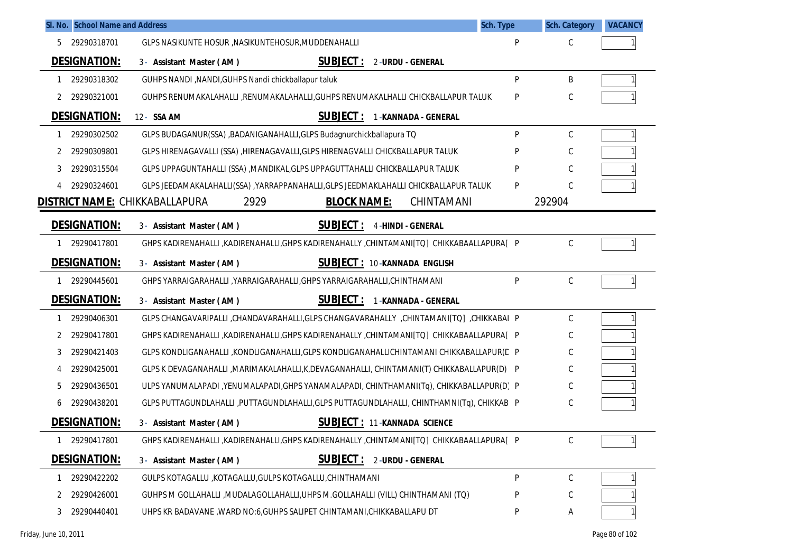|   | SI. No. School Name and Address | Sch. Type                                                                                 |   | <b>Sch. Category</b> | <b>VACANCY</b> |
|---|---------------------------------|-------------------------------------------------------------------------------------------|---|----------------------|----------------|
| 5 | 29290318701                     | GLPS NASIKUNTE HOSUR , NASIKUNTEHOSUR, MUDDENAHALLI                                       | P | C                    |                |
|   | <b>DESIGNATION:</b>             | <b>SUBJECT:</b><br>2-URDU - GENERAL<br>3- Assistant Master (AM)                           |   |                      |                |
| 1 | 29290318302                     | GUHPS NANDI, NANDI, GUHPS Nandi chickballapur taluk                                       | P | B                    |                |
| 2 | 29290321001                     | GUHPS RENUMAKALAHALLI ,RENUMAKALAHALLI,GUHPS RENUMAKALHALLI CHICKBALLAPUR TALUK           | P | C                    |                |
|   | <b>DESIGNATION:</b>             | <b>SUBJECT:</b><br>12- SSA AM<br>1-KANNADA - GENERAL                                      |   |                      |                |
|   | 29290302502                     | GLPS BUDAGANUR(SSA) , BADANIGANAHALLI, GLPS Budagnurchickballapura TQ                     | P | $\mathsf C$          |                |
| 2 | 29290309801                     | GLPS HIRENAGAVALLI (SSA) , HIRENAGAVALLI, GLPS HIRENAGVALLI CHICKBALLAPUR TALUK           |   | C                    |                |
| 3 | 29290315504                     | GLPS UPPAGUNTAHALLI (SSA) , MANDIKAL, GLPS UPPAGUTTAHALLI CHICKBALLAPUR TALUK             |   | C                    |                |
| 4 | 29290324601                     | GLPS JEEDAMAKALAHALLI(SSA) , YARRAPPANAHALLI, GLPS JEEDMAKLAHALLI CHICKBALLAPUR TALUK     | P | C                    |                |
|   |                                 | <b>DISTRICT NAME: CHIKKABALLAPURA</b><br>2929<br>CHINTAMANI<br><b>BLOCK NAME:</b>         |   | 292904               |                |
|   | <b>DESIGNATION:</b>             | <b>SUBJECT :</b><br><b>4-HINDI - GENERAL</b><br>3- Assistant Master (AM)                  |   |                      |                |
|   | 1 29290417801                   | GHPS KADIRENAHALLI ,KADIRENAHALLI,GHPS KADIRENAHALLY ,CHINTAMANI[TQ] CHIKKABAALLAPURA[ P  |   | C                    |                |
|   | <b>DESIGNATION:</b>             | <b>SUBJECT: 10-KANNADA ENGLISH</b><br>3- Assistant Master (AM)                            |   |                      |                |
|   | 29290445601                     | GHPS YARRAIGARAHALLI , YARRAIGARAHALLI, GHPS YARRAIGARAHALLI, CHINTHAMANI                 | P | $\mathsf C$          |                |
|   | <b>DESIGNATION:</b>             | <b>SUBJECT:</b><br>1-KANNADA - GENERAL<br>3- Assistant Master (AM)                        |   |                      |                |
| 1 | 29290406301                     | GLPS CHANGAVARIPALLI ,CHANDAVARAHALLI,GLPS CHANGAVARAHALLY ,CHINTAMANI[TQ] ,CHIKKABAI P   |   | C                    |                |
| 2 | 29290417801                     | GHPS KADIRENAHALLI ,KADIRENAHALLI,GHPS KADIRENAHALLY ,CHINTAMANI[TO] CHIKKABAALLAPURA[  P |   | C                    |                |
| 3 | 29290421403                     | GLPS KONDLIGANAHALLI , KONDLIGANAHALLI, GLPS KONDLIGANAHALLICHINTAMANI CHIKKABALLAPUR(C P |   | C                    |                |
| 4 | 29290425001                     | GLPS K DEVAGANAHALLI ,MARIMAKALAHALLI,K,DEVAGANAHALLI, CHINTAMANI(T) CHIKKABALLAPUR(D) P  |   | C                    |                |
| 5 | 29290436501                     | ULPS YANUMALAPADI, YENUMALAPADI, GHPS YANAMALAPADI, CHINTHAMANI(Tq), CHIKKABALLAPUR(D) P  |   | C                    |                |
| 6 | 29290438201                     | GLPS PUTTAGUNDLAHALLI ,PUTTAGUNDLAHALLI,GLPS PUTTAGUNDLAHALLI, CHINTHAMNI(Tq), CHIKKAB P  |   | C                    |                |
|   | <b>DESIGNATION:</b>             | <b>SUBJECT: 11-KANNADA SCIENCE</b><br>3- Assistant Master (AM)                            |   |                      |                |
|   | 29290417801                     | GHPS KADIRENAHALLI ,KADIRENAHALLI,GHPS KADIRENAHALLY ,CHINTAMANI[TQ] CHIKKABAALLAPURA[ P  |   | С                    |                |
|   | <b>DESIGNATION:</b>             | <u>SUBJECT :</u><br>2-URDU - GENERAL<br>3- Assistant Master (AM)                          |   |                      |                |
| 1 | 29290422202                     | GULPS KOTAGALLU ,KOTAGALLU,GULPS KOTAGALLU,CHINTHAMANI                                    | P | $\mathsf C$          |                |
| 2 | 29290426001                     | GUHPS M GOLLAHALLI , MUDALAGOLLAHALLI, UHPS M.GOLLAHALLI (VILL) CHINTHAMANI (TQ)          | P | С                    |                |
| 3 | 29290440401                     | UHPS KR BADAVANE, WARD NO:6, GUHPS SALIPET CHINTAMANI, CHIKKABALLAPU DT                   | P | A                    |                |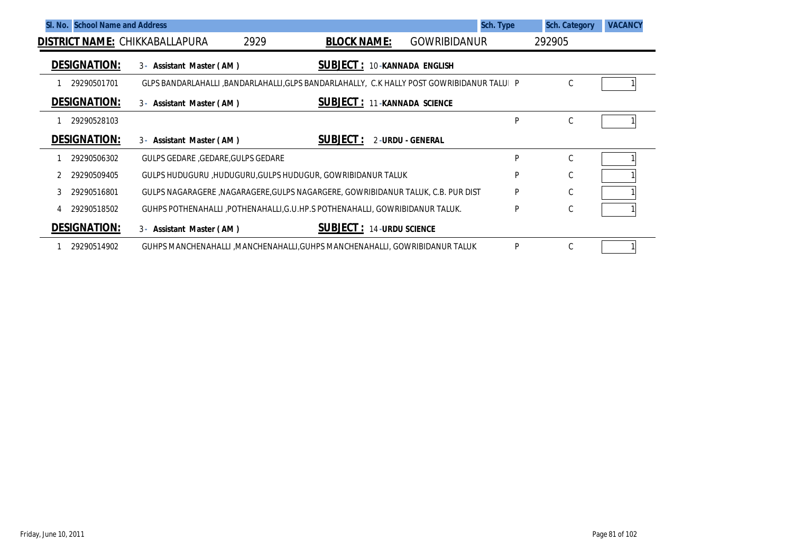| SI. No. School Name and Address       |                                                                                           |                                    | Sch. Type               | <b>Sch. Category</b> | <b>VACANCY</b> |
|---------------------------------------|-------------------------------------------------------------------------------------------|------------------------------------|-------------------------|----------------------|----------------|
| <b>DISTRICT NAME: CHIKKABALLAPURA</b> | 2929                                                                                      | <b>BLOCK NAME:</b>                 | <b>GOWRIBIDANUR</b>     | 292905               |                |
| <b>DESIGNATION:</b>                   | $3 -$<br>Assistant Master (AM)                                                            | <b>SUBJECT: 10-KANNADA ENGLISH</b> |                         |                      |                |
| 29290501701                           | GLPS BANDARLAHALLI ,BANDARLAHALLI,GLPS BANDARLAHALLY, C.K HALLY POST GOWRIBIDANUR TALUI P |                                    |                         | C                    |                |
| <b>DESIGNATION:</b>                   | $3 -$<br>Assistant Master (AM)                                                            | <b>SUBJECT: 11-KANNADA SCIENCE</b> |                         |                      |                |
| 29290528103                           |                                                                                           |                                    | P                       | C                    |                |
| <b>DESIGNATION:</b>                   | 3- Assistant Master (AM)                                                                  | <b>SUBJECT:</b>                    | <b>2-URDU - GENERAL</b> |                      |                |
| 29290506302                           | GULPS GEDARE , GEDARE, GULPS GEDARE                                                       |                                    | P                       | C                    |                |
| 29290509405                           | GULPS HUDUGURU ,HUDUGURU,GULPS HUDUGUR, GOWRIBIDANUR TALUK                                |                                    | P                       | $\mathsf{C}$         |                |
| 29290516801                           | GULPS NAGARAGERE, NAGARAGERE, GULPS NAGARGERE, GOWRIBIDANUR TALUK, C.B. PUR DIST          |                                    | P                       | С                    |                |
| 29290518502                           | GUHPS POTHENAHALLI, POTHENAHALLI, G.U.HP.S POTHENAHALLI, GOWRIBIDANUR TALUK.              |                                    | P                       | С                    |                |
| <b>DESIGNATION:</b>                   | 3- Assistant Master (AM)                                                                  | <b>SUBJECT: 14-URDU SCIENCE</b>    |                         |                      |                |
| 29290514902                           | GUHPS MANCHENAHALLI , MANCHENAHALLI, GUHPS MANCHENAHALLI, GOWRIBIDANUR TALUK              |                                    | P                       | C                    |                |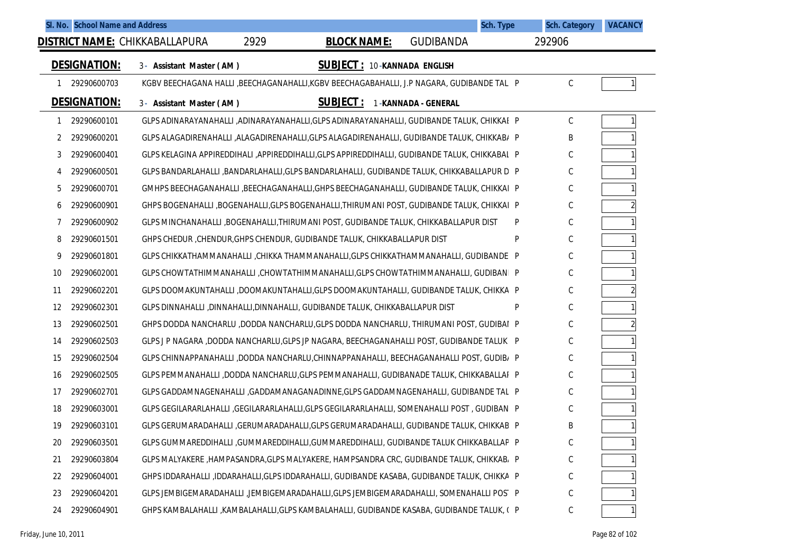| SI. No. School Name and Address |                                                                                               |                                    | Sch. Type           | <b>Sch. Category</b> | <b>VACANCY</b> |
|---------------------------------|-----------------------------------------------------------------------------------------------|------------------------------------|---------------------|----------------------|----------------|
|                                 | 2929<br><b>DISTRICT NAME: CHIKKABALLAPURA</b>                                                 | <b>BLOCK NAME:</b>                 | <b>GUDIBANDA</b>    | 292906               |                |
| <b>DESIGNATION:</b>             | 3- Assistant Master (AM)                                                                      | <b>SUBJECT: 10-KANNADA ENGLISH</b> |                     |                      |                |
| 29290600703<br>-1               | KGBV BEECHAGANA HALLI ,BEECHAGANAHALLI,KGBV BEECHAGABAHALLI, J.P NAGARA, GUDIBANDE TALI P     |                                    |                     | С                    |                |
| <b>DESIGNATION:</b>             | 3- Assistant Master (AM)                                                                      | <b>SUBJECT:</b>                    | 1-KANNADA - GENERAL |                      |                |
| 29290600101<br>1                | GLPS ADINARAYANAHALLI ,ADINARAYANAHALLI,GLPS ADINARAYANAHALLI, GUDIBANDE TALUK, CHIKKAE P     |                                    |                     | C                    |                |
| 29290600201<br>2                | GLPS ALAGADIRENAHALLI ,ALAGADIRENAHALLI,GLPS ALAGADIRENAHALLI, GUDIBANDE TALUK, CHIKKAB/ P    |                                    |                     | B                    |                |
| 3<br>29290600401                | GLPS KELAGINA APPIREDDIHALI ,APPIREDDIHALLI,GLPS APPIREDDIHALLI, GUDIBANDE TALUK, CHIKKABAL P |                                    |                     | C                    |                |
| 29290600501<br>4                | GLPS BANDARLAHALLI ,BANDARLAHALLI,GLPS BANDARLAHALLI, GUDIBANDE TALUK, CHIKKABALLAPUR D P     |                                    |                     | C                    |                |
| 5<br>29290600701                | GMHPS BEECHAGANAHALLI ,BEECHAGANAHALLI,GHPS BEECHAGANAHALLI, GUDIBANDE TALUK, CHIKKAI P       |                                    |                     | C                    |                |
| 29290600901<br>6                | GHPS BOGENAHALLI ,BOGENAHALLI,GLPS BOGENAHALLI,THIRUMANI POST, GUDIBANDE TALUK, CHIKKAI P     |                                    |                     | C                    |                |
| 29290600902<br>7                | GLPS MINCHANAHALLI ,BOGENAHALLI,THIRUMANI POST, GUDIBANDE TALUK, CHIKKABALLAPUR DIST          |                                    | P                   | C                    |                |
| 29290601501<br>8                | GHPS CHEDUR, CHENDUR, GHPS CHENDUR, GUDIBANDE TALUK, CHIKKABALLAPUR DIST                      |                                    | P                   | С                    |                |
| 9<br>29290601801                | GLPS CHIKKATHAMMANAHALLI, CHIKKA THAMMANAHALLI, GLPS CHIKKATHAMMANAHALLI, GUDIBANDE P         |                                    |                     | C                    |                |
| 29290602001<br>10               | GLPS CHOWTATHIMMANAHALLI, CHOWTATHIMMANAHALLI, GLPS CHOWTATHIMMANAHALLI, GUDIBANI P           |                                    |                     | C                    |                |
| 29290602201<br>11               | GLPS DOOMAKUNTAHALLI ,DOOMAKUNTAHALLI,GLPS DOOMAKUNTAHALLI, GUDIBANDE TALUK, CHIKKA P         |                                    |                     | C                    | $\overline{2}$ |
| 12<br>29290602301               | GLPS DINNAHALLI ,DINNAHALLI,DINNAHALLI, GUDIBANDE TALUK, CHIKKABALLAPUR DIST                  |                                    | P                   | C                    |                |
| 13<br>29290602501               | GHPS DODDA NANCHARLU ,DODDA NANCHARLU, GLPS DODDA NANCHARLU, THIRUMANI POST, GUDIBAI P        |                                    |                     | C                    | $\overline{2}$ |
| 29290602503<br>14               | GLPS J P NAGARA ,DODDA NANCHARLU,GLPS JP NAGARA, BEECHAGANAHALLI POST, GUDIBANDE TALUK P      |                                    |                     | C                    |                |
| 15<br>29290602504               | GLPS CHINNAPPANAHALLI ,DODDA NANCHARLU,CHINNAPPANAHALLI, BEECHAGANAHALLI POST, GUDIB/ P       |                                    |                     | C                    |                |
| 29290602505<br>16               | GLPS PEMMANAHALLI ,DODDA NANCHARLU,GLPS PEMMANAHALLI, GUDIBANADE TALUK, CHIKKABALLAI P        |                                    |                     | C                    |                |
| 17<br>29290602701               | GLPS GADDAMNAGENAHALLI ,GADDAMANAGANADINNE,GLPS GADDAMNAGENAHALLI, GUDIBANDE TAL P            |                                    |                     | C                    |                |
| 18<br>29290603001               | GLPS GEGILARARLAHALLI , GEGILARARLAHALLI, GLPS GEGILARARLAHALLI, SOMENAHALLI POST, GUDIBAN P  |                                    |                     | C                    |                |
| 19<br>29290603101               | GLPS GERUMARADAHALLI ,GERUMARADAHALLI,GLPS GERUMARADAHALLI, GUDIBANDE TALUK, CHIKKAB P        |                                    |                     | B                    |                |
| 29290603501<br>20               | GLPS GUMMAREDDIHALLI ,GUMMAREDDIHALLI,GUMMAREDDIHALLI, GUDIBANDE TALUK CHIKKABALLAP P         |                                    |                     | С                    |                |
| 29290603804<br>21               | GLPS MALYAKERE , HAMPASANDRA, GLPS MALYAKERE, HAMPSANDRA CRC, GUDIBANDE TALUK, CHIKKAB, P     |                                    |                     | С                    |                |
| 29290604001<br>22               | GHPS IDDARAHALLI ,IDDARAHALLI,GLPS IDDARAHALLI, GUDIBANDE KASABA, GUDIBANDE TALUK, CHIKKA P   |                                    |                     | C                    |                |
| 29290604201<br>23               | GLPS JEMBIGEMARADAHALLI ,JEMBIGEMARADAHALLI,GLPS JEMBIGEMARADAHALLI, SOMENAHALLI POST P       |                                    |                     | С                    |                |
| 29290604901<br>24               | GHPS KAMBALAHALLI ,KAMBALAHALLI,GLPS KAMBALAHALLI, GUDIBANDE KASABA, GUDIBANDE TALUK, (P      |                                    |                     | $\mathsf C$          |                |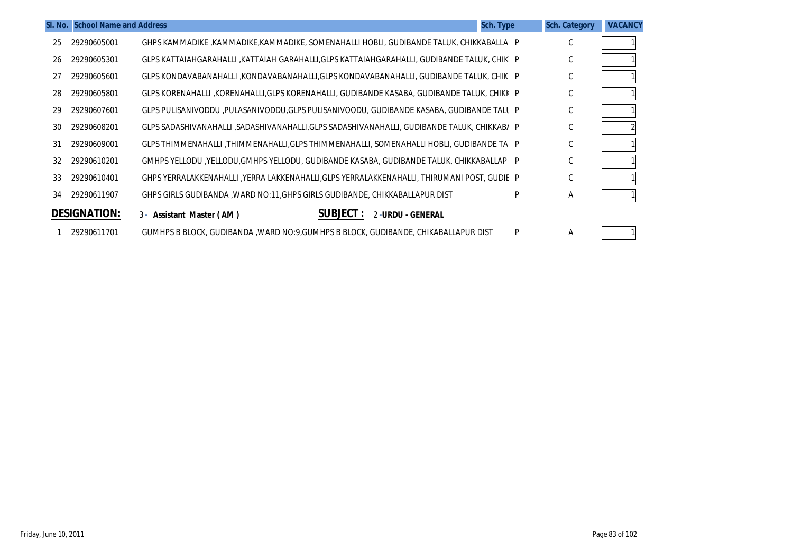|    | SI. No. School Name and Address |                                                                                            | Sch. Type | <b>Sch. Category</b> | <b>VACANCY</b> |
|----|---------------------------------|--------------------------------------------------------------------------------------------|-----------|----------------------|----------------|
| 25 | 29290605001                     | GHPS KAMMADIKE ,KAMMADIKE,KAMMADIKE, SOMENAHALLI HOBLI, GUDIBANDE TALUK, CHIKKABALLA P     |           | С                    |                |
| 26 | 29290605301                     | GLPS KATTAIAHGARAHALLI ,KATTAIAH GARAHALLI,GLPS KATTAIAHGARAHALLI, GUDIBANDE TALUK, CHIK P |           | C                    |                |
| 27 | 29290605601                     | GLPS KONDAVABANAHALLI ,KONDAVABANAHALLI,GLPS KONDAVABANAHALLI, GUDIBANDE TALUK, CHIKI P    |           | $\mathsf{C}$         |                |
| 28 | 29290605801                     | GLPS KORENAHALLI ,KORENAHALLI,GLPS KORENAHALLI, GUDIBANDE KASABA, GUDIBANDE TALUK, CHIKK P |           | C                    |                |
| 29 | 29290607601                     | GLPS PULISANIVODDU ,PULASANIVODDU,GLPS PULISANIVOODU, GUDIBANDE KASABA, GUDIBANDE TALL P   |           | C                    |                |
| 30 | 29290608201                     | GLPS SADASHIVANAHALLI ,SADASHIVANAHALLI,GLPS SADASHIVANAHALLI, GUDIBANDE TALUK, CHIKKAB/ P |           | С                    |                |
| 31 | 29290609001                     | GLPS THIMMENAHALLI ,THIMMENAHALLI,GLPS THIMMENAHALLI, SOMENAHALLI HOBLI, GUDIBANDE TA P    |           | С                    |                |
| 32 | 29290610201                     | GMHPS YELLODU ,YELLODU,GMHPS YELLODU, GUDIBANDE KASABA, GUDIBANDE TALUK, CHIKKABALLAP P    |           | C                    |                |
| 33 | 29290610401                     | GHPS YERRALAKKENAHALLI ,YERRA LAKKENAHALLI,GLPS YERRALAKKENAHALLI, THIRUMANI POST, GUDIE P |           | $\mathsf{C}$         |                |
| 34 | 29290611907                     | GHPS GIRLS GUDIBANDA ,WARD NO:11,GHPS GIRLS GUDIBANDE, CHIKKABALLAPUR DIST                 | P         | Α                    |                |
|    | <b>DESIGNATION:</b>             | <b>SUBJECT:</b><br>2-URDU - GENERAL<br>3- Assistant Master (AM)                            |           |                      |                |
|    | 29290611701                     | GUMHPS B BLOCK, GUDIBANDA , WARD NO: 9, GUMHPS B BLOCK, GUDIBANDE, CHIKABALLAPUR DIST      | P         | Α                    |                |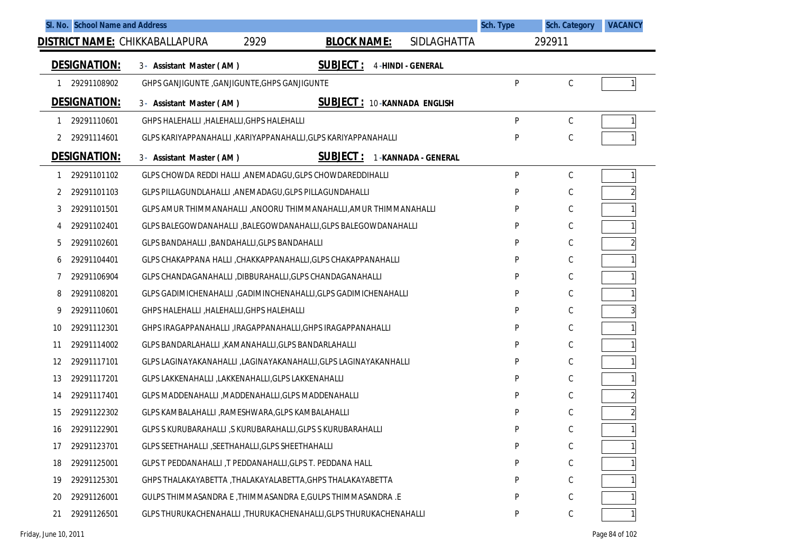| SI. No. School Name and Address       |                                                                   |                                    |                          | Sch. Type | <b>Sch. Category</b> | <b>VACANCY</b> |
|---------------------------------------|-------------------------------------------------------------------|------------------------------------|--------------------------|-----------|----------------------|----------------|
| <b>DISTRICT NAME: CHIKKABALLAPURA</b> | 2929                                                              | <b>BLOCK NAME:</b>                 | SIDLAGHATTA              |           | 292911               |                |
| <b>DESIGNATION:</b>                   | 3- Assistant Master (AM)                                          | <b>SUBJECT:</b>                    | <b>4-HINDI - GENERAL</b> |           |                      |                |
| 29291108902                           | GHPS GANJIGUNTE , GANJIGUNTE, GHPS GANJIGUNTE                     |                                    |                          | P         | C                    |                |
| <b>DESIGNATION:</b>                   | 3- Assistant Master (AM)                                          | <b>SUBJECT: 10-KANNADA ENGLISH</b> |                          |           |                      |                |
| 29291110601<br>1                      | GHPS HALEHALLI, HALEHALLI, GHPS HALEHALLI                         |                                    |                          | P         | C                    |                |
| 29291114601<br>2                      | GLPS KARIYAPPANAHALLI , KARIYAPPANAHALLI, GLPS KARIYAPPANAHALLI   |                                    |                          | P         | $\mathsf C$          |                |
| <b>DESIGNATION:</b>                   | 3- Assistant Master (AM)                                          | <b>SUBJECT :</b>                   | 1-KANNADA - GENERAL      |           |                      |                |
| 29291101102<br>1                      | GLPS CHOWDA REDDI HALLI , ANEMADAGU, GLPS CHOWDAREDDIHALLI        |                                    |                          | P         | C                    |                |
| 29291101103<br>2                      | GLPS PILLAGUNDLAHALLI ,ANEMADAGU, GLPS PILLAGUNDAHALLI            |                                    |                          | P         | C                    |                |
| 29291101501<br>3                      | GLPS AMUR THIMMANAHALLI ,ANOORU THIMMANAHALLI,AMUR THIMMANAHALLI  |                                    |                          | P         | C                    |                |
| 29291102401<br>4                      | GLPS BALEGOWDANAHALLI , BALEGOWDANAHALLI, GLPS BALEGOWDANAHALLI   |                                    |                          | P         | C                    |                |
| 5<br>29291102601                      | GLPS BANDAHALLI , BANDAHALLI, GLPS BANDAHALLI                     |                                    |                          | P         | C                    |                |
| 29291104401<br>6                      | GLPS CHAKAPPANA HALLI, CHAKKAPPANAHALLI, GLPS CHAKAPPANAHALLI     |                                    |                          | P         | C                    |                |
| 29291106904                           | GLPS CHANDAGANAHALLI ,DIBBURAHALLI,GLPS CHANDAGANAHALLI           |                                    |                          | P         | C                    |                |
| 8<br>29291108201                      | GLPS GADIMICHENAHALLI , GADIMINCHENAHALLI, GLPS GADIMICHENAHALLI  |                                    |                          | P         | C                    |                |
| 29291110601<br>9                      | GHPS HALEHALLI, HALEHALLI, GHPS HALEHALLI                         |                                    |                          | P         | C                    |                |
| 29291112301<br>10                     | GHPS IRAGAPPANAHALLI , IRAGAPPANAHALLI, GHPS IRAGAPPANAHALLI      |                                    |                          | P         | C                    |                |
| 29291114002<br>11                     | GLPS BANDARLAHALLI , KAMANAHALLI, GLPS BANDARLAHALLI              |                                    |                          | P         | C                    |                |
| 12<br>29291117101                     | GLPS LAGINAYAKANAHALLI ,LAGINAYAKANAHALLI,GLPS LAGINAYAKANHALLI   |                                    |                          | P         | C                    |                |
| 13<br>29291117201                     | GLPS LAKKENAHALLI, LAKKENAHALLI, GLPS LAKKENAHALLI                |                                    |                          | P         | C                    |                |
| 29291117401<br>14                     | GLPS MADDENAHALLI , MADDENAHALLI, GLPS MADDENAHALLI               |                                    |                          | P         | C                    |                |
| 15<br>29291122302                     | GLPS KAMBALAHALLI , RAMESHWARA, GLPS KAMBALAHALLI                 |                                    |                          | P         | C                    |                |
| 29291122901<br>16                     | GLPS S KURUBARAHALLI, S KURUBARAHALLI, GLPS S KURUBARAHALLI       |                                    |                          | D         | $\mathsf C$          |                |
| 29291123701<br>17                     | GLPS SEETHAHALLI, SEETHAHALLI, GLPS SHEETHAHALLI                  |                                    |                          | P         | С                    |                |
| 29291125001<br>18                     | GLPS T PEDDANAHALLI, T PEDDANAHALLI, GLPS T. PEDDANA HALL         |                                    |                          | P         | $\mathsf C$          |                |
| 29291125301<br>19                     | GHPS THALAKAYABETTA , THALAKAYALABETTA, GHPS THALAKAYABETTA       |                                    |                          |           | C                    |                |
| 29291126001<br>20                     | GULPS THIMMASANDRA E, THIMMASANDRA E, GULPS THIMMASANDRA .E       |                                    |                          | P         | C                    |                |
| 29291126501<br>21                     | GLPS THURUKACHENAHALLI, THURUKACHENAHALLI, GLPS THURUKACHENAHALLI |                                    |                          | P         | C                    |                |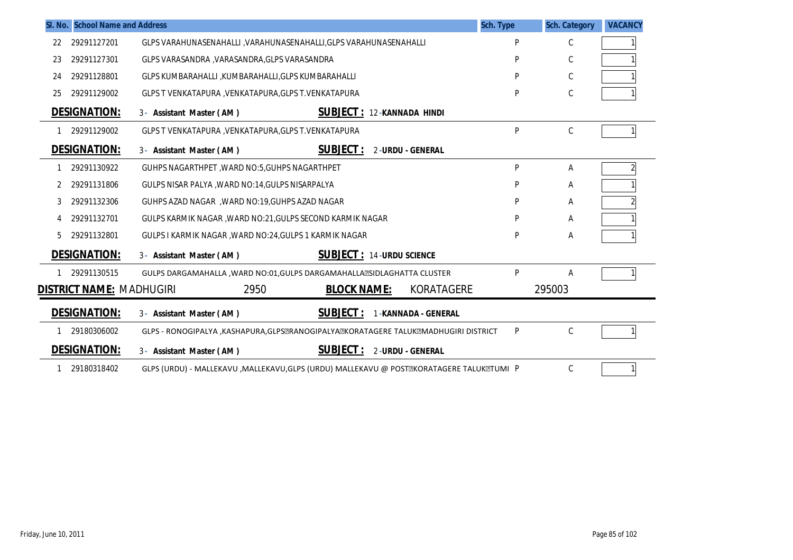|    | SI. No. School Name and Address | Sch. Type                                                                               |   | <b>Sch. Category</b> | <b>VACANCY</b> |
|----|---------------------------------|-----------------------------------------------------------------------------------------|---|----------------------|----------------|
| 22 | 29291127201                     | GLPS VARAHUNASENAHALLI , VARAHUNASENAHALLI, GLPS VARAHUNASENAHALLI                      | P | C                    |                |
| 23 | 29291127301                     | GLPS VARASANDRA , VARASANDRA, GLPS VARASANDRA                                           | P | $\mathsf C$          |                |
| 24 | 29291128801                     | GLPS KUMBARAHALLI ,KUMBARAHALLI,GLPS KUMBARAHALLI                                       | P | C                    |                |
| 25 | 29291129002                     | GLPS T VENKATAPURA, VENKATAPURA, GLPS T. VENKATAPURA                                    | P | $\mathsf C$          |                |
|    | <b>DESIGNATION:</b>             | <b>SUBJECT: 12-KANNADA HINDI</b><br>3- Assistant Master (AM)                            |   |                      |                |
|    | 29291129002                     | GLPS T VENKATAPURA, VENKATAPURA, GLPS T. VENKATAPURA                                    | P | C                    |                |
|    | <b>DESIGNATION:</b>             | <b>SUBJECT:</b><br>2-URDU - GENERAL<br>3- Assistant Master (AM)                         |   |                      |                |
|    | 29291130922                     | GUHPS NAGARTHPET, WARD NO:5, GUHPS NAGARTHPET                                           | P | Α                    |                |
| 2  | 29291131806                     | GULPS NISAR PALYA , WARD NO:14, GULPS NISARPALYA                                        | P | Α                    |                |
| 3  | 29291132306                     | GUHPS AZAD NAGAR, WARD NO:19, GUHPS AZAD NAGAR                                          | P | Α                    |                |
|    | 29291132701                     | GULPS KARMIK NAGAR, WARD NO:21, GULPS SECOND KARMIK NAGAR                               | P | Α                    |                |
| 5  | 29291132801                     | GULPS I KARMIK NAGAR , WARD NO:24, GULPS 1 KARMIK NAGAR                                 | P | А                    |                |
|    | <b>DESIGNATION:</b>             | <b>SUBJECT: 14-URDU SCIENCE</b><br>3- Assistant Master (AM)                             |   |                      |                |
|    | 29291130515                     | GULPS DARGAMAHALLA, WARD NO:01, GULPS DARGAMAHALLA ESIDLA GHATTA CLUSTER                | P | Α                    |                |
|    | <b>DISTRICT NAME: MADHUGIRI</b> | KORATAGERE<br>2950<br><b>BLOCK NAME:</b>                                                |   | 295003               |                |
|    | <b>DESIGNATION:</b>             | <b>SUBJECT:</b><br>1-KANNADA - GENERAL<br>3- Assistant Master (AM)                      |   |                      |                |
|    | 29180306002                     | GLPS - RONOGIPALYA , KASHAPURA, GLPSZRANOGIPALYAZKORATAGERE TALUKZMADHUGIRI DISTRICT    | P | C                    |                |
|    | <b>DESIGNATION:</b>             | <b>SUBJECT:</b><br>2-URDU - GENERAL<br>3- Assistant Master (AM)                         |   |                      |                |
|    | 29180318402                     | GLPS (URDU) - MALLEKAVU ,MALLEKAVU,GLPS (URDU) MALLEKAVU @ POSTZKORATAGERE TALUKZTUMI P |   | C                    |                |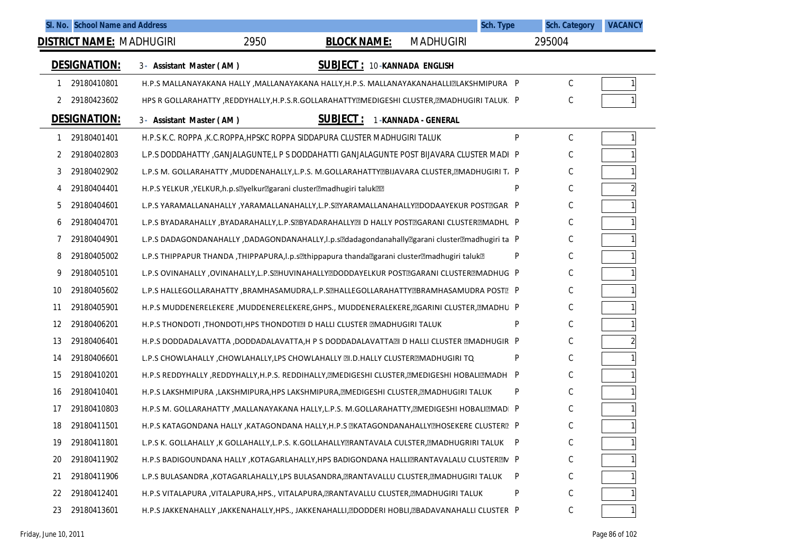| SI. No. School Name and Address |                          |      |                                                                                                                                       |                     | <b>Sch. Type</b> | <b>Sch. Category</b> | <b>VACANCY</b> |
|---------------------------------|--------------------------|------|---------------------------------------------------------------------------------------------------------------------------------------|---------------------|------------------|----------------------|----------------|
| <b>DISTRICT NAME: MADHUGIRI</b> |                          | 2950 | <b>BLOCK NAME:</b>                                                                                                                    | <b>MADHUGIRI</b>    |                  | 295004               |                |
| <b>DESIGNATION:</b>             | 3- Assistant Master (AM) |      | <b>SUBJECT: 10-KANNADA ENGLISH</b>                                                                                                    |                     |                  |                      |                |
| 29180410801<br>1                |                          |      | H.P.S MALLANAYAKANA HALLY , MALLANAYAKANA HALLY, H.P.S. MALLANAYAKANAHALLIZLAKSHMIPURA P                                              |                     |                  | С                    |                |
| 29180423602<br>2                |                          |      | HPS R GOLLARAHATTY , REDDYHALLY, H.P.S.R.GOLLARAHATTYMEDIGESHI CLUSTER, MADHUGIRI TALUK. P                                            |                     |                  | C                    |                |
| <b>DESIGNATION:</b>             | 3- Assistant Master (AM) |      | <b>SUBJECT:</b>                                                                                                                       | 1-KANNADA - GENERAL |                  |                      |                |
| 29180401401<br>1                |                          |      | H.P.S K.C. ROPPA, K.C.ROPPA, HPSKC ROPPA SIDDAPURA CLUSTER MADHUGIRI TALUK                                                            |                     | P                | C                    |                |
| 29180402803<br>2                |                          |      | L.P.S DODDAHATTY ,GANJALAGUNTE,L P S DODDAHATTI GANJALAGUNTE POST BIJAVARA CLUSTER MADI P                                             |                     |                  | С                    |                |
| 29180402902<br>3                |                          |      | L.P.S M. GOLLARAHATTY , MUDDENAHALLY, L.P.S. M.GOLLARAHATTY@BIJAVARA CLUSTER, @MADHUGIRI T, P                                         |                     |                  | С                    |                |
| 29180404401<br>4                |                          |      | H.P.S YELKUR, YELKUR, h.p.s <sup>m</sup> yelkur <sup>m</sup> garani cluster <sup>m</sup> adhugiri taluk <sup>m</sup>                  |                     | P                | С                    |                |
| 5<br>29180404601                |                          |      | L.P.S YARAMALLANAHALLY ,YARAMALLANAHALLY,L.P.S@YARAMALLANAHALLY@DODAAYEKUR POST@GAR. P                                                |                     |                  | С                    |                |
| 29180404701<br>6                |                          |      | L.P.S BYADARAHALLY ,BYADARAHALLY,L.P.S@BYADARAHALLY@I D HALLY POST@GARANI CLUSTER@MADHU P                                             |                     |                  | С                    |                |
| 29180404901<br>7                |                          |      | L.P.S DADAGONDANAHALLY ,DADAGONDANAHALLY, I.p.s <sup>p</sup> dadagondanahally <sup>p</sup> garani cluster <sup>a</sup> madhugiri ta P |                     |                  | C                    |                |
| 29180405002<br>8                |                          |      | L.P.S THIPPAPUR THANDA ,THIPPAPURA,I.p.s lthippapura thanda ?garani cluster 2 madhugiri taluk ?!                                      |                     | P                | С                    |                |
| 29180405101<br>9                |                          |      | L.P.S OVINAHALLY ,OVINAHALLY,L.P.S@HUVINAHALLY@DODDAYELKUR POST@GARANI CLUSTER@MADHUG P                                               |                     |                  | С                    |                |
| 29180405602<br>10               |                          |      | L.P.S HALLEGOLLARAHATTY ,BRAMHASAMUDRA,L.P.S@HALLEGOLLARAHATTY@BRAMHASAMUDRA POST@ P                                                  |                     |                  | С                    |                |
| 29180405901<br>11               |                          |      | H.P.S MUDDENERELEKERE ,MUDDENERELEKERE,GHPS., MUDDENERALEKERE, @GARINI CLUSTER, @MADHU P                                              |                     |                  | С                    |                |
| 29180406201<br>12               |                          |      | H.P.S THONDOTI, THONDOTI, HPS THONDOTI. D HALLI CLUSTER <b>EMADHUGIRI TALUK</b>                                                       |                     | P                | С                    |                |
| 29180406401<br>13               |                          |      | H.P.S DODDADALAVATTA, DODDADALAVATTA, H P S DODDADALAVATTA21 D HALLI CLUSTER 2MADHUGIR P                                              |                     |                  | С                    |                |
| 29180406601<br>14               |                          |      | L.P.S CHOWLAHALLY, CHOWLAHALLY, LPS CHOWLAHALLY [7]. D. HALLY CLUSTER EMADHUGIRI TQ                                                   |                     | P                | С                    |                |
| 29180410201<br>15               |                          |      | H.P.S REDDYHALLY ,REDDYHALLY,H.P.S. REDDIHALLY, EMEDIGESHI CLUSTER, EMEDIGESHI HOBALIEMADH P                                          |                     |                  | C                    |                |
| 29180410401<br>16               |                          |      | H.P.S LAKSHMIPURA ,LAKSHMIPURA,HPS LAKSHMIPURA, RMEDIGESHI CLUSTER, RMADHUGIRI TALUK                                                  |                     | P                | С                    |                |
| 29180410803<br>17               |                          |      | H.P.S M. GOLLARAHATTY ,MALLANAYAKANA HALLY,L.P.S. M.GOLLARAHATTY, EMEDIGESHI HOBALI EMPIADI P                                         |                     |                  | C                    |                |
| 18<br>29180411501               |                          |      | H.P.S KATAGONDANA HALLY , KATAGONDANA HALLY, H.P.S EKATAGONDANAHALLYEHOSEKERE CLUSTERE P                                              |                     |                  | C                    |                |
| 29180411801<br>19               |                          |      | L.P.S K. GOLLAHALLY ,K GOLLAHALLY,L.P.S. K.GOLLAHALLYZRANTAVALA CULSTER, ZMADHUGRIRI TALUK                                            |                     | $\mathsf{P}$     | $\mathsf C$          |                |
| 29180411902<br>20               |                          |      | H.P.S BADIGOUNDANA HALLY , KOTAGARLAHALLY, HPS BADIGONDANA HALLITRANTAVALALU CLUSTERTIV P                                             |                     |                  | С                    |                |
| 29180411906<br>21               |                          |      | L.P.S BULASANDRA ,KOTAGARLAHALLY,LPS BULASANDRA, RANTAVALLU CLUSTER, RMADHUGIRI TALUK                                                 |                     | P                | $\mathsf C$          |                |
| 29180412401<br>22               |                          |      | H.P.S VITALAPURA , VITALAPURA, HPS., VITALAPURA, ERANTAVALLU CLUSTER, EMADHUGIRI TALUK                                                |                     | P                | С                    |                |
| 29180413601<br>23               |                          |      | H.P.S JAKKENAHALLY ,JAKKENAHALLY,HPS., JAKKENAHALLI, @DODDERI HOBLI, @BADAVANAHALLI CLUSTER P                                         |                     |                  | С                    |                |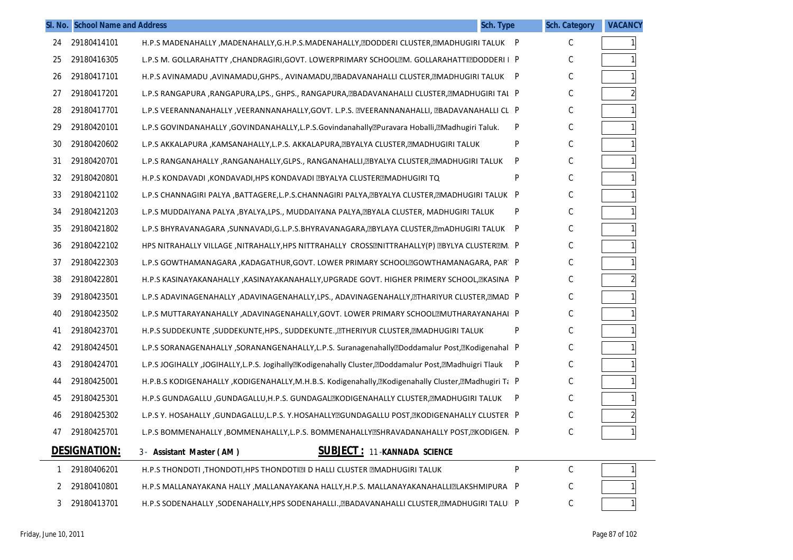|              | SI. No. School Name and Address |                                                                                                                        | <b>Sch. Type</b> | <b>Sch. Category</b> | <b>VACANCY</b> |
|--------------|---------------------------------|------------------------------------------------------------------------------------------------------------------------|------------------|----------------------|----------------|
| 24           | 29180414101                     | H.P.S MADENAHALLY , MADENAHALLY, G.H.P.S.MADENAHALLY, EDODDERI CLUSTER, EMADHUGIRI TALUK P                             |                  | С                    |                |
| 25           | 29180416305                     | L.P.S M. GOLLARAHATTY ,CHANDRAGIRI,GOVT. LOWERPRIMARY SCHOOLEM. GOLLARAHATTIEDODDERI I P                               |                  | С                    |                |
| 26           | 29180417101                     | H.P.S AVINAMADU ,AVINAMADU,GHPS., AVINAMADU, RADAVANAHALLI CLUSTER, RMADHUGIRI TALUK P                                 |                  | С                    |                |
| 27           | 29180417201                     | L.P.S RANGAPURA ,RANGAPURA,LPS., GHPS., RANGAPURA,ZBADAVANAHALLI CLUSTER,ZMADHUGIRI TAL P                              |                  | С                    | $\overline{2}$ |
| 28           | 29180417701                     | L.P.S VEERANNANAHALLY ,VEERANNANAHALLY,GOVT. L.P.S. EVEERANNANAHALLI, EBADAVANAHALLI CL P                              |                  | С                    | $\mathbf{1}$   |
| 29           | 29180420101                     | L.P.S GOVINDANAHALLY ,GOVINDANAHALLY,L.P.S.Govindanahally <sup>p</sup> Puravara Hoballi, <sup>m</sup> Madhugiri Taluk. | P                | C                    |                |
| 30           | 29180420602                     | L.P.S AKKALAPURA ,KAMSANAHALLY,L.P.S. AKKALAPURA,@BYALYA CLUSTER,@MADHUGIRI TALUK                                      | P                | C                    |                |
| 31           | 29180420701                     | L.P.S RANGANAHALLY ,RANGANAHALLY,GLPS., RANGANAHALLI,@BYALYA CLUSTER,@MADHUGIRI TALUK                                  | P                | С                    |                |
| 32           | 29180420801                     | H.P.S KONDAVADI ,KONDAVADI,HPS KONDAVADI ZBYALYA CLUSTERZMADHUGIRI TQ                                                  | P                | С                    |                |
| 33           | 29180421102                     | L.P.S CHANNAGIRI PALYA ,BATTAGERE,L.P.S.CHANNAGIRI PALYA, EBYALYA CLUSTER, EMADHUGIRI TALUK P                          |                  | С                    |                |
| 34           | 29180421203                     | L.P.S MUDDAIYANA PALYA ,BYALYA,LPS., MUDDAIYANA PALYA, EBYALA CLUSTER, MADHUGIRI TALUK                                 | P                | C                    |                |
| 35           | 29180421802                     | L.P.S BHYRAVANAGARA ,SUNNAVADI,G.L.P.S.BHYRAVANAGARA, RYLAYA CLUSTER, RmADHUGIRI TALUK P                               |                  | С                    |                |
| 36           | 29180422102                     | HPS NITRAHALLY VILLAGE ,NITRAHALLY,HPS NITTRAHALLY CROSSENITTRAHALLY(P) EBYLYA CLUSTEREM. P                            |                  | С                    |                |
| 37           | 29180422303                     | L.P.S GOWTHAMANAGARA , KADAGATHUR, GOVT. LOWER PRIMARY SCHOOLZGOWTHAMANAGARA, PAR P                                    |                  | С                    |                |
| 38           | 29180422801                     | H.P.S KASINAYAKANAHALLY ,KASINAYAKANAHALLY,UPGRADE GOVT. HIGHER PRIMERY SCHOOL, EKASINA P                              |                  | С                    | $\overline{c}$ |
| 39           | 29180423501                     | L.P.S ADAVINAGENAHALLY ,ADAVINAGENAHALLY,LPS., ADAVINAGENAHALLY,@THARIYUR CLUSTER,@MAD P                               |                  | С                    |                |
| 40           | 29180423502                     | L.P.S MUTTARAYANAHALLY ,ADAVINAGENAHALLY,GOVT. LOWER PRIMARY SCHOOLMUTHARAYANAHAI P                                    |                  | С                    |                |
| 41           | 29180423701                     | H.P.S SUDDEKUNTE ,SUDDEKUNTE,HPS., SUDDEKUNTE., ETHERIYUR CLUSTER, EMADHUGIRI TALUK                                    | P                | С                    |                |
| 42           | 29180424501                     | L.P.S SORANAGENAHALLY ,SORANANGENAHALLY,L.P.S. Suranagenahally@Doddamalur Post,@Kodigenahal P                          |                  | C                    |                |
| 43           | 29180424701                     | L.P.S JOGIHALLY ,JOGIHALLY,L.P.S. Jogihally@Kodigenahally Cluster,@Doddamalur Post,@Madhuigri Tlauk                    | $\mathsf{P}$     | С                    |                |
| 44           | 29180425001                     | H.P.B.S KODIGENAHALLY , KODIGENAHALLY, M.H.B.S. Kodigenahally, Elkodigenahally Cluster, EMadhugiri Ti P                |                  | C                    |                |
| 45           | 29180425301                     | H.P.S GUNDAGALLU ,GUNDAGALLU,H.P.S. GUNDAGAL®KODIGENAHALLY CLUSTER,®MADHUGIRI TALUK                                    | -P               | С                    |                |
| 46           | 29180425302                     | L.P.S Y. HOSAHALLY ,GUNDAGALLU,L.P.S. Y.HOSAHALLYMGUNDAGALLU POST,MKODIGENAHALLY CLUSTER P                             |                  | С                    | $\overline{2}$ |
| 47           | 29180425701                     | L.P.S BOMMENAHALLY ,BOMMENAHALLY,L.P.S. BOMMENAHALLY@SHRAVADANAHALLY POST,@KODIGEN. P                                  |                  | C                    |                |
|              | <b>DESIGNATION:</b>             | <b>SUBJECT: 11-KANNADA SCIENCE</b><br>3- Assistant Master (AM)                                                         |                  |                      |                |
| $\mathbf{1}$ | 29180406201                     | H.P.S THONDOTI ,THONDOTI,HPS THONDOTIZI D HALLI CLUSTER ZMADHUGIRI TALUK                                               | P                | $\mathsf C$          | $\mathbf{1}$   |
| 2            | 29180410801                     | H.P.S MALLANAYAKANA HALLY ,MALLANAYAKANA HALLY,H.P.S. MALLANAYAKANAHALLIZLAKSHMIPURA P                                 |                  | С                    | $\mathbf{1}$   |
| 3            | 29180413701                     | H.P.S SODENAHALLY ,SODENAHALLY,HPS SODENAHALLI., @BADAVANAHALLI CLUSTER, @MADHUGIRI TALUI P                            |                  | C                    | $\mathbf{1}$   |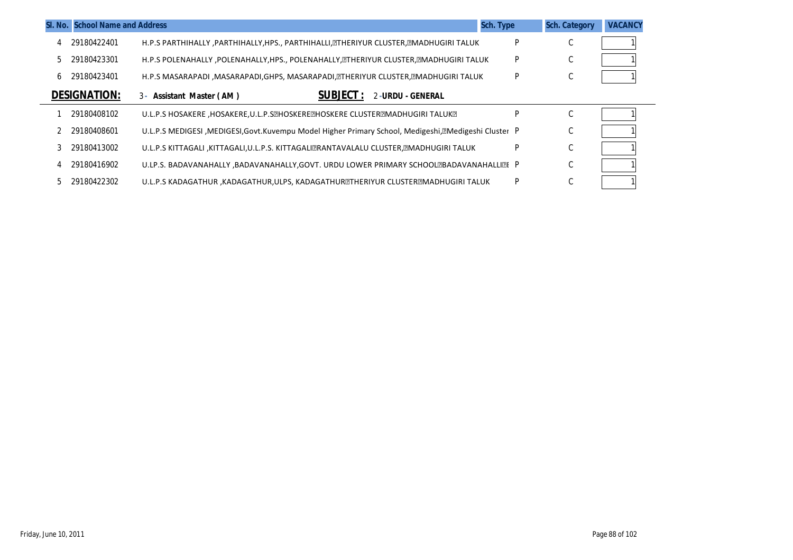|    | <b>SI. No. School Name and Address</b> |                                                                                                        | <b>Sch. Type</b> | <b>Sch. Category</b> | <b>VACANCY</b> |
|----|----------------------------------------|--------------------------------------------------------------------------------------------------------|------------------|----------------------|----------------|
|    | 29180422401                            | H.P.S PARTHIHALLY ,PARTHIHALLY,HPS., PARTHIHALLI, THERIYUR CLUSTER, TMADHUGIRI TALUK                   | P                | $\sim$<br>U          |                |
| 5. | 29180423301                            | H.P.S POLENAHALLY , POLENAHALLY, HPS., POLENAHALLY, @THERIYUR CLUSTER, @MADHUGIRI TALUK                | P                | $\sim$<br>U          |                |
| 6. | 29180423401                            | H.P.S MASARAPADI ,MASARAPADI,GHPS, MASARAPADI, ETHERIYUR CLUSTER, EMADHUGIRI TALUK                     | P                | $\sim$<br>U          |                |
|    | <b>DESIGNATION:</b>                    | <b>SUBJECT :</b><br>2-URDU - GENERAL<br>3- Assistant Master (AM)                                       |                  |                      |                |
|    | 29180408102                            | U.L.P.S HOSAKERE ,HOSAKERE,U.L.P.S@HOSKERE@HOSKERE CLUSTER@MADHUGIRI TALUK@                            | P                | C                    |                |
|    | 29180408601                            | U.L.P.S MEDIGESI , MEDIGESI, Govt. Kuvempu Model Higher Primary School, Medigeshi, Medigeshi Cluster P |                  | $\sim$<br>U          |                |
|    | 29180413002                            | U.L.P.S KITTAGALI ,KITTAGALI,U.L.P.S. KITTAGALIZRANTAVALALU CLUSTER,ZMADHUGIRI TALUK                   | P                | C                    |                |
|    | 29180416902                            | U.LP.S. BADAVANAHALLY ,BADAVANAHALLY,GOVT. URDU LOWER PRIMARY SCHOOL®BADAVANAHALLI®E P                 |                  | $\sim$<br>U          |                |
|    | 29180422302                            | U.L.P.S KADAGATHUR , KADAGATHUR, ULPS, KADAGATHURETHERIYUR CLUSTEREMADHUGIRI TALUK                     | P                | $\sim$<br>◡          |                |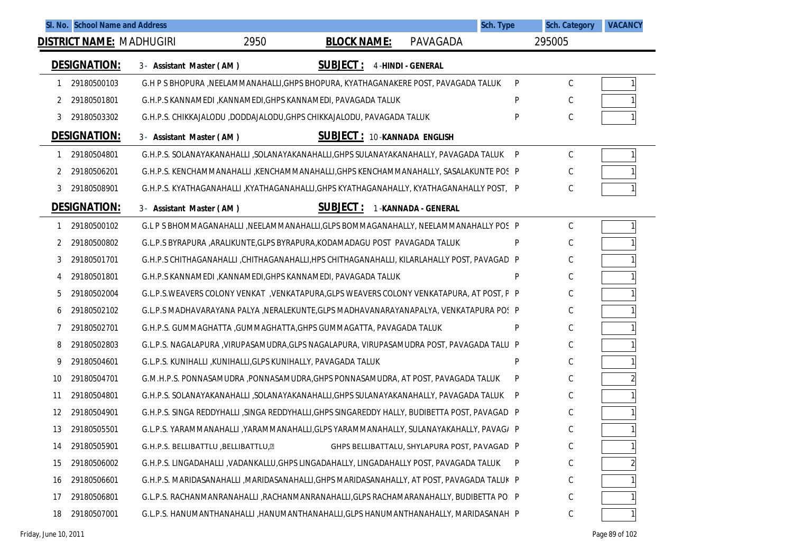|    | SI. No. School Name and Address |                                       |                                                              |                                                                                               |                                              | <b>Sch. Type</b> | <b>Sch. Category</b> | <b>VACANCY</b> |
|----|---------------------------------|---------------------------------------|--------------------------------------------------------------|-----------------------------------------------------------------------------------------------|----------------------------------------------|------------------|----------------------|----------------|
|    |                                 | <b>DISTRICT NAME: MADHUGIRI</b>       | 2950                                                         | <b>BLOCK NAME:</b>                                                                            | PAVAGADA                                     |                  | 295005               |                |
|    | <b>DESIGNATION:</b>             | 3- Assistant Master (AM)              |                                                              | <b>SUBJECT:</b>                                                                               | <b>4-HINDI - GENERAL</b>                     |                  |                      |                |
|    | 29180500103                     |                                       |                                                              | G.H P S BHOPURA , NEELAMMANAHALLI, GHPS BHOPURA, KYATHAGANAKERE POST, PAVAGADA TALUK          |                                              | P                | $\mathsf{C}$         |                |
| 2  | 29180501801                     |                                       |                                                              | G.H.P.S KANNAMEDI , KANNAMEDI, GHPS KANNAMEDI, PAVAGADA TALUK                                 |                                              | P                | $\mathsf{C}$         |                |
| 3  | 29180503302                     |                                       |                                                              | G.H.P.S. CHIKKAJALODU ,DODDAJALODU,GHPS CHIKKAJALODU, PAVAGADA TALUK                          |                                              | P                | C                    |                |
|    | DESIGNATION:                    | 3- Assistant Master (AM)              |                                                              | <b>SUBJECT: 10-KANNADA ENGLISH</b>                                                            |                                              |                  |                      |                |
|    | 29180504801                     |                                       |                                                              | G.H.P.S. SOLANAYAKANAHALLI ,SOLANAYAKANAHALLI,GHPS SULANAYAKANAHALLY, PAVAGADA TALUK          |                                              | P                | $\mathsf C$          |                |
|    | 29180506201                     |                                       |                                                              | G.H.P.S. KENCHAMMANAHALLI ,KENCHAMMANAHALLI,GHPS KENCHAMMANAHALLY, SASALAKUNTE POS P          |                                              |                  | C                    |                |
| 3  | 29180508901                     |                                       |                                                              | G.H.P.S. KYATHAGANAHALLI ,KYATHAGANAHALLI,GHPS KYATHAGANAHALLY, KYATHAGANAHALLY POST, P       |                                              |                  | C                    |                |
|    | <b>DESIGNATION:</b>             | 3- Assistant Master (AM)              |                                                              | <b>SUBJECT:</b>                                                                               | 1-KANNADA - GENERAL                          |                  |                      |                |
| 1  | 29180500102                     |                                       |                                                              | G.L P S BHOMMAGANAHALLI , NEELAMMANAHALLI, GLPS BOMMAGANAHALLY, NEELAMMANAHALLY POS P         |                                              |                  | C                    |                |
| 2  | 29180500802                     |                                       |                                                              | G.L.P.S BYRAPURA , ARALIKUNTE, GLPS BYRAPURA, KODAMADAGU POST PAVAGADA TALUK                  |                                              | P                | C                    |                |
| 3  | 29180501701                     |                                       |                                                              | G.H.P.S CHITHAGANAHALLI, CHITHAGANAHALLI, HPS CHITHAGANAHALLI, KILARLAHALLY POST, PAVAGAD P   |                                              |                  | C                    |                |
| 4  | 29180501801                     |                                       |                                                              | G.H.P.S KANNAMEDI ,KANNAMEDI,GHPS KANNAMEDI, PAVAGADA TALUK                                   |                                              | P                | C                    |                |
| 5  | 29180502004                     |                                       |                                                              | G.L.P.S.WEAVERS COLONY VENKAT, VENKATAPURA, GLPS WEAVERS COLONY VENKATAPURA, AT POST, P P     |                                              |                  | C                    |                |
| 6  | 29180502102                     |                                       |                                                              | G.L.P.S MADHAVARAYANA PALYA ,NERALEKUNTE,GLPS MADHAVANARAYANAPALYA, VENKATAPURA POS P         |                                              |                  | C                    |                |
|    | 29180502701                     |                                       |                                                              | G.H.P.S. GUMMAGHATTA , GUMMAGHATTA, GHPS GUMMAGATTA, PAVAGADA TALUK                           |                                              | P                | C                    |                |
| 8  | 29180502803                     |                                       |                                                              | G.L.P.S. NAGALAPURA , VIRUPASAMUDRA, GLPS NAGALAPURA, VIRUPASAMUDRA POST, PAVAGADA TALU P     |                                              |                  | C                    |                |
| 9  | 29180504601                     |                                       | G.L.P.S. KUNIHALLI ,KUNIHALLI,GLPS KUNIHALLY, PAVAGADA TALUK |                                                                                               |                                              | P                | C                    |                |
| 10 | 29180504701                     |                                       |                                                              | G.M.H.P.S. PONNASAMUDRA ,PONNASAMUDRA,GHPS PONNASAMUDRA, AT POST, PAVAGADA TALUK              |                                              | P                | C                    |                |
| 11 | 29180504801                     |                                       |                                                              | G.H.P.S. SOLANAYAKANAHALLI ,SOLANAYAKANAHALLI,GHPS SULANAYAKANAHALLY, PAVAGADA TALUK          |                                              | P                | C                    |                |
| 12 | 29180504901                     |                                       |                                                              | G.H.P.S. SINGA REDDYHALLI ,SINGA REDDYHALLI,GHPS SINGAREDDY HALLY, BUDIBETTA POST, PAVAGAD. P |                                              |                  | C                    |                |
| 13 | 29180505501                     |                                       |                                                              | G.L.P.S. YARAMMANAHALLI ,YARAMMANAHALLI,GLPS YARAMMANAHALLY, SULANAYAKAHALLY, PAVAG/ P        |                                              |                  | C                    |                |
| 14 | 29180505901                     | G.H.P.S. BELLIBATTLU, BELLIBATTLU, ?? |                                                              |                                                                                               | GHPS BELLIBATTALU, SHYLAPURA POST, PAVAGAD P |                  | $\mathsf C$          |                |
| 15 | 29180506002                     |                                       |                                                              | G.H.P.S. LINGADAHALLI , VADANKALLU, GHPS LINGADAHALLY, LINGADAHALLY POST, PAVAGADA TALUK      |                                              | P                | C                    |                |
| 16 | 29180506601                     |                                       |                                                              | G.H.P.S. MARIDASANAHALLI ,MARIDASANAHALLI,GHPS MARIDASANAHALLY, AT POST, PAVAGADA TALUK P     |                                              |                  | C                    |                |
| 17 | 29180506801                     |                                       |                                                              | G.L.P.S. RACHANMANRANAHALLI ,RACHANMANRANAHALLI,GLPS RACHAMARANAHALLY, BUDIBETTA PO! P        |                                              |                  | C                    |                |
| 18 | 29180507001                     |                                       |                                                              | G.L.P.S. HANUMANTHANAHALLI , HANUMANTHANAHALLI, GLPS HANUMANTHANAHALLY, MARIDASANAH P         |                                              |                  | $\mathsf C$          |                |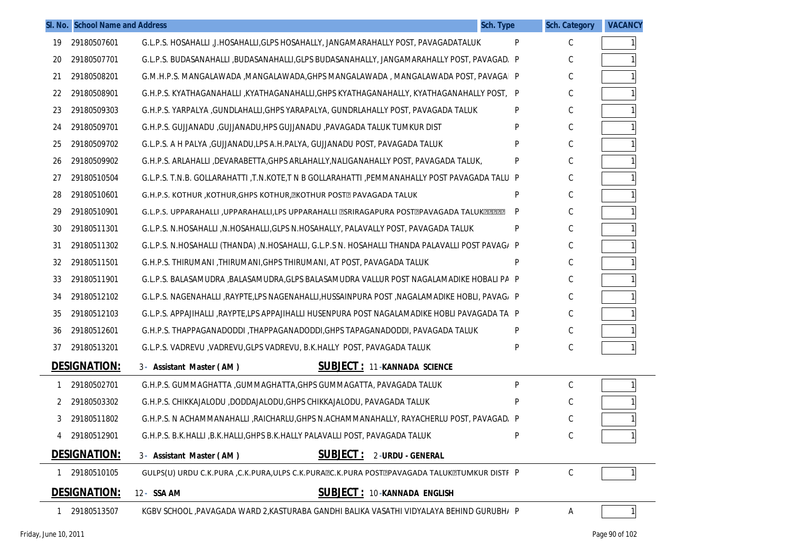| Sch. Type                                                                                       | <b>Sch. Category</b> | <b>VACANCY</b> |
|-------------------------------------------------------------------------------------------------|----------------------|----------------|
| P                                                                                               | C                    |                |
| G.L.P.S. BUDASANAHALLI ,BUDASANAHALLI,GLPS BUDASANAHALLY, JANGAMARAHALLY POST, PAVAGAD, P       | C                    |                |
| G.M.H.P.S. MANGALAWADA ,MANGALAWADA,GHPS MANGALAWADA , MANGALAWADA POST, PAVAGAI P              | C                    |                |
| G.H.P.S. KYATHAGANAHALLI ,KYATHAGANAHALLI,GHPS KYATHAGANAHALLY, KYATHAGANAHALLY POST, P         | C                    |                |
| P                                                                                               | C                    |                |
| P                                                                                               | C                    |                |
| P                                                                                               | C                    |                |
| P                                                                                               | C                    |                |
| G.L.P.S. T.N.B. GOLLARAHATTI ,T.N.KOTE,T N B GOLLARAHATTI ,PEMMANAHALLY POST PAVAGADA TALU P    | C                    |                |
| P                                                                                               | C                    |                |
| P<br>G.L.P.S. UPPARAHALLI , UPPARAHALLI, LPS UPPARAHALLI @SRIRAGAPURA POST@PAVAGADA TALUK@@@@   | C                    |                |
| P                                                                                               | C                    |                |
| G.L.P.S. N.HOSAHALLI (THANDA) ,N.HOSAHALLI, G.L.P.S N. HOSAHALLI THANDA PALAVALLI POST PAVAG/ P | C                    |                |
| P                                                                                               | C                    |                |
| G.L.P.S. BALASAMUDRA ,BALASAMUDRA,GLPS BALASAMUDRA VALLUR POST NAGALAMADIKE HOBALI PA P         | C                    |                |
| G.L.P.S. NAGENAHALLI ,RAYPTE,LPS NAGENAHALLI,HUSSAINPURA POST ,NAGALAMADIKE HOBLI, PAVAG, P     | C                    |                |
| G.L.P.S. APPAJIHALLI ,RAYPTE,LPS APPAJIHALLI HUSENPURA POST NAGALAMADIKE HOBLI PAVAGADA TA P    | C                    |                |
| P                                                                                               | C                    |                |
| P                                                                                               | C                    |                |
|                                                                                                 |                      |                |
| P                                                                                               | C                    |                |
| P                                                                                               | C                    |                |
| G.H.P.S. N ACHAMMANAHALLI , RAICHARLU, GHPS N.ACHAMMANAHALLY, RAYACHERLU POST, PAVAGAD, P       | C                    |                |
| P                                                                                               | C                    |                |
|                                                                                                 |                      |                |
| GULPS(U) URDU C.K.PURA , C.K.PURA, ULPS C.K.PURA PC.K.PURA POST PAVAGADA TALUK TUMKUR DISTF P   | C                    |                |
|                                                                                                 |                      |                |
| KGBV SCHOOL ,PAVAGADA WARD 2,KASTURABA GANDHI BALIKA VASATHI VIDYALAYA BEHIND GURUBH/ P         | Α                    | 1              |
|                                                                                                 |                      | Page 90 of 102 |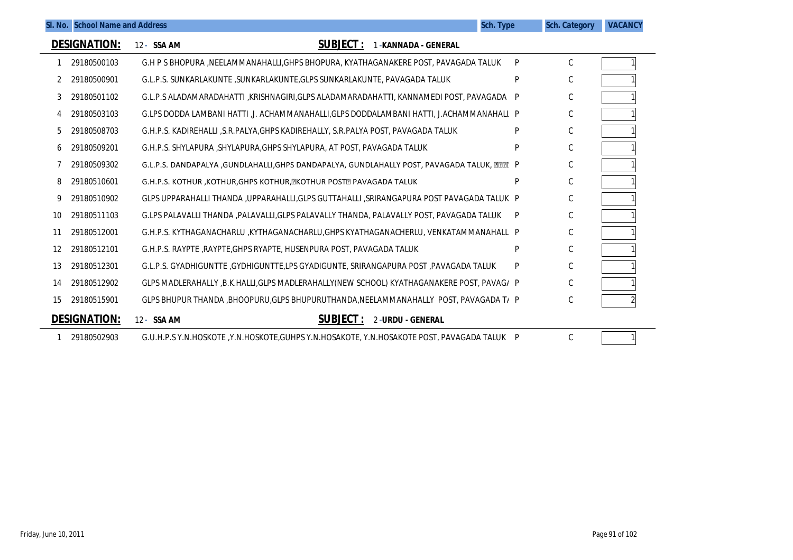|    | SI. No. School Name and Address |                                                                                               | Sch. Type | <b>Sch. Category</b> | <b>VACANCY</b> |
|----|---------------------------------|-----------------------------------------------------------------------------------------------|-----------|----------------------|----------------|
|    | <b>DESIGNATION:</b>             | <b>SUBJECT:</b><br>1-KANNADA - GENERAL<br>12- SSA AM                                          |           |                      |                |
|    | 29180500103                     | G.H P S BHOPURA , NEELAMMANAHALLI, GHPS BHOPURA, KYATHAGANAKERE POST, PAVAGADA TALUK          | P         | C                    |                |
|    | 29180500901                     | G.L.P.S. SUNKARLAKUNTE , SUNKARLAKUNTE, GLPS SUNKARLAKUNTE, PAVAGADA TALUK                    | P         | C                    |                |
| 3  | 29180501102                     | G.L.P.S ALADAMARADAHATTI ,KRISHNAGIRI,GLPS ALADAMARADAHATTI, KANNAMEDI POST, PAVAGADA         | P         | C                    |                |
|    | 29180503103                     | G.LPS DODDA LAMBANI HATTI ,J. ACHAMMANAHALLI,GLPS DODDALAMBANI HATTI, J.ACHAMMANAHALL P       |           | C                    |                |
| 5  | 29180508703                     | G.H.P.S. KADIREHALLI ,S.R.PALYA,GHPS KADIREHALLY, S.R.PALYA POST, PAVAGADA TALUK              | P         | С                    |                |
| b  | 29180509201                     | G.H.P.S. SHYLAPURA , SHYLAPURA, GHPS SHYLAPURA, AT POST, PAVAGADA TALUK                       | P         | С                    |                |
|    | 29180509302                     | G.L.P.S. DANDAPALYA ,GUNDLAHALLI,GHPS DANDAPALYA, GUNDLAHALLY POST, PAVAGADA TALUK, [2][2][ P |           | С                    |                |
| 8  | 29180510601                     | G.H.P.S. KOTHUR, KOTHUR, GHPS KOTHUR, EKOTHUR POSTE PAVAGADA TALUK                            | P         | С                    |                |
| 9  | 29180510902                     | GLPS UPPARAHALLI THANDA ,UPPARAHALLI,GLPS GUTTAHALLI ,SRIRANGAPURA POST PAVAGADA TALUK P      |           | C                    |                |
| 10 | 29180511103                     | G.LPS PALAVALLI THANDA ,PALAVALLI,GLPS PALAVALLY THANDA, PALAVALLY POST, PAVAGADA TALUK       | P         | C                    |                |
| 11 | 29180512001                     | G.H.P.S. KYTHAGANACHARLU ,KYTHAGANACHARLU,GHPS KYATHAGANACHERLU, VENKATAMMANAHALL P           |           | C                    |                |
| 12 | 29180512101                     | G.H.P.S. RAYPTE, RAYPTE, GHPS RYAPTE, HUSENPURA POST, PAVAGADA TALUK                          | P         | С                    |                |
| 13 | 29180512301                     | G.L.P.S. GYADHIGUNTTE , GYDHIGUNTTE, LPS GYADIGUNTE, SRIRANGAPURA POST , PAVAGADA TALUK       | P         | С                    |                |
| 14 | 29180512902                     | GLPS MADLERAHALLY ,B.K.HALLI,GLPS MADLERAHALLY(NEW SCHOOL) KYATHAGANAKERE POST, PAVAG/ P      |           | С                    |                |
| 15 | 29180515901                     | GLPS BHUPUR THANDA , BHOOPURU, GLPS BHUPURUTHANDA, NEELAMMANAHALLY POST, PAVAGADA T/ P        |           | С                    |                |
|    | <b>DESIGNATION:</b>             | <b>SUBJECT:</b><br>12- SSA AM<br>2-URDU - GENERAL                                             |           |                      |                |
|    | 29180502903                     | G.U.H.P.S Y.N.HOSKOTE ,Y.N.HOSKOTE,GUHPS Y.N.HOSAKOTE, Y.N.HOSAKOTE POST, PAVAGADA TALUK P    |           | C                    |                |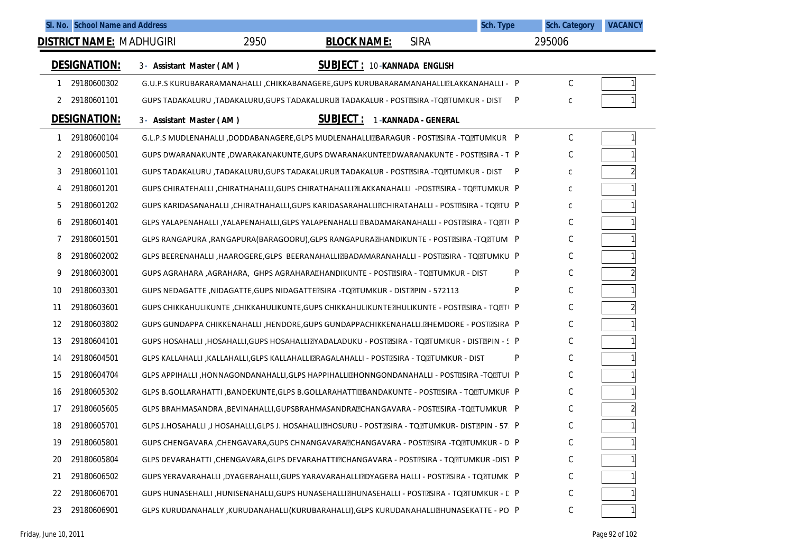|    |                     | SI. No. School Name and Address |      |                                                                                                  |                     | <b>Sch. Type</b> | <b>Sch. Category</b> | <b>VACANCY</b> |
|----|---------------------|---------------------------------|------|--------------------------------------------------------------------------------------------------|---------------------|------------------|----------------------|----------------|
|    |                     | DISTRICT NAME: MADHUGIRI        | 2950 | <b>BLOCK NAME:</b>                                                                               | <b>SIRA</b>         |                  | 295006               |                |
|    | <b>DESIGNATION:</b> | 3- Assistant Master (AM)        |      | <b>SUBJECT: 10-KANNADA ENGLISH</b>                                                               |                     |                  |                      |                |
| 1  | 29180600302         |                                 |      | G.U.P.S KURUBARARAMANAHALLI , CHIKKABANAGERE, GUPS KURUBARARAMANAHALLI @LAKKANAHALLI - P         |                     |                  | С                    | $\mathbf{1}$   |
| 2  | 29180601101         |                                 |      | GUPS TADAKALURU ,TADAKALURU, GUPS TADAKALURU TADAKALUR - POST ESIRA -TO TUMKUR - DIST            |                     | P                | C                    |                |
|    | <b>DESIGNATION:</b> | 3- Assistant Master (AM)        |      | <b>SUBJECT:</b>                                                                                  | 1-KANNADA - GENERAL |                  |                      |                |
|    | 29180600104         |                                 |      | G.L.P.S MUDLENAHALLI ,DODDABANAGERE,GLPS MUDLENAHALLIZBARAGUR - POSTZSIRA -TQZTUMKUR P           |                     |                  | C                    |                |
| 2  | 29180600501         |                                 |      | GUPS DWARANAKUNTE ,DWARAKANAKUNTE,GUPS DWARANAKUNTE DWARANAKUNTE - POST ESIRA - T P              |                     |                  | С                    |                |
| 3  | 29180601101         |                                 |      | GUPS TADAKALURU ,TADAKALURU, GUPS TADAKALURU@ TADAKALUR - POST@SIRA -TQ@TUMKUR - DIST            |                     | P                | С                    |                |
| 4  | 29180601201         |                                 |      | GUPS CHIRATEHALLI , CHIRATHAHALLI, GUPS CHIRATHAHALLI ZLAKKANAHALLI -POSTZSIRA - TQZTUMKUR P     |                     |                  | С                    |                |
| 5  | 29180601202         |                                 |      | GUPS KARIDASANAHALLI ,CHIRATHAHALLI,GUPS KARIDASARAHALLIZCHIRATAHALLI - POSTZSIRA - TQZTU P      |                     |                  | C                    |                |
| 6  | 29180601401         |                                 |      | GLPS YALAPENAHALLI , YALAPENAHALLI, GLPS YALAPENAHALLI @BADAMARANAHALLI - POST@SIRA - TQ @TI P   |                     |                  | С                    |                |
| 7  | 29180601501         |                                 |      | GLPS RANGAPURA ,RANGAPURA(BARAGOORU),GLPS RANGAPURA HANDIKUNTE - POST ESIRA -TO TUMI P           |                     |                  | С                    |                |
| 8  | 29180602002         |                                 |      | GLPS BEERENAHALLI , HAAROGERE, GLPS BEERANAHALLI@BADAMARANAHALLI - POST@SIRA - TQ@TUMKU P        |                     |                  | С                    |                |
| 9  | 29180603001         |                                 |      | GUPS AGRAHARA ,AGRAHARA,  GHPS AGRAHARA⊠HANDIKUNTE - POST⊠SIRA - TQ⊠TUMKUR - DIST                |                     | P                | С                    |                |
| 10 | 29180603301         |                                 |      | GUPS NEDAGATTE ,NIDAGATTE,GUPS NIDAGATTE ESIRA - TO TUMKUR - DIST TPIN - 572113                  |                     | P                | С                    |                |
| 11 | 29180603601         |                                 |      | GUPS CHIKKAHULIKUNTE ,CHIKKAHULIKUNTE,GUPS CHIKKAHULIKUNTE EHULIKUNTE - POSTESIRA - TQETI P      |                     |                  | C                    |                |
| 12 | 29180603802         |                                 |      | GUPS GUNDAPPA CHIKKENAHALLI, HENDORE, GUPS GUNDAPPACHIKKENAHALLI. EHEMDORE - POSTESIRA P         |                     |                  | С                    |                |
| 13 | 29180604101         |                                 |      | GUPS HOSAHALLI ,HOSAHALLI,GUPS HOSAHALLIZYADALADUKU - POSTZSIRA - TQZTUMKUR - DISTZPIN - 5 P     |                     |                  | С                    |                |
| 14 | 29180604501         |                                 |      | GLPS KALLAHALLI ,KALLAHALLI,GLPS KALLAHALLI⊠RAGALAHALLI - POST⊠SIRA - TQ⊠TUMKUR - DIST           |                     | P                | С                    |                |
| 15 | 29180604704         |                                 |      | GLPS APPIHALLI ,HONNAGONDANAHALLI,GLPS HAPPIHALLI@HONNGONDANAHALLI - POST@SIRA -TQ@TUI P         |                     |                  | С                    |                |
| 16 | 29180605302         |                                 |      | GLPS B.GOLLARAHATTI ,BANDEKUNTE,GLPS B.GOLLARAHATTI@BANDAKUNTE - POST@SIRA - TQ@TUMKUF P         |                     |                  | С                    |                |
| 17 | 29180605605         |                                 |      | GLPS BRAHMASANDRA , BEVINAHALLI, GUPSBRAHMASANDRA PCHANGAVARA - POST PSIRA - TO PTUMKUR P        |                     |                  | С                    |                |
| 18 | 29180605701         |                                 |      | GLPS J.HOSAHALLI ,J HOSAHALLI,GLPS J. HOSAHALLI@HOSURU - POST@SIRA - TQ@TUMKUR- DIST@PIN - 57. P |                     |                  | С                    |                |
| 19 | 29180605801         |                                 |      | GUPS CHENGAVARA , CHENGAVARA, GUPS CHNANGAVARA PCHANGAVARA - POSTPSIRA - TO PTUMKUR - D P        |                     |                  | С                    |                |
| 20 | 29180605804         |                                 |      | GLPS DEVARAHATTI ,CHENGAVARA,GLPS DEVARAHATTIZCHANGAVARA - POSTZSIRA - TQZTUMKUR -DIST P         |                     |                  | С                    |                |
| 21 | 29180606502         |                                 |      | GUPS YERAVARAHALLI ,DYAGERAHALLI,GUPS YARAVARAHALLIZDYAGERA HALLI - POSTZSIRA - TQZTUMK P        |                     |                  | С                    |                |
| 22 | 29180606701         |                                 |      | GUPS HUNASEHALLI , HUNISENAHALLI, GUPS HUNASEHALLI @HUNASEHALLI - POST @SIRA - TQ @TUMKUR - E P  |                     |                  | С                    |                |
| 23 | 29180606901         |                                 |      | GLPS KURUDANAHALLY ,KURUDANAHALLI(KURUBARAHALLI),GLPS KURUDANAHALLIZHUNASEKATTE - PO P           |                     |                  | С                    |                |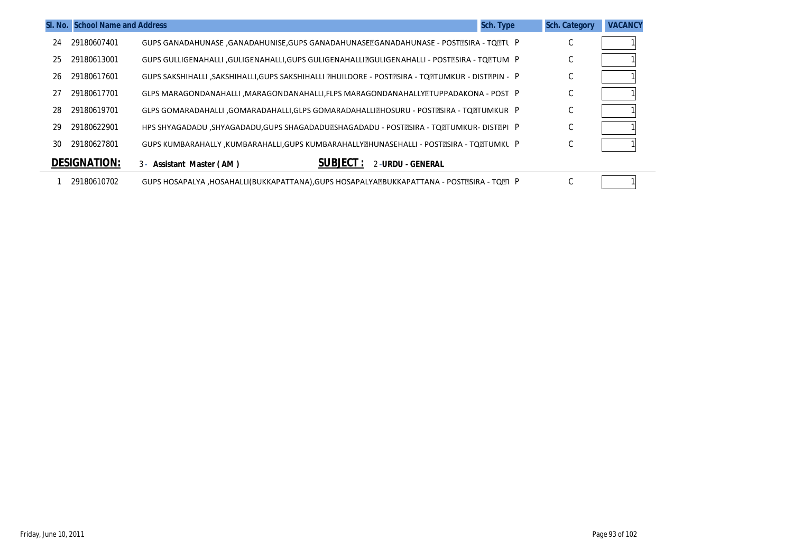|    | SI. No. School Name and Address |                                                                                                 | <b>Sch. Type</b> | <b>Sch. Category</b> | <b>VACANCY</b> |
|----|---------------------------------|-------------------------------------------------------------------------------------------------|------------------|----------------------|----------------|
| 24 | 29180607401                     | GUPS GANADAHUNASE ,GANADAHUNISE,GUPS GANADAHUNASE@GANADAHUNASE - POST@SIRA - TO@TL P            |                  | U                    |                |
| 25 | 29180613001                     | GUPS GULLIGENAHALLI ,GULIGENAHALLI,GUPS GULIGENAHALLIZGULIGENAHALLI - POSTZSIRA - TQZTUM P      |                  | $\sim$<br>U          |                |
| 26 | 29180617601                     | GUPS SAKSHIHALLI ,SAKSHIHALLI,GUPS SAKSHIHALLI @HUILDORE - POST@SIRA - TQ@TUMKUR - DIST@PIN - P |                  | C                    |                |
| 27 | 29180617701                     | GLPS MARAGONDANAHALLI , MARAGONDANAHALLI, FLPS MARAGONDANAHALLY ETUPPADAKONA - POST P           |                  | $\sim$<br>U          |                |
| 28 | 29180619701                     | GLPS GOMARADAHALLI ,GOMARADAHALLI,GLPS GOMARADAHALLIZHOSURU - POSTZSIRA - TQZTUMKUR P           |                  | C                    |                |
| 29 | 29180622901                     | HPS SHYAGADADU ,SHYAGADADU,GUPS SHAGADADU@SHAGADADU - POST@SIRA - TQ@TUMKUR- DIST@PI P          |                  | С                    |                |
| 30 | 29180627801                     | GUPS KUMBARAHALLY , KUMBARAHALLI, GUPS KUMBARAHALLY THUNASEHALLI - POST TSIRA - TO TUMKL P      |                  | $\sim$<br>◡          |                |
|    | <b>DESIGNATION:</b>             | <b>SUBJECT :</b><br>2-URDU - GENERAL<br>3 - Assistant Master (AM)                               |                  |                      |                |
|    | 29180610702                     | GUPS HOSAPALYA , HOSAHALLI (BUKKAPATTANA), GUPS HOSAPALYA ZBUKKAPATTANA - POST ZSIRA - TO TI P  |                  | C                    |                |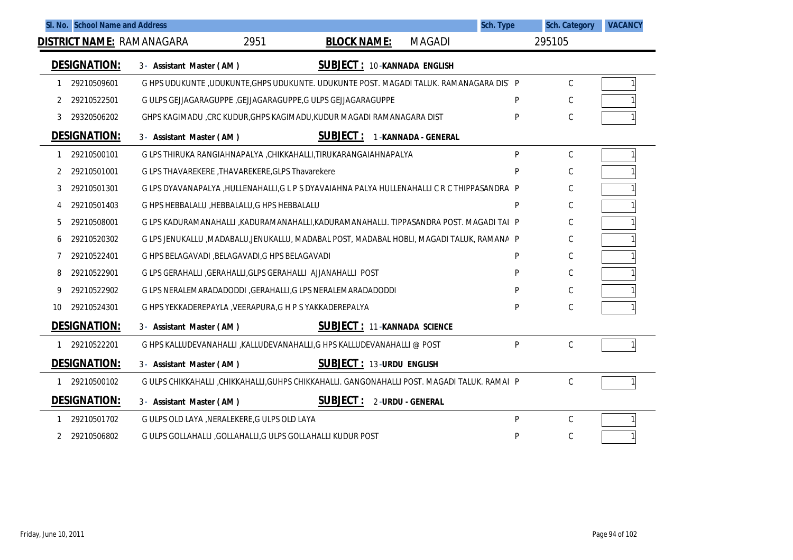|    |                     | SI. No. School Name and Address                  |                                                                                               |                    |                                    | Sch. Type | <b>Sch. Category</b> | <b>VACANCY</b> |
|----|---------------------|--------------------------------------------------|-----------------------------------------------------------------------------------------------|--------------------|------------------------------------|-----------|----------------------|----------------|
|    |                     | <b>DISTRICT NAME: RAMANAGARA</b>                 | 2951                                                                                          | <b>BLOCK NAME:</b> | <b>MAGADI</b>                      |           | 295105               |                |
|    | <b>DESIGNATION:</b> | 3- Assistant Master (AM)                         |                                                                                               |                    | <b>SUBJECT: 10-KANNADA ENGLISH</b> |           |                      |                |
|    | 29210509601         |                                                  | G HPS UDUKUNTE ,UDUKUNTE, GHPS UDUKUNTE. UDUKUNTE POST. MAGADI TALUK. RAMANAGARA DIS P        |                    |                                    |           | C                    |                |
| 2  | 29210522501         |                                                  | G ULPS GEJJAGARAGUPPE , GEJJAGARAGUPPE, G ULPS GEJJAGARAGUPPE                                 |                    |                                    | P         | C                    |                |
| 3  | 29320506202         |                                                  | GHPS KAGIMADU ,CRC KUDUR, GHPS KAGIMADU, KUDUR MAGADI RAMANAGARA DIST                         |                    |                                    | P         | $\mathsf C$          |                |
|    | <b>DESIGNATION:</b> | 3- Assistant Master (AM)                         | <b>SUBJECT:</b>                                                                               |                    | 1-KANNADA - GENERAL                |           |                      |                |
| 1  | 29210500101         |                                                  | G LPS THIRUKA RANGIAHNAPALYA ,CHIKKAHALLI,TIRUKARANGAIAHNAPALYA                               |                    |                                    | P         | С                    |                |
| 2  | 29210501001         | G LPS THAVAREKERE, THAVAREKERE, GLPS Thavarekere |                                                                                               |                    |                                    | D         | C                    |                |
| 3  | 29210501301         |                                                  | G LPS DYAVANAPALYA , HULLENAHALLI, G L P S DYAVAIAHNA PALYA HULLENAHALLI C R C THIPPASANDRA P |                    |                                    |           | C                    |                |
| 4  | 29210501403         | G HPS HEBBALALU, HEBBALALU, G HPS HEBBALALU      |                                                                                               |                    |                                    | P         | C                    |                |
| 5  | 29210508001         |                                                  | G LPS KADURAMANAHALLI , KADURAMANAHALLI, KADURAMANAHALLI. TIPPASANDRA POST. MAGADI TAI P      |                    |                                    |           | C                    |                |
| 6  | 29210520302         |                                                  | G LPS JENUKALLU ,MADABALU,JENUKALLU, MADABAL POST, MADABAL HOBLI, MAGADI TALUK, RAMANA P      |                    |                                    |           | C                    |                |
|    | 29210522401         | G HPS BELAGAVADI , BELAGAVADI, G HPS BELAGAVADI  |                                                                                               |                    |                                    | P         | С                    |                |
| 8  | 29210522901         |                                                  | G LPS GERAHALLI , GERAHALLI, GLPS GERAHALLI AJJANAHALLI POST                                  |                    |                                    | P         | C                    |                |
| 9  | 29210522902         |                                                  | G LPS NERALEMARADADODDI , GERAHALLI, G LPS NERALEMARADADODDI                                  |                    |                                    |           | C                    |                |
| 10 | 29210524301         |                                                  | G HPS YEKKADEREPAYLA, VEERAPURA, G H P S YAKKADEREPALYA                                       |                    |                                    | P         | C                    |                |
|    | <b>DESIGNATION:</b> | 3- Assistant Master (AM)                         |                                                                                               |                    | <b>SUBJECT: 11-KANNADA SCIENCE</b> |           |                      |                |
|    | 29210522201         |                                                  | G HPS KALLUDEVANAHALLI , KALLUDEVANAHALLI, G HPS KALLUDEVANAHALLI @ POST                      |                    |                                    | P         | C                    |                |
|    | DESIGNATION:        | 3- Assistant Master (AM)                         |                                                                                               |                    | <b>SUBJECT: 13-URDU ENGLISH</b>    |           |                      |                |
|    | 1 29210500102       |                                                  | G ULPS CHIKKAHALLI ,CHIKKAHALLI,GUHPS CHIKKAHALLI. GANGONAHALLI POST. MAGADI TALUK. RAMAI P   |                    |                                    |           | C                    |                |
|    | <b>DESIGNATION:</b> | 3- Assistant Master (AM)                         | <b>SUBJECT:</b>                                                                               |                    | 2-URDU - GENERAL                   |           |                      |                |
|    | 29210501702         | G ULPS OLD LAYA , NERALEKERE, G ULPS OLD LAYA    |                                                                                               |                    |                                    | P         | $\mathsf C$          |                |
| 2  | 29210506802         |                                                  | G ULPS GOLLAHALLI , GOLLAHALLI, G ULPS GOLLAHALLI KUDUR POST                                  |                    |                                    | P         | C                    |                |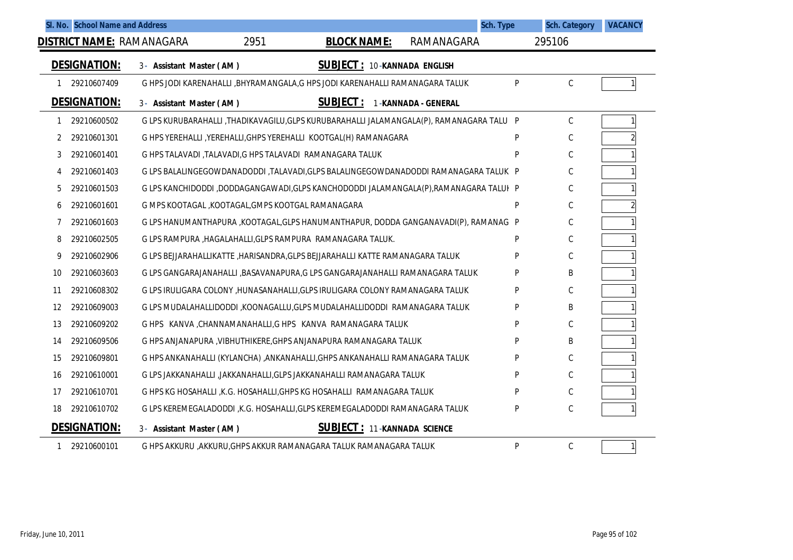| SI. No. School Name and Address |             |                                                          |      |                                                                                | Sch. Type                                                                                |   | <b>Sch. Category</b> | <b>VACANCY</b> |
|---------------------------------|-------------|----------------------------------------------------------|------|--------------------------------------------------------------------------------|------------------------------------------------------------------------------------------|---|----------------------|----------------|
|                                 |             | <b>DISTRICT NAME: RAMANAGARA</b>                         | 2951 | <b>BLOCK NAME:</b>                                                             | RAMANAGARA                                                                               |   | 295106               |                |
| <b>DESIGNATION:</b>             |             | 3- Assistant Master (AM)                                 |      | <b>SUBJECT: 10-KANNADA ENGLISH</b>                                             |                                                                                          |   |                      |                |
| 1                               | 29210607409 |                                                          |      | G HPS JODI KARENAHALLI , BHYRAMANGALA, G HPS JODI KARENAHALLI RAMANAGARA TALUK |                                                                                          | P | $\mathcal{C}$        |                |
| <b>DESIGNATION:</b>             |             | 3- Assistant Master (AM)                                 |      | <b>SUBJECT: 1-KANNADA - GENERAL</b>                                            |                                                                                          |   |                      |                |
|                                 | 29210600502 |                                                          |      |                                                                                | G LPS KURUBARAHALLI ,THADIKAVAGILU,GLPS KURUBARAHALLI JALAMANGALA(P), RAMANAGARA TALU  P |   | $\mathcal{C}$        |                |
| 2                               | 29210601301 |                                                          |      | G HPS YEREHALLI , YEREHALLI, GHPS YEREHALLI KOOTGAL(H) RAMANAGARA              |                                                                                          | P | C                    | $\overline{a}$ |
| 3                               | 29210601401 | G HPS TALAVADI ,TALAVADI,G HPS TALAVADI RAMANAGARA TALUK |      |                                                                                |                                                                                          | P | С                    |                |
| 4                               | 29210601403 |                                                          |      |                                                                                | G LPS BALALINGEGOWDANADODDI ,TALAVADI,GLPS BALALINGEGOWDANADODDI RAMANAGARA TALUK P      |   | С                    |                |
| 5                               | 29210601503 |                                                          |      |                                                                                | G LPS KANCHIDODDI ,DODDAGANGAWADI,GLPS KANCHODODDI JALAMANGALA(P),RAMANAGARA TALUI P     |   | C                    |                |
| 6                               | 29210601601 | G MPS KOOTAGAL ,KOOTAGAL,GMPS KOOTGAL RAMANAGARA         |      |                                                                                |                                                                                          | P | C                    | $\overline{a}$ |
| 7                               | 29210601603 |                                                          |      |                                                                                | G LPS HANUMANTHAPURA , KOOTAGAL, GLPS HANUMANTHAPUR, DODDA GANGANAVADI(P), RAMANAG P     |   | С                    |                |
| 8                               | 29210602505 |                                                          |      | G LPS RAMPURA .HAGALAHALLI.GLPS RAMPURA  RAMANAGARA TALUK. .                   |                                                                                          | P | C                    |                |
| 9                               | 29210602906 |                                                          |      | G LPS BEJJARAHALLIKATTE ,HARISANDRA,GLPS BEJJARAHALLI KATTE RAMANAGARA TALUK   |                                                                                          | P | C                    |                |
| 10                              | 29210603603 |                                                          |      | G LPS GANGARAJANAHALLI ,BASAVANAPURA,G LPS GANGARAJANAHALLI RAMANAGARA TALUK   |                                                                                          | P | B                    |                |
| 11                              | 29210608302 |                                                          |      | G LPS IRULIGARA COLONY ,HUNASANAHALLI,GLPS IRULIGARA COLONY RAMANAGARA TALUK   |                                                                                          | P | C                    |                |
| 12                              | 29210609003 |                                                          |      | G LPS MUDALAHALLIDODDI ,KOONAGALLU,GLPS MUDALAHALLIDODDI RAMANAGARA TALUK      |                                                                                          | P | B                    |                |
| 13                              | 29210609202 |                                                          |      | G HPS KANVA, CHANNAMANAHALLI, G HPS KANVA RAMANAGARA TALUK                     |                                                                                          | P | $\mathsf{C}$         |                |
| 14                              | 29210609506 |                                                          |      | G HPS ANJANAPURA , VIBHUTHIKERE, GHPS ANJANAPURA RAMANAGARA TALUK              |                                                                                          | P | В                    |                |
| 15                              | 29210609801 |                                                          |      | G HPS ANKANAHALLI (KYLANCHA) ,ANKANAHALLI,GHPS ANKANAHALLI RAMANAGARA TALUK    |                                                                                          | P | C                    |                |
| 16                              | 29210610001 |                                                          |      | G LPS JAKKANAHALLI , JAKKANAHALLI, GLPS JAKKANAHALLI RAMANAGARA TALUK          |                                                                                          | P | C                    |                |
| 17                              | 29210610701 |                                                          |      | G HPS KG HOSAHALLI , K.G. HOSAHALLI, GHPS KG HOSAHALLI RAMANAGARA TALUK        |                                                                                          | P | C                    |                |
| 18                              | 29210610702 |                                                          |      | G LPS KEREMEGALADODDI , K.G. HOSAHALLI, GLPS KEREMEGALADODDI RAMANAGARA TALUK  |                                                                                          | P | C                    |                |
| <b>DESIGNATION:</b>             |             | 3- Assistant Master (AM)                                 |      | <b>SUBJECT: 11-KANNADA SCIENCE</b>                                             |                                                                                          |   |                      |                |
| 1                               | 29210600101 |                                                          |      | G HPS AKKURU , AKKURU, GHPS AKKUR RAMANAGARA TALUK RAMANAGARA TALUK            |                                                                                          | P | $\mathsf{C}$         |                |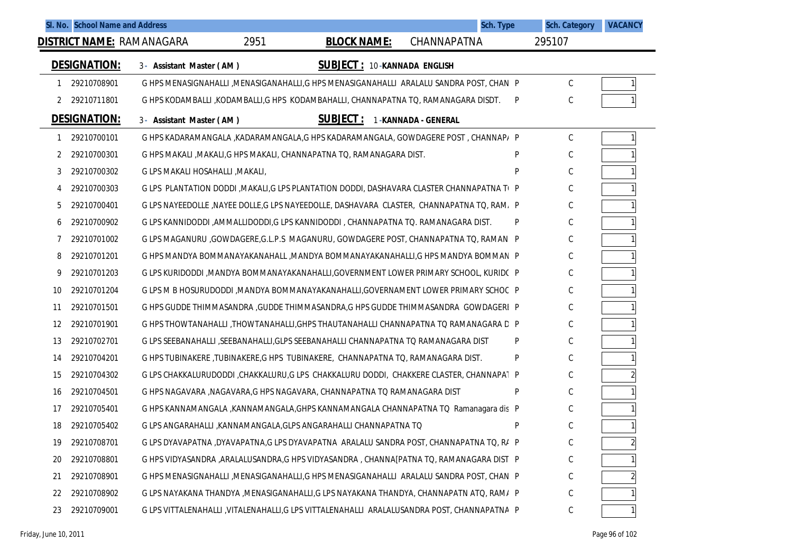|    |                     | SI. No. School Name and Address  |      |                                                                                              | Sch. Type           |   | <b>Sch. Category</b> | <b>VACANCY</b> |
|----|---------------------|----------------------------------|------|----------------------------------------------------------------------------------------------|---------------------|---|----------------------|----------------|
|    |                     | <u>DISTRICT NAME:</u> RAMANAGARA | 2951 | <b>BLOCK NAME:</b>                                                                           | CHANNAPATNA         |   | 295107               |                |
|    | <b>DESIGNATION:</b> | 3- Assistant Master (AM)         |      | <b>SUBJECT: 10-KANNADA ENGLISH</b>                                                           |                     |   |                      |                |
|    | 29210708901         |                                  |      | G HPS MENASIGNAHALLI , MENASIGANAHALLI, G HPS MENASIGANAHALLI ARALALU SANDRA POST, CHAN P    |                     |   | С                    |                |
| 2  | 29210711801         |                                  |      | G HPS KODAMBALLI ,KODAMBALLI,G HPS KODAMBAHALLI, CHANNAPATNA TQ, RAMANAGARA DISDT.           |                     | P | C                    |                |
|    | <b>DESIGNATION:</b> | 3- Assistant Master (AM)         |      | <b>SUBJECT:</b>                                                                              | 1-KANNADA - GENERAL |   |                      |                |
| 1  | 29210700101         |                                  |      | G HPS KADARAMANGALA ,KADARAMANGALA,G HPS KADARAMANGALA, GOWDAGERE POST, CHANNAP/ P           |                     |   | С                    |                |
| 2  | 29210700301         |                                  |      | G HPS MAKALI , MAKALI, G HPS MAKALI, CHANNAPATNA TQ, RAMANAGARA DIST.                        |                     | P | С                    |                |
| 3  | 29210700302         | G LPS MAKALI HOSAHALLI , MAKALI, |      |                                                                                              |                     | P | C                    |                |
| 4  | 29210700303         |                                  |      | G LPS PLANTATION DODDI , MAKALI, G LPS PLANTATION DODDI, DASHAVARA CLASTER CHANNAPATNA T(P   |                     |   | C                    |                |
| 5  | 29210700401         |                                  |      | G LPS NAYEEDOLLE , NAYEE DOLLE, G LPS NAYEEDOLLE, DASHAVARA CLASTER, CHANNAPATNA TO, RAM, P  |                     |   | C                    |                |
| 6  | 29210700902         |                                  |      | G LPS KANNIDODDI , AMMALLIDODDI, G LPS KANNIDODDI , CHANNAPATNA TO. RAMANAGARA DIST.         |                     | P | C                    |                |
| 7  | 29210701002         |                                  |      | G LPS MAGANURU ,GOWDAGERE,G.L.P.S MAGANURU, GOWDAGERE POST, CHANNAPATNA TO, RAMAN. P         |                     |   | C                    |                |
| 8  | 29210701201         |                                  |      | G HPS MANDYA BOMMANAYAKANAHALL , MANDYA BOMMANAYAKANAHALLI, G HPS MANDYA BOMMAN P            |                     |   | C                    |                |
| 9  | 29210701203         |                                  |      | G LPS KURIDODDI , MANDYA BOMMANAYAKANAHALLI, GOVERNMENT LOWER PRIMARY SCHOOL, KURIDC P       |                     |   | C                    |                |
| 10 | 29210701204         |                                  |      | G LPS M B HOSURUDODDI , MANDYA BOMMANAYAKANAHALLI, GOVERNAMENT LOWER PRIMARY SCHOC P         |                     |   | C                    |                |
| 11 | 29210701501         |                                  |      | G HPS GUDDE THIMMASANDRA, GUDDE THIMMASANDRA, G HPS GUDDE THIMMASANDRA GOWDAGERI P           |                     |   | C                    |                |
| 12 | 29210701901         |                                  |      | G HPS THOWTANAHALLI , THOWTANAHALLI, GHPS THAUTANAHALLI CHANNAPATNA TO RAMANAGARA D P        |                     |   | C                    |                |
| 13 | 29210702701         |                                  |      | G LPS SEEBANAHALLI ,SEEBANAHALLI,GLPS SEEBANAHALLI CHANNAPATNA TO RAMANAGARA DIST            |                     | P | C                    |                |
| 14 | 29210704201         |                                  |      | G HPS TUBINAKERE ,TUBINAKERE,G HPS TUBINAKERE, CHANNAPATNA TQ, RAMANAGARA DIST.              |                     | P | C                    |                |
| 15 | 29210704302         |                                  |      | G LPS CHAKKALURUDODDI ,CHAKKALURU,G LPS CHAKKALURU DODDI, CHAKKERE CLASTER, CHANNAPAT P      |                     |   | C                    |                |
| 16 | 29210704501         |                                  |      | G HPS NAGAVARA , NAGAVARA, G HPS NAGAVARA, CHANNAPATNA TO RAMANAGARA DIST                    |                     | P | C                    |                |
| 17 | 29210705401         |                                  |      | G HPS KANNAMANGALA , KANNAMANGALA, GHPS KANNAMANGALA CHANNAPATNA TO Ramanagara dis P         |                     |   | C                    |                |
| 18 | 29210705402         |                                  |      | G LPS ANGARAHALLI , KANNAMANGALA, GLPS ANGARAHALLI CHANNAPATNA TO                            |                     | P | C                    |                |
| 19 | 29210708701         |                                  |      | G LPS DYAVAPATNA ,DYAVAPATNA,G LPS DYAVAPATNA ARALALU SANDRA POST, CHANNAPATNA TQ, R/ P      |                     |   | С                    | 2              |
| 20 | 29210708801         |                                  |      | G HPS VIDYASANDRA ,ARALALUSANDRA,G HPS VIDYASANDRA , CHANNA[PATNA TO, RAMANAGARA DIST P      |                     |   | C                    |                |
| 21 | 29210708901         |                                  |      | G HPS MENASIGNAHALLI ,MENASIGANAHALLI,G HPS MENASIGANAHALLI ARALALU SANDRA POST, CHAN P      |                     |   | С                    |                |
| 22 | 29210708902         |                                  |      | G LPS NAYAKANA THANDYA , MENASIGANAHALLI, G LPS NAYAKANA THANDYA, CHANNAPATN ATQ, RAM/ P     |                     |   | С                    |                |
| 23 | 29210709001         |                                  |      | G LPS VITTALENAHALLI , VITALENAHALLI, G LPS VITTALENAHALLI ARALALUSANDRA POST, CHANNAPATNA P |                     |   | С                    |                |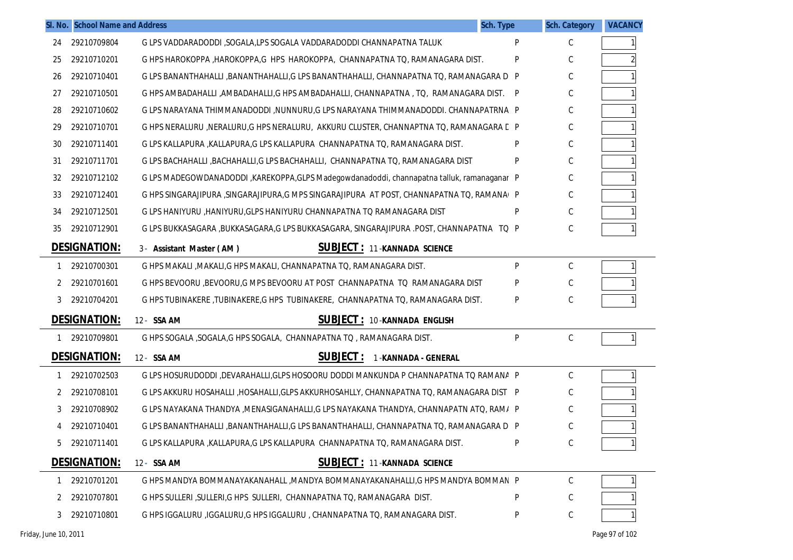|    | SI. No. School Name and Address | Sch. Type                                                                                   |   | <b>Sch. Category</b> | <b>VACANCY</b> |
|----|---------------------------------|---------------------------------------------------------------------------------------------|---|----------------------|----------------|
| 24 | 29210709804                     | G LPS VADDARADODDI, SOGALA,LPS SOGALA VADDARADODDI CHANNAPATNA TALUK                        | P | C                    |                |
| 25 | 29210710201                     | G HPS HAROKOPPA , HAROKOPPA, G HPS HAROKOPPA, CHANNAPATNA TO, RAMANAGARA DIST.              | P | С                    |                |
| 26 | 29210710401                     | G LPS BANANTHAHALLI ,BANANTHAHALLI,G LPS BANANTHAHALLI, CHANNAPATNA TQ, RAMANAGARA D P      |   | С                    |                |
| 27 | 29210710501                     | G HPS AMBADAHALLI ,AMBADAHALLI,G HPS AMBADAHALLI, CHANNAPATNA , TQ, RAMANAGARA DIST. P      |   | С                    |                |
| 28 | 29210710602                     | G LPS NARAYANA THIMMANADODDI ,NUNNURU,G LPS NARAYANA THIMMANADODDI. CHANNAPATRNA P          |   | С                    |                |
| 29 | 29210710701                     | G HPS NERALURU ,NERALURU,G HPS NERALURU, AKKURU CLUSTER, CHANNAPTNA TO, RAMANAGARA C P      |   | С                    |                |
| 30 | 29210711401                     | G LPS KALLAPURA , KALLAPURA, G LPS KALLAPURA CHANNAPATNA TO, RAMANAGARA DIST.               | P | C                    |                |
| 31 | 29210711701                     | G LPS BACHAHALLI ,BACHAHALLI,G LPS BACHAHALLI, CHANNAPATNA TQ, RAMANAGARA DIST              | P | С                    |                |
| 32 | 29210712102                     | G LPS MADEGOWDANADODDI, KAREKOPPA, GLPS Madegowdanadoddi, channapatna talluk, ramanaganar P |   | С                    |                |
| 33 | 29210712401                     | G HPS SINGARAJIPURA, SINGARAJIPURA, G MPS SINGARAJIPURA AT POST, CHANNAPATNA TO, RAMANAI P  |   | С                    |                |
| 34 | 29210712501                     | G LPS HANIYURU , HANIYURU, GLPS HANIYURU CHANNAPATNA TO RAMANAGARA DIST                     | P | C                    |                |
| 35 | 29210712901                     | G LPS BUKKASAGARA ,BUKKASAGARA,G LPS BUKKASAGARA, SINGARAJIPURA .POST, CHANNAPATNA TQ P     |   | С                    |                |
|    | <b>DESIGNATION:</b>             | <b>SUBJECT: 11-KANNADA SCIENCE</b><br>3- Assistant Master (AM)                              |   |                      |                |
| 1  | 29210700301                     | G HPS MAKALI , MAKALI, G HPS MAKALI, CHANNAPATNA TO, RAMANAGARA DIST.                       | P | C                    |                |
| 2  | 29210701601                     | G HPS BEVOORU , BEVOORU, G MPS BEVOORU AT POST CHANNAPATNA TO RAMANAGARA DIST               |   | C                    |                |
| 3  | 29210704201                     | G HPS TUBINAKERE ,TUBINAKERE,G HPS TUBINAKERE, CHANNAPATNA TQ, RAMANAGARA DIST.             | P | C                    |                |
|    | <b>DESIGNATION:</b>             | <b>SUBJECT: 10-KANNADA ENGLISH</b><br>12- SSA AM                                            |   |                      |                |
|    | 29210709801                     | G HPS SOGALA , SOGALA, G HPS SOGALA, CHANNAPATNA TO , RAMANAGARA DIST.                      | P | $\mathsf C$          |                |
|    | <b>DESIGNATION:</b>             | <b>SUBJECT:</b><br>12- SSA AM<br>1-KANNADA - GENERAL                                        |   |                      |                |
| -1 | 29210702503                     | G LPS HOSURUDODDI ,DEVARAHALLI,GLPS HOSOORU DODDI MANKUNDA P CHANNAPATNA TO RAMANA P        |   | C                    |                |
| 2  | 29210708101                     | G LPS AKKURU HOSAHALLI ,HOSAHALLI,GLPS AKKURHOSAHLLY, CHANNAPATNA TO, RAMANAGARA DIST P     |   | С                    |                |
| 3  | 29210708902                     | G LPS NAYAKANA THANDYA , MENASIGANAHALLI, G LPS NAYAKANA THANDYA, CHANNAPATN ATO, RAM/ P    |   | С                    |                |
| 4  | 29210710401                     | G LPS BANANTHAHALLI ,BANANTHAHALLI,G LPS BANANTHAHALLI, CHANNAPATNA TO, RAMANAGARA D P      |   | C                    |                |
| 5  | 29210711401                     | G LPS KALLAPURA , KALLAPURA, G LPS KALLAPURA CHANNAPATNA TO, RAMANAGARA DIST.               | P | C                    |                |
|    | <b>DESIGNATION:</b>             | <b>SUBJECT: 11-KANNADA SCIENCE</b><br>12- SSA AM                                            |   |                      |                |
| 1  | 29210701201                     | G HPS MANDYA BOMMANAYAKANAHALL , MANDYA BOMMANAYAKANAHALLI, G HPS MANDYA BOMMAN P           |   | C                    |                |
| 2  | 29210707801                     | G HPS SULLERI , SULLERI, G HPS SULLERI, CHANNAPATNA TO, RAMANAGARA DIST.                    | P | C                    |                |
| 3  | 29210710801                     | G HPS IGGALURU , IGGALURU, G HPS IGGALURU, CHANNAPATNA TO, RAMANAGARA DIST.                 | P | $\mathsf C$          |                |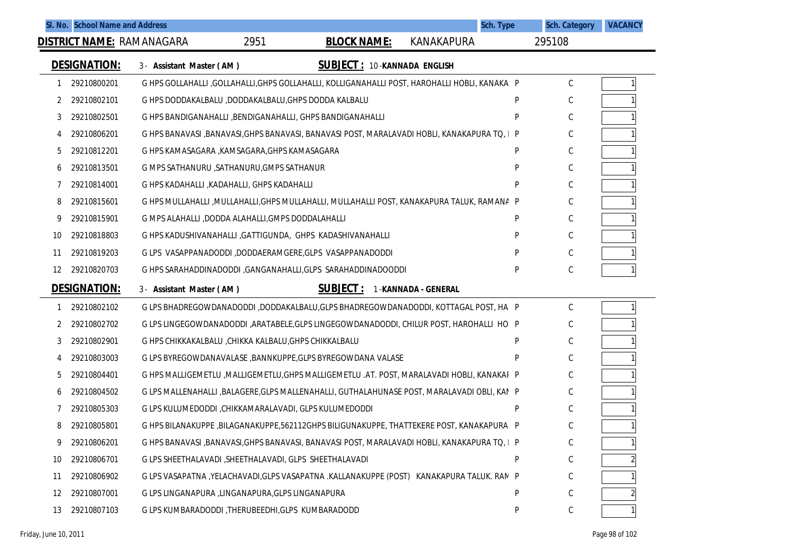|    |                                                                                       | SI. No. School Name and Address  |                                                         |                                                                                               | <b>Sch. Type</b>    |   | <b>Sch. Category</b> | <b>VACANCY</b> |
|----|---------------------------------------------------------------------------------------|----------------------------------|---------------------------------------------------------|-----------------------------------------------------------------------------------------------|---------------------|---|----------------------|----------------|
|    |                                                                                       | <b>DISTRICT NAME: RAMANAGARA</b> | 2951                                                    | <b>BLOCK NAME:</b>                                                                            | <b>KANAKAPURA</b>   |   | 295108               |                |
|    | <b>DESIGNATION:</b><br><b>SUBJECT: 10-KANNADA ENGLISH</b><br>3- Assistant Master (AM) |                                  |                                                         |                                                                                               |                     |   |                      |                |
| 1  | 29210800201                                                                           |                                  |                                                         | G HPS GOLLAHALLI ,GOLLAHALLI,GHPS GOLLAHALLI, KOLLIGANAHALLI POST, HAROHALLI HOBLI, KANAKA P  |                     |   | C                    |                |
| 2  | 29210802101                                                                           |                                  | G HPS DODDAKALBALU ,DODDAKALBALU, GHPS DODDA KALBALU    |                                                                                               |                     | P | С                    |                |
| 3  | 29210802501                                                                           |                                  |                                                         | G HPS BANDIGANAHALLI, BENDIGANAHALLI, GHPS BANDIGANAHALLI                                     |                     | P | С                    |                |
| 4  | 29210806201                                                                           |                                  |                                                         | G HPS BANAVASI ,BANAVASI,GHPS BANAVASI, BANAVASI POST, MARALAVADI HOBLI, KANAKAPURA TQ, I P   |                     |   | С                    |                |
| 5  | 29210812201                                                                           |                                  | G HPS KAMASAGARA , KAMSAGARA, GHPS KAMASAGARA           |                                                                                               |                     | P | С                    |                |
| 6  | 29210813501                                                                           |                                  | G MPS SATHANURU , SATHANURU, GMPS SATHANUR              |                                                                                               |                     | P | С                    |                |
| 7  | 29210814001                                                                           |                                  | G HPS KADAHALLI, KADAHALLI, GHPS KADAHALLI              |                                                                                               |                     | P | С                    |                |
| 8  | 29210815601                                                                           |                                  |                                                         | G HPS MULLAHALLI ,MULLAHALLI,GHPS MULLAHALLI, MULLAHALLI POST, KANAKAPURA TALUK, RAMANA P     |                     |   | С                    |                |
| 9  | 29210815901                                                                           |                                  | G MPS ALAHALLI ,DODDA ALAHALLI, GMPS DODDALAHALLI       |                                                                                               |                     | P | С                    |                |
| 10 | 29210818803                                                                           |                                  |                                                         | G HPS KADUSHIVANAHALLI , GATTIGUNDA, GHPS KADASHIVANAHALLI                                    |                     | P | С                    |                |
| 11 | 29210819203                                                                           |                                  |                                                         | GLPS VASAPPANADODDI ,DODDAERAMGERE,GLPS VASAPPANADODDI                                        |                     | P | С                    |                |
| 12 | 29210820703                                                                           |                                  |                                                         | G HPS SARAHADDINADODDI, GANGANAHALLI, GLPS SARAHADDINADOODDI                                  |                     | P | C                    |                |
|    | <b>DESIGNATION:</b>                                                                   | 3- Assistant Master (AM)         |                                                         | <b>SUBJECT:</b>                                                                               | 1-KANNADA - GENERAL |   |                      |                |
| 1  | 29210802102                                                                           |                                  |                                                         | G LPS BHADREGOWDANADODDI ,DODDAKALBALU,GLPS BHADREGOWDANADODDI, KOTTAGAL POST, HA P           |                     |   | C                    |                |
| 2  | 29210802702                                                                           |                                  |                                                         | G LPS LINGEGOWDANADODDI , ARATABELE, GLPS LINGEGOWDANADODDI, CHILUR POST, HAROHALLI HO P      |                     |   | С                    |                |
| 3  | 29210802901                                                                           |                                  | G HPS CHIKKAKALBALU , CHIKKA KALBALU, GHPS CHIKKALBALU  |                                                                                               |                     | P | С                    |                |
| 4  | 29210803003                                                                           |                                  |                                                         | G LPS BYREGOWDANAVALASE, BANNKUPPE, GLPS BYREGOWDANA VALASE                                   |                     | P | С                    |                |
| 5  | 29210804401                                                                           |                                  |                                                         | G HPS MALLIGEMETLU, MALLIGEMETLU, GHPS MALLIGEMETLU .AT. POST, MARALAVADI HOBLI, KANAKAI P    |                     |   | С                    |                |
| 6  | 29210804502                                                                           |                                  |                                                         | G LPS MALLENAHALLI ,BALAGERE,GLPS MALLENAHALLI, GUTHALAHUNASE POST, MARALAVADI OBLI, KAN P    |                     |   | С                    |                |
|    | 29210805303                                                                           |                                  | G LPS KULUMEDODDI, CHIKKAMARALAVADI, GLPS KULUMEDODDI   |                                                                                               |                     | P | С                    |                |
| 8  | 29210805801                                                                           |                                  |                                                         | G HPS BILANAKUPPE ,BILAGANAKUPPE,562112GHPS BILIGUNAKUPPE, THATTEKERE POST, KANAKAPURA P      |                     |   | С                    |                |
| 9  | 29210806201                                                                           |                                  |                                                         | G HPS BANAVASI , BANAVASI, GHPS BANAVASI, BANAVASI POST, MARALAVADI HOBLI, KANAKAPURA TO, I P |                     |   | С                    |                |
| 10 | 29210806701                                                                           |                                  | G LPS SHEETHALAVADI , SHEETHALAVADI, GLPS SHEETHALAVADI |                                                                                               |                     | P | С                    |                |
| 11 | 29210806902                                                                           |                                  |                                                         | G LPS VASAPATNA ,YELACHAVADI,GLPS VASAPATNA .KALLANAKUPPE (POST) KANAKAPURA TALUK. RAN P      |                     |   | С                    |                |
| 12 | 29210807001                                                                           |                                  | G LPS LINGANAPURA , LINGANAPURA, GLPS LINGANAPURA       |                                                                                               |                     | P | С                    |                |
| 13 | 29210807103                                                                           |                                  | G LPS KUMBARADODDI, THERUBEEDHI, GLPS KUMBARADODD       |                                                                                               |                     | P | $\mathsf C$          |                |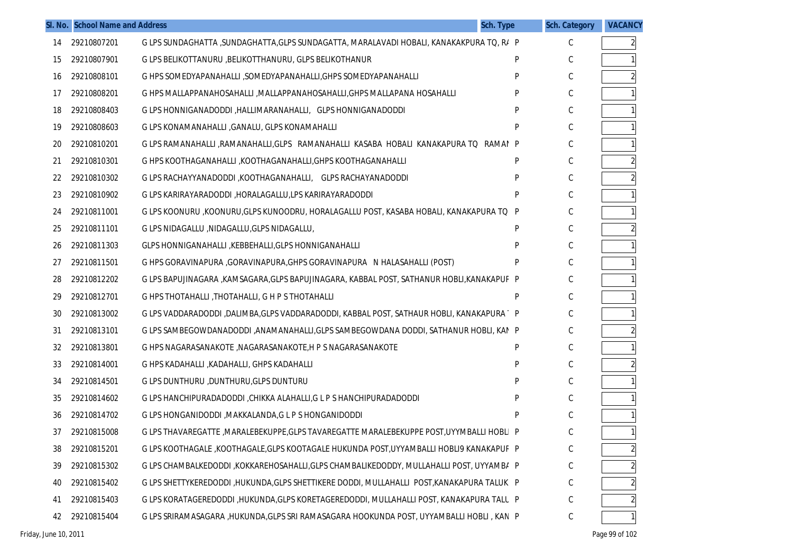|    | SI. No. School Name and Address |                                                                                             | Sch. Type | <b>Sch. Category</b> | <b>VACANCY</b>          |
|----|---------------------------------|---------------------------------------------------------------------------------------------|-----------|----------------------|-------------------------|
| 14 | 29210807201                     | G LPS SUNDAGHATTA ,SUNDAGHATTA,GLPS SUNDAGATTA, MARALAVADI HOBALI, KANAKAKPURA TQ, R/ P     |           | C                    | $\overline{a}$          |
| 15 | 29210807901                     | G LPS BELIKOTTANURU, BELIKOTTHANURU, GLPS BELIKOTHANUR                                      | P         | C                    |                         |
| 16 | 29210808101                     | G HPS SOMEDYAPANAHALLI , SOMEDYAPANAHALLI, GHPS SOMEDYAPANAHALLI                            | P         | C                    |                         |
| 17 | 29210808201                     | G HPS MALLAPPANAHOSAHALLI , MALLAPPANAHOSAHALLI, GHPS MALLAPANA HOSAHALLI                   | P         | С                    |                         |
| 18 | 29210808403                     | G LPS HONNIGANADODDI, HALLIMARANAHALLI, GLPS HONNIGANADODDI                                 | P         | C                    |                         |
| 19 | 29210808603                     | G LPS KONAMANAHALLI, GANALU, GLPS KONAMAHALLI                                               | P         | С                    |                         |
| 20 | 29210810201                     | G LPS RAMANAHALLI ,RAMANAHALLI,GLPS RAMANAHALLI KASABA HOBALI KANAKAPURA TO RAMAI           | P         | C                    |                         |
| 21 | 29210810301                     | G HPS KOOTHAGANAHALLI , KOOTHAGANAHALLI, GHPS KOOTHAGANAHALLI                               | P         | C                    | $\overline{2}$          |
| 22 | 29210810302                     | G LPS RACHAYYANADODDI, KOOTHAGANAHALLI, GLPS RACHAYANADODDI                                 | P         | C                    |                         |
| 23 | 29210810902                     | G LPS KARIRAYARADODDI, HORALAGALLU, LPS KARIRAYARADODDI                                     | P         | С                    |                         |
| 24 | 29210811001                     | G LPS KOONURU , KOONURU, GLPS KUNOODRU, HORALAGALLU POST, KASABA HOBALI, KANAKAPURA TO      | P         | C                    |                         |
| 25 | 29210811101                     | G LPS NIDAGALLU , NIDAGALLU, GLPS NIDAGALLU,                                                | P         | C                    |                         |
| 26 | 29210811303                     | GLPS HONNIGANAHALLI , KEBBEHALLI, GLPS HONNIGANAHALLI                                       | P         | C                    |                         |
| 27 | 29210811501                     | G HPS GORAVINAPURA , GORAVINAPURA, GHPS GORAVINAPURA N HALASAHALLI (POST)                   | P         | C                    |                         |
| 28 | 29210812202                     | G LPS BAPUJINAGARA , KAMSAGARA, GLPS BAPUJINAGARA, KABBAL POST, SATHANUR HOBLI, KANAKAPUF P |           | C                    |                         |
| 29 | 29210812701                     | G HPS THOTAHALLI, THOTAHALLI, G H P S THOTAHALLI                                            | P         | С                    |                         |
| 30 | 29210813002                     | G LPS VADDARADODDI ,DALIMBA,GLPS VADDARADODDI, KABBAL POST, SATHAUR HOBLI, KANAKAPURA P     |           | C                    |                         |
| 31 | 29210813101                     | G LPS SAMBEGOWDANADODDI ,ANAMANAHALLI,GLPS SAMBEGOWDANA DODDI, SATHANUR HOBLI, KAN P        |           | C                    |                         |
| 32 | 29210813801                     | G HPS NAGARASANAKOTE, NAGARASANAKOTE, H P S NAGARASANAKOTE                                  | P         | С                    |                         |
| 33 | 29210814001                     | G HPS KADAHALLI , KADAHALLI, GHPS KADAHALLI                                                 | P         | C                    |                         |
| 34 | 29210814501                     | G LPS DUNTHURU, DUNTHURU, GLPS DUNTURU                                                      | P         | С                    |                         |
| 35 | 29210814602                     | G LPS HANCHIPURADADODDI, CHIKKA ALAHALLI, G L P S HANCHIPURADADODDI                         | P         | C                    |                         |
| 36 | 29210814702                     | G LPS HONGANIDODDI, MAKKALANDA, G L P S HONGANIDODDI                                        | P         | C                    |                         |
| 37 | 29210815008                     | G LPS THAVAREGATTE , MARALEBEKUPPE, GLPS TAVAREGATTE MARALEBEKUPPE POST, UYYMBALLI HOBLI P  |           | C                    | 1 <sup>1</sup>          |
| 38 | 29210815201                     | G LPS KOOTHAGALE ,KOOTHAGALE,GLPS KOOTAGALE HUKUNDA POST,UYYAMBALLI HOBLI9 KANAKAPUF P      |           | $\mathsf C$          | $\overline{\mathbf{c}}$ |
| 39 | 29210815302                     | G LPS CHAMBALKEDODDI , KOKKAREHOSAHALLI, GLPS CHAMBALIKEDODDY, MULLAHALLI POST, UYYAMBA P   |           | C                    | $\overline{\mathbf{c}}$ |
| 40 | 29210815402                     | G LPS SHETTYKEREDODDI ,HUKUNDA,GLPS SHETTIKERE DODDI, MULLAHALLI POST,KANAKAPURA TALUK P    |           | С                    | $\overline{\mathbf{c}}$ |
| 41 | 29210815403                     | G LPS KORATAGEREDODDI ,HUKUNDA,GLPS KORETAGEREDODDI, MULLAHALLI POST, KANAKAPURA TALL P     |           | С                    | $\overline{c}$          |
| 42 | 29210815404                     | G LPS SRIRAMASAGARA , HUKUNDA, GLPS SRI RAMASAGARA HOOKUNDA POST, UYYAMBALLI HOBLI, KAN P   |           | С                    | $\mathbf{1}$            |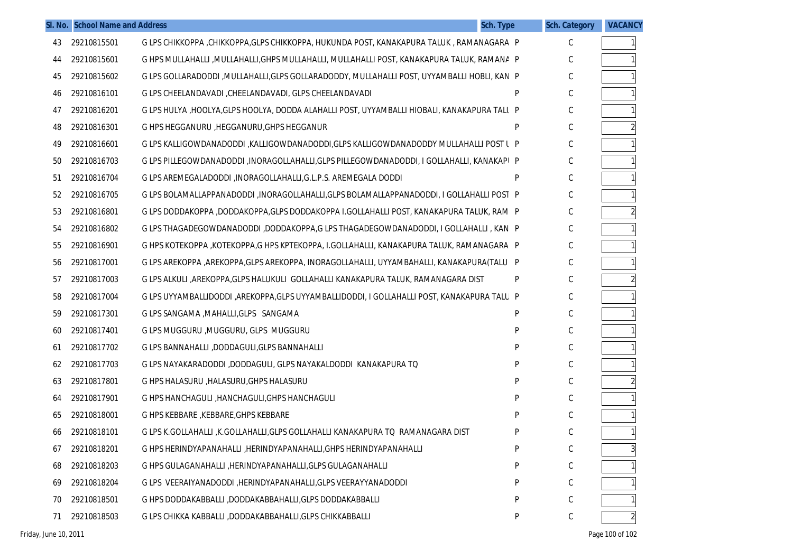|    | SI. No. School Name and Address |                                                                                              | Sch. Type | <b>Sch. Category</b> | <b>VACANCY</b> |
|----|---------------------------------|----------------------------------------------------------------------------------------------|-----------|----------------------|----------------|
| 43 | 29210815501                     | G LPS CHIKKOPPA , CHIKKOPPA, GLPS CHIKKOPPA, HUKUNDA POST, KANAKAPURA TALUK, RAMANAGARA P    |           | С                    | $\mathbf{1}$   |
| 44 | 29210815601                     | G HPS MULLAHALLI ,MULLAHALLI,GHPS MULLAHALLI, MULLAHALLI POST, KANAKAPURA TALUK, RAMANA P    |           | С                    |                |
| 45 | 29210815602                     | G LPS GOLLARADODDI , MULLAHALLI, GLPS GOLLARADODDY, MULLAHALLI POST, UYYAMBALLI HOBLI, KAN P |           | С                    |                |
| 46 | 29210816101                     | G LPS CHEELANDAVADI, CHEELANDAVADI, GLPS CHEELANDAVADI                                       | P         | С                    |                |
| 47 | 29210816201                     | G LPS HULYA ,HOOLYA,GLPS HOOLYA, DODDA ALAHALLI POST, UYYAMBALLI HIOBALI, KANAKAPURA TALL P  |           | С                    |                |
| 48 | 29210816301                     | G HPS HEGGANURU , HEGGANURU, GHPS HEGGANUR                                                   | P         | С                    |                |
| 49 | 29210816601                     | G LPS KALLIGOWDANADODDI ,KALLIGOWDANADODDI,GLPS KALLIGOWDANADODDY MULLAHALLI POST L P        |           | С                    |                |
| 50 | 29210816703                     | G LPS PILLEGOWDANADODDI , INORAGOLLAHALLI, GLPS PILLEGOWDANADODDI, I GOLLAHALLI, KANAKAPI P  |           | С                    |                |
| 51 | 29210816704                     | G LPS AREMEGALADODDI, INORAGOLLAHALLI, G.L.P.S. AREMEGALA DODDI                              | P         | С                    |                |
| 52 | 29210816705                     | G LPS BOLAMALLAPPANADODDI, INORAGOLLAHALLI, GLPS BOLAMALLAPPANADODDI, I GOLLAHALLI POST P    |           | С                    |                |
| 53 | 29210816801                     | G LPS DODDAKOPPA ,DODDAKOPPA,GLPS DODDAKOPPA I.GOLLAHALLI POST, KANAKAPURA TALUK, RAM P      |           | С                    | $\overline{2}$ |
| 54 | 29210816802                     | G LPS THAGADEGOWDANADODDI ,DODDAKOPPA,G LPS THAGADEGOWDANADODDI, I GOLLAHALLI , KAN P        |           | С                    |                |
| 55 | 29210816901                     | G HPS KOTEKOPPA ,KOTEKOPPA,G HPS KPTEKOPPA, I.GOLLAHALLI, KANAKAPURA TALUK, RAMANAGARA P     |           | С                    |                |
| 56 | 29210817001                     | G LPS AREKOPPA ,AREKOPPA,GLPS AREKOPPA, INORAGOLLAHALLI, UYYAMBAHALLI, KANAKAPURA(TALUI P    |           | С                    |                |
| 57 | 29210817003                     | G LPS ALKULI ,AREKOPPA,GLPS HALUKULI GOLLAHALLI KANAKAPURA TALUK, RAMANAGARA DIST            | P         | С                    | $\overline{2}$ |
| 58 | 29210817004                     | G LPS UYYAMBALLIDODDI ,AREKOPPA,GLPS UYYAMBALLIDODDI, I GOLLAHALLI POST, KANAKAPURA TALU P   |           | С                    |                |
| 59 | 29210817301                     | G LPS SANGAMA , MAHALLI, GLPS SANGAMA                                                        | P         | С                    |                |
| 60 | 29210817401                     | G LPS MUGGURU, MUGGURU, GLPS MUGGURU                                                         | P         | С                    |                |
| 61 | 29210817702                     | G LPS BANNAHALLI, DODDAGULI, GLPS BANNAHALLI                                                 | P         | С                    |                |
| 62 | 29210817703                     | G LPS NAYAKARADODDI ,DODDAGULI, GLPS NAYAKALDODDI KANAKAPURA TO                              | P         | С                    |                |
| 63 | 29210817801                     | G HPS HALASURU, HALASURU, GHPS HALASURU                                                      | P         | С                    | $\overline{2}$ |
| 64 | 29210817901                     | G HPS HANCHAGULI, HANCHAGULI, GHPS HANCHAGULI                                                | P         | С                    |                |
| 65 | 29210818001                     | G HPS KEBBARE, KEBBARE, GHPS KEBBARE                                                         | P         | С                    |                |
| 66 | 29210818101                     | G LPS K.GOLLAHALLI ,K.GOLLAHALLI,GLPS GOLLAHALLI KANAKAPURA TO RAMANAGARA DIST               | P         | С                    | 1              |
| 67 | 29210818201                     | G HPS HERINDYAPANAHALLI, HERINDYAPANAHALLI, GHPS HERINDYAPANAHALLI                           | P         | $\mathsf C$          | 3              |
| 68 | 29210818203                     | G HPS GULAGANAHALLI , HERINDYAPANAHALLI, GLPS GULAGANAHALLI                                  | P         | $\mathsf C$          |                |
| 69 | 29210818204                     | G LPS VEERAIYANADODDI ,HERINDYAPANAHALLI,GLPS VEERAYYANADODDI                                | P         | С                    |                |
| 70 | 29210818501                     | G HPS DODDAKABBALLI ,DODDAKABBAHALLI, GLPS DODDAKABBALLI                                     | P         | С                    |                |
| 71 | 29210818503                     | G LPS CHIKKA KABBALLI ,DODDAKABBAHALLI, GLPS CHIKKABBALLI                                    | P         | С                    | $\overline{2}$ |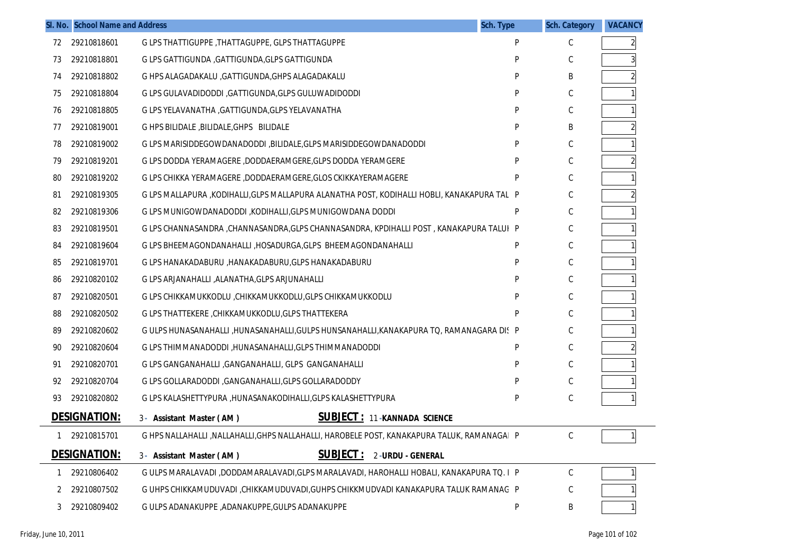|              | SI. No. School Name and Address |                                                                                              | Sch. Type | <b>Sch. Category</b> | <b>VACANCY</b> |
|--------------|---------------------------------|----------------------------------------------------------------------------------------------|-----------|----------------------|----------------|
| 72           | 29210818601                     | G LPS THATTIGUPPE, THATTAGUPPE, GLPS THATTAGUPPE                                             | P         | C                    | 2              |
| 73           | 29210818801                     | G LPS GATTIGUNDA , GATTIGUNDA, GLPS GATTIGUNDA                                               | P         | С                    |                |
| 74           | 29210818802                     | G HPS ALAGADAKALU , GATTIGUNDA, GHPS ALAGADAKALU                                             | P         | B                    |                |
| 75           | 29210818804                     | G LPS GULAVADIDODDI, GATTIGUNDA, GLPS GULUWADIDODDI                                          | P         | C                    |                |
| 76           | 29210818805                     | G LPS YELAVANATHA , GATTIGUNDA, GLPS YELAVANATHA                                             | P         | С                    |                |
| 77           | 29210819001                     | G HPS BILIDALE, BILIDALE, GHPS BILIDALE                                                      | P         | Β                    |                |
| 78           | 29210819002                     | G LPS MARISIDDEGOWDANADODDI , BILIDALE, GLPS MARISIDDEGOWDANADODDI                           | P         | $\mathsf C$          |                |
| 79           | 29210819201                     | G LPS DODDA YERAMAGERE, DODDAERAMGERE, GLPS DODDA YERAMGERE                                  | P         | С                    |                |
| 80           | 29210819202                     | G LPS CHIKKA YERAMAGERE, DODDAERAMGERE, GLOS CKIKKAYERAMAGERE                                | P         | $\mathsf C$          |                |
| 81           | 29210819305                     | G LPS MALLAPURA , KODIHALLI, GLPS MALLAPURA ALANATHA POST, KODIHALLI HOBLI, KANAKAPURA TAL P |           | C                    |                |
| 82           | 29210819306                     | G LPS MUNIGOWDANADODDI, KODIHALLI, GLPS MUNIGOWDANA DODDI                                    | P         | $\mathsf C$          |                |
| 83           | 29210819501                     | G LPS CHANNASANDRA , CHANNASANDRA, GLPS CHANNASANDRA, KPDIHALLI POST, KANAKAPURA TALUI P     |           | C                    |                |
| 84           | 29210819604                     | G LPS BHEEMAGONDANAHALLI , HOSADURGA, GLPS BHEEMAGONDANAHALLI                                | P         | $\mathsf C$          |                |
| 85           | 29210819701                     | G LPS HANAKADABURU , HANAKADABURU, GLPS HANAKADABURU                                         | P         | С                    |                |
| 86           | 29210820102                     | G LPS ARJANAHALLI , ALANATHA, GLPS ARJUNAHALLI                                               | P         | $\mathsf C$          |                |
| 87           | 29210820501                     | G LPS CHIKKAMUKKODLU ,CHIKKAMUKKODLU,GLPS CHIKKAMUKKODLU                                     | P         | С                    |                |
| 88           | 29210820502                     | G LPS THATTEKERE, CHIKKAMUKKODLU, GLPS THATTEKERA                                            | P         | $\mathsf C$          |                |
| 89           | 29210820602                     | G ULPS HUNASANAHALLI ,HUNASANAHALLI,GULPS HUNSANAHALLI,KANAKAPURA TO, RAMANAGARA DIS P       |           | C                    |                |
| 90           | 29210820604                     | G LPS THIMMANADODDI, HUNASANAHALLI, GLPS THIMMANADODDI                                       | P         | $\mathsf C$          |                |
| 91           | 29210820701                     | G LPS GANGANAHALLI, GANGANAHALLI, GLPS GANGANAHALLI                                          | P         | $\mathsf C$          |                |
| 92           | 29210820704                     | G LPS GOLLARADODDI, GANGANAHALLI, GLPS GOLLARADODDY                                          | P         | $\mathsf C$          |                |
| 93           | 29210820802                     | G LPS KALASHETTYPURA ,HUNASANAKODIHALLI,GLPS KALASHETTYPURA                                  | P         | $\mathsf C$          |                |
|              | <b>DESIGNATION:</b>             | <b>SUBJECT: 11-KANNADA SCIENCE</b><br>3- Assistant Master (AM)                               |           |                      |                |
| $\mathbf{1}$ | 29210815701                     | G HPS NALLAHALLI ,NALLAHALLI,GHPS NALLAHALLI, HAROBELE POST, KANAKAPURA TALUK, RAMANAGAI P   |           | С                    |                |
|              | <b>DESIGNATION:</b>             | <b>SUBJECT:</b><br>2-URDU - GENERAL<br>3- Assistant Master (AM)                              |           |                      |                |
|              | 29210806402                     | G ULPS MARALAVADI ,DODDAMARALAVADI,GLPS MARALAVADI, HAROHALLI HOBALI, KANAKAPURA TO. I P     |           | C                    |                |
| 2            | 29210807502                     | G UHPS CHIKKAMUDUVADI ,CHIKKAMUDUVADI,GUHPS CHIKKMUDVADI KANAKAPURA TALUK RAMANAG P          |           | С                    |                |
| 3            | 29210809402                     | G ULPS ADANAKUPPE , ADANAKUPPE, GULPS ADANAKUPPE                                             | P         | Β                    |                |